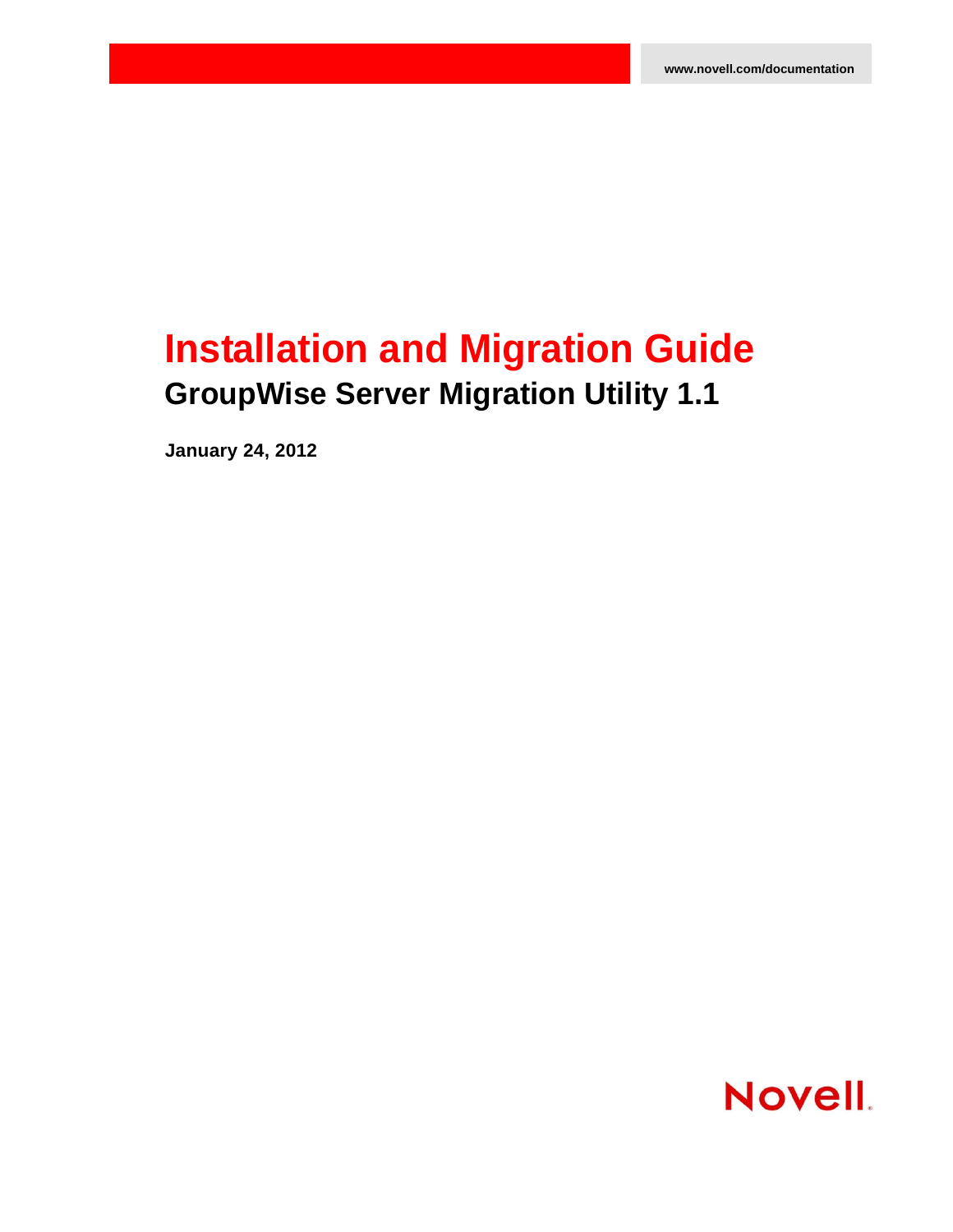# **Installation and Migration Guide GroupWise Server Migration Utility 1.1**

**January 24, 2012**

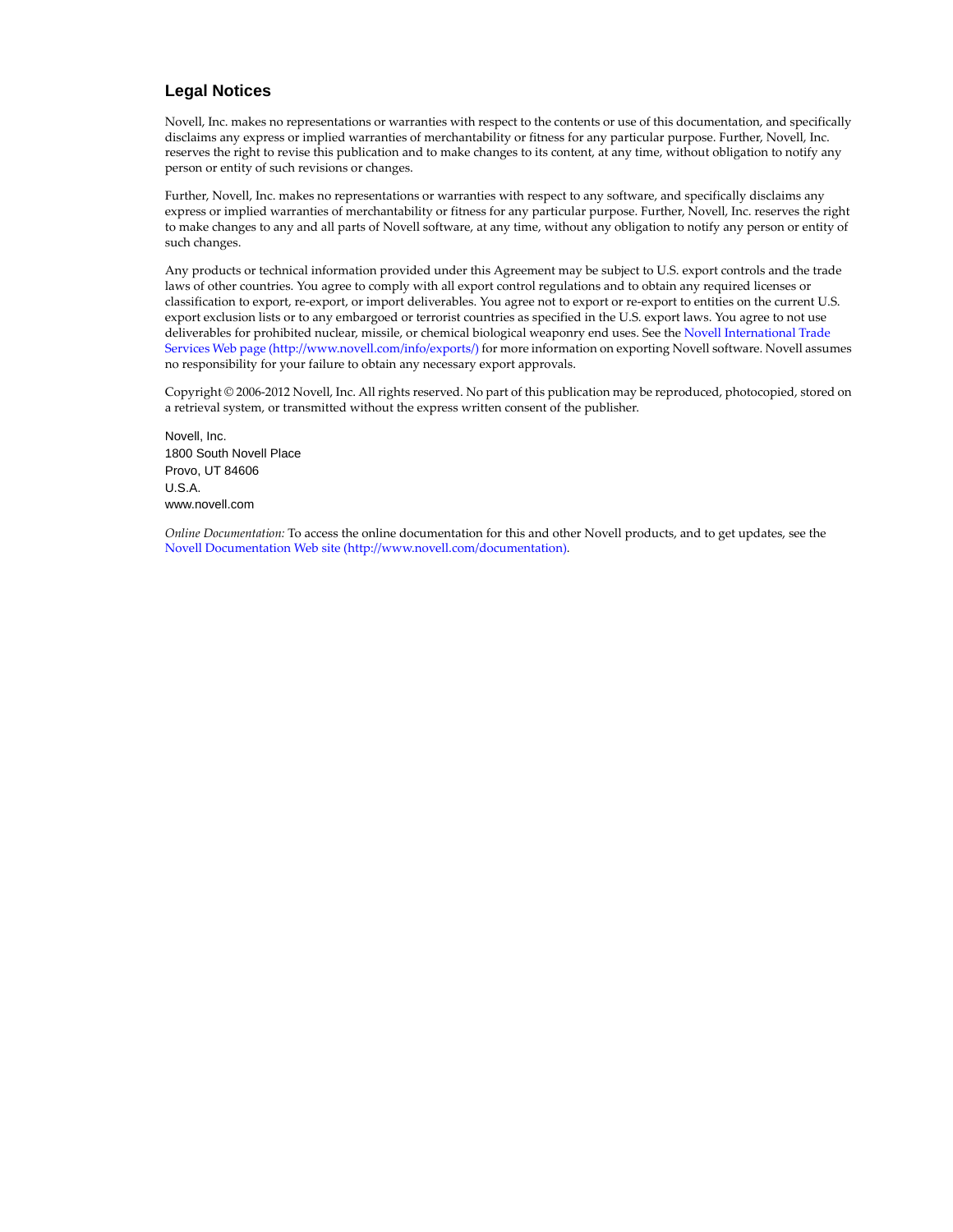### **Legal Notices**

Novell, Inc. makes no representations or warranties with respect to the contents or use of this documentation, and specifically disclaims any express or implied warranties of merchantability or fitness for any particular purpose. Further, Novell, Inc. reserves the right to revise this publication and to make changes to its content, at any time, without obligation to notify any person or entity of such revisions or changes.

Further, Novell, Inc. makes no representations or warranties with respect to any software, and specifically disclaims any express or implied warranties of merchantability or fitness for any particular purpose. Further, Novell, Inc. reserves the right to make changes to any and all parts of Novell software, at any time, without any obligation to notify any person or entity of such changes.

Any products or technical information provided under this Agreement may be subject to U.S. export controls and the trade laws of other countries. You agree to comply with all export control regulations and to obtain any required licenses or classification to export, re-export, or import deliverables. You agree not to export or re-export to entities on the current U.S. export exclusion lists or to any embargoed or terrorist countries as specified in the U.S. export laws. You agree to not use deliverables for prohibited nuclear, missile, or chemical biological weaponry end uses. See the [Novell International Trade](http://www.novell.com/info/exports/)  [Services Web page](http://www.novell.com/info/exports/) (http://www.novell.com/info/exports/) for more information on exporting Novell software. Novell assumes no responsibility for your failure to obtain any necessary export approvals.

Copyright © 2006-2012 Novell, Inc. All rights reserved. No part of this publication may be reproduced, photocopied, stored on a retrieval system, or transmitted without the express written consent of the publisher.

Novell, Inc. 1800 South Novell Place Provo, UT 84606 U.S.A. www.novell.com

*Online Documentation:* To access the online documentation for this and other Novell products, and to get updates, see the [Novell Documentation Web site](http://www.novell.com/documentation) (http://www.novell.com/documentation).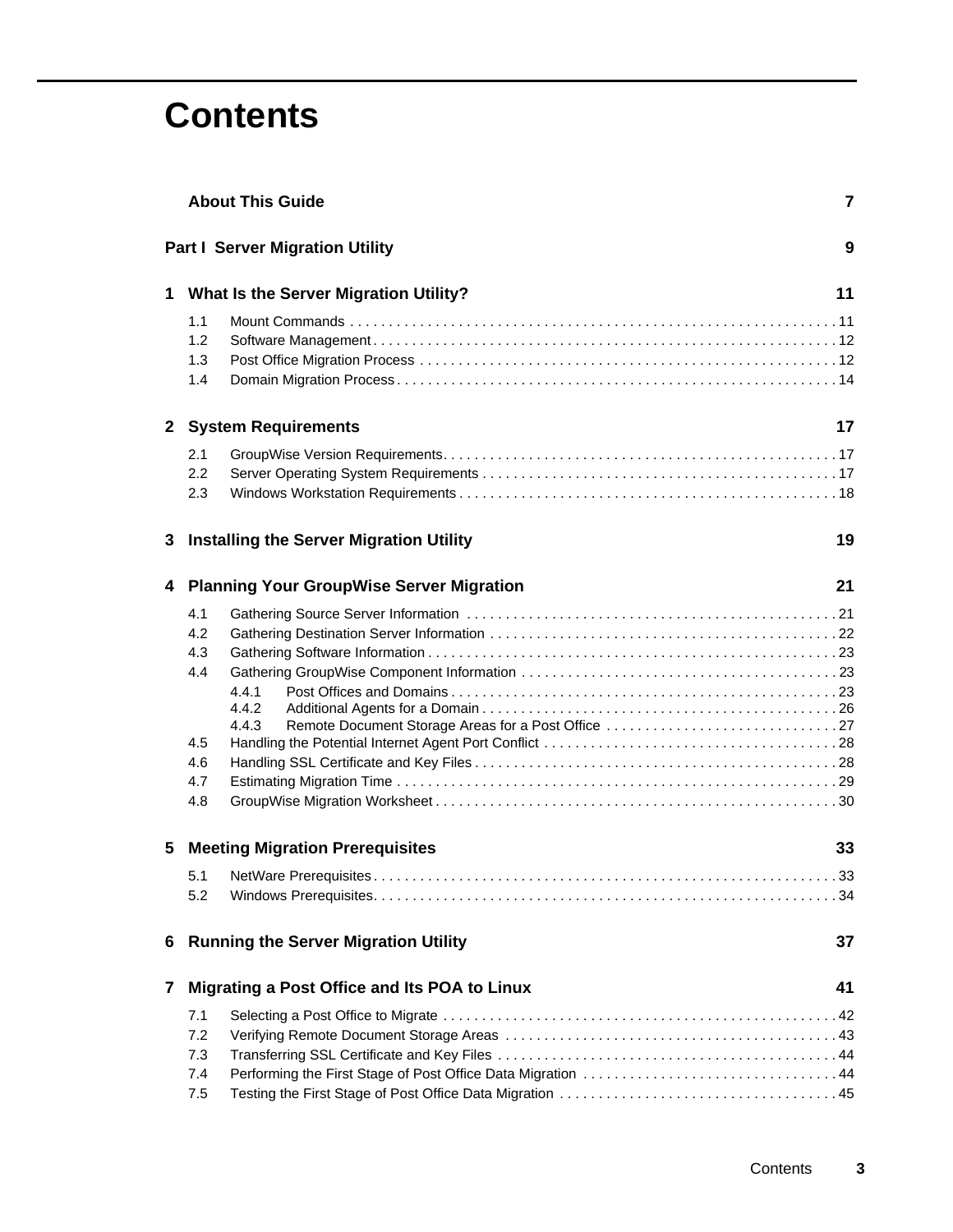# **Contents**

|   | <b>About This Guide</b>                              |                                                             |    |  |
|---|------------------------------------------------------|-------------------------------------------------------------|----|--|
|   |                                                      | <b>Part I Server Migration Utility</b>                      | 9  |  |
|   |                                                      | 1 What Is the Server Migration Utility?                     | 11 |  |
|   | 1.1<br>1.2<br>1.3<br>1.4                             |                                                             |    |  |
|   |                                                      | 2 System Requirements                                       | 17 |  |
|   | 2.1<br>2.2<br>2.3                                    |                                                             |    |  |
|   | 3 Installing the Server Migration Utility            |                                                             | 19 |  |
| 4 |                                                      | <b>Planning Your GroupWise Server Migration</b><br>21       |    |  |
|   | 4.1<br>4.2<br>4.3<br>4.4<br>4.5<br>4.6<br>4.7<br>4.8 | 4.4.1<br>4.4.2<br>4.4.3                                     |    |  |
| 5 | <b>Meeting Migration Prerequisites</b><br>33         |                                                             |    |  |
|   | 5.1<br>5.2                                           |                                                             |    |  |
| 6 | <b>Running the Server Migration Utility</b>          |                                                             | 37 |  |
| 7 |                                                      | Migrating a Post Office and Its POA to Linux                | 41 |  |
|   | 7.1<br>7.2<br>7.3<br>7.4<br>7.5                      | Performing the First Stage of Post Office Data Migration 44 |    |  |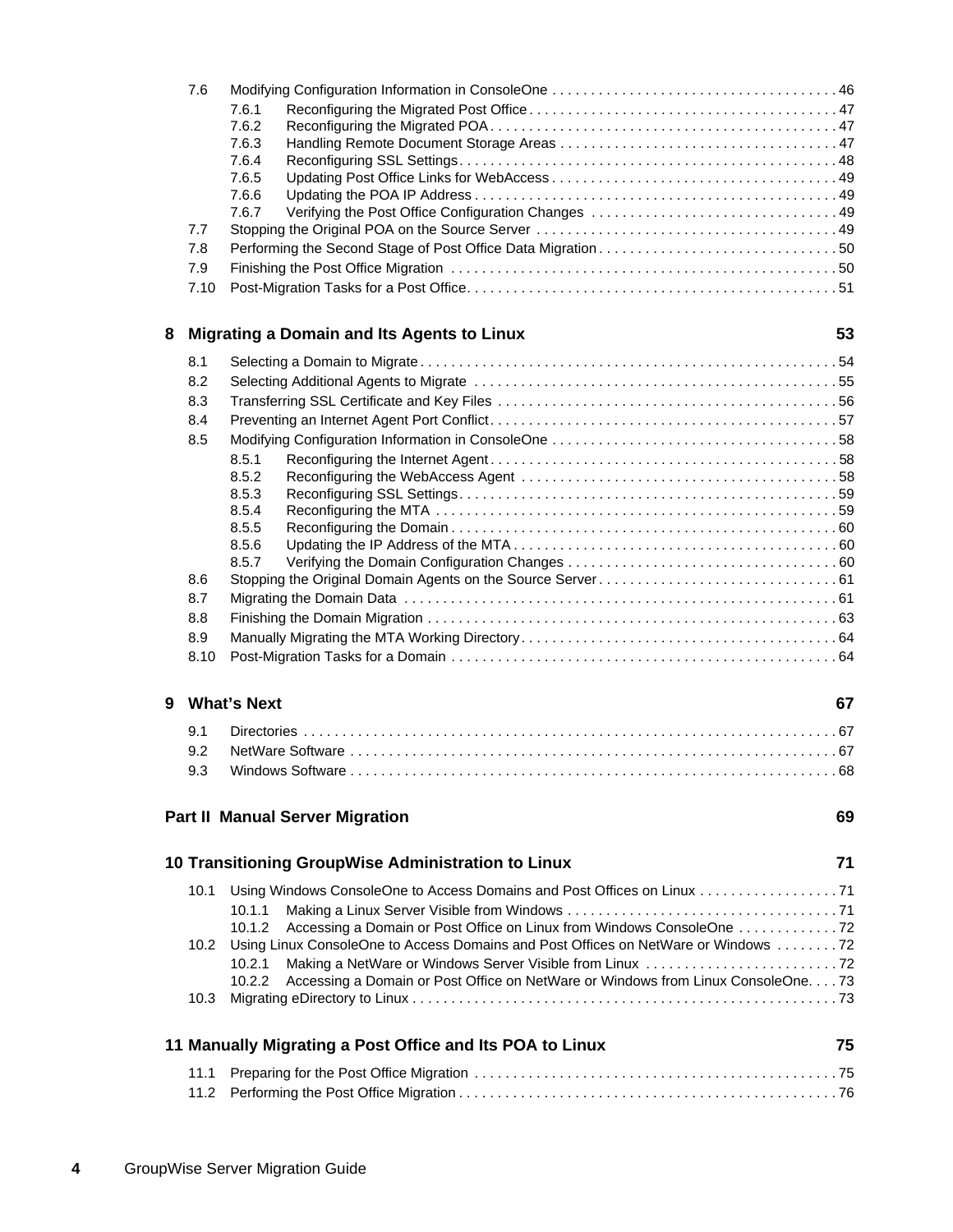|   | 7.6               |                                                                                                       |    |
|---|-------------------|-------------------------------------------------------------------------------------------------------|----|
|   |                   | 7.6.1                                                                                                 |    |
|   |                   | 7.6.2                                                                                                 |    |
|   |                   | 7.6.3<br>7.6.4                                                                                        |    |
|   |                   | 7.6.5                                                                                                 |    |
|   |                   | 7.6.6                                                                                                 |    |
|   |                   | 7.6.7                                                                                                 |    |
|   | 7.7               |                                                                                                       |    |
|   | 7.8               |                                                                                                       |    |
|   | 7.9               |                                                                                                       |    |
|   | 7.10              |                                                                                                       |    |
| 8 |                   | <b>Migrating a Domain and Its Agents to Linux</b>                                                     | 53 |
|   | 8.1               |                                                                                                       |    |
|   | 8.2               |                                                                                                       |    |
|   | 8.3               |                                                                                                       |    |
|   | 8.4               |                                                                                                       |    |
|   | 8.5               |                                                                                                       |    |
|   |                   | 8.5.1                                                                                                 |    |
|   |                   | 8.5.2                                                                                                 |    |
|   |                   | 8.5.3                                                                                                 |    |
|   |                   | 8.5.4                                                                                                 |    |
|   |                   | 8.5.5                                                                                                 |    |
|   |                   | 8.5.6<br>8.5.7                                                                                        |    |
|   | 8.6               |                                                                                                       |    |
|   | 8.7               |                                                                                                       |    |
|   | 8.8               |                                                                                                       |    |
|   | 8.9               |                                                                                                       |    |
|   | 8.10              |                                                                                                       |    |
|   |                   |                                                                                                       |    |
| 9 |                   | <b>What's Next</b>                                                                                    | 67 |
|   | 9.1               |                                                                                                       |    |
|   | 9.2               |                                                                                                       |    |
|   | 9.3               |                                                                                                       |    |
|   |                   | <b>Part II Manual Server Migration</b>                                                                | 69 |
|   |                   | 10 Transitioning GroupWise Administration to Linux                                                    | 71 |
|   |                   |                                                                                                       |    |
|   | 10.1              |                                                                                                       |    |
|   |                   | 10.1.1                                                                                                |    |
|   |                   | 10.1.2<br>Using Linux ConsoleOne to Access Domains and Post Offices on NetWare or Windows 72          |    |
|   | 10.2 <sub>1</sub> |                                                                                                       |    |
|   |                   | 10.2.1<br>Accessing a Domain or Post Office on NetWare or Windows from Linux ConsoleOne. 73<br>10.2.2 |    |
|   |                   |                                                                                                       |    |
|   |                   |                                                                                                       |    |
|   |                   | 11 Manually Migrating a Post Office and Its POA to Linux                                              | 75 |
|   | 11.1              |                                                                                                       |    |
|   | 11.2              |                                                                                                       |    |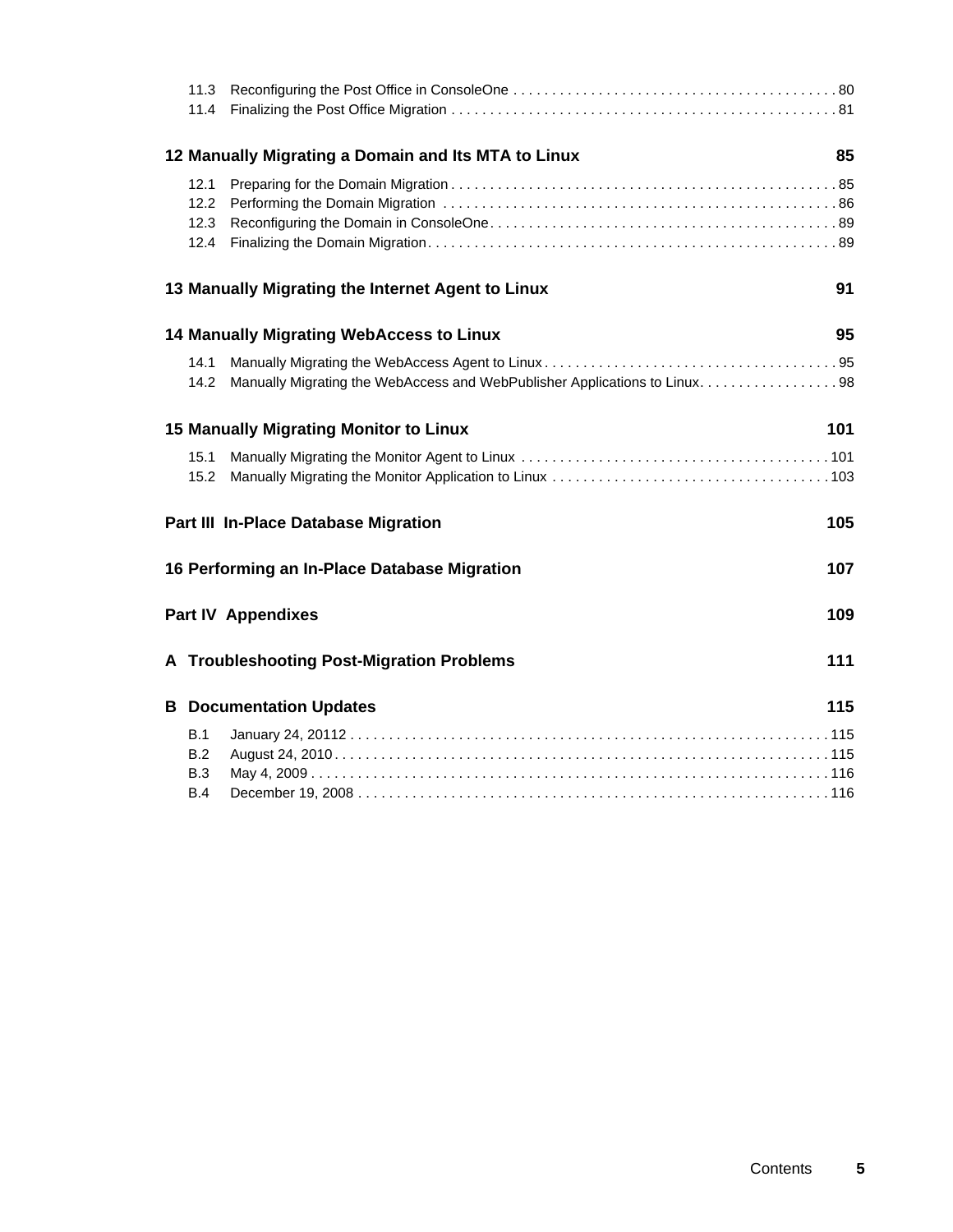|                          | 12 Manually Migrating a Domain and Its MTA to Linux                         | 85  |
|--------------------------|-----------------------------------------------------------------------------|-----|
| 12.1<br>12.2             |                                                                             |     |
|                          | 13 Manually Migrating the Internet Agent to Linux                           | 91  |
|                          | <b>14 Manually Migrating WebAccess to Linux</b>                             | 95  |
| 14.1<br>14.2             | Manually Migrating the WebAccess and WebPublisher Applications to Linux. 98 |     |
|                          | <b>15 Manually Migrating Monitor to Linux</b>                               | 101 |
| 15.1<br>15.2             |                                                                             |     |
|                          | <b>Part III In-Place Database Migration</b>                                 | 105 |
|                          | 16 Performing an In-Place Database Migration                                | 107 |
|                          | <b>Part IV Appendixes</b>                                                   | 109 |
|                          | A Troubleshooting Post-Migration Problems                                   | 111 |
|                          | <b>B</b> Documentation Updates                                              | 115 |
| B.1<br>B.2<br>B.3<br>B.4 |                                                                             |     |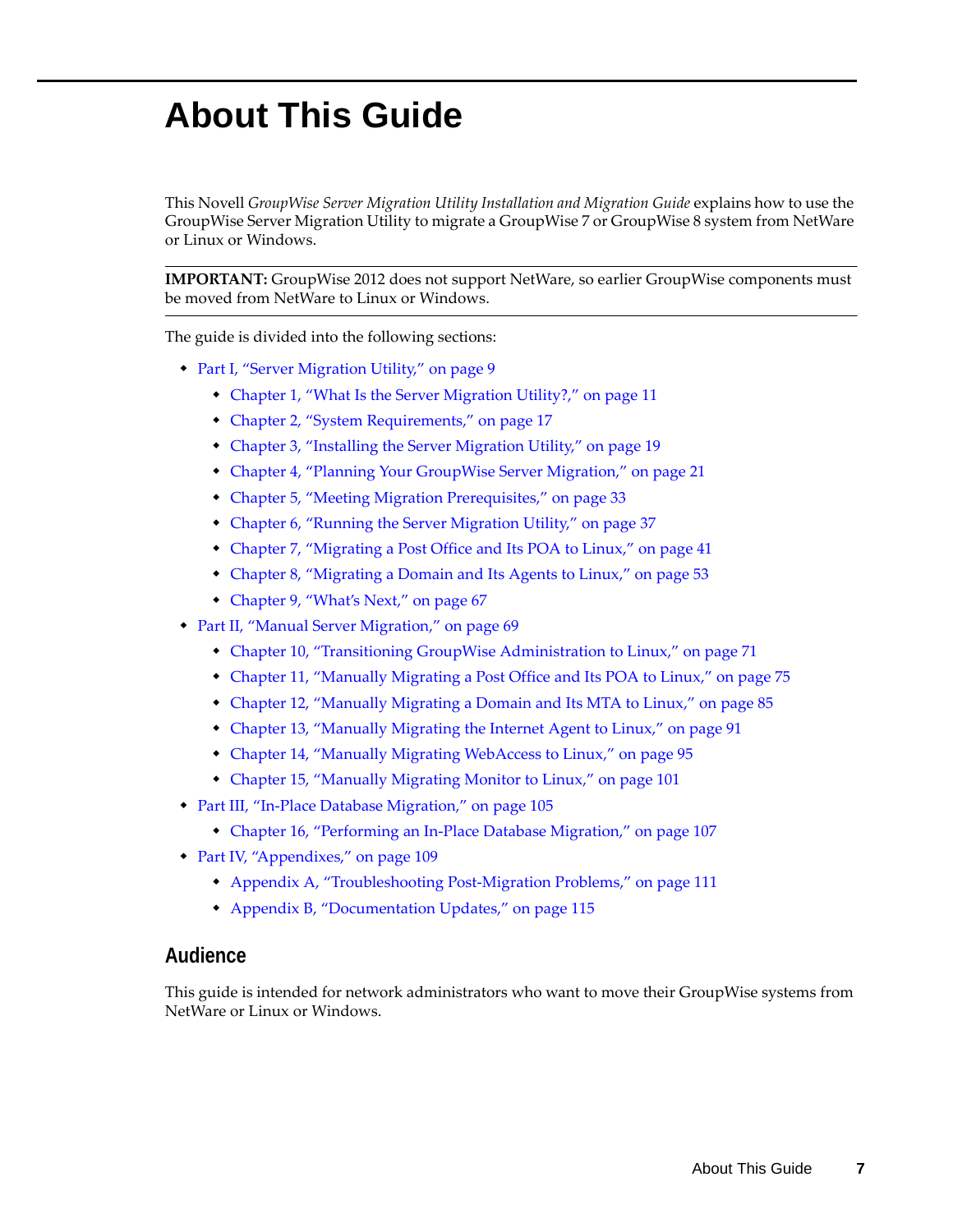# <span id="page-6-0"></span>**About This Guide**

This Novell *GroupWise Server Migration Utility Installation and Migration Guide* explains how to use the GroupWise Server Migration Utility to migrate a GroupWise 7 or GroupWise 8 system from NetWare or Linux or Windows.

**IMPORTANT:** GroupWise 2012 does not support NetWare, so earlier GroupWise components must be moved from NetWare to Linux or Windows.

The guide is divided into the following sections:

- [Part I, "Server Migration Utility," on page 9](#page-8-1)
	- [Chapter 1, "What Is the Server Migration Utility?," on page 11](#page-10-2)
	- [Chapter 2, "System Requirements," on page 17](#page-16-3)
	- [Chapter 3, "Installing the Server Migration Utility," on page 19](#page-18-1)
	- [Chapter 4, "Planning Your GroupWise Server Migration," on page 21](#page-20-2)
	- [Chapter 5, "Meeting Migration Prerequisites," on page 33](#page-32-2)
	- [Chapter 6, "Running the Server Migration Utility," on page 37](#page-36-1)
	- [Chapter 7, "Migrating a Post Office and Its POA to Linux," on page 41](#page-40-1)
	- [Chapter 8, "Migrating a Domain and Its Agents to Linux," on page 53](#page-52-1)
	- [Chapter 9, "What's Next," on page 67](#page-66-3)
- [Part II, "Manual Server Migration," on page 69](#page-68-1)
	- [Chapter 10, "Transitioning GroupWise Administration to Linux," on page 71](#page-70-3)
	- [Chapter 11, "Manually Migrating a Post Office and Its POA to Linux," on page 75](#page-74-2)
	- [Chapter 12, "Manually Migrating a Domain and Its MTA to Linux," on page 85](#page-84-2)
	- [Chapter 13, "Manually Migrating the Internet Agent to Linux," on page 91](#page-90-1)
	- [Chapter 14, "Manually Migrating WebAccess to Linux," on page 95](#page-94-2)
	- [Chapter 15, "Manually Migrating Monitor to Linux," on page 101](#page-100-2)
- [Part III, "In-Place Database Migration," on page 105](#page-104-1)
	- [Chapter 16, "Performing an In-Place Database Migration," on page 107](#page-106-1)
- [Part IV, "Appendixes," on page 109](#page-108-1)
	- [Appendix A, "Troubleshooting Post-Migration Problems," on page 111](#page-110-1)
	- [Appendix B, "Documentation Updates," on page 115](#page-114-3)

### **Audience**

This guide is intended for network administrators who want to move their GroupWise systems from NetWare or Linux or Windows.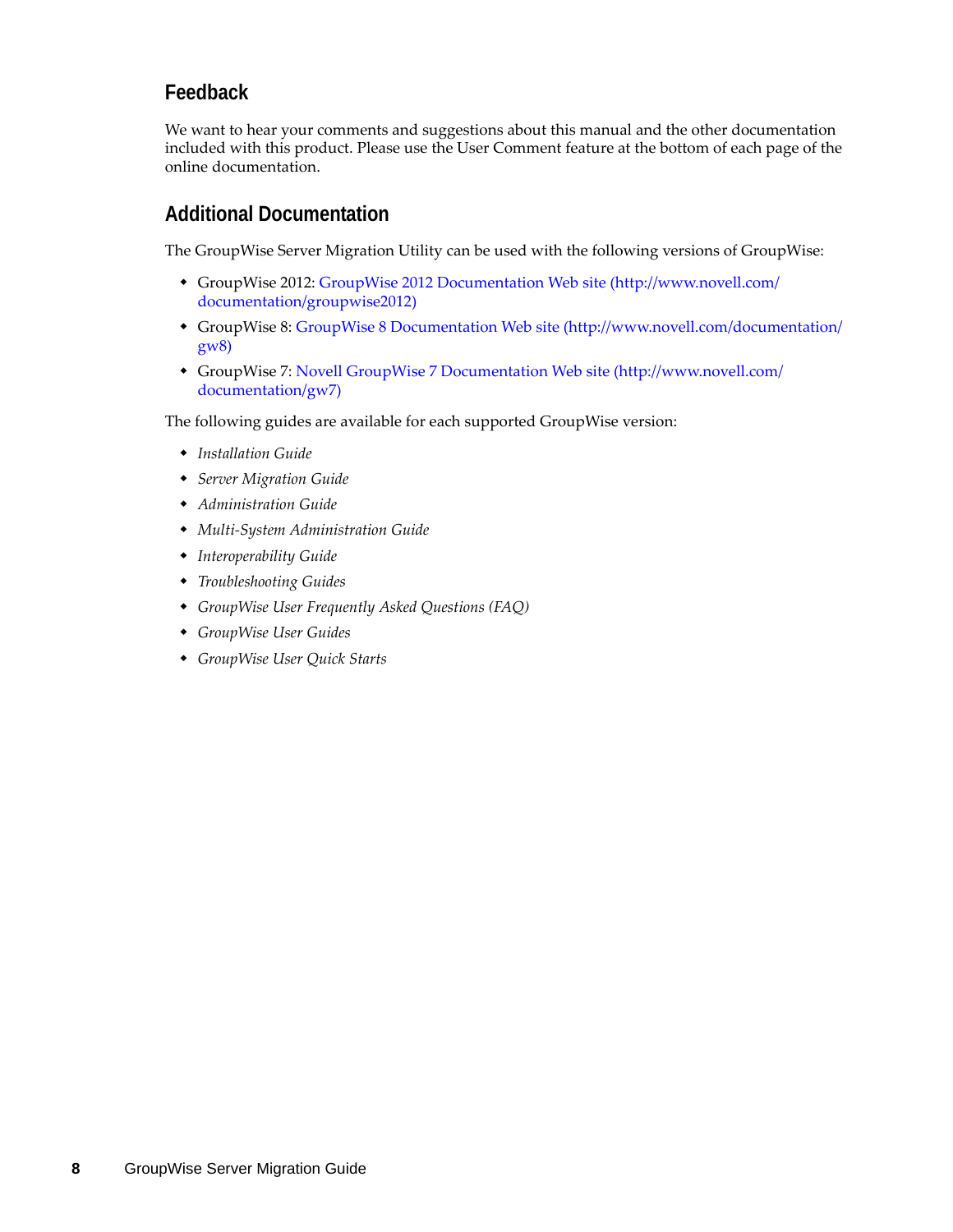## **Feedback**

We want to hear your comments and suggestions about this manual and the other documentation included with this product. Please use the User Comment feature at the bottom of each page of the online documentation.

## **Additional Documentation**

The GroupWise Server Migration Utility can be used with the following versions of GroupWise:

- GroupWise 2012: [GroupWise 2012 Documentation Web site](http://www.novell.com/documentation/groupwise2012) (http://www.novell.com/ documentation/groupwise2012)
- GroupWise 8: [GroupWise 8 Documentation Web site](http://www.novell.com/documentation/gw8) (http://www.novell.com/documentation/ gw8)
- GroupWise 7: [Novell GroupWise 7 Documentation Web site](http://www.novell.com/documentation/gw7) (http://www.novell.com/ documentation/gw7)

The following guides are available for each supported GroupWise version:

- *Installation Guide*
- *Server Migration Guide*
- *Administration Guide*
- *Multi-System Administration Guide*
- *Interoperability Guide*
- *Troubleshooting Guides*
- *GroupWise User Frequently Asked Questions (FAQ)*
- *GroupWise User Guides*
- *GroupWise User Quick Starts*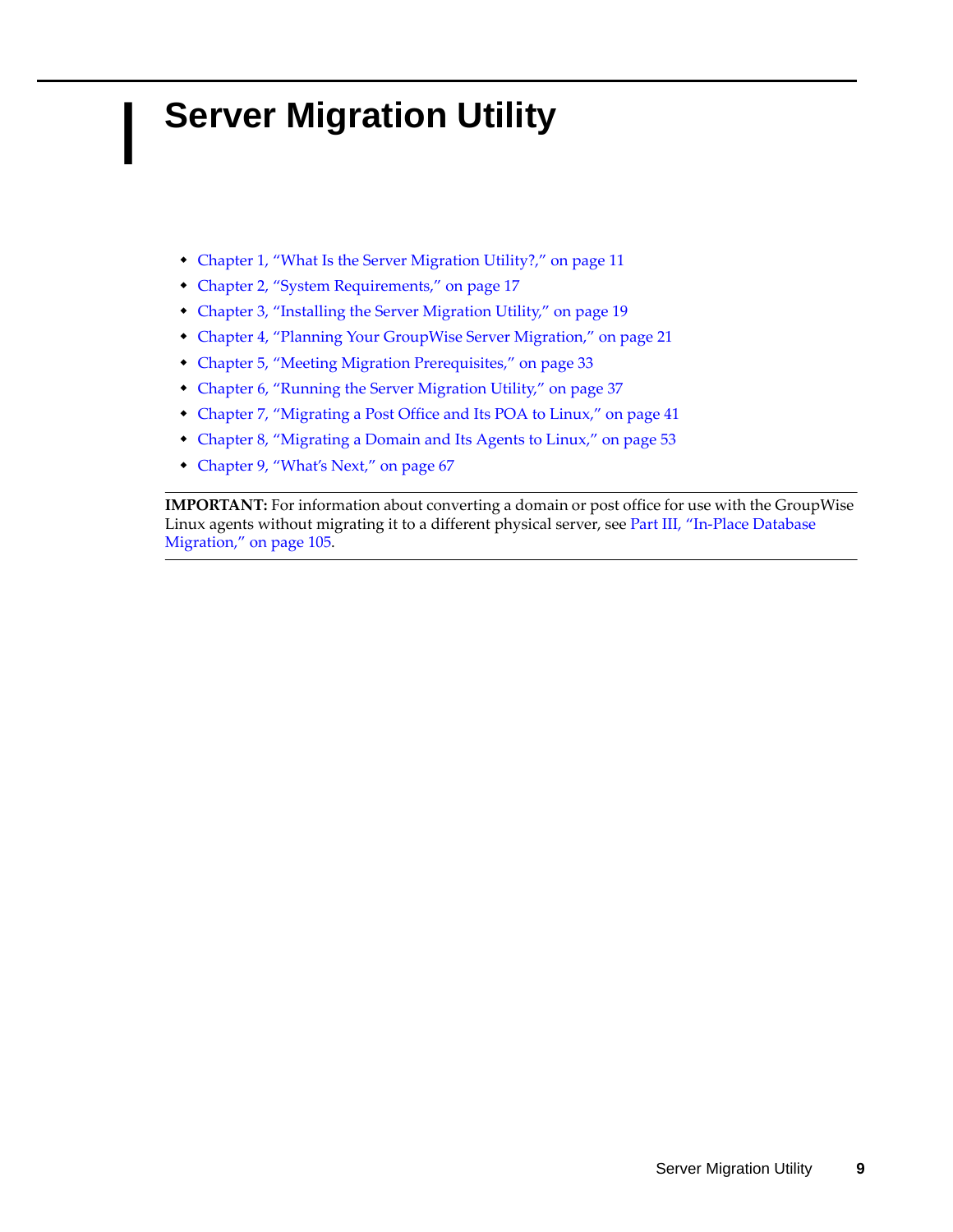# <span id="page-8-1"></span><span id="page-8-0"></span>**Server Migration Utility**

I

- [Chapter 1, "What Is the Server Migration Utility?," on page 11](#page-10-3)
- [Chapter 2, "System Requirements," on page 17](#page-16-4)
- [Chapter 3, "Installing the Server Migration Utility," on page 19](#page-18-2)
- [Chapter 4, "Planning Your GroupWise Server Migration," on page 21](#page-20-3)
- [Chapter 5, "Meeting Migration Prerequisites," on page 33](#page-32-3)
- [Chapter 6, "Running the Server Migration Utility," on page 37](#page-36-2)
- [Chapter 7, "Migrating a Post Office and Its POA to Linux," on page 41](#page-40-2)
- [Chapter 8, "Migrating a Domain and Its Agents to Linux," on page 53](#page-52-2)
- [Chapter 9, "What's Next," on page 67](#page-66-4)

**IMPORTANT:** For information about converting a domain or post office for use with the GroupWise Linux agents without migrating it to a different physical server, see [Part III, "In-Place Database](#page-104-1)  [Migration," on page 105.](#page-104-1)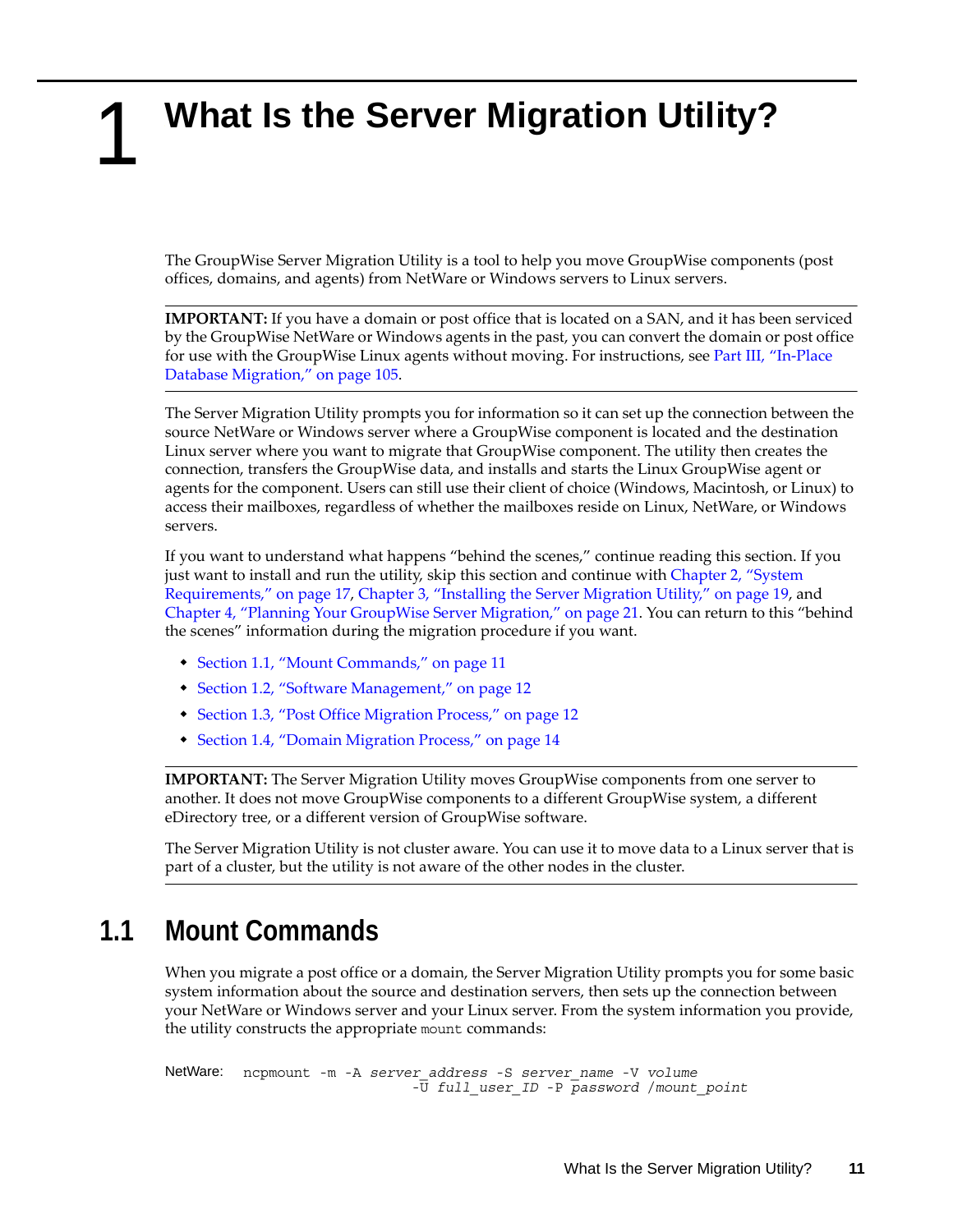# <span id="page-10-3"></span><span id="page-10-2"></span><span id="page-10-0"></span><sup>1</sup>**What Is the Server Migration Utility?**

The GroupWise Server Migration Utility is a tool to help you move GroupWise components (post offices, domains, and agents) from NetWare or Windows servers to Linux servers.

**IMPORTANT:** If you have a domain or post office that is located on a SAN, and it has been serviced by the GroupWise NetWare or Windows agents in the past, you can convert the domain or post office for use with the GroupWise Linux agents without moving. For instructions, see [Part III, "In-Place](#page-104-1)  [Database Migration," on page 105.](#page-104-1)

The Server Migration Utility prompts you for information so it can set up the connection between the source NetWare or Windows server where a GroupWise component is located and the destination Linux server where you want to migrate that GroupWise component. The utility then creates the connection, transfers the GroupWise data, and installs and starts the Linux GroupWise agent or agents for the component. Users can still use their client of choice (Windows, Macintosh, or Linux) to access their mailboxes, regardless of whether the mailboxes reside on Linux, NetWare, or Windows servers.

If you want to understand what happens "behind the scenes," continue reading this section. If you just want to install and run the utility, skip this section and continue with [Chapter 2, "System](#page-16-4)  [Requirements," on page 17](#page-16-4), [Chapter 3, "Installing the Server Migration Utility," on page 19,](#page-18-2) and [Chapter 4, "Planning Your GroupWise Server Migration," on page 21.](#page-20-3) You can return to this "behind the scenes" information during the migration procedure if you want.

- [Section 1.1, "Mount Commands," on page 11](#page-10-1)
- [Section 1.2, "Software Management," on page 12](#page-11-0)
- [Section 1.3, "Post Office Migration Process," on page 12](#page-11-1)
- [Section 1.4, "Domain Migration Process," on page 14](#page-13-0)

**IMPORTANT:** The Server Migration Utility moves GroupWise components from one server to another. It does not move GroupWise components to a different GroupWise system, a different eDirectory tree, or a different version of GroupWise software.

The Server Migration Utility is not cluster aware. You can use it to move data to a Linux server that is part of a cluster, but the utility is not aware of the other nodes in the cluster.

# <span id="page-10-1"></span>**1.1 Mount Commands**

1

When you migrate a post office or a domain, the Server Migration Utility prompts you for some basic system information about the source and destination servers, then sets up the connection between your NetWare or Windows server and your Linux server. From the system information you provide, the utility constructs the appropriate mount commands:

```
NetWare: ncpmount -m -A server_address -S server_name -V volume
                     -U full_user_ID -P password /mount_point
```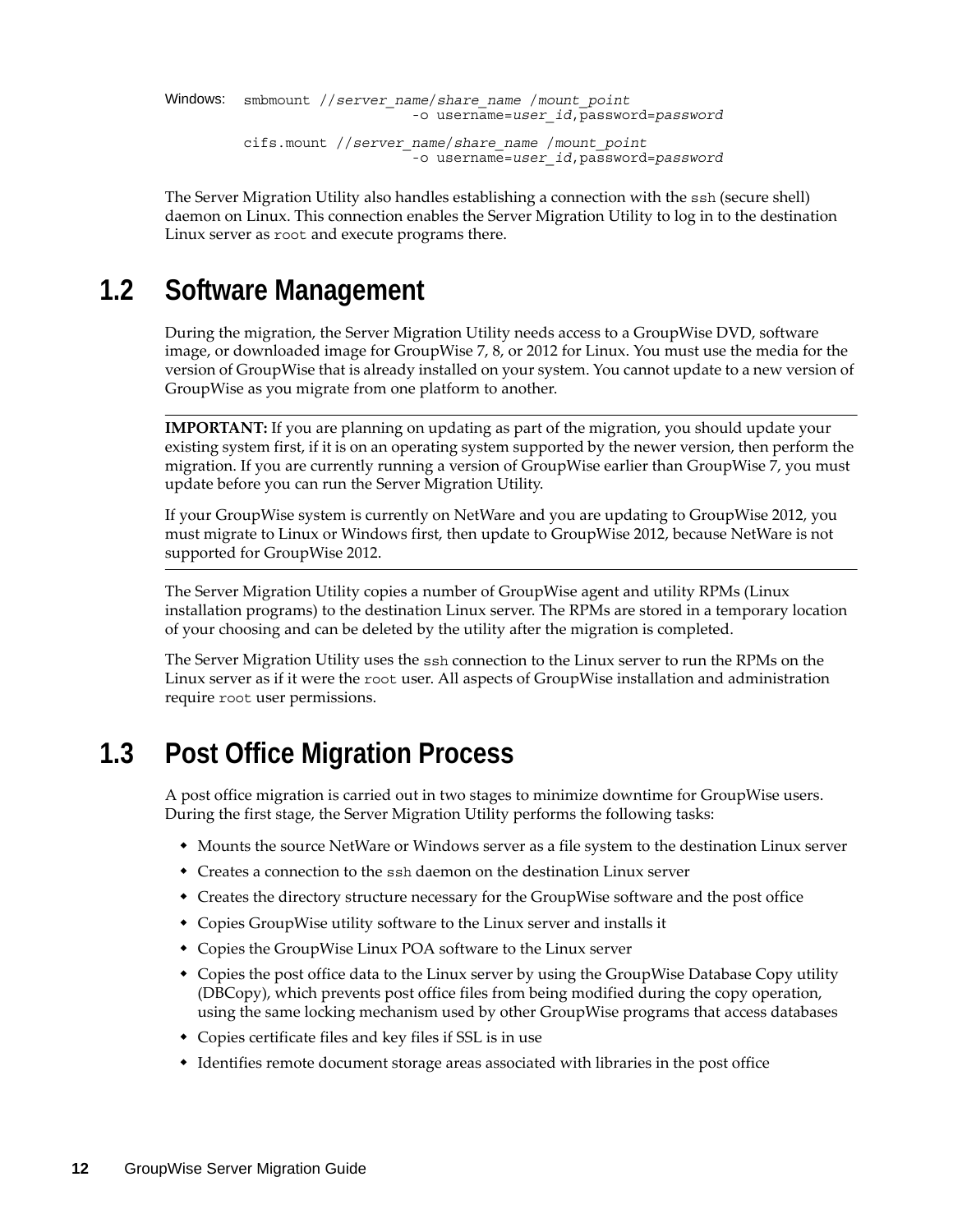```
Windows: smbmount //server_name/share_name /mount_point
                     -o username=user_id,password=password
cifs.mount //server_name/share_name /mount_point
                     -o username=user_id,password=password
```
The Server Migration Utility also handles establishing a connection with the ssh (secure shell) daemon on Linux. This connection enables the Server Migration Utility to log in to the destination Linux server as root and execute programs there.

# <span id="page-11-0"></span>**1.2 Software Management**

During the migration, the Server Migration Utility needs access to a GroupWise DVD, software image, or downloaded image for GroupWise 7, 8, or 2012 for Linux. You must use the media for the version of GroupWise that is already installed on your system. You cannot update to a new version of GroupWise as you migrate from one platform to another.

**IMPORTANT:** If you are planning on updating as part of the migration, you should update your existing system first, if it is on an operating system supported by the newer version, then perform the migration. If you are currently running a version of GroupWise earlier than GroupWise 7, you must update before you can run the Server Migration Utility.

If your GroupWise system is currently on NetWare and you are updating to GroupWise 2012, you must migrate to Linux or Windows first, then update to GroupWise 2012, because NetWare is not supported for GroupWise 2012.

The Server Migration Utility copies a number of GroupWise agent and utility RPMs (Linux installation programs) to the destination Linux server. The RPMs are stored in a temporary location of your choosing and can be deleted by the utility after the migration is completed.

The Server Migration Utility uses the ssh connection to the Linux server to run the RPMs on the Linux server as if it were the root user. All aspects of GroupWise installation and administration require root user permissions.

# <span id="page-11-1"></span>**1.3 Post Office Migration Process**

A post office migration is carried out in two stages to minimize downtime for GroupWise users. During the first stage, the Server Migration Utility performs the following tasks:

- Mounts the source NetWare or Windows server as a file system to the destination Linux server
- Creates a connection to the ssh daemon on the destination Linux server
- Creates the directory structure necessary for the GroupWise software and the post office
- Copies GroupWise utility software to the Linux server and installs it
- Copies the GroupWise Linux POA software to the Linux server
- Copies the post office data to the Linux server by using the GroupWise Database Copy utility (DBCopy), which prevents post office files from being modified during the copy operation, using the same locking mechanism used by other GroupWise programs that access databases
- Copies certificate files and key files if SSL is in use
- Identifies remote document storage areas associated with libraries in the post office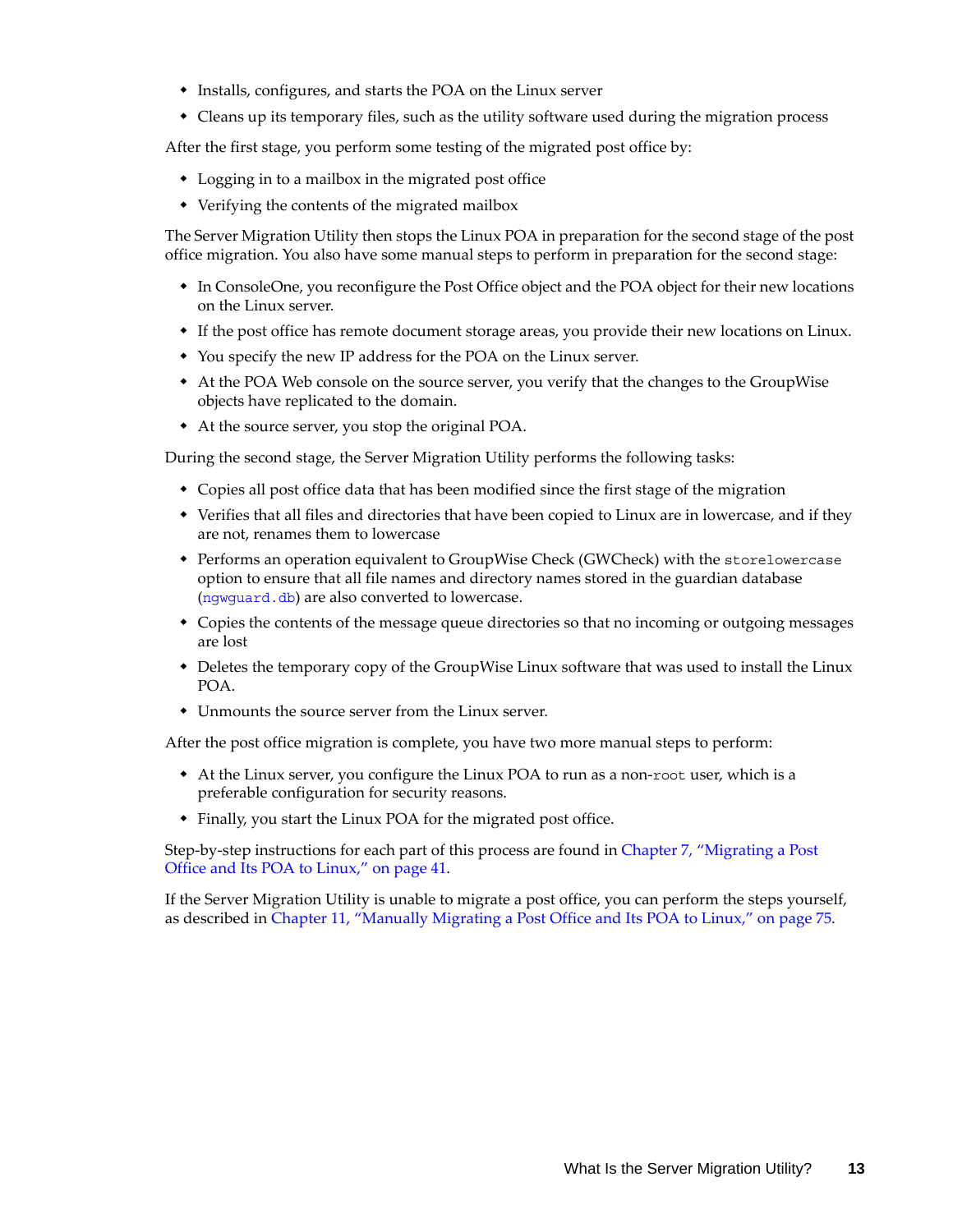- Installs, configures, and starts the POA on the Linux server
- Cleans up its temporary files, such as the utility software used during the migration process

After the first stage, you perform some testing of the migrated post office by:

- Logging in to a mailbox in the migrated post office
- Verifying the contents of the migrated mailbox

The Server Migration Utility then stops the Linux POA in preparation for the second stage of the post office migration. You also have some manual steps to perform in preparation for the second stage:

- In ConsoleOne, you reconfigure the Post Office object and the POA object for their new locations on the Linux server.
- If the post office has remote document storage areas, you provide their new locations on Linux.
- You specify the new IP address for the POA on the Linux server.
- At the POA Web console on the source server, you verify that the changes to the GroupWise objects have replicated to the domain.
- At the source server, you stop the original POA.

During the second stage, the Server Migration Utility performs the following tasks:

- Copies all post office data that has been modified since the first stage of the migration
- Verifies that all files and directories that have been copied to Linux are in lowercase, and if they are not, renames them to lowercase
- Performs an operation equivalent to GroupWise Check (GWCheck) with the storelowercase option to ensure that all file names and directory names stored in the guardian database ([ngwguard.db](http://www.novell.com/documentation/gw7/pdfdoc/gw7_tsh3/gw7_tsh3.pdf#A3edzdk)) are also converted to lowercase.
- Copies the contents of the message queue directories so that no incoming or outgoing messages are lost
- Deletes the temporary copy of the GroupWise Linux software that was used to install the Linux POA.
- Unmounts the source server from the Linux server.

After the post office migration is complete, you have two more manual steps to perform:

- At the Linux server, you configure the Linux POA to run as a non-root user, which is a preferable configuration for security reasons.
- Finally, you start the Linux POA for the migrated post office.

Step-by-step instructions for each part of this process are found in [Chapter 7, "Migrating a Post](#page-40-2)  [Office and Its POA to Linux," on page 41.](#page-40-2)

If the Server Migration Utility is unable to migrate a post office, you can perform the steps yourself, as described in [Chapter 11, "Manually Migrating a Post Office and Its POA to Linux," on page 75](#page-74-2).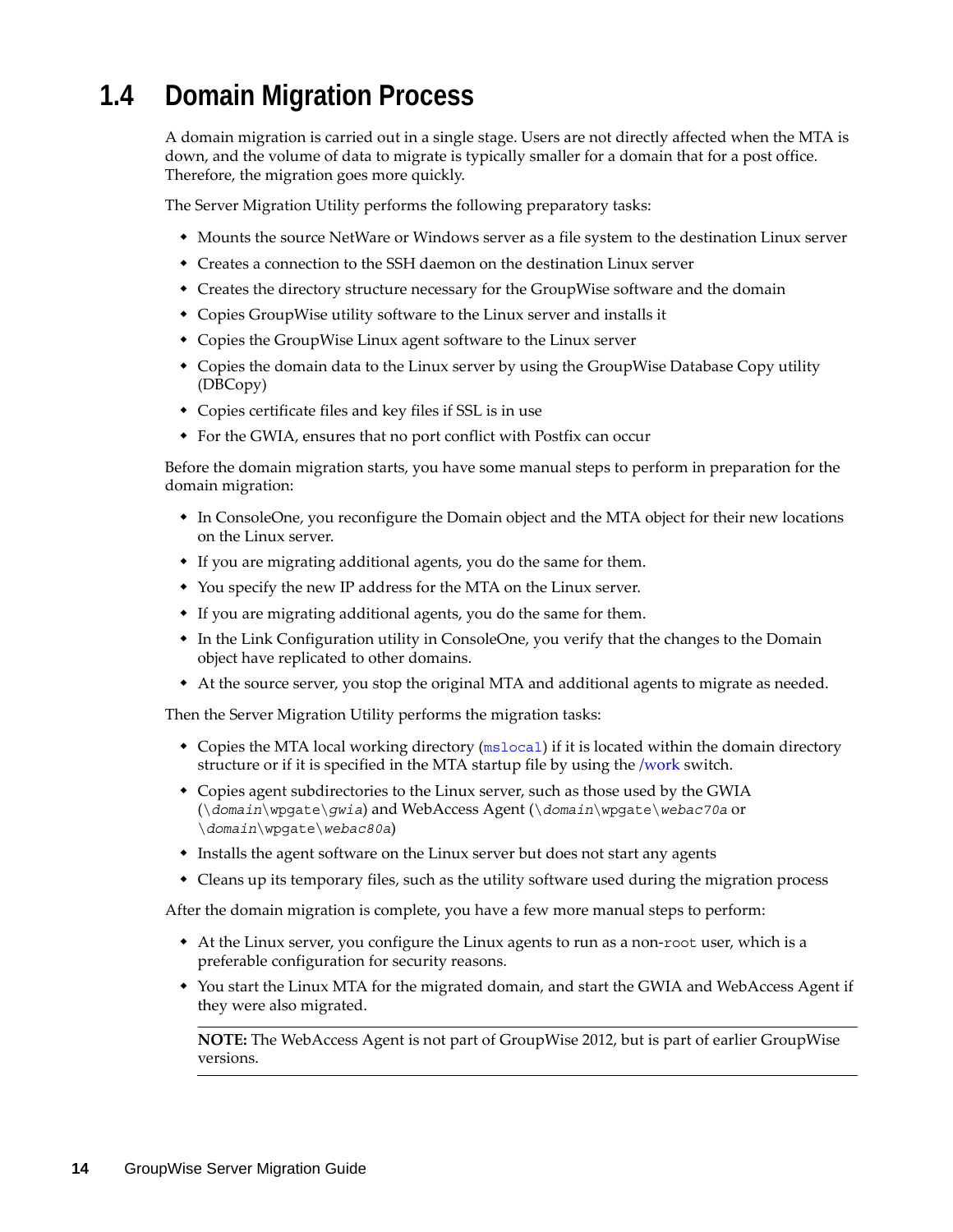# <span id="page-13-0"></span>**1.4 Domain Migration Process**

A domain migration is carried out in a single stage. Users are not directly affected when the MTA is down, and the volume of data to migrate is typically smaller for a domain that for a post office. Therefore, the migration goes more quickly.

The Server Migration Utility performs the following preparatory tasks:

- Mounts the source NetWare or Windows server as a file system to the destination Linux server
- Creates a connection to the SSH daemon on the destination Linux server
- Creates the directory structure necessary for the GroupWise software and the domain
- Copies GroupWise utility software to the Linux server and installs it
- Copies the GroupWise Linux agent software to the Linux server
- Copies the domain data to the Linux server by using the GroupWise Database Copy utility (DBCopy)
- Copies certificate files and key files if SSL is in use
- For the GWIA, ensures that no port conflict with Postfix can occur

Before the domain migration starts, you have some manual steps to perform in preparation for the domain migration:

- In ConsoleOne, you reconfigure the Domain object and the MTA object for their new locations on the Linux server.
- If you are migrating additional agents, you do the same for them.
- You specify the new IP address for the MTA on the Linux server.
- If you are migrating additional agents, you do the same for them.
- In the Link Configuration utility in ConsoleOne, you verify that the changes to the Domain object have replicated to other domains.
- At the source server, you stop the original MTA and additional agents to migrate as needed.

Then the Server Migration Utility performs the migration tasks:

- Copies the MTA local working directory ([mslocal](http://www.novell.com/documentation/gw7/pdfdoc/gw7_tsh3/gw7_tsh3.pdf#A3lhv1j)) if it is located within the domain directory structure or if it is specified in the MTA startup file by using the [/work](http://www.novell.com/documentation/gw7/pdfdoc/gw7_admin/gw7_admin.pdf#Het48tb5) switch.
- Copies agent subdirectories to the Linux server, such as those used by the GWIA (\*domain*\wpgate\*gwia*) and WebAccess Agent (\*domain*\wpgate\*webac70a* or \*domain*\wpgate\*webac80a*)
- Installs the agent software on the Linux server but does not start any agents
- Cleans up its temporary files, such as the utility software used during the migration process

After the domain migration is complete, you have a few more manual steps to perform:

- At the Linux server, you configure the Linux agents to run as a non-root user, which is a preferable configuration for security reasons.
- You start the Linux MTA for the migrated domain, and start the GWIA and WebAccess Agent if they were also migrated.

**NOTE:** The WebAccess Agent is not part of GroupWise 2012, but is part of earlier GroupWise versions.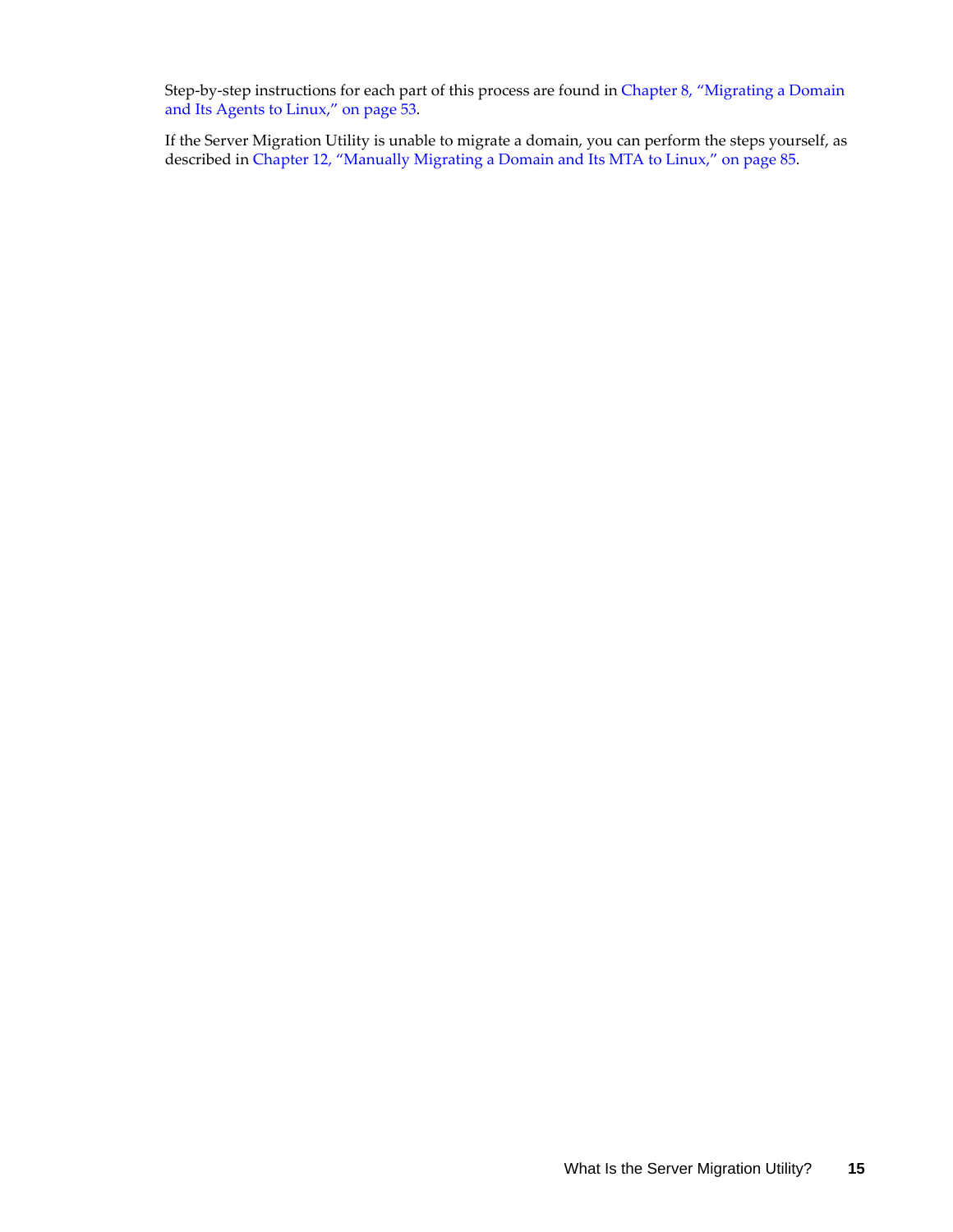Step-by-step instructions for each part of this process are found in [Chapter 8, "Migrating a Domain](#page-52-2)  [and Its Agents to Linux," on page 53.](#page-52-2)

If the Server Migration Utility is unable to migrate a domain, you can perform the steps yourself, as described in [Chapter 12, "Manually Migrating a Domain and Its MTA to Linux," on page 85.](#page-84-2)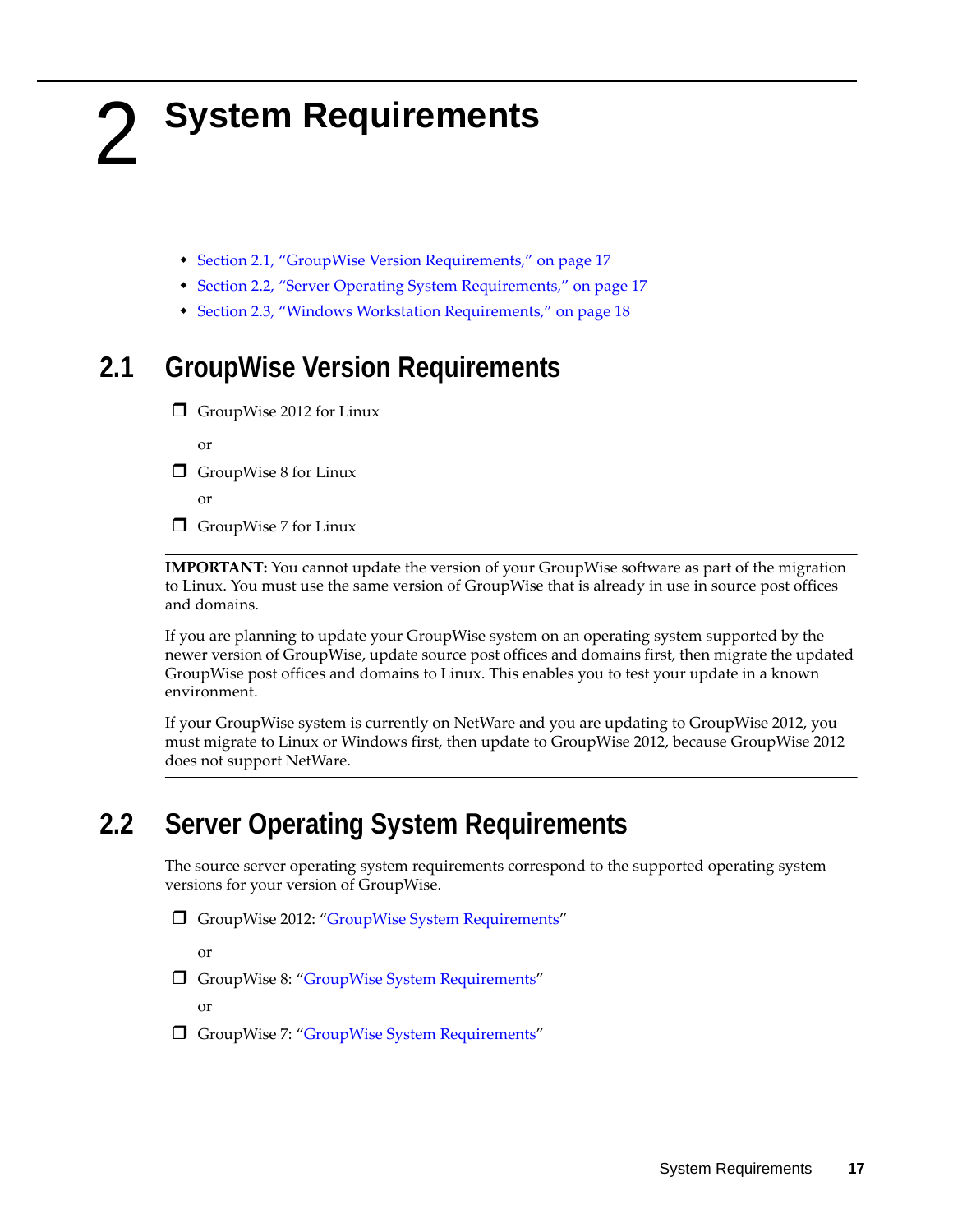# <span id="page-16-4"></span><span id="page-16-0"></span>2 <sup>2</sup>**System Requirements**

- <span id="page-16-3"></span>[Section 2.1, "GroupWise Version Requirements," on page 17](#page-16-1)
- [Section 2.2, "Server Operating System Requirements," on page 17](#page-16-2)
- [Section 2.3, "Windows Workstation Requirements," on page 18](#page-17-0)

# <span id="page-16-1"></span>**2.1 GroupWise Version Requirements**

 $\Box$  GroupWise 2012 for Linux

or

 $\Box$  GroupWise 8 for Linux

or

 $\Box$  GroupWise 7 for Linux

**IMPORTANT:** You cannot update the version of your GroupWise software as part of the migration to Linux. You must use the same version of GroupWise that is already in use in source post offices and domains.

If you are planning to update your GroupWise system on an operating system supported by the newer version of GroupWise, update source post offices and domains first, then migrate the updated GroupWise post offices and domains to Linux. This enables you to test your update in a known environment.

If your GroupWise system is currently on NetWare and you are updating to GroupWise 2012, you must migrate to Linux or Windows first, then update to GroupWise 2012, because GroupWise 2012 does not support NetWare.

# <span id="page-16-2"></span>**2.2 Server Operating System Requirements**

The source server operating system requirements correspond to the supported operating system versions for your version of GroupWise.

GroupWise 2012: "GroupWise System Requirements"

or

□ GroupWise 8: ["GroupWise System Requirements"](http://www.novell.com/documentation/gw8/pdfdoc/gw8_install/gw8_install.pdf#bp8vh01)

or

□ GroupWise 7: ["GroupWise System Requirements"](http://www.novell.com/documentation/gw7/pdfdoc/gw7_install/gw7_install.pdf#bp8vh01)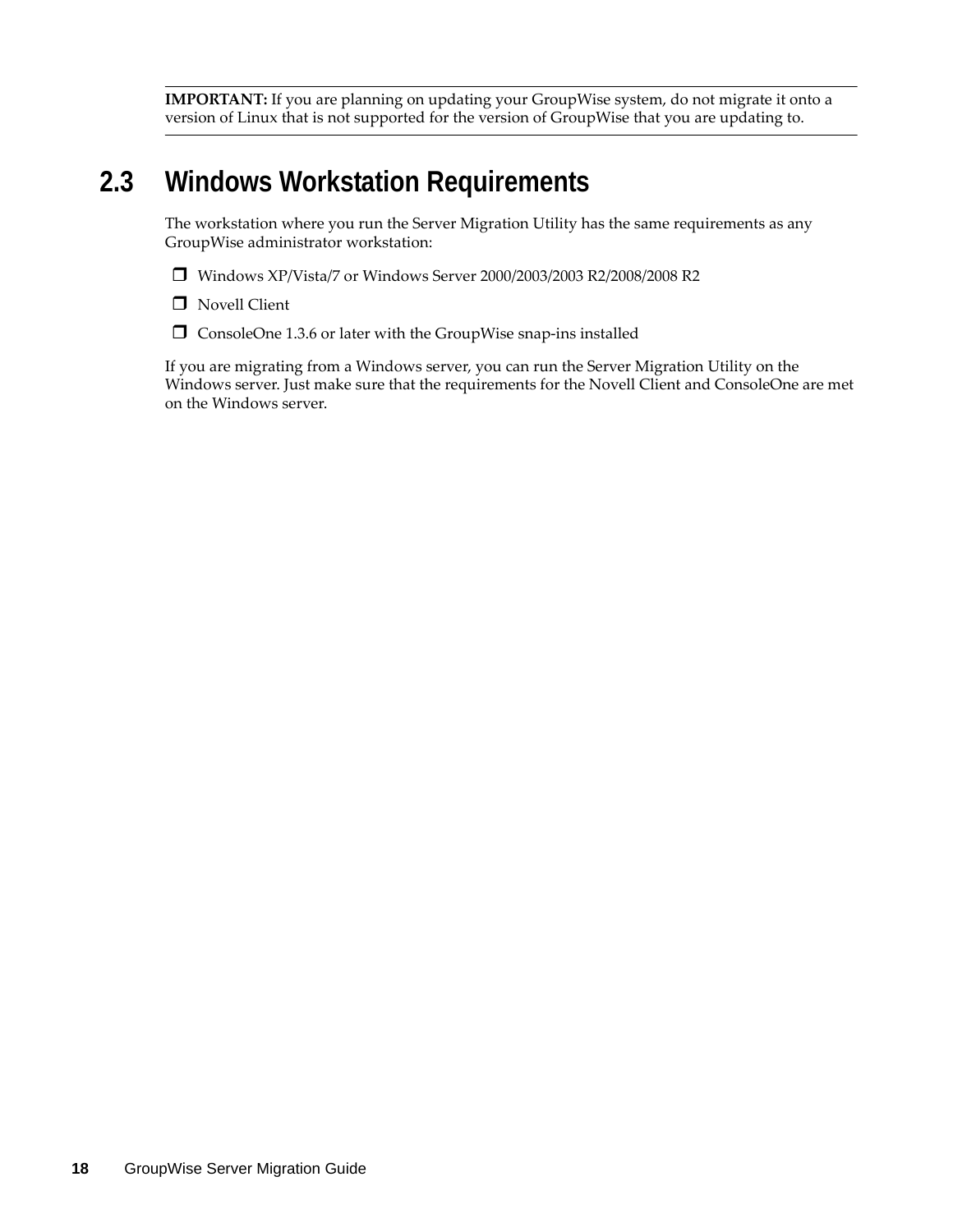**IMPORTANT:** If you are planning on updating your GroupWise system, do not migrate it onto a version of Linux that is not supported for the version of GroupWise that you are updating to.

# <span id="page-17-0"></span>**2.3 Windows Workstation Requirements**

The workstation where you run the Server Migration Utility has the same requirements as any GroupWise administrator workstation:

- Windows XP/Vista/7 or Windows Server 2000/2003/2003 R2/2008/2008 R2
- **D** Novell Client
- $\square$  ConsoleOne 1.3.6 or later with the GroupWise snap-ins installed

If you are migrating from a Windows server, you can run the Server Migration Utility on the Windows server. Just make sure that the requirements for the Novell Client and ConsoleOne are met on the Windows server.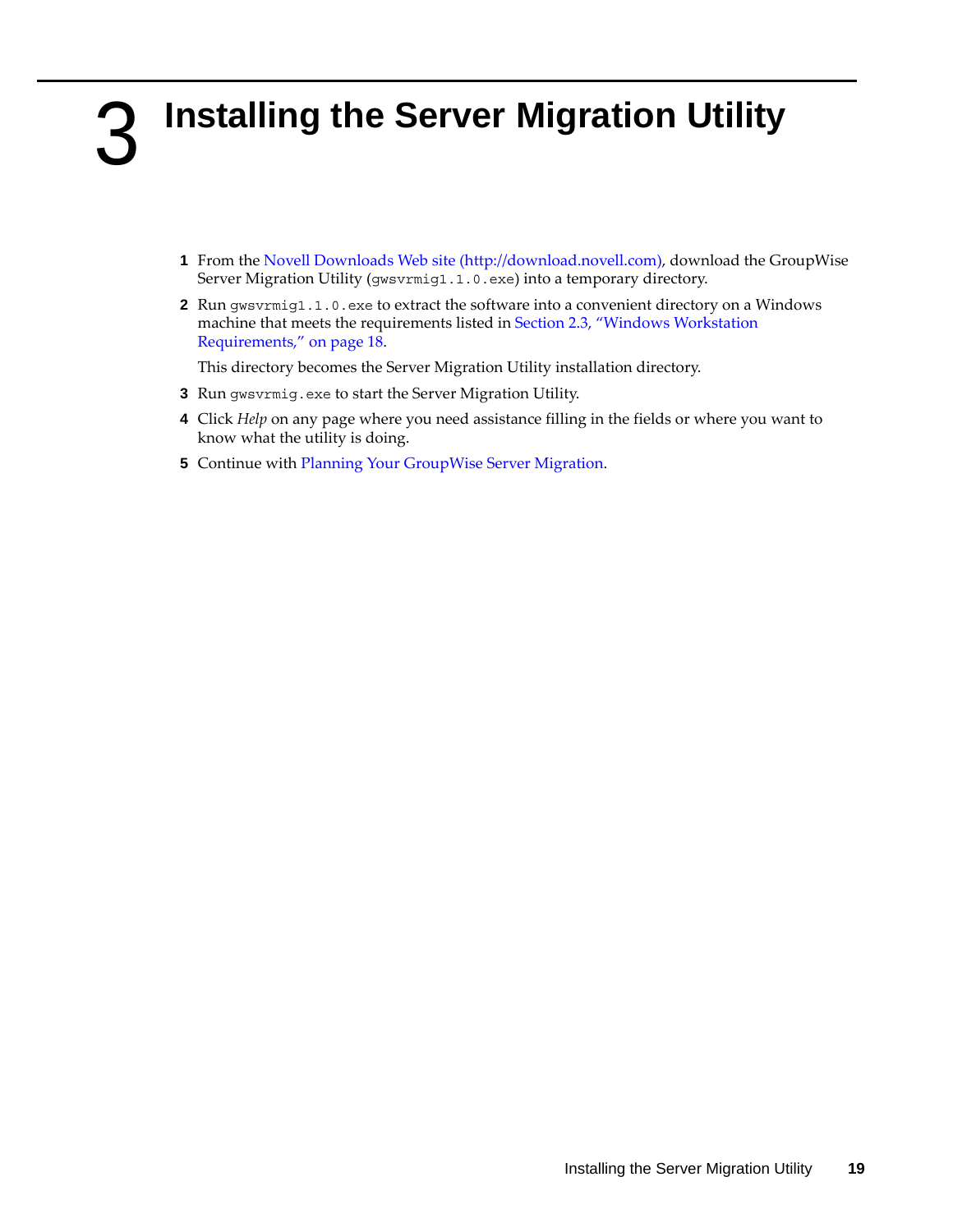# <span id="page-18-2"></span><span id="page-18-0"></span>3 <sup>3</sup> **Installing the Server Migration Utility**

- <span id="page-18-1"></span>**1** From the [Novell Downloads Web site](http://download.novell.com) (http://download.novell.com), download the GroupWise Server Migration Utility (gwsvrmig1.1.0.exe) into a temporary directory.
- **2** Run gwsvrmig1.1.0.exe to extract the software into a convenient directory on a Windows machine that meets the requirements listed in [Section 2.3, "Windows Workstation](#page-17-0)  [Requirements," on page 18](#page-17-0).

This directory becomes the Server Migration Utility installation directory.

- **3** Run gwsvrmig.exe to start the Server Migration Utility.
- **4** Click *Help* on any page where you need assistance filling in the fields or where you want to know what the utility is doing.
- **5** Continue with [Planning Your GroupWise Server Migration.](#page-20-3)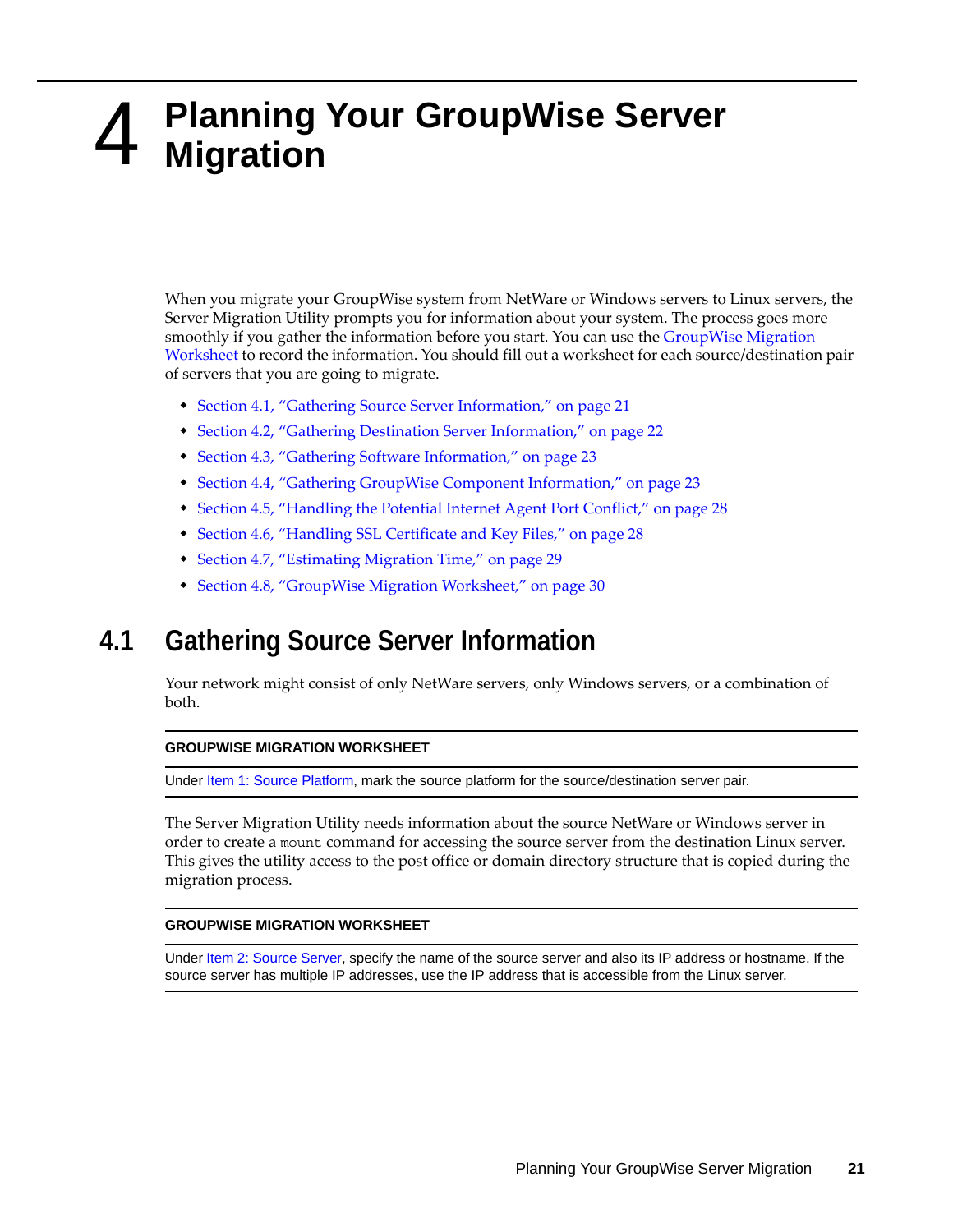# <span id="page-20-3"></span><span id="page-20-2"></span><span id="page-20-0"></span>4 <sup>4</sup>**Planning Your GroupWise Server Migration**

When you migrate your GroupWise system from NetWare or Windows servers to Linux servers, the Server Migration Utility prompts you for information about your system. The process goes more smoothly if you gather the information before you start. You can use the [GroupWise Migration](#page-29-0)  [Worksheet](#page-29-0) to record the information. You should fill out a worksheet for each source/destination pair of servers that you are going to migrate.

- [Section 4.1, "Gathering Source Server Information," on page 21](#page-20-1)
- [Section 4.2, "Gathering Destination Server Information," on page 22](#page-21-0)
- [Section 4.3, "Gathering Software Information," on page 23](#page-22-0)
- [Section 4.4, "Gathering GroupWise Component Information," on page 23](#page-22-1)
- [Section 4.5, "Handling the Potential Internet Agent Port Conflict," on page 28](#page-27-0)
- [Section 4.6, "Handling SSL Certificate and Key Files," on page 28](#page-27-1)
- [Section 4.7, "Estimating Migration Time," on page 29](#page-28-0)
- [Section 4.8, "GroupWise Migration Worksheet," on page 30](#page-29-0)

# <span id="page-20-1"></span>**4.1 Gathering Source Server Information**

Your network might consist of only NetWare servers, only Windows servers, or a combination of both.

#### **GROUPWISE MIGRATION WORKSHEET**

Under Item 1: Source Platform, mark the source platform for the source/destination server pair.

The Server Migration Utility needs information about the source NetWare or Windows server in order to create a mount command for accessing the source server from the destination Linux server. This gives the utility access to the post office or domain directory structure that is copied during the migration process.

### **GROUPWISE MIGRATION WORKSHEET**

Under Item 2: Source Server, specify the name of the source server and also its IP address or hostname. If the source server has multiple IP addresses, use the IP address that is accessible from the Linux server.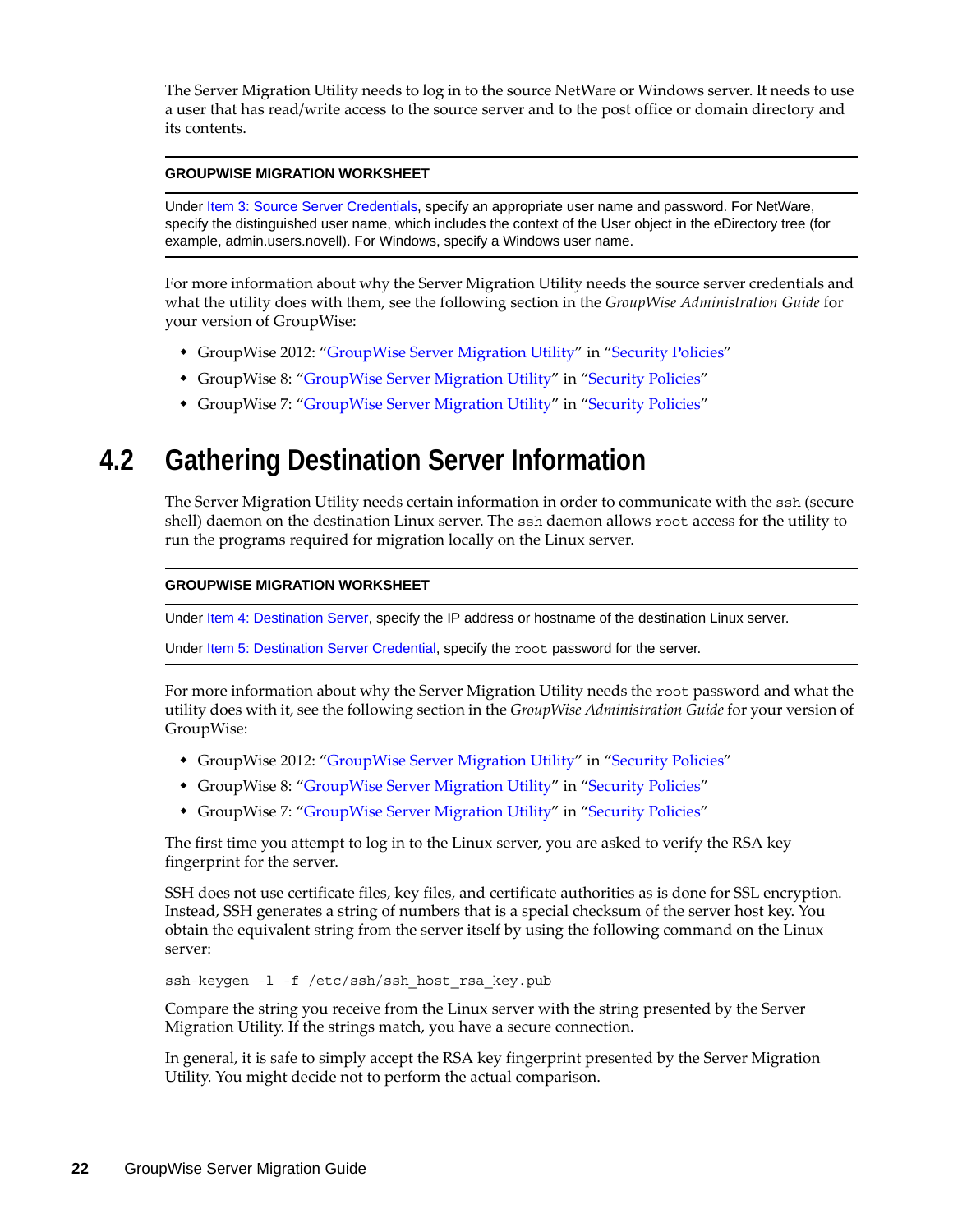The Server Migration Utility needs to log in to the source NetWare or Windows server. It needs to use a user that has read/write access to the source server and to the post office or domain directory and its contents.

### **GROUPWISE MIGRATION WORKSHEET**

Under Item 3: Source Server Credentials, specify an appropriate user name and password. For NetWare, specify the distinguished user name, which includes the context of the User object in the eDirectory tree (for example, admin.users.novell). For Windows, specify a Windows user name.

For more information about why the Server Migration Utility needs the source server credentials and what the utility does with them, see the following section in the *GroupWise Administration Guide* for your version of GroupWise:

- GroupWise 2012: "GroupWise Server Migration Utility" in "Security Policies"
- GroupWise 8: ["GroupWise Server Migration Utility"](http://www.novell.com/documentation/gw8/pdfdoc/gw8_admin/gw8_admin.pdf#b6ubew9) in ["Security Policies](http://www.novell.com/documentation/gw8/pdfdoc/gw8_admin/gw8_admin.pdf#bzf85br)"
- GroupWise 7: ["GroupWise Server Migration Utility"](http://www.novell.com/documentation/gw7/pdfdoc/gw7_admin/gw7_admin.pdf#b6ubew9) in ["Security Policies](http://www.novell.com/documentation/gw7/pdfdoc/gw7_admin/gw7_admin.pdf#bzf85br)"

# <span id="page-21-0"></span>**4.2 Gathering Destination Server Information**

The Server Migration Utility needs certain information in order to communicate with the ssh (secure shell) daemon on the destination Linux server. The ssh daemon allows root access for the utility to run the programs required for migration locally on the Linux server.

#### **GROUPWISE MIGRATION WORKSHEET**

Under Item 4: Destination Server, specify the IP address or hostname of the destination Linux server.

Under [Item 5: Destination Server Credential](#page-30-0), specify the root password for the server.

For more information about why the Server Migration Utility needs the root password and what the utility does with it, see the following section in the *GroupWise Administration Guide* for your version of GroupWise:

- GroupWise 2012: "GroupWise Server Migration Utility" in "Security Policies"
- GroupWise 8: ["GroupWise Server Migration Utility"](http://www.novell.com/documentation/gw8/pdfdoc/gw8_admin/gw8_admin.pdf#b6ubew9) in ["Security Policies](http://www.novell.com/documentation/gw8/pdfdoc/gw8_admin/gw8_admin.pdf#bzf85br)"
- GroupWise 7: ["GroupWise Server Migration Utility"](http://www.novell.com/documentation/gw7/pdfdoc/gw7_admin/gw7_admin.pdf#b6ubew9) in ["Security Policies](http://www.novell.com/documentation/gw7/pdfdoc/gw7_admin/gw7_admin.pdf#bzf85br)"

The first time you attempt to log in to the Linux server, you are asked to verify the RSA key fingerprint for the server.

SSH does not use certificate files, key files, and certificate authorities as is done for SSL encryption. Instead, SSH generates a string of numbers that is a special checksum of the server host key. You obtain the equivalent string from the server itself by using the following command on the Linux server:

ssh-keygen -l -f /etc/ssh/ssh host rsa key.pub

Compare the string you receive from the Linux server with the string presented by the Server Migration Utility. If the strings match, you have a secure connection.

In general, it is safe to simply accept the RSA key fingerprint presented by the Server Migration Utility. You might decide not to perform the actual comparison.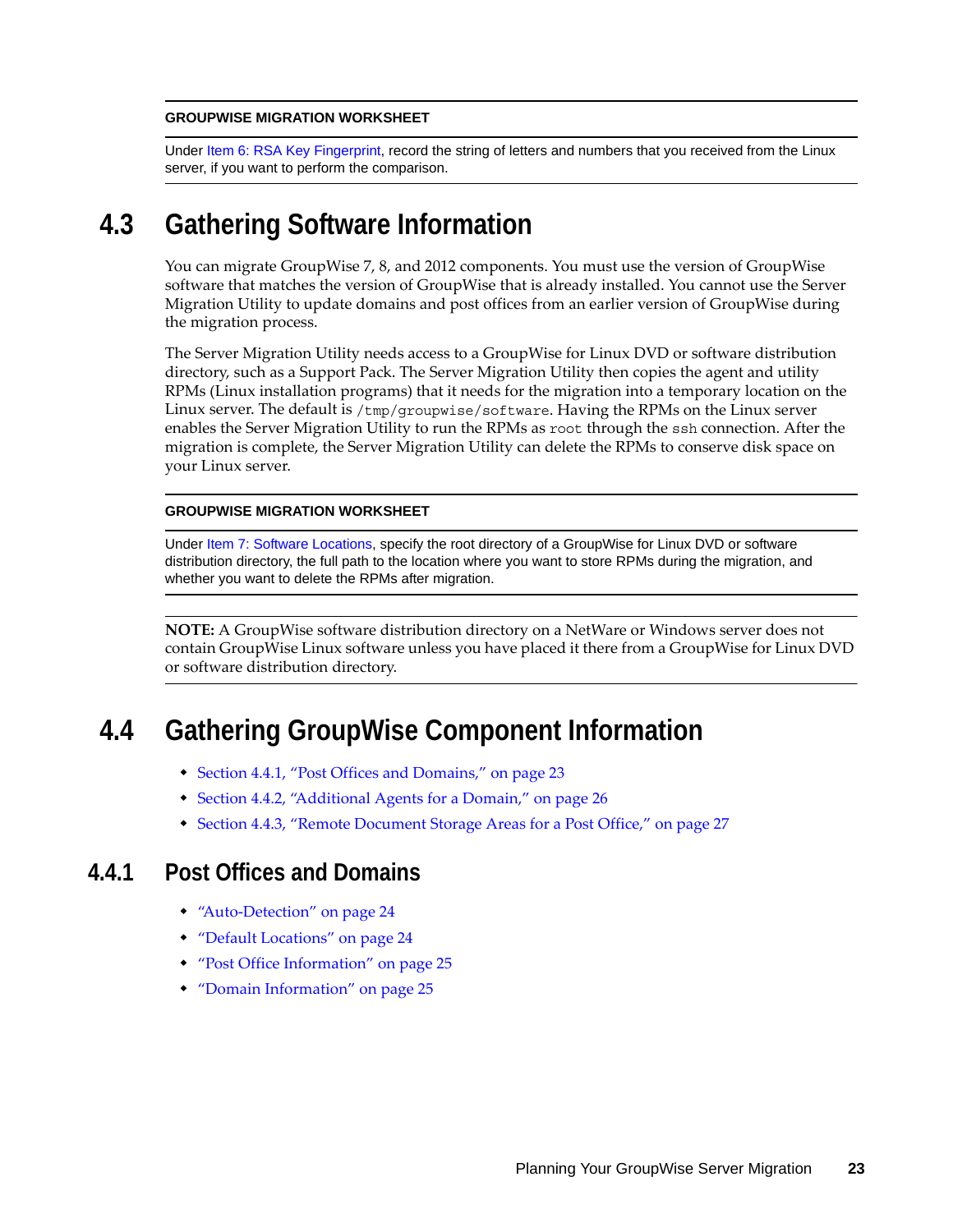#### **GROUPWISE MIGRATION WORKSHEET**

Under Item 6: RSA Key Fingerprint, record the string of letters and numbers that you received from the Linux server, if you want to perform the comparison.

# <span id="page-22-0"></span>**4.3 Gathering Software Information**

You can migrate GroupWise 7, 8, and 2012 components. You must use the version of GroupWise software that matches the version of GroupWise that is already installed. You cannot use the Server Migration Utility to update domains and post offices from an earlier version of GroupWise during the migration process.

The Server Migration Utility needs access to a GroupWise for Linux DVD or software distribution directory, such as a Support Pack. The Server Migration Utility then copies the agent and utility RPMs (Linux installation programs) that it needs for the migration into a temporary location on the Linux server. The default is /tmp/groupwise/software. Having the RPMs on the Linux server enables the Server Migration Utility to run the RPMs as root through the ssh connection. After the migration is complete, the Server Migration Utility can delete the RPMs to conserve disk space on your Linux server.

### **GROUPWISE MIGRATION WORKSHEET**

Under Item 7: Software Locations, specify the root directory of a GroupWise for Linux DVD or software distribution directory, the full path to the location where you want to store RPMs during the migration, and whether you want to delete the RPMs after migration.

**NOTE:** A GroupWise software distribution directory on a NetWare or Windows server does not contain GroupWise Linux software unless you have placed it there from a GroupWise for Linux DVD or software distribution directory.

# <span id="page-22-1"></span>**4.4 Gathering GroupWise Component Information**

- [Section 4.4.1, "Post Offices and Domains," on page 23](#page-22-2)
- [Section 4.4.2, "Additional Agents for a Domain," on page 26](#page-25-0)
- [Section 4.4.3, "Remote Document Storage Areas for a Post Office," on page 27](#page-26-0)

## <span id="page-22-2"></span>**4.4.1 Post Offices and Domains**

- ["Auto-Detection" on page 24](#page-23-0)
- ["Default Locations" on page 24](#page-23-1)
- ["Post Office Information" on page 25](#page-24-0)
- ["Domain Information" on page 25](#page-24-1)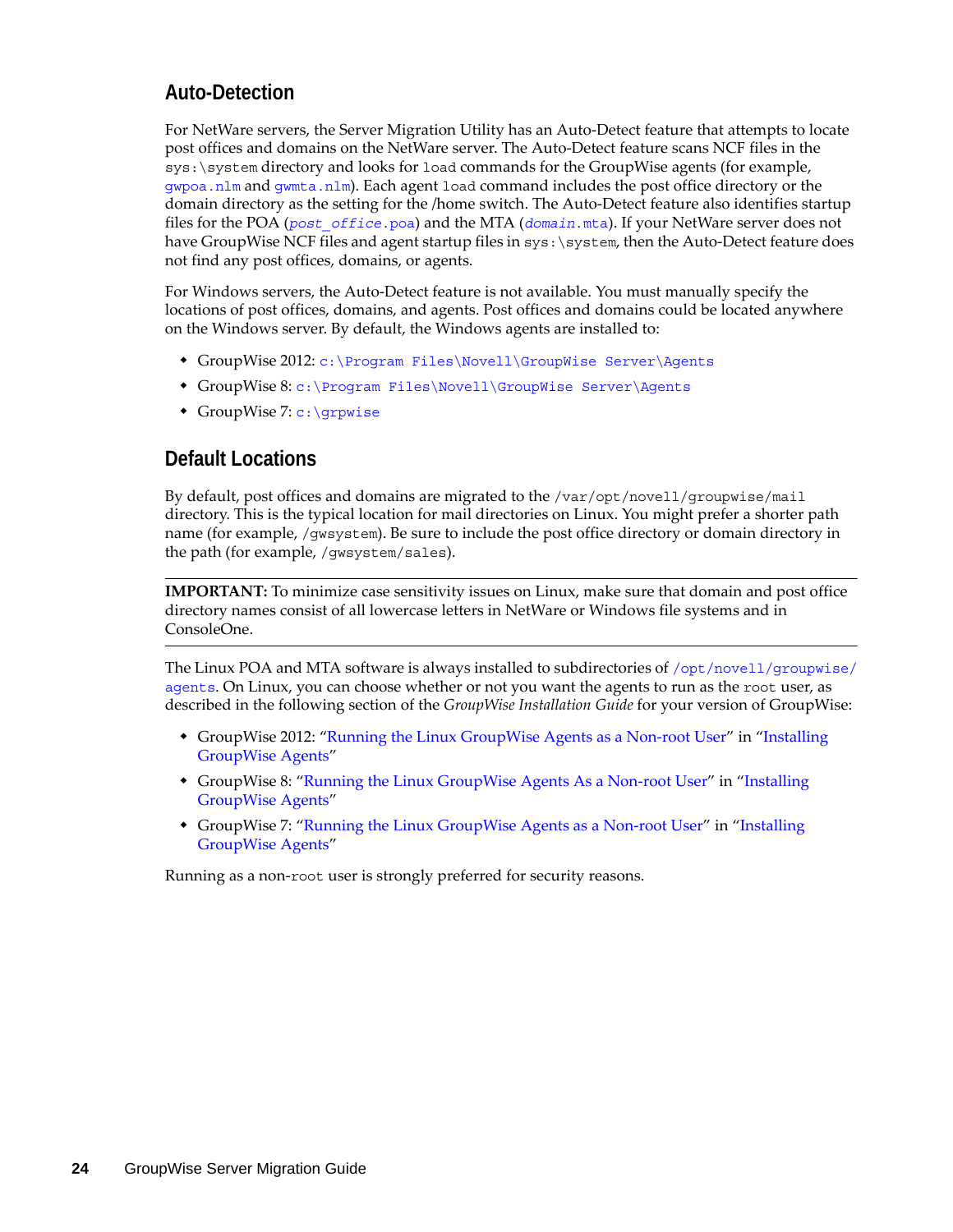## <span id="page-23-0"></span>**Auto-Detection**

For NetWare servers, the Server Migration Utility has an Auto-Detect feature that attempts to locate post offices and domains on the NetWare server. The Auto-Detect feature scans NCF files in the  $sys:\s;$  system directory and looks for load commands for the GroupWise agents (for example, [gwpoa.nlm](http://www.novell.com/documentation/gw7/pdfdoc/gw7_tsh3/gw7_tsh3.pdf#A3llvwk) and [gwmta.nlm](http://www.novell.com/documentation/gw7/pdfdoc/gw7_tsh3/gw7_tsh3.pdf#A3llvwk)). Each agent load command includes the post office directory or the domain directory as the setting for the /home switch. The Auto-Detect feature also identifies startup files for the POA (*post\_office*[.poa](http://www.novell.com/documentation/gw7/pdfdoc/gw7_tsh3/gw7_tsh3.pdf#bszn03w)) and the MTA (*domain*[.mta](http://www.novell.com/documentation/gw7/pdfdoc/gw7_tsh3/gw7_tsh3.pdf#bszn03w)). If your NetWare server does not have GroupWise NCF files and agent startup files in  $sys$ :  $\s$ sstem, then the Auto-Detect feature does not find any post offices, domains, or agents.

For Windows servers, the Auto-Detect feature is not available. You must manually specify the locations of post offices, domains, and agents. Post offices and domains could be located anywhere on the Windows server. By default, the Windows agents are installed to:

- GroupWise 2012: c:\Program Files\Novell\GroupWise Server\Agents
- GroupWise 8: [c:\Program Files\Novell\GroupWise Server\Agents](http://www.novell.com/documentation/gw8/pdfdoc/gw8_tsh3/gw8_tsh3.pdf#A3lm7tk)
- GroupWise 7: [c:\grpwise](http://www.novell.com/documentation/gw7/pdfdoc/gw7_tsh3/gw7_tsh3.pdf#bsbfuk6)

## <span id="page-23-1"></span>**Default Locations**

By default, post offices and domains are migrated to the /var/opt/novell/groupwise/mail directory. This is the typical location for mail directories on Linux. You might prefer a shorter path name (for example, /gwsystem). Be sure to include the post office directory or domain directory in the path (for example, /gwsystem/sales).

**IMPORTANT:** To minimize case sensitivity issues on Linux, make sure that domain and post office directory names consist of all lowercase letters in NetWare or Windows file systems and in ConsoleOne.

The Linux POA and MTA software is always installed to subdirectories of [/opt/novell/groupwise/](http://www.novell.com/documentation/gw7/pdfdoc/gw7_tsh3/gw7_tsh3.pdf#bs8xt4d) [agents](http://www.novell.com/documentation/gw7/pdfdoc/gw7_tsh3/gw7_tsh3.pdf#bs8xt4d). On Linux, you can choose whether or not you want the agents to run as the root user, as described in the following section of the *GroupWise Installation Guide* for your version of GroupWise:

- GroupWise 2012: "Running the Linux GroupWise Agents as a Non-root User" in "Installing GroupWise Agents"
- GroupWise 8: ["Running the Linux GroupWise Agents As a Non-root User"](http://www.novell.com/documentation/gw8/pdfdoc/gw8_install/gw8_install.pdf#bw8kalg) in ["Installing](http://www.novell.com/documentation/gw8/pdfdoc/gw8_install/gw8_install.pdf#A8pam03)  [GroupWise Agents"](http://www.novell.com/documentation/gw8/pdfdoc/gw8_install/gw8_install.pdf#A8pam03)
- GroupWise 7: ["Running the Linux GroupWise Agents as a Non-root User"](http://www.novell.com/documentation/gw7/pdfdoc/gw7_install/gw7_install.pdf#bw8kalg) in "Installing [GroupWise Agents"](http://www.novell.com/documentation/gw7/pdfdoc/gw7_install/gw7_install.pdf#A8pam03)

Running as a non-root user is strongly preferred for security reasons.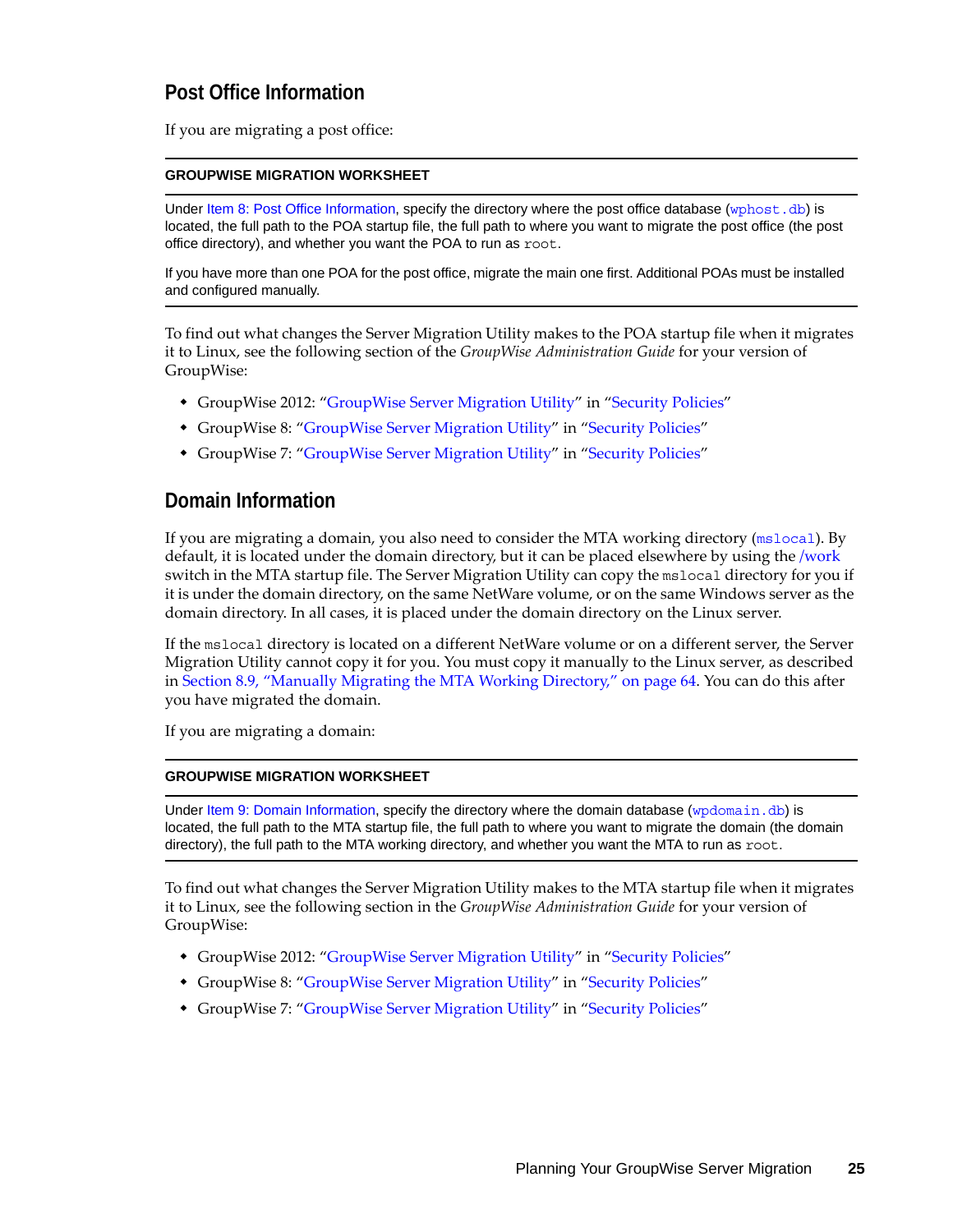## <span id="page-24-0"></span>**Post Office Information**

If you are migrating a post office:

### **GROUPWISE MIGRATION WORKSHEET**

Under [Item 8: Post Office Information](#page-30-1), specify the directory where the post office database ([wphost.db](http://www.novell.com/documentation/gw7/pdfdoc/gw7_tsh3/gw7_tsh3.pdf#A3edzdk)) is located, the full path to the POA startup file, the full path to where you want to migrate the post office (the post office directory), and whether you want the POA to run as root.

If you have more than one POA for the post office, migrate the main one first. Additional POAs must be installed and configured manually.

To find out what changes the Server Migration Utility makes to the POA startup file when it migrates it to Linux, see the following section of the *GroupWise Administration Guide* for your version of GroupWise:

- GroupWise 2012: "GroupWise Server Migration Utility" in "Security Policies"
- GroupWise 8: ["GroupWise Server Migration Utility"](http://www.novell.com/documentation/gw8/pdfdoc/gw8_admin/gw8_admin.pdf#b6ubew9) in ["Security Policies](http://www.novell.com/documentation/gw8/pdfdoc/gw8_admin/gw8_admin.pdf#bzf85br)"
- GroupWise 7: ["GroupWise Server Migration Utility"](http://www.novell.com/documentation/gw7/pdfdoc/gw7_admin/gw7_admin.pdf#b6ubew9) in ["Security Policies](http://www.novell.com/documentation/gw7/pdfdoc/gw7_admin/gw7_admin.pdf#bzf85br)"

### <span id="page-24-1"></span>**Domain Information**

If you are migrating a domain, you also need to consider the MTA working directory ([mslocal](http://www.novell.com/documentation/gw7/pdfdoc/gw7_tsh3/gw7_tsh3.pdf#A3lhv1j)). By default, it is located under the domain directory, but it can be placed elsewhere by using the [/work](http://www.novell.com/documentation/gw7/pdfdoc/gw7_tsh3/gw7_tsh3.pdf#A3lhv1j) switch in the MTA startup file. The Server Migration Utility can copy the mslocal directory for you if it is under the domain directory, on the same NetWare volume, or on the same Windows server as the domain directory. In all cases, it is placed under the domain directory on the Linux server.

If the mslocal directory is located on a different NetWare volume or on a different server, the Server Migration Utility cannot copy it for you. You must copy it manually to the Linux server, as described in [Section 8.9, "Manually Migrating the MTA Working Directory," on page 64](#page-63-0). You can do this after you have migrated the domain.

If you are migrating a domain:

### **GROUPWISE MIGRATION WORKSHEET**

Under [Item 9: Domain Information](#page-30-2), specify the directory where the domain database (wpdomain, db) is located, the full path to the MTA startup file, the full path to where you want to migrate the domain (the domain directory), the full path to the MTA working directory, and whether you want the MTA to run as  $root$ .

To find out what changes the Server Migration Utility makes to the MTA startup file when it migrates it to Linux, see the following section in the *GroupWise Administration Guide* for your version of GroupWise:

- GroupWise 2012: "GroupWise Server Migration Utility" in "Security Policies"
- GroupWise 8: ["GroupWise Server Migration Utility"](http://www.novell.com/documentation/gw8/pdfdoc/gw8_admin/gw8_admin.pdf#b6ubew9) in ["Security Policies](http://www.novell.com/documentation/gw8/pdfdoc/gw8_admin/gw8_admin.pdf#bzf85br)"
- GroupWise 7: ["GroupWise Server Migration Utility"](http://www.novell.com/documentation/gw7/pdfdoc/gw7_admin/gw7_admin.pdf#b6ubew9) in ["Security Policies](http://www.novell.com/documentation/gw7/pdfdoc/gw7_admin/gw7_admin.pdf#bzf85br)"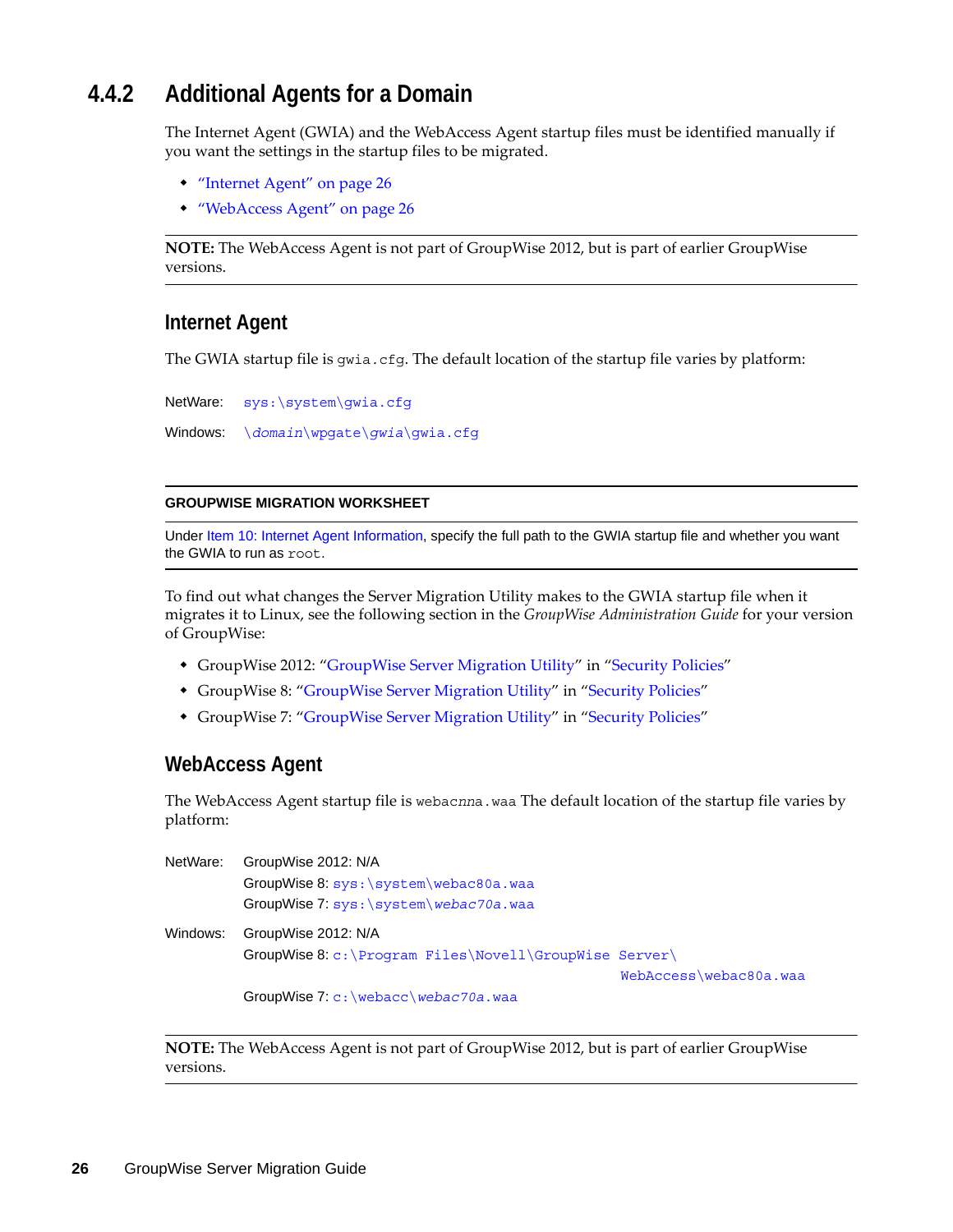## <span id="page-25-0"></span>**4.4.2 Additional Agents for a Domain**

The Internet Agent (GWIA) and the WebAccess Agent startup files must be identified manually if you want the settings in the startup files to be migrated.

- ["Internet Agent" on page 26](#page-25-1)
- ["WebAccess Agent" on page 26](#page-25-2)

**NOTE:** The WebAccess Agent is not part of GroupWise 2012, but is part of earlier GroupWise versions.

### <span id="page-25-1"></span>**Internet Agent**

The GWIA startup file is gwia.cfg. The default location of the startup file varies by platform:

NetWare: [sys:\system\gwia.cfg](http://www.novell.com/documentation/gw7/pdfdoc/gw7_tsh3/gw7_tsh3.pdf#bsajcq8)

Windows: [\](http://www.novell.com/documentation/gw7/pdfdoc/gw7_tsh3/gw7_tsh3.pdf#A3eahux)*domain*[\wpgate\](http://www.novell.com/documentation/gw7/pdfdoc/gw7_tsh3/gw7_tsh3.pdf#A3eahux)*gwia*[\gwia.cfg](http://www.novell.com/documentation/gw7/pdfdoc/gw7_tsh3/gw7_tsh3.pdf#A3eahux)

#### **GROUPWISE MIGRATION WORKSHEET**

Under [Item 10: Internet Agent Information,](#page-31-0) specify the full path to the GWIA startup file and whether you want the GWIA to run as root.

To find out what changes the Server Migration Utility makes to the GWIA startup file when it migrates it to Linux, see the following section in the *GroupWise Administration Guide* for your version of GroupWise:

- GroupWise 2012: "GroupWise Server Migration Utility" in "Security Policies"
- GroupWise 8: ["GroupWise Server Migration Utility"](http://www.novell.com/documentation/gw8/pdfdoc/gw8_admin/gw8_admin.pdf#b6ubew9) in ["Security Policies](http://www.novell.com/documentation/gw8/pdfdoc/gw8_admin/gw8_admin.pdf#bzf85br)"
- GroupWise 7: ["GroupWise Server Migration Utility"](http://www.novell.com/documentation/gw7/pdfdoc/gw7_admin/gw7_admin.pdf#b6ubew9) in ["Security Policies](http://www.novell.com/documentation/gw7/pdfdoc/gw7_admin/gw7_admin.pdf#bzf85br)"

### <span id="page-25-2"></span>**WebAccess Agent**

The WebAccess Agent startup file is webac*nn*a.waa The default location of the startup file varies by platform:

| NetWare: | GroupWise 2012: N/A                                     |                        |
|----------|---------------------------------------------------------|------------------------|
|          | GroupWise 8: sys: \system\webac80a.waa                  |                        |
|          | GroupWise 7: sys: \system\webac70a.waa                  |                        |
| Windows: | GroupWise 2012: N/A                                     |                        |
|          | GroupWise 8: c: \Program Files\Novell\GroupWise Server\ |                        |
|          |                                                         | WebAccess\webac80a.waa |
|          | GroupWise $7: c: \webacc\webac70a.waa$                  |                        |

**NOTE:** The WebAccess Agent is not part of GroupWise 2012, but is part of earlier GroupWise versions.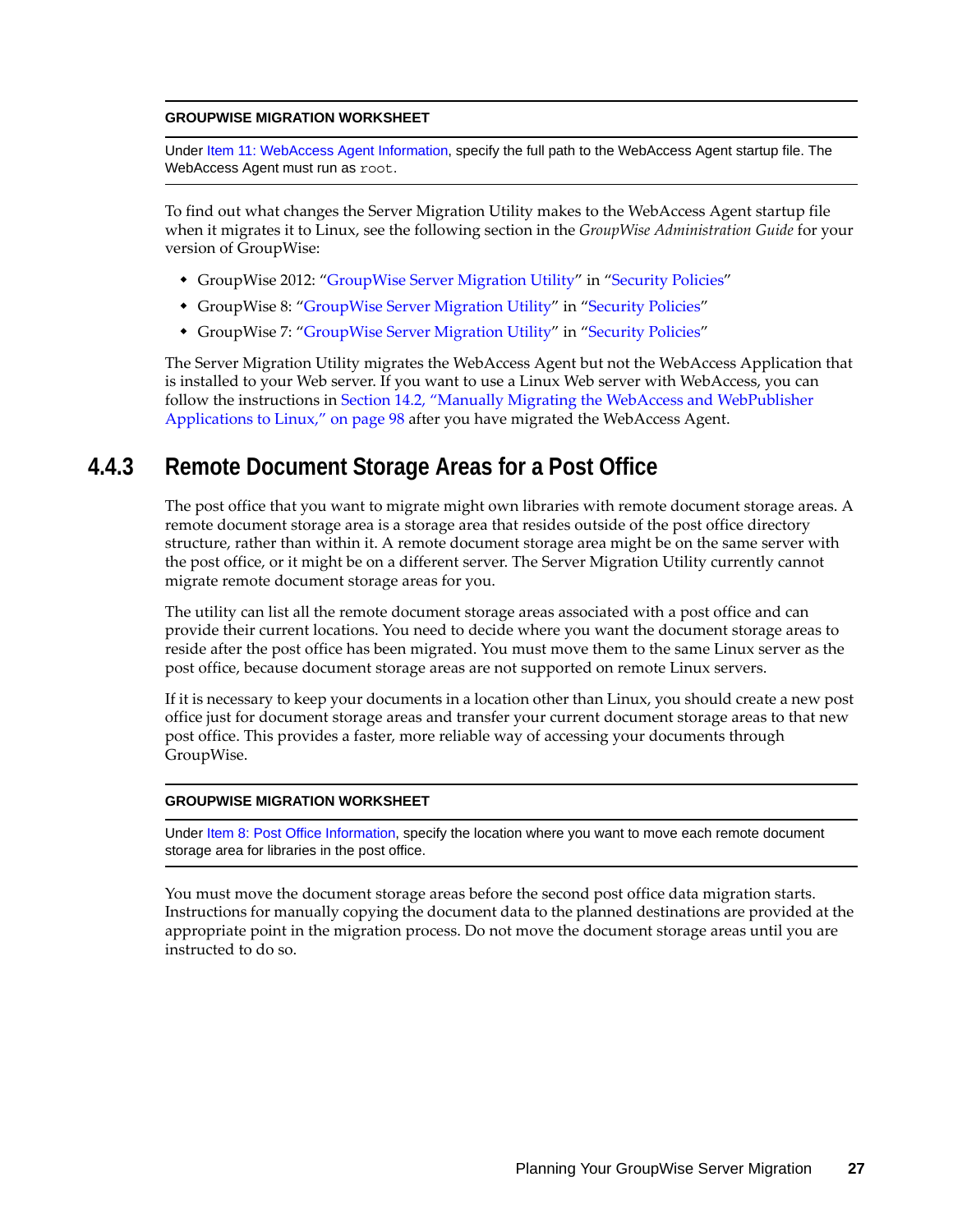#### **GROUPWISE MIGRATION WORKSHEET**

Under [Item 11: WebAccess Agent Information](#page-31-1), specify the full path to the WebAccess Agent startup file. The WebAccess Agent must run as root.

To find out what changes the Server Migration Utility makes to the WebAccess Agent startup file when it migrates it to Linux, see the following section in the *GroupWise Administration Guide* for your version of GroupWise:

- GroupWise 2012: "GroupWise Server Migration Utility" in "Security Policies"
- GroupWise 8: ["GroupWise Server Migration Utility"](http://www.novell.com/documentation/gw8/pdfdoc/gw8_admin/gw8_admin.pdf#b6ubew9) in ["Security Policies](http://www.novell.com/documentation/gw8/pdfdoc/gw8_admin/gw8_admin.pdf#bzf85br)"
- GroupWise 7: ["GroupWise Server Migration Utility"](http://www.novell.com/documentation/gw7/pdfdoc/gw7_admin/gw7_admin.pdf#b6ubew9) in ["Security Policies](http://www.novell.com/documentation/gw7/pdfdoc/gw7_admin/gw7_admin.pdf#bzf85br)"

The Server Migration Utility migrates the WebAccess Agent but not the WebAccess Application that is installed to your Web server. If you want to use a Linux Web server with WebAccess, you can follow the instructions in [Section 14.2, "Manually Migrating the WebAccess and WebPublisher](#page-97-1)  [Applications to Linux," on page 98](#page-97-1) after you have migrated the WebAccess Agent.

## <span id="page-26-0"></span>**4.4.3 Remote Document Storage Areas for a Post Office**

The post office that you want to migrate might own libraries with remote document storage areas. A remote document storage area is a storage area that resides outside of the post office directory structure, rather than within it. A remote document storage area might be on the same server with the post office, or it might be on a different server. The Server Migration Utility currently cannot migrate remote document storage areas for you.

The utility can list all the remote document storage areas associated with a post office and can provide their current locations. You need to decide where you want the document storage areas to reside after the post office has been migrated. You must move them to the same Linux server as the post office, because document storage areas are not supported on remote Linux servers.

If it is necessary to keep your documents in a location other than Linux, you should create a new post office just for document storage areas and transfer your current document storage areas to that new post office. This provides a faster, more reliable way of accessing your documents through GroupWise.

#### **GROUPWISE MIGRATION WORKSHEET**

Under Item 8: Post Office Information, specify the location where you want to move each remote document storage area for libraries in the post office.

You must move the document storage areas before the second post office data migration starts. Instructions for manually copying the document data to the planned destinations are provided at the appropriate point in the migration process. Do not move the document storage areas until you are instructed to do so.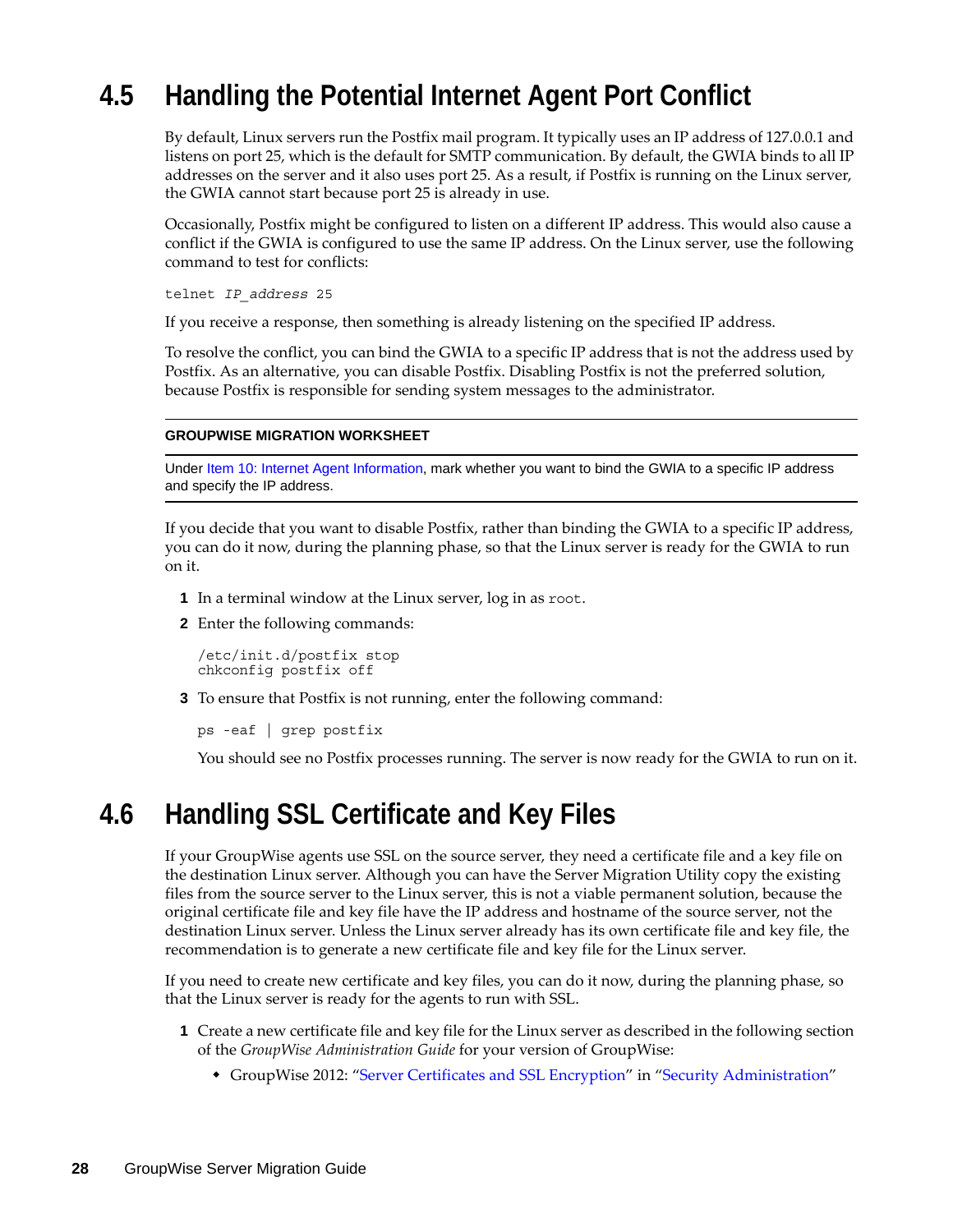# <span id="page-27-0"></span>**4.5 Handling the Potential Internet Agent Port Conflict**

By default, Linux servers run the Postfix mail program. It typically uses an IP address of 127.0.0.1 and listens on port 25, which is the default for SMTP communication. By default, the GWIA binds to all IP addresses on the server and it also uses port 25. As a result, if Postfix is running on the Linux server, the GWIA cannot start because port 25 is already in use.

Occasionally, Postfix might be configured to listen on a different IP address. This would also cause a conflict if the GWIA is configured to use the same IP address. On the Linux server, use the following command to test for conflicts:

telnet *IP\_address* 25

If you receive a response, then something is already listening on the specified IP address.

To resolve the conflict, you can bind the GWIA to a specific IP address that is not the address used by Postfix. As an alternative, you can disable Postfix. Disabling Postfix is not the preferred solution, because Postfix is responsible for sending system messages to the administrator.

### **GROUPWISE MIGRATION WORKSHEET**

Under Item 10: Internet Agent Information, mark whether you want to bind the GWIA to a specific IP address and specify the IP address.

If you decide that you want to disable Postfix, rather than binding the GWIA to a specific IP address, you can do it now, during the planning phase, so that the Linux server is ready for the GWIA to run on it.

- **1** In a terminal window at the Linux server, log in as root.
- **2** Enter the following commands:

/etc/init.d/postfix stop chkconfig postfix off

**3** To ensure that Postfix is not running, enter the following command:

```
ps -eaf | grep postfix
```
You should see no Postfix processes running. The server is now ready for the GWIA to run on it.

# <span id="page-27-1"></span>**4.6 Handling SSL Certificate and Key Files**

If your GroupWise agents use SSL on the source server, they need a certificate file and a key file on the destination Linux server. Although you can have the Server Migration Utility copy the existing files from the source server to the Linux server, this is not a viable permanent solution, because the original certificate file and key file have the IP address and hostname of the source server, not the destination Linux server. Unless the Linux server already has its own certificate file and key file, the recommendation is to generate a new certificate file and key file for the Linux server.

If you need to create new certificate and key files, you can do it now, during the planning phase, so that the Linux server is ready for the agents to run with SSL.

- **1** Create a new certificate file and key file for the Linux server as described in the following section of the *GroupWise Administration Guide* for your version of GroupWise:
	- GroupWise 2012: "Server Certificates and SSL Encryption" in "Security Administration"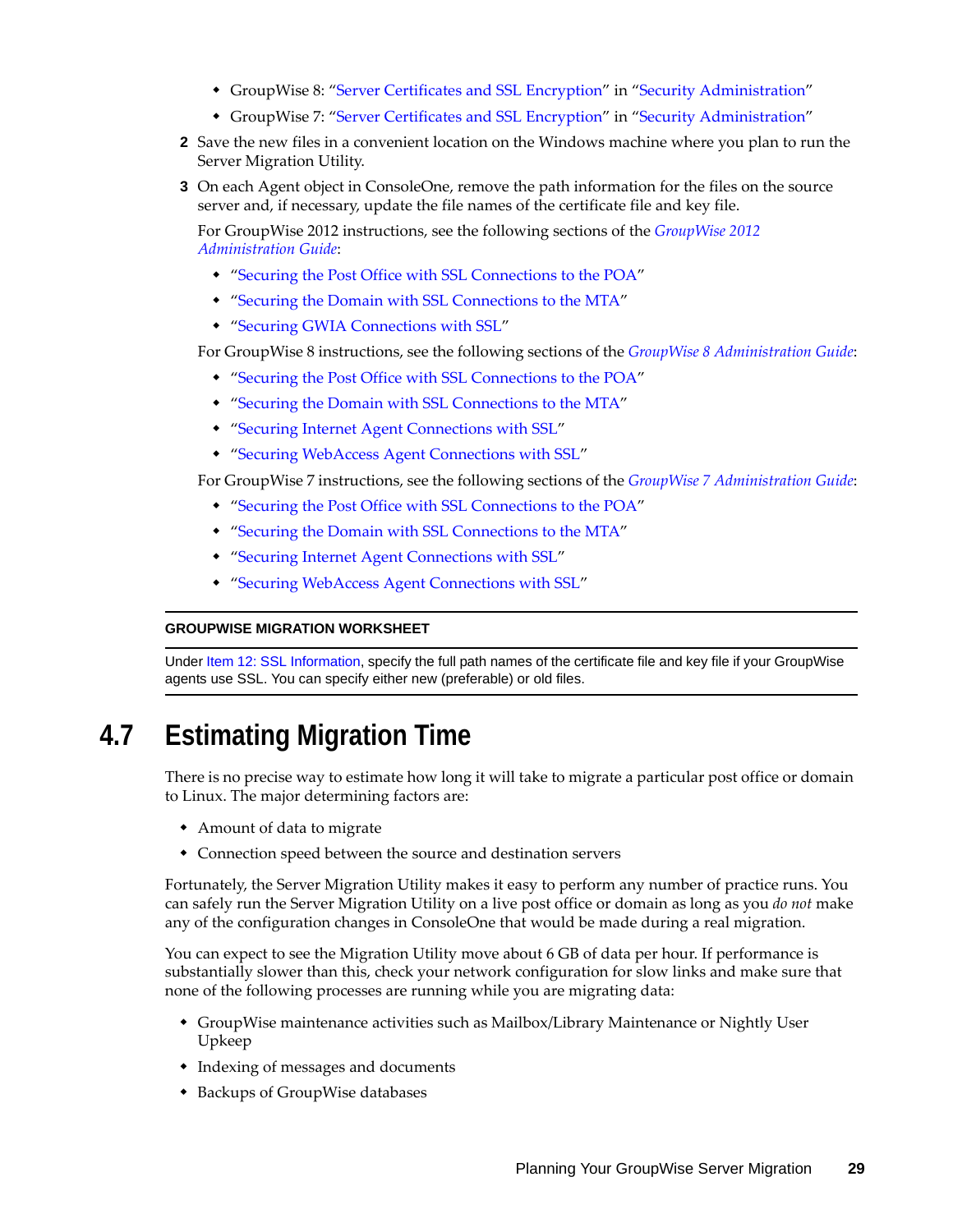- GroupWise 8: ["Server Certificates and SSL Encryption](http://www.novell.com/documentation/gw8/pdfdoc/gw8_admin/gw8_admin.pdf#Ak9e3ju)" in "[Security Administration"](http://www.novell.com/documentation/gw8/pdfdoc/gw8_admin/gw8_admin.pdf#Altf8xr)
- GroupWise 7: ["Server Certificates and SSL Encryption](http://www.novell.com/documentation/gw7/pdfdoc/gw7_admin/gw7_admin.pdf#Ak9e3ju)" in "[Security Administration"](http://www.novell.com/documentation/gw7/pdfdoc/gw7_admin/gw7_admin.pdf#Altf8xr)
- **2** Save the new files in a convenient location on the Windows machine where you plan to run the Server Migration Utility.
- **3** On each Agent object in ConsoleOne, remove the path information for the files on the source server and, if necessary, update the file names of the certificate file and key file.

For GroupWise 2012 instructions, see the following sections of the *GroupWise 2012 Administration Guide*:

- "Securing the Post Office with SSL Connections to the POA"
- "Securing the Domain with SSL Connections to the MTA"
- "Securing GWIA Connections with SSL"

For GroupWise 8 instructions, see the following sections of the *[GroupWise 8 Administration Guide](http://www.novell.com/documentation/gw8/pdfdoc/gw8_admin/gw8_admin.pdf#A2zvyc4)*:

- "[Securing the Post Office with SSL Connections to the POA"](http://www.novell.com/documentation/gw8/pdfdoc/gw8_admin/gw8_admin.pdf#Adpdnme)
- "[Securing the Domain with SSL Connections to the MTA"](http://www.novell.com/documentation/gw8/pdfdoc/gw8_admin/gw8_admin.pdf#Adqq9v1)
- "[Securing Internet Agent Connections with SSL](http://www.novell.com/documentation/gw8/pdfdoc/gw8_admin/gw8_admin.pdf#Adqul6f)"
- "[Securing WebAccess Agent Connections with SSL"](http://www.novell.com/documentation/gw8/pdfdoc/gw8_admin/gw8_admin.pdf#Ajadac5)

For GroupWise 7 instructions, see the following sections of the *[GroupWise 7 Administration Guide](http://www.novell.com/documentation/gw7/pdfdoc/gw7_admin/gw7_admin.pdf#A2zvyc4)*:

- "[Securing the Post Office with SSL Connections to the POA"](http://www.novell.com/documentation/gw7/pdfdoc/gw7_admin/gw7_admin.pdf#Adpdnme)
- "[Securing the Domain with SSL Connections to the MTA"](http://www.novell.com/documentation/gw7/pdfdoc/gw7_admin/gw7_admin.pdf#Adqq9v1)
- "[Securing Internet Agent Connections with SSL](http://www.novell.com/documentation/gw7/pdfdoc/gw7_admin/gw7_admin.pdf#Adqul6f)"
- "[Securing WebAccess Agent Connections with SSL"](http://www.novell.com/documentation/gw7/pdfdoc/gw7_admin/gw7_admin.pdf#Ajadac5)

#### **GROUPWISE MIGRATION WORKSHEET**

Under Item 12: SSL Information, specify the full path names of the certificate file and key file if your GroupWise agents use SSL. You can specify either new (preferable) or old files.

# <span id="page-28-0"></span>**4.7 Estimating Migration Time**

There is no precise way to estimate how long it will take to migrate a particular post office or domain to Linux. The major determining factors are:

- Amount of data to migrate
- Connection speed between the source and destination servers

Fortunately, the Server Migration Utility makes it easy to perform any number of practice runs. You can safely run the Server Migration Utility on a live post office or domain as long as you *do not* make any of the configuration changes in ConsoleOne that would be made during a real migration.

You can expect to see the Migration Utility move about 6 GB of data per hour. If performance is substantially slower than this, check your network configuration for slow links and make sure that none of the following processes are running while you are migrating data:

- GroupWise maintenance activities such as Mailbox/Library Maintenance or Nightly User Upkeep
- Indexing of messages and documents
- Backups of GroupWise databases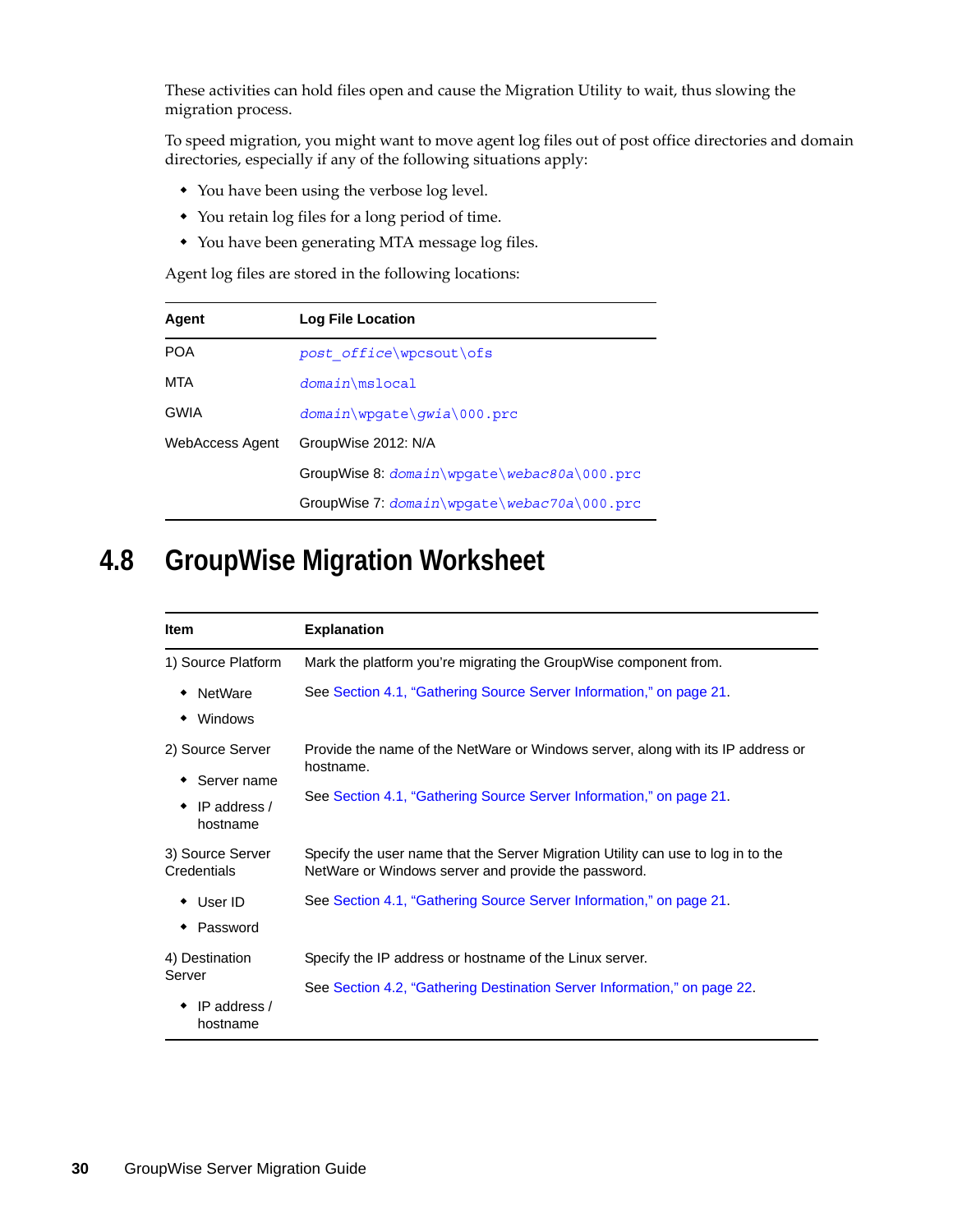These activities can hold files open and cause the Migration Utility to wait, thus slowing the migration process.

To speed migration, you might want to move agent log files out of post office directories and domain directories, especially if any of the following situations apply:

- You have been using the verbose log level.
- You retain log files for a long period of time.
- You have been generating MTA message log files.

Agent log files are stored in the following locations:

| Agent           | Log File Location                             |
|-----------------|-----------------------------------------------|
| <b>POA</b>      | post office\wpcsout\ofs                       |
| <b>MTA</b>      | $domain\mslocal$                              |
| <b>GWIA</b>     | $domain\update\quia\000.$ prc                 |
| WebAccess Agent | GroupWise 2012: N/A                           |
|                 | GroupWise 8: domain\wpgate\webac80a\000.prc   |
|                 | $GroupWise 7: domain\wpaate\webac70a\000.prc$ |

# <span id="page-29-0"></span>**4.8 GroupWise Migration Worksheet**

| <b>Item</b>                                                 | <b>Explanation</b>                                                                                                                                                  |  |
|-------------------------------------------------------------|---------------------------------------------------------------------------------------------------------------------------------------------------------------------|--|
| 1) Source Platform                                          | Mark the platform you're migrating the GroupWise component from.                                                                                                    |  |
| <b>NetWare</b><br>Windows                                   | See Section 4.1, "Gathering Source Server Information," on page 21.                                                                                                 |  |
| 2) Source Server<br>Server name<br>IP address /<br>hostname | Provide the name of the NetWare or Windows server, along with its IP address or<br>hostname.<br>See Section 4.1, "Gathering Source Server Information," on page 21. |  |
| 3) Source Server<br>Credentials                             | Specify the user name that the Server Migration Utility can use to log in to the<br>NetWare or Windows server and provide the password.                             |  |
| User ID<br>٠<br>Password                                    | See Section 4.1, "Gathering Source Server Information," on page 21.                                                                                                 |  |
| 4) Destination<br>Server<br>IP address $/$<br>hostname      | Specify the IP address or hostname of the Linux server.<br>See Section 4.2, "Gathering Destination Server Information," on page 22.                                 |  |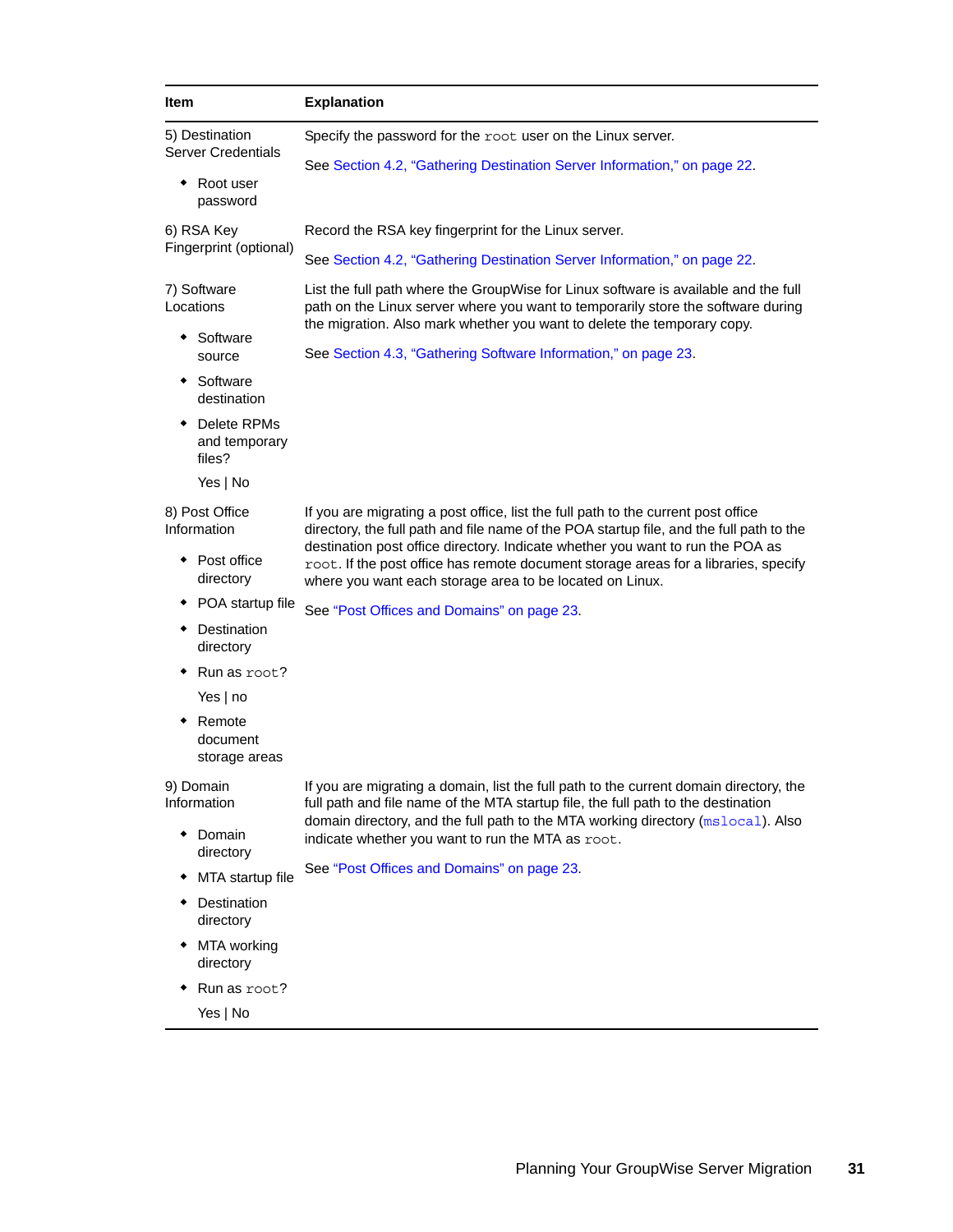<span id="page-30-2"></span><span id="page-30-1"></span><span id="page-30-0"></span>

| Item                                                                      |                                               | <b>Explanation</b>                                                                                                                                                                                                                                 |  |  |
|---------------------------------------------------------------------------|-----------------------------------------------|----------------------------------------------------------------------------------------------------------------------------------------------------------------------------------------------------------------------------------------------------|--|--|
| 5) Destination<br><b>Server Credentials</b><br>Root user<br>٠<br>password |                                               | Specify the password for the root user on the Linux server.                                                                                                                                                                                        |  |  |
|                                                                           |                                               | See Section 4.2, "Gathering Destination Server Information," on page 22.                                                                                                                                                                           |  |  |
|                                                                           |                                               |                                                                                                                                                                                                                                                    |  |  |
| 6) RSA Key<br>Fingerprint (optional)                                      |                                               | Record the RSA key fingerprint for the Linux server.                                                                                                                                                                                               |  |  |
|                                                                           |                                               | See Section 4.2, "Gathering Destination Server Information," on page 22.                                                                                                                                                                           |  |  |
| 7) Software<br>Locations                                                  |                                               | List the full path where the GroupWise for Linux software is available and the full<br>path on the Linux server where you want to temporarily store the software during<br>the migration. Also mark whether you want to delete the temporary copy. |  |  |
|                                                                           | Software<br>source                            | See Section 4.3, "Gathering Software Information," on page 23.                                                                                                                                                                                     |  |  |
|                                                                           | Software<br>destination                       |                                                                                                                                                                                                                                                    |  |  |
|                                                                           | Delete RPMs<br>and temporary<br>files?        |                                                                                                                                                                                                                                                    |  |  |
|                                                                           | Yes   No                                      |                                                                                                                                                                                                                                                    |  |  |
| 8) Post Office<br>Information                                             |                                               | If you are migrating a post office, list the full path to the current post office<br>directory, the full path and file name of the POA startup file, and the full path to the                                                                      |  |  |
|                                                                           | • Post office<br>directory                    | destination post office directory. Indicate whether you want to run the POA as<br>root. If the post office has remote document storage areas for a libraries, specify<br>where you want each storage area to be located on Linux.                  |  |  |
|                                                                           | POA startup file                              | See "Post Offices and Domains" on page 23.                                                                                                                                                                                                         |  |  |
|                                                                           | Destination<br>directory                      |                                                                                                                                                                                                                                                    |  |  |
|                                                                           | Run as root?                                  |                                                                                                                                                                                                                                                    |  |  |
|                                                                           | Yes $ $ no                                    |                                                                                                                                                                                                                                                    |  |  |
|                                                                           | $\bullet$ Remote<br>document<br>storage areas |                                                                                                                                                                                                                                                    |  |  |
| 9) Domain<br>Information                                                  |                                               | If you are migrating a domain, list the full path to the current domain directory, the<br>full path and file name of the MTA startup file, the full path to the destination                                                                        |  |  |
|                                                                           | Domain<br>directory                           | domain directory, and the full path to the MTA working directory (mslocal). Also<br>indicate whether you want to run the MTA as root.                                                                                                              |  |  |
|                                                                           | MTA startup file                              | See "Post Offices and Domains" on page 23.                                                                                                                                                                                                         |  |  |
|                                                                           | Destination<br>directory                      |                                                                                                                                                                                                                                                    |  |  |
| ٠                                                                         | MTA working<br>directory                      |                                                                                                                                                                                                                                                    |  |  |
| ٠                                                                         | Run as root?                                  |                                                                                                                                                                                                                                                    |  |  |
|                                                                           | Yes   No                                      |                                                                                                                                                                                                                                                    |  |  |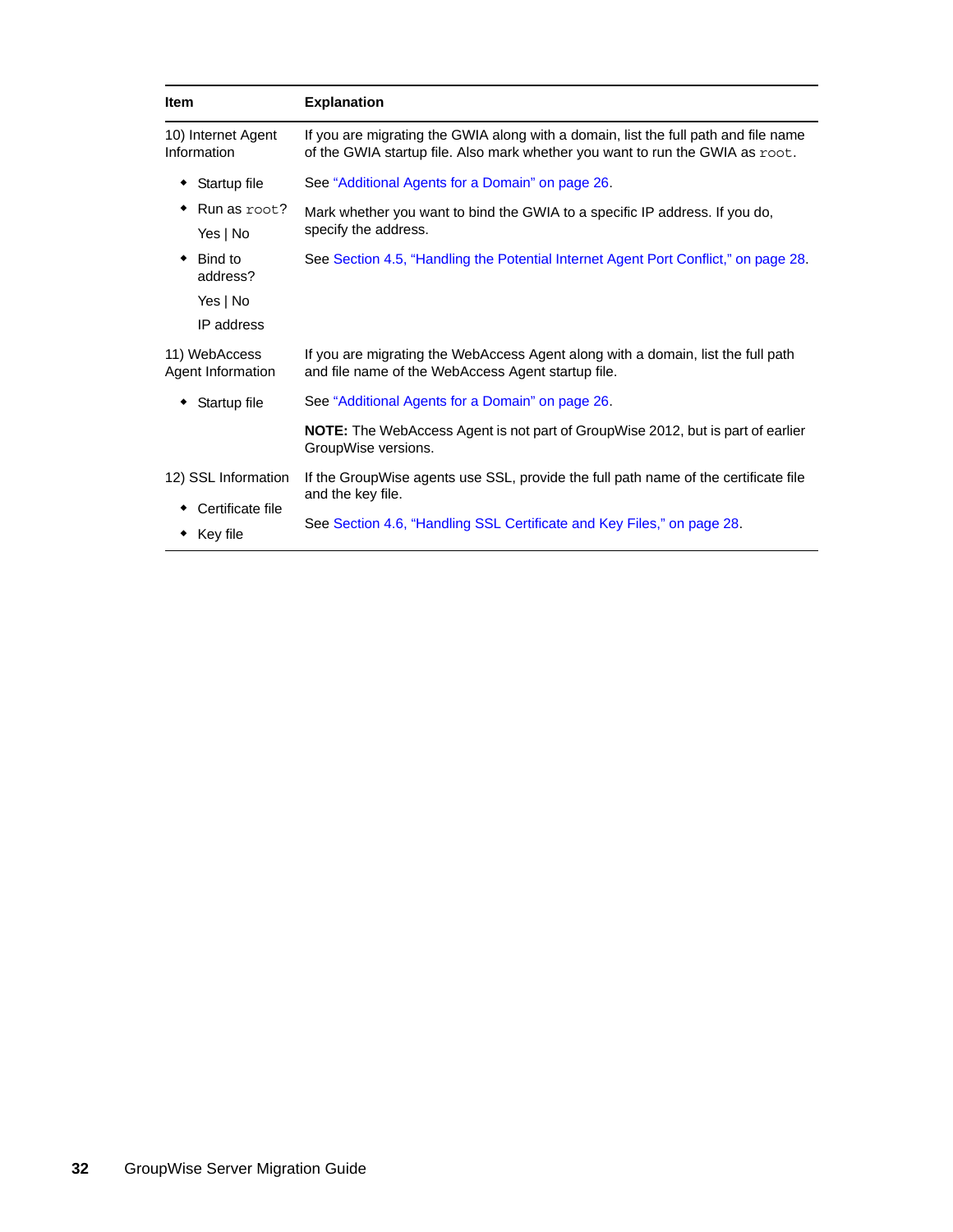<span id="page-31-1"></span><span id="page-31-0"></span>

| <b>Item</b>                        | <b>Explanation</b>                                                                                                                                                   |  |
|------------------------------------|----------------------------------------------------------------------------------------------------------------------------------------------------------------------|--|
| 10) Internet Agent<br>Information  | If you are migrating the GWIA along with a domain, list the full path and file name<br>of the GWIA startup file. Also mark whether you want to run the GWIA as root. |  |
| Startup file                       | See "Additional Agents for a Domain" on page 26.                                                                                                                     |  |
| Run as root?<br>Yes $ $ No         | Mark whether you want to bind the GWIA to a specific IP address. If you do,<br>specify the address.                                                                  |  |
| Bind to<br>٠<br>address?           | See Section 4.5, "Handling the Potential Internet Agent Port Conflict," on page 28.                                                                                  |  |
| Yes   No<br>IP address             |                                                                                                                                                                      |  |
| 11) WebAccess<br>Agent Information | If you are migrating the WebAccess Agent along with a domain, list the full path<br>and file name of the WebAccess Agent startup file.                               |  |
| Startup file                       | See "Additional Agents for a Domain" on page 26.                                                                                                                     |  |
|                                    | <b>NOTE:</b> The WebAccess Agent is not part of GroupWise 2012, but is part of earlier<br>GroupWise versions.                                                        |  |
| 12) SSL Information                | If the GroupWise agents use SSL, provide the full path name of the certificate file<br>and the key file.                                                             |  |
| Certificate file<br>Key file       | See Section 4.6, "Handling SSL Certificate and Key Files," on page 28.                                                                                               |  |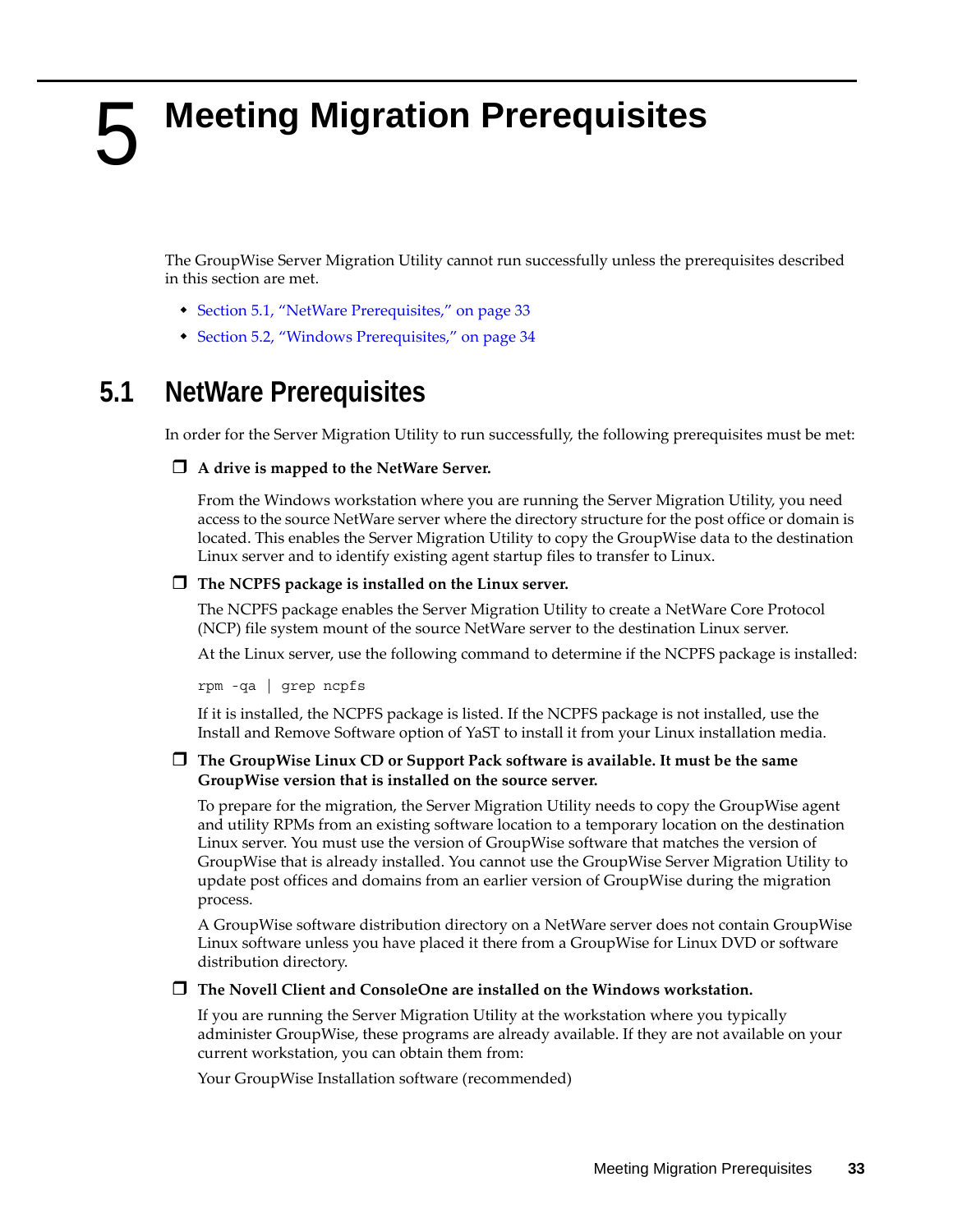# <span id="page-32-3"></span><span id="page-32-0"></span>5 <sup>5</sup>**Meeting Migration Prerequisites**

<span id="page-32-2"></span>The GroupWise Server Migration Utility cannot run successfully unless the prerequisites described in this section are met.

- [Section 5.1, "NetWare Prerequisites," on page 33](#page-32-1)
- [Section 5.2, "Windows Prerequisites," on page 34](#page-33-0)

# <span id="page-32-1"></span>**5.1 NetWare Prerequisites**

In order for the Server Migration Utility to run successfully, the following prerequisites must be met:

### **A drive is mapped to the NetWare Server.**

From the Windows workstation where you are running the Server Migration Utility, you need access to the source NetWare server where the directory structure for the post office or domain is located. This enables the Server Migration Utility to copy the GroupWise data to the destination Linux server and to identify existing agent startup files to transfer to Linux.

### **The NCPFS package is installed on the Linux server.**

The NCPFS package enables the Server Migration Utility to create a NetWare Core Protocol (NCP) file system mount of the source NetWare server to the destination Linux server.

At the Linux server, use the following command to determine if the NCPFS package is installed:

rpm -qa | grep ncpfs

If it is installed, the NCPFS package is listed. If the NCPFS package is not installed, use the Install and Remove Software option of YaST to install it from your Linux installation media.

### **The GroupWise Linux CD or Support Pack software is available. It must be the same GroupWise version that is installed on the source server.**

To prepare for the migration, the Server Migration Utility needs to copy the GroupWise agent and utility RPMs from an existing software location to a temporary location on the destination Linux server. You must use the version of GroupWise software that matches the version of GroupWise that is already installed. You cannot use the GroupWise Server Migration Utility to update post offices and domains from an earlier version of GroupWise during the migration process.

A GroupWise software distribution directory on a NetWare server does not contain GroupWise Linux software unless you have placed it there from a GroupWise for Linux DVD or software distribution directory.

**The Novell Client and ConsoleOne are installed on the Windows workstation.** 

If you are running the Server Migration Utility at the workstation where you typically administer GroupWise, these programs are already available. If they are not available on your current workstation, you can obtain them from:

Your GroupWise Installation software (recommended)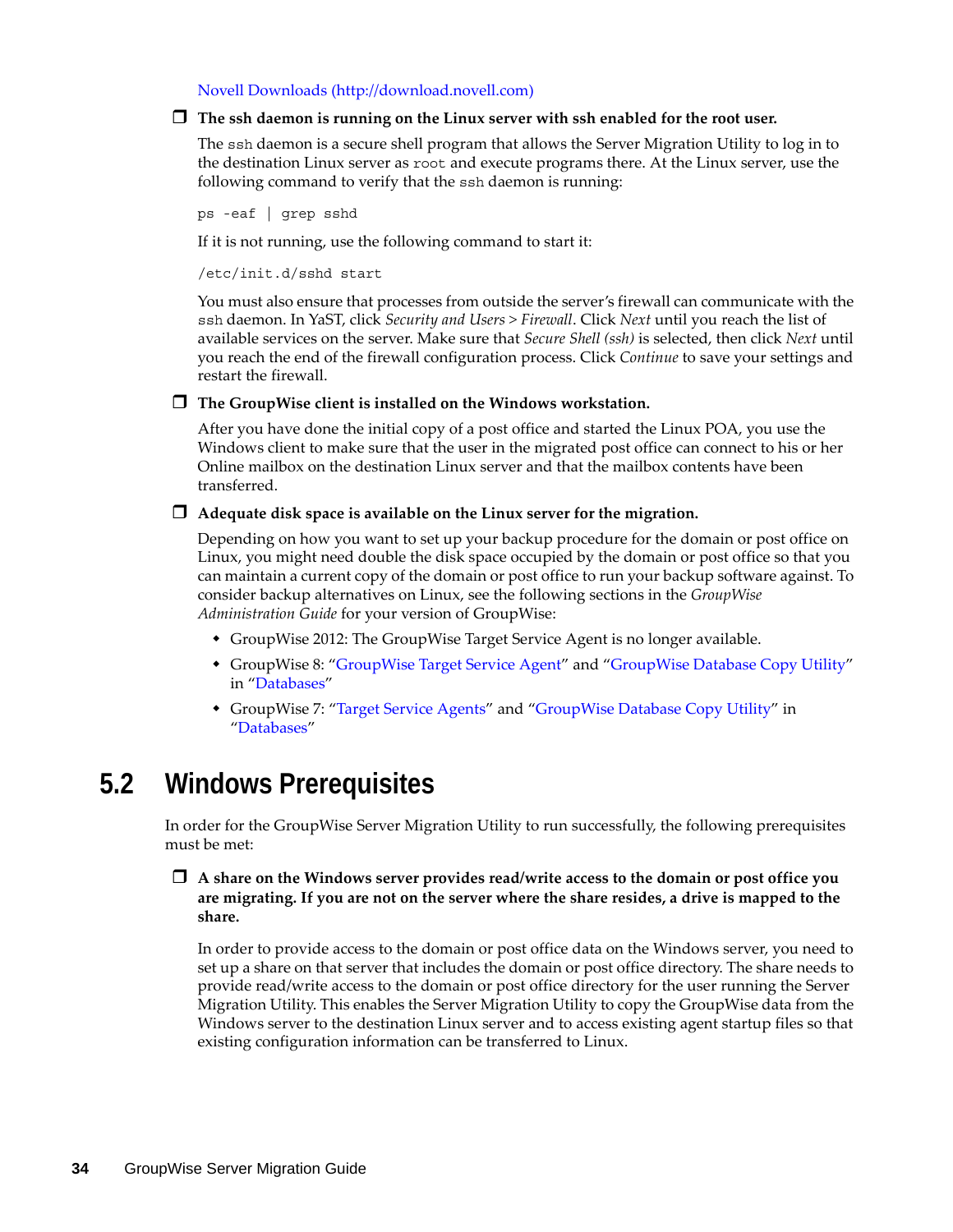[Novell Downloads](http://download.novell.com) (http://download.novell.com)

### **The ssh daemon is running on the Linux server with ssh enabled for the root user.**

The ssh daemon is a secure shell program that allows the Server Migration Utility to log in to the destination Linux server as root and execute programs there. At the Linux server, use the following command to verify that the ssh daemon is running:

ps -eaf | grep sshd

If it is not running, use the following command to start it:

/etc/init.d/sshd start

You must also ensure that processes from outside the server's firewall can communicate with the ssh daemon. In YaST, click *Security and Users > Firewall*. Click *Next* until you reach the list of available services on the server. Make sure that *Secure Shell (ssh)* is selected, then click *Next* until you reach the end of the firewall configuration process. Click *Continue* to save your settings and restart the firewall.

**The GroupWise client is installed on the Windows workstation.** 

After you have done the initial copy of a post office and started the Linux POA, you use the Windows client to make sure that the user in the migrated post office can connect to his or her Online mailbox on the destination Linux server and that the mailbox contents have been transferred.

#### **Adequate disk space is available on the Linux server for the migration.**

Depending on how you want to set up your backup procedure for the domain or post office on Linux, you might need double the disk space occupied by the domain or post office so that you can maintain a current copy of the domain or post office to run your backup software against. To consider backup alternatives on Linux, see the following sections in the *GroupWise Administration Guide* for your version of GroupWise:

- GroupWise 2012: The GroupWise Target Service Agent is no longer available.
- GroupWise 8: "[GroupWise Target Service Agent"](http://www.novell.com/documentation/gw8/pdfdoc/gw8_admin/gw8_admin.pdf#btf0xb0) and ["GroupWise Database Copy Utility"](http://www.novell.com/documentation/gw8/pdfdoc/gw8_admin/gw8_admin.pdf#bqpw8ct) in ["Databases"](http://www.novell.com/documentation/gw8/pdfdoc/gw8_admin/gw8_admin.pdf#A8n802e)
- GroupWise 7: ["Target Service Agents](http://www.novell.com/documentation/gw7/pdfdoc/gw7_admin/gw7_admin.pdf#btf0xb0)" and ["GroupWise Database Copy Utility"](http://www.novell.com/documentation/gw7/pdfdoc/gw7_admin/gw7_admin.pdf#bqpw8ct) in "[Databases"](http://www.novell.com/documentation/gw7/pdfdoc/gw7_admin/gw7_admin.pdf#A8n802e)

# <span id="page-33-0"></span>**5.2 Windows Prerequisites**

In order for the GroupWise Server Migration Utility to run successfully, the following prerequisites must be met:

### **A share on the Windows server provides read/write access to the domain or post office you are migrating. If you are not on the server where the share resides, a drive is mapped to the share.**

In order to provide access to the domain or post office data on the Windows server, you need to set up a share on that server that includes the domain or post office directory. The share needs to provide read/write access to the domain or post office directory for the user running the Server Migration Utility. This enables the Server Migration Utility to copy the GroupWise data from the Windows server to the destination Linux server and to access existing agent startup files so that existing configuration information can be transferred to Linux.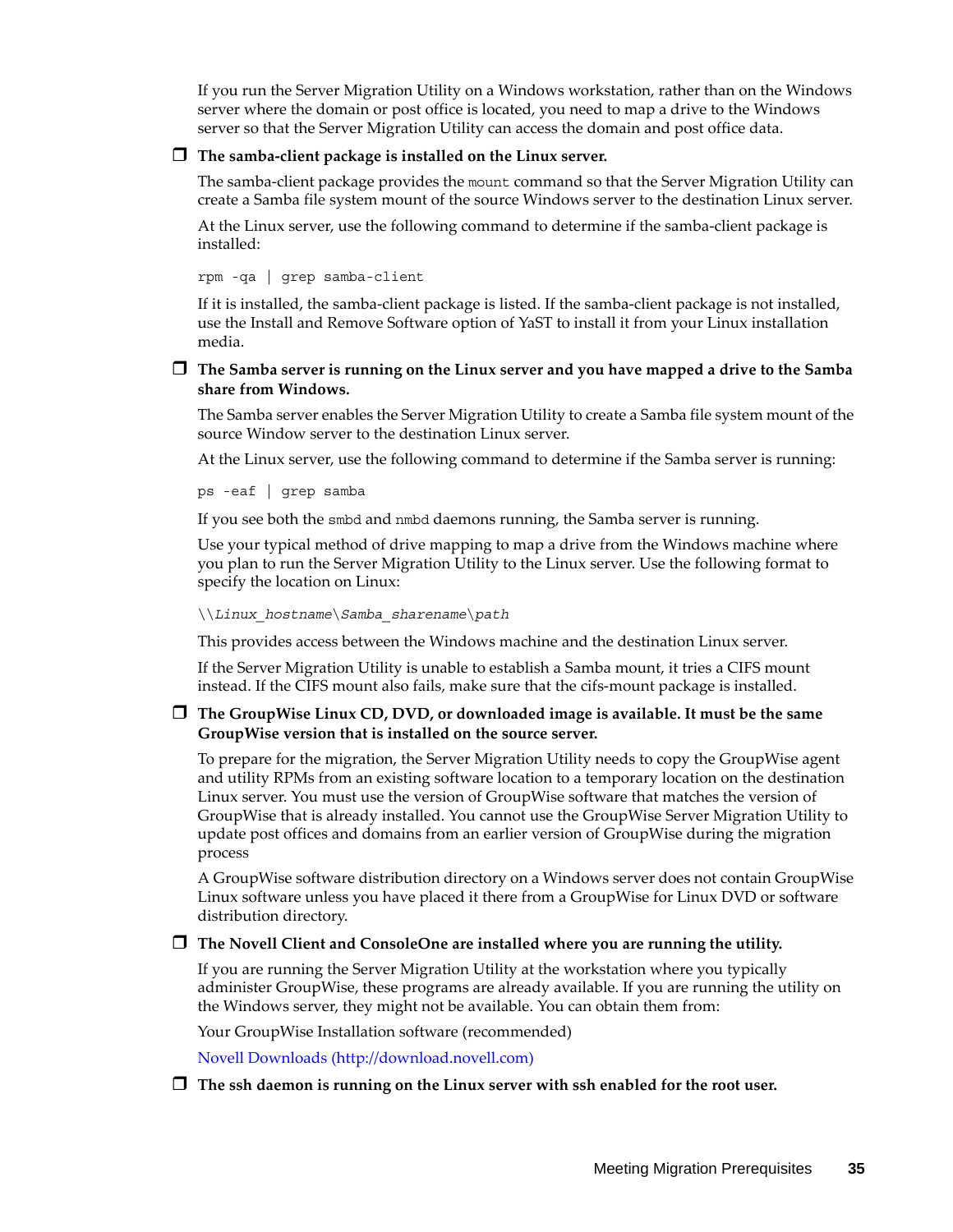If you run the Server Migration Utility on a Windows workstation, rather than on the Windows server where the domain or post office is located, you need to map a drive to the Windows server so that the Server Migration Utility can access the domain and post office data.

#### **The samba-client package is installed on the Linux server.**

The samba-client package provides the mount command so that the Server Migration Utility can create a Samba file system mount of the source Windows server to the destination Linux server.

At the Linux server, use the following command to determine if the samba-client package is installed:

rpm -qa | grep samba-client

If it is installed, the samba-client package is listed. If the samba-client package is not installed, use the Install and Remove Software option of YaST to install it from your Linux installation media.

### **The Samba server is running on the Linux server and you have mapped a drive to the Samba share from Windows.**

The Samba server enables the Server Migration Utility to create a Samba file system mount of the source Window server to the destination Linux server.

At the Linux server, use the following command to determine if the Samba server is running:

ps -eaf | grep samba

If you see both the smbd and nmbd daemons running, the Samba server is running.

Use your typical method of drive mapping to map a drive from the Windows machine where you plan to run the Server Migration Utility to the Linux server. Use the following format to specify the location on Linux:

\\*Linux\_hostname*\*Samba\_sharename*\*path*

This provides access between the Windows machine and the destination Linux server.

If the Server Migration Utility is unable to establish a Samba mount, it tries a CIFS mount instead. If the CIFS mount also fails, make sure that the cifs-mount package is installed.

### **The GroupWise Linux CD, DVD, or downloaded image is available. It must be the same GroupWise version that is installed on the source server.**

To prepare for the migration, the Server Migration Utility needs to copy the GroupWise agent and utility RPMs from an existing software location to a temporary location on the destination Linux server. You must use the version of GroupWise software that matches the version of GroupWise that is already installed. You cannot use the GroupWise Server Migration Utility to update post offices and domains from an earlier version of GroupWise during the migration process

A GroupWise software distribution directory on a Windows server does not contain GroupWise Linux software unless you have placed it there from a GroupWise for Linux DVD or software distribution directory.

#### **The Novell Client and ConsoleOne are installed where you are running the utility.**

If you are running the Server Migration Utility at the workstation where you typically administer GroupWise, these programs are already available. If you are running the utility on the Windows server, they might not be available. You can obtain them from:

Your GroupWise Installation software (recommended)

[Novell Downloads](http://download.novell.com) (http://download.novell.com)

### **The ssh daemon is running on the Linux server with ssh enabled for the root user.**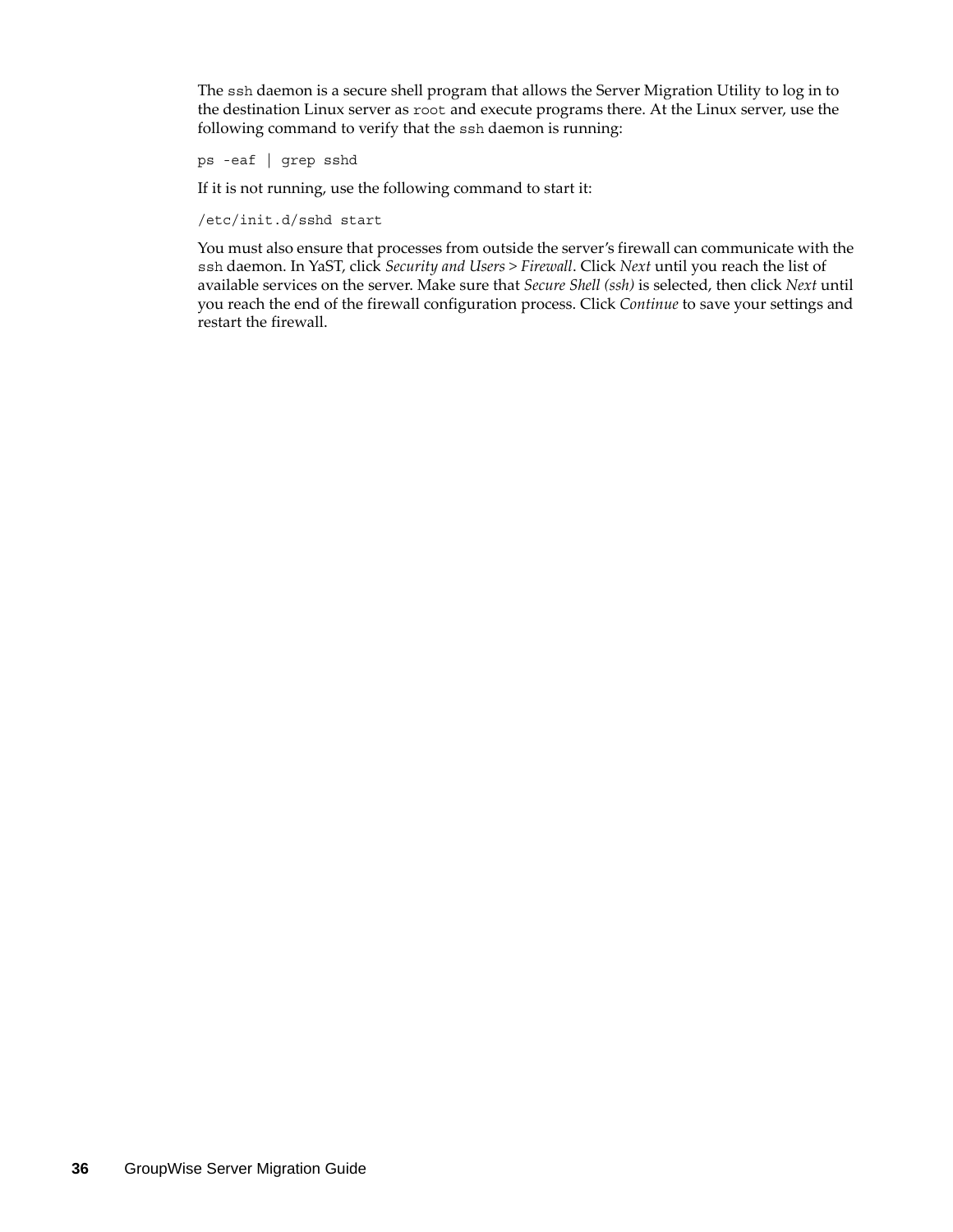The ssh daemon is a secure shell program that allows the Server Migration Utility to log in to the destination Linux server as root and execute programs there. At the Linux server, use the following command to verify that the ssh daemon is running:

ps -eaf | grep sshd

If it is not running, use the following command to start it:

/etc/init.d/sshd start

You must also ensure that processes from outside the server's firewall can communicate with the ssh daemon. In YaST, click *Security and Users > Firewall*. Click *Next* until you reach the list of available services on the server. Make sure that *Secure Shell (ssh)* is selected, then click *Next* until you reach the end of the firewall configuration process. Click *Continue* to save your settings and restart the firewall.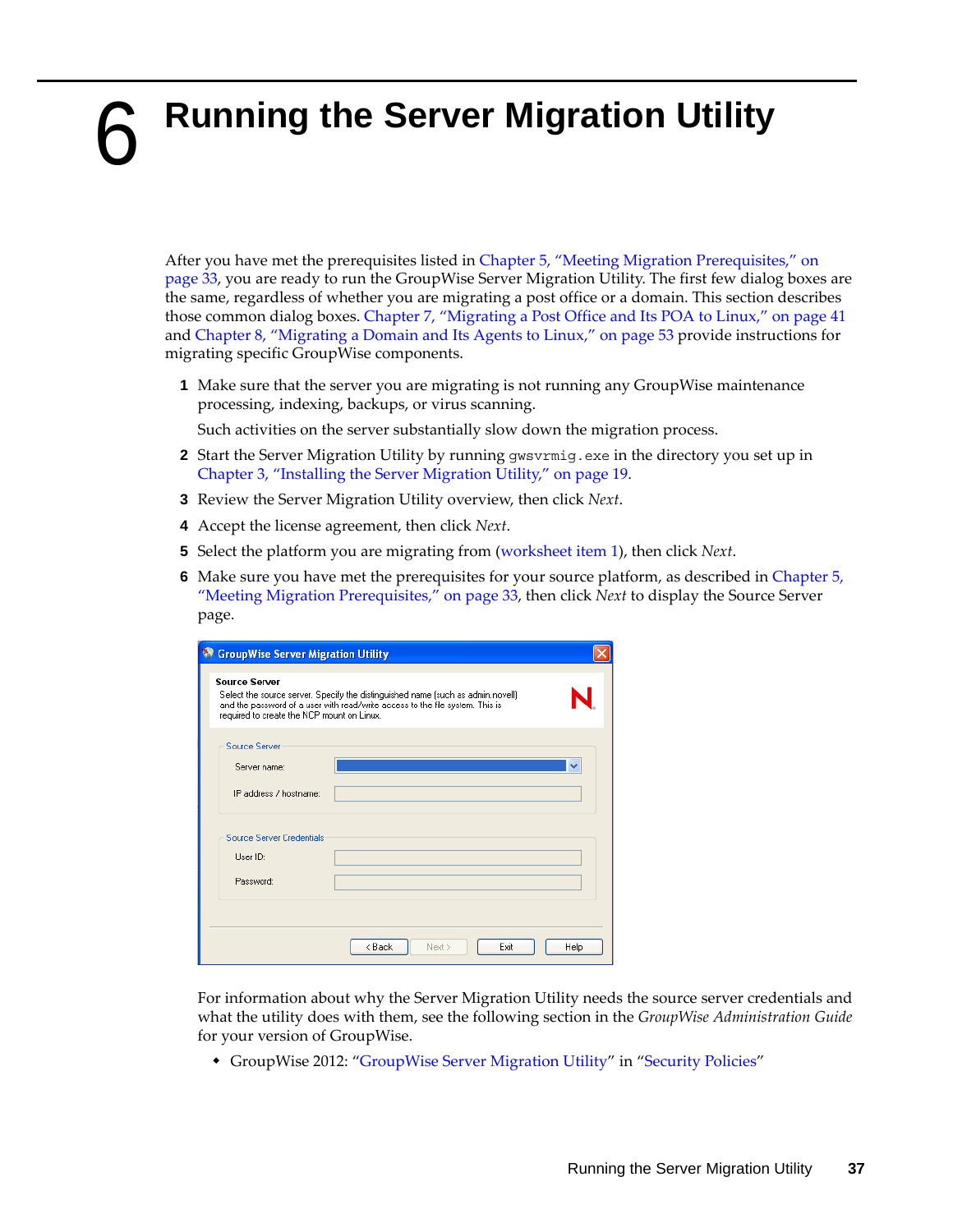# <span id="page-36-0"></span>6 <sup>6</sup>**Running the Server Migration Utility**

After you have met the prerequisites listed in [Chapter 5, "Meeting Migration Prerequisites," on](#page-32-0)  [page 33,](#page-32-0) you are ready to run the GroupWise Server Migration Utility. The first few dialog boxes are the same, regardless of whether you are migrating a post office or a domain. This section describes those common dialog boxes. [Chapter 7, "Migrating a Post Office and Its POA to Linux," on page 41](#page-40-0) and [Chapter 8, "Migrating a Domain and Its Agents to Linux," on page 53](#page-52-0) provide instructions for migrating specific GroupWise components.

**1** Make sure that the server you are migrating is not running any GroupWise maintenance processing, indexing, backups, or virus scanning.

Such activities on the server substantially slow down the migration process.

- **2** Start the Server Migration Utility by running gwsvrmig.exe in the directory you set up in [Chapter 3, "Installing the Server Migration Utility," on page 19.](#page-18-0)
- **3** Review the Server Migration Utility overview, then click *Next*.
- **4** Accept the license agreement, then click *Next*.
- **5** Select the platform you are migrating from ([worksheet item 1\)](#page-20-0), then click *Next*.
- **6** Make sure you have met the prerequisites for your source platform, as described in [Chapter 5,](#page-32-0)  ["Meeting Migration Prerequisites," on page 33,](#page-32-0) then click *Next* to display the Source Server page.

| <b>StroupWise Server Migration Utility</b>                         |                                                                                                                                                                  |      |
|--------------------------------------------------------------------|------------------------------------------------------------------------------------------------------------------------------------------------------------------|------|
| <b>Source Server</b><br>required to create the NCP mount on Linux. | Select the source server. Specify the distinguished name (such as admin.novell)<br>and the password of a user with read/write access to the file system. This is |      |
| <b>Source Server</b>                                               |                                                                                                                                                                  |      |
| Server name:                                                       |                                                                                                                                                                  |      |
| IP address / hostname:                                             |                                                                                                                                                                  |      |
| Source Server Credentials                                          |                                                                                                                                                                  |      |
| Hser ID:                                                           |                                                                                                                                                                  |      |
| Password:                                                          |                                                                                                                                                                  |      |
|                                                                    | < Back<br>Exit<br>Next >                                                                                                                                         | Help |

For information about why the Server Migration Utility needs the source server credentials and what the utility does with them, see the following section in the *GroupWise Administration Guide* for your version of GroupWise.

GroupWise 2012: "GroupWise Server Migration Utility" in "Security Policies"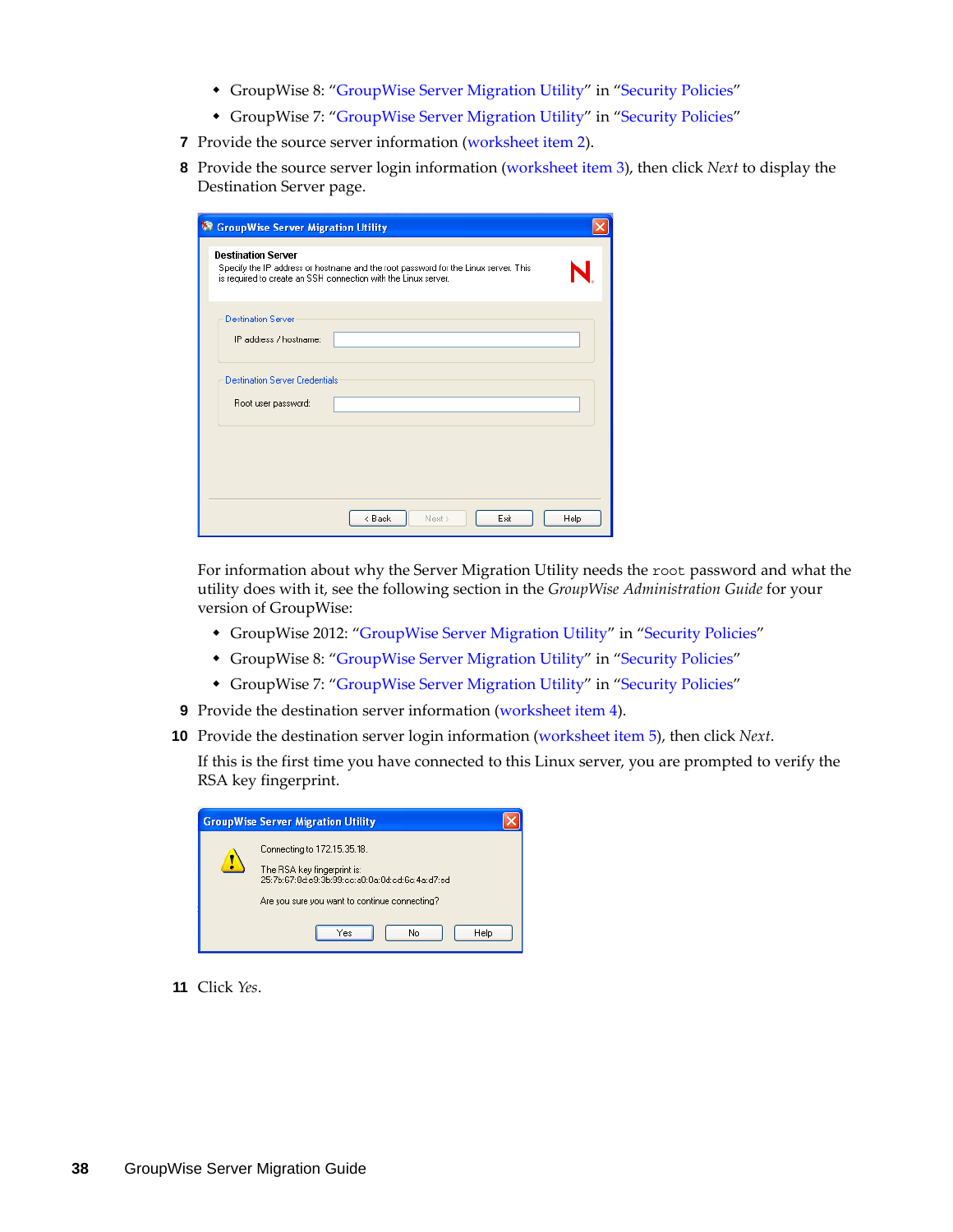- GroupWise 8: ["GroupWise Server Migration Utility"](http://www.novell.com/documentation/gw8/pdfdoc/gw8_admin/gw8_admin.pdf#b6ubew9) in ["Security Policies](http://www.novell.com/documentation/gw8/pdfdoc/gw8_admin/gw8_admin.pdf#bzf85br)"
- GroupWise 7: ["GroupWise Server Migration Utility"](http://www.novell.com/documentation/gw7/pdfdoc/gw7_admin/gw7_admin.pdf#b6ubew9) in ["Security Policies](http://www.novell.com/documentation/gw7/pdfdoc/gw7_admin/gw7_admin.pdf#bzf85br)"
- **7** Provide the source server information (worksheet item 2).
- **8** Provide the source server login information ([worksheet item 3](#page-20-0)), then click *Next* to display the Destination Server page.

| <sup>8</sup> GroupWise Server Migration Utility                                                                                                                                    |      |
|------------------------------------------------------------------------------------------------------------------------------------------------------------------------------------|------|
| <b>Destination Server</b><br>Specify the IP address or hostname and the root password for the Linux server. This<br>is required to create an SSH connection with the Linux server. |      |
| <b>Destination Server</b><br>IP address / hostname:                                                                                                                                |      |
| <b>Destination Server Credentials</b><br>Root user password:                                                                                                                       |      |
|                                                                                                                                                                                    |      |
| < Back<br>Exit<br>Next >                                                                                                                                                           | Help |

For information about why the Server Migration Utility needs the root password and what the utility does with it, see the following section in the *GroupWise Administration Guide* for your version of GroupWise:

- GroupWise 2012: "GroupWise Server Migration Utility" in "Security Policies"
- GroupWise 8: ["GroupWise Server Migration Utility"](http://www.novell.com/documentation/gw8/pdfdoc/gw8_admin/gw8_admin.pdf#b6ubew9) in ["Security Policies](http://www.novell.com/documentation/gw8/pdfdoc/gw8_admin/gw8_admin.pdf#bzf85br)"
- GroupWise 7: ["GroupWise Server Migration Utility"](http://www.novell.com/documentation/gw7/pdfdoc/gw7_admin/gw7_admin.pdf#b6ubew9) in ["Security Policies](http://www.novell.com/documentation/gw7/pdfdoc/gw7_admin/gw7_admin.pdf#bzf85br)"
- **9** Provide the destination server information (worksheet item 4).
- **10** Provide the destination server login information [\(worksheet item 5\)](#page-21-0), then click *Next*.

If this is the first time you have connected to this Linux server, you are prompted to verify the RSA key fingerprint.

| <b>GroupWise Server Migration Utility</b>                                                                                                                                      |
|--------------------------------------------------------------------------------------------------------------------------------------------------------------------------------|
| Connecting to 172.15.35.18.<br>The RSA key fingerprint is:<br>25: Zh: 67: 8d: e9: 3h: 99: ec: a0: 0a: 0d: ed: 6c: 4a: d7: ed.<br>Are you sure you want to continue connecting? |
| <b>Help</b><br>No<br>Yes                                                                                                                                                       |

**11** Click *Yes*.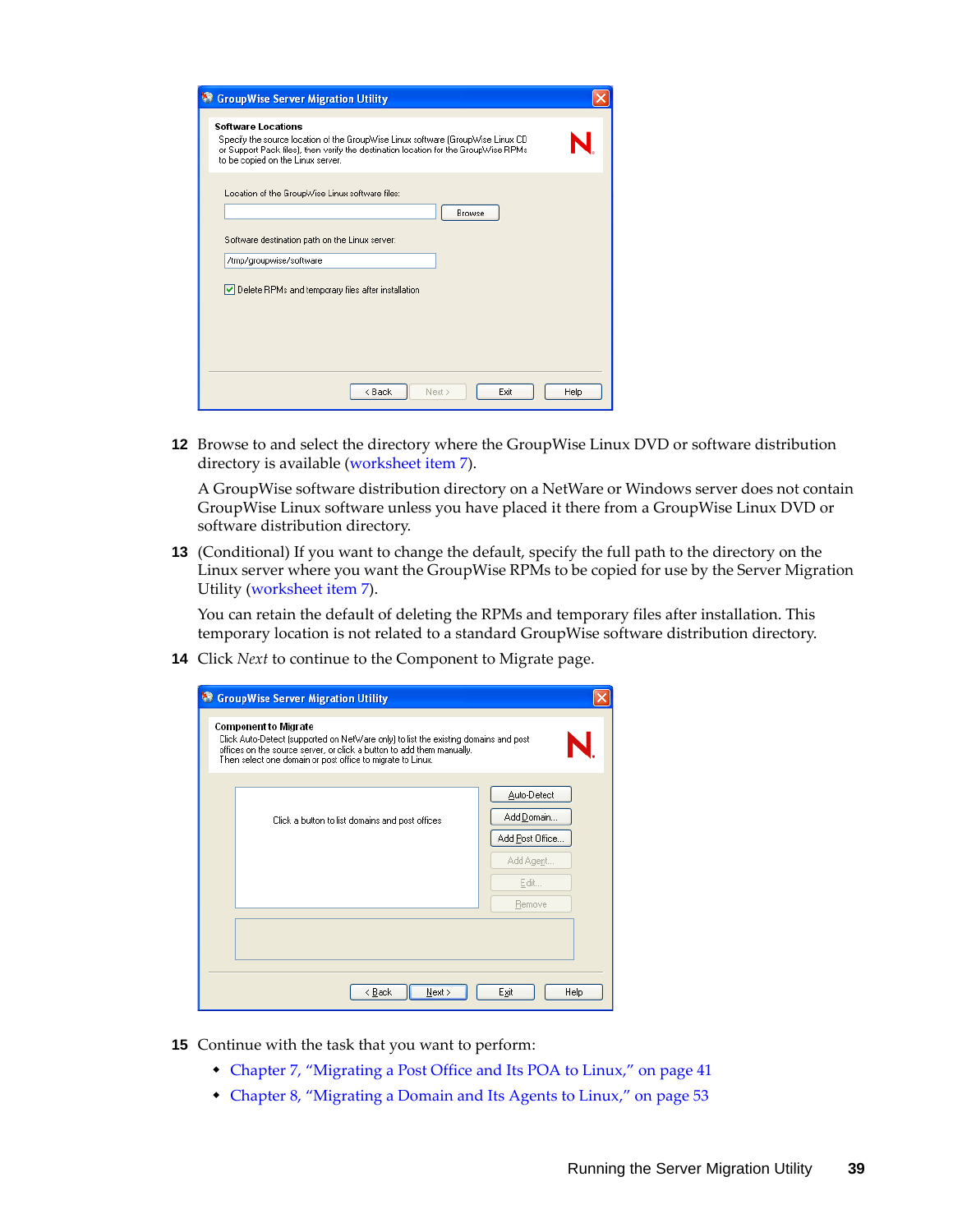| <b>StroupWise Server Migration Utility</b>                                                                                                                                                                                         |      |
|------------------------------------------------------------------------------------------------------------------------------------------------------------------------------------------------------------------------------------|------|
| Software Locations<br>Specify the source location of the GroupWise Linux software (GroupWise Linux CD)<br>or Support Pack files), then verify the destination location for the GroupWise RPMs<br>to be copied on the Linux server. |      |
| Location of the GroupWise Linux software files:<br><b>Browse</b><br>Software destination path on the Linux server:                                                                                                                 |      |
| /tmp/groupwise/software                                                                                                                                                                                                            |      |
| Delete RPMs and temporary files after installation                                                                                                                                                                                 |      |
| < Back<br>Next ><br>Exit                                                                                                                                                                                                           | Help |

**12** Browse to and select the directory where the GroupWise Linux DVD or software distribution directory is available (worksheet item 7).

A GroupWise software distribution directory on a NetWare or Windows server does not contain GroupWise Linux software unless you have placed it there from a GroupWise Linux DVD or software distribution directory.

**13** (Conditional) If you want to change the default, specify the full path to the directory on the Linux server where you want the GroupWise RPMs to be copied for use by the Server Migration Utility (worksheet item 7).

You can retain the default of deleting the RPMs and temporary files after installation. This temporary location is not related to a standard GroupWise software distribution directory.

**14** Click *Next* to continue to the Component to Migrate page.

| <b>StroupWise Server Migration Utility</b>                                                                                                                                                                                                                |                 |
|-----------------------------------------------------------------------------------------------------------------------------------------------------------------------------------------------------------------------------------------------------------|-----------------|
| <b>Component to Migrate</b><br>Click Auto-Detect [supported on NetWare only] to list the existing domains and post<br>offices on the source server, or click a button to add them manually.<br>Then select one domain or post office to migrate to Linux. |                 |
|                                                                                                                                                                                                                                                           | Auto-Detect     |
| Click a button to list domains and post offices                                                                                                                                                                                                           | Add Domain      |
|                                                                                                                                                                                                                                                           | Add Post Office |
|                                                                                                                                                                                                                                                           | Add Agent       |
|                                                                                                                                                                                                                                                           | Edit            |
|                                                                                                                                                                                                                                                           | Remove          |
|                                                                                                                                                                                                                                                           |                 |
|                                                                                                                                                                                                                                                           |                 |
| < Back<br>Next >                                                                                                                                                                                                                                          | Exit<br>Help    |

- **15** Continue with the task that you want to perform:
	- [Chapter 7, "Migrating a Post Office and Its POA to Linux," on page 41](#page-40-0)
	- [Chapter 8, "Migrating a Domain and Its Agents to Linux," on page 53](#page-52-0)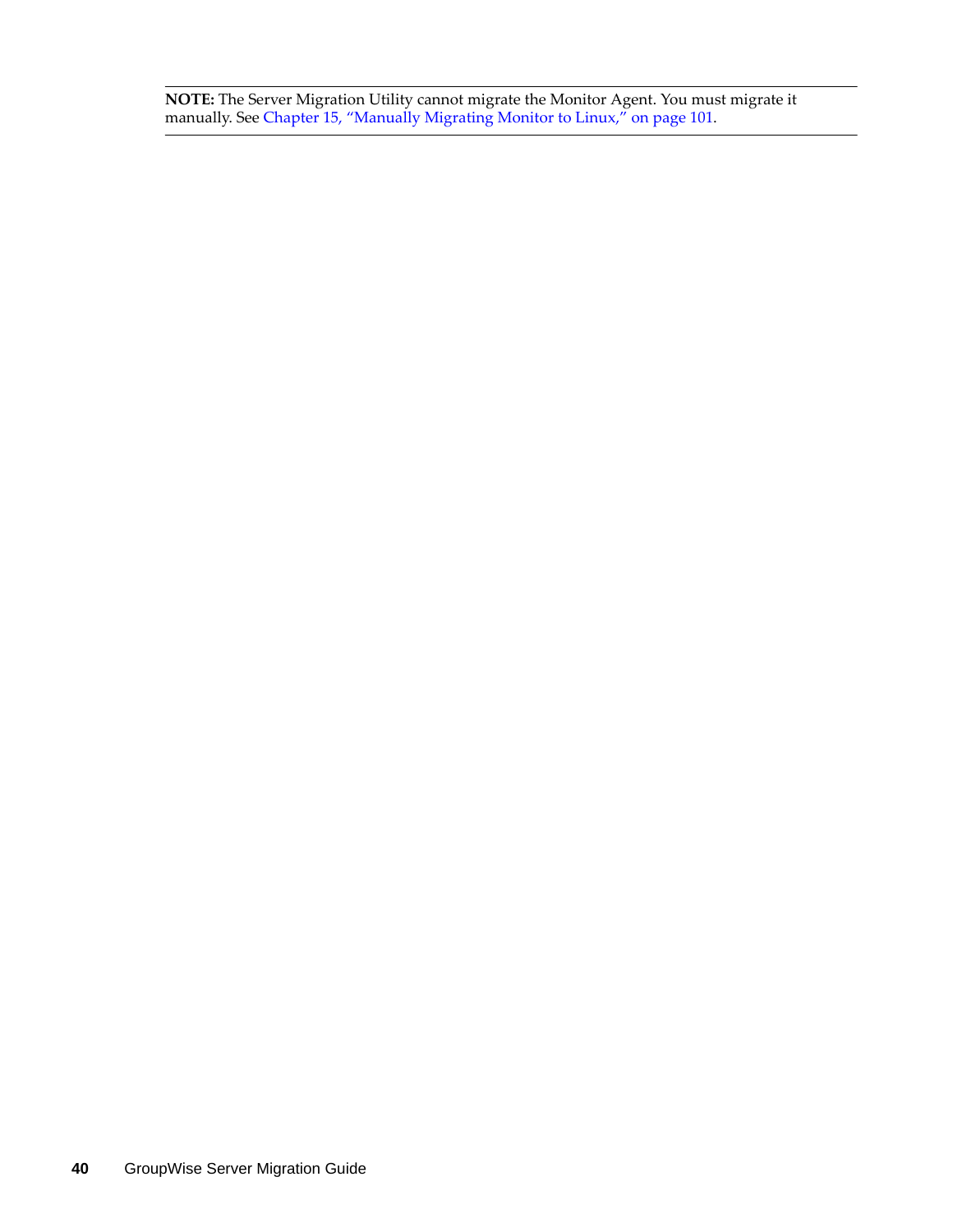**NOTE:** The Server Migration Utility cannot migrate the Monitor Agent. You must migrate it manually. See [Chapter 15, "Manually Migrating Monitor to Linux," on page 101](#page-100-0).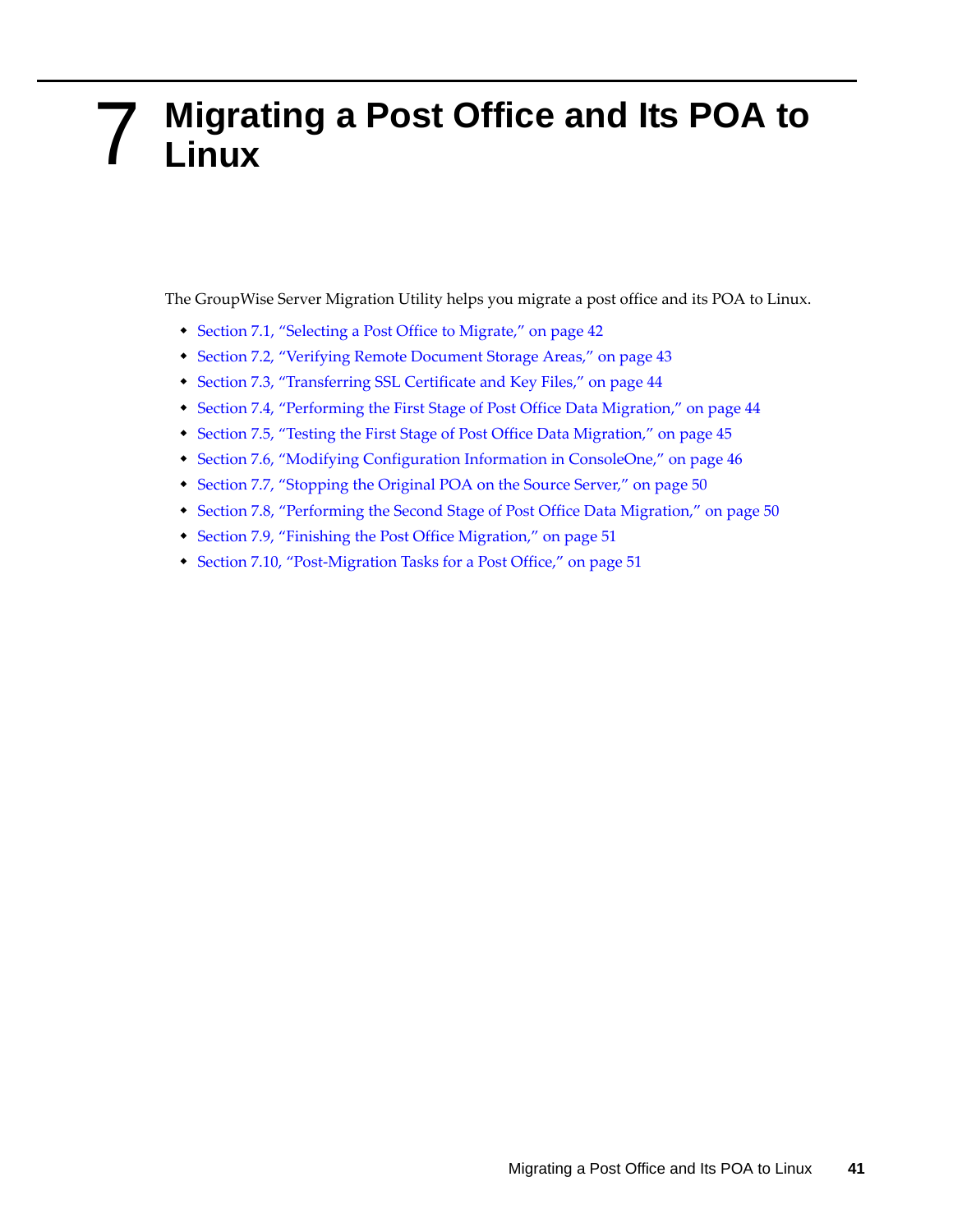## <span id="page-40-0"></span>7 <sup>7</sup>**Migrating a Post Office and Its POA to Linux**

The GroupWise Server Migration Utility helps you migrate a post office and its POA to Linux.

- [Section 7.1, "Selecting a Post Office to Migrate," on page 42](#page-41-0)
- [Section 7.2, "Verifying Remote Document Storage Areas," on page 43](#page-42-0)
- [Section 7.3, "Transferring SSL Certificate and Key Files," on page 44](#page-43-0)
- [Section 7.4, "Performing the First Stage of Post Office Data Migration," on page 44](#page-43-1)
- [Section 7.5, "Testing the First Stage of Post Office Data Migration," on page 45](#page-44-0)
- [Section 7.6, "Modifying Configuration Information in ConsoleOne," on page 46](#page-45-0)
- [Section 7.7, "Stopping the Original POA on the Source Server," on page 50](#page-49-0)
- [Section 7.8, "Performing the Second Stage of Post Office Data Migration," on page 50](#page-49-1)
- [Section 7.9, "Finishing the Post Office Migration," on page 51](#page-50-0)
- [Section 7.10, "Post-Migration Tasks for a Post Office," on page 51](#page-50-1)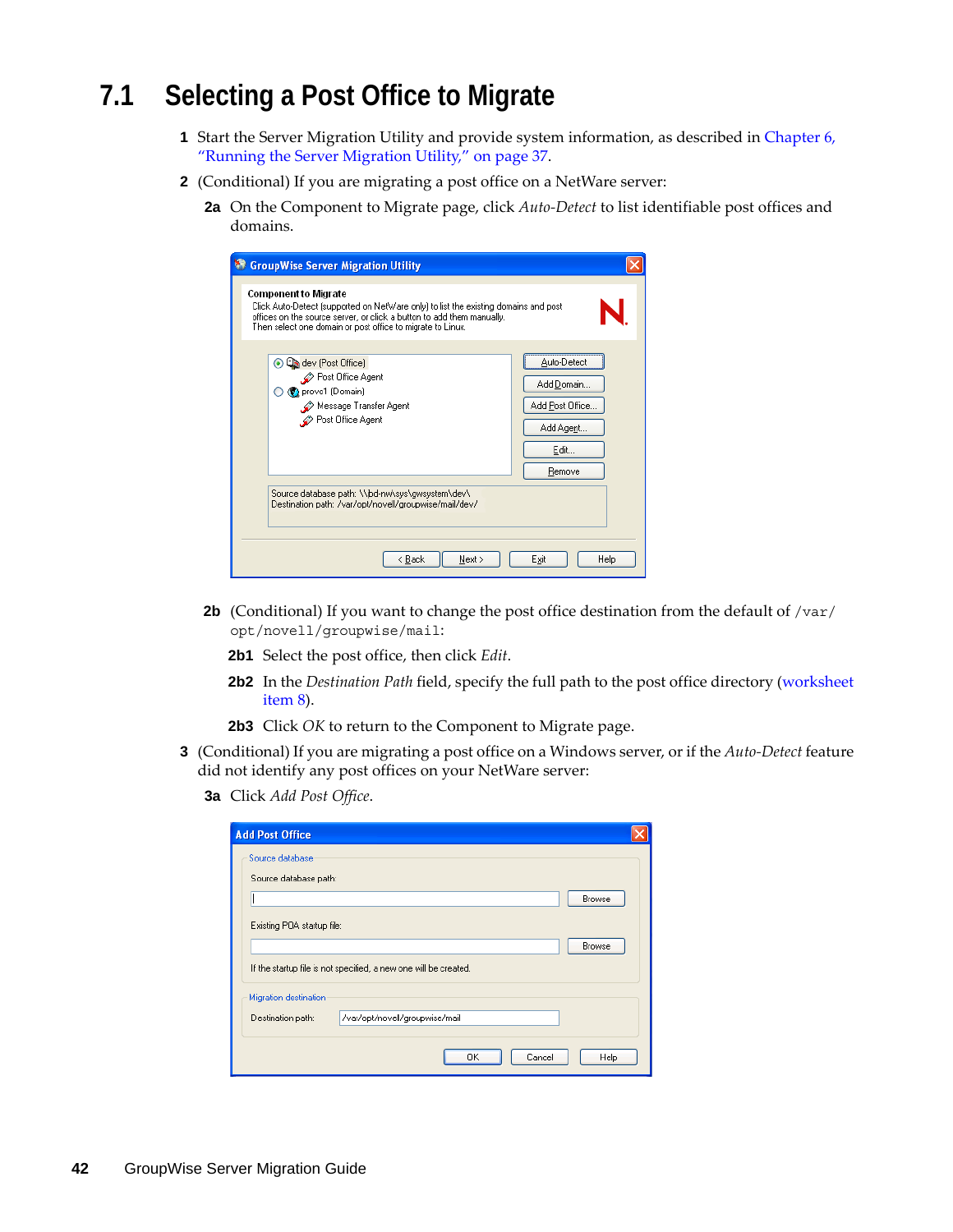# <span id="page-41-0"></span>**7.1 Selecting a Post Office to Migrate**

- **1** Start the Server Migration Utility and provide system information, as described in [Chapter 6,](#page-36-0)  ["Running the Server Migration Utility," on page 37](#page-36-0).
- **2** (Conditional) If you are migrating a post office on a NetWare server:
	- **2a** On the Component to Migrate page, click *Auto-Detect* to list identifiable post offices and domains.

| <b>GroupWise Server Migration Utility</b><br><b>Component to Migrate</b><br>Click Auto-Detect [supported on NetWare only] to list the existing domains and post<br>offices on the source server, or click a button to add them manually.<br>Then select one domain or post office to migrate to Linux. |                                                                             |
|--------------------------------------------------------------------------------------------------------------------------------------------------------------------------------------------------------------------------------------------------------------------------------------------------------|-----------------------------------------------------------------------------|
| ⊙ Ca dev (Post Office)<br>Post Office Agent<br>(C) provo1 (Domain)<br>Message Transfer Agent<br>Post Office Agent                                                                                                                                                                                      | Auto-Detect<br>Add Domain<br>Add Post Office<br>Add Agent<br>Edit<br>Remove |
| Source database path: \\jbd-nw\sys\gwsystem\dev\<br>Destination path: /var/opt/novell/groupwise/mail/dev/                                                                                                                                                                                              |                                                                             |
| < Back<br>Next >                                                                                                                                                                                                                                                                                       | Help<br>Exit                                                                |

- **2b** (Conditional) If you want to change the post office destination from the default of /var/ opt/novell/groupwise/mail:
	- **2b1** Select the post office, then click *Edit*.
	- **2b2** In the *Destination Path* field, specify the full path to the post office directory (worksheet item 8).
	- **2b3** Click *OK* to return to the Component to Migrate page.
- **3** (Conditional) If you are migrating a post office on a Windows server, or if the *Auto-Detect* feature did not identify any post offices on your NetWare server:
	- **3a** Click *Add Post Office*.

| <b>Add Post Office</b>     |                                                                  |
|----------------------------|------------------------------------------------------------------|
| Source database            |                                                                  |
| Source database path:      |                                                                  |
|                            | Browse                                                           |
| Existing POA startup file: |                                                                  |
|                            | Browse                                                           |
|                            | If the startup file is not specified, a new one will be created. |
| Migration destination      |                                                                  |
| Destination path:          | /var/opt/novell/groupwise/mail                                   |
|                            | Help<br>OΚ<br>Cancel                                             |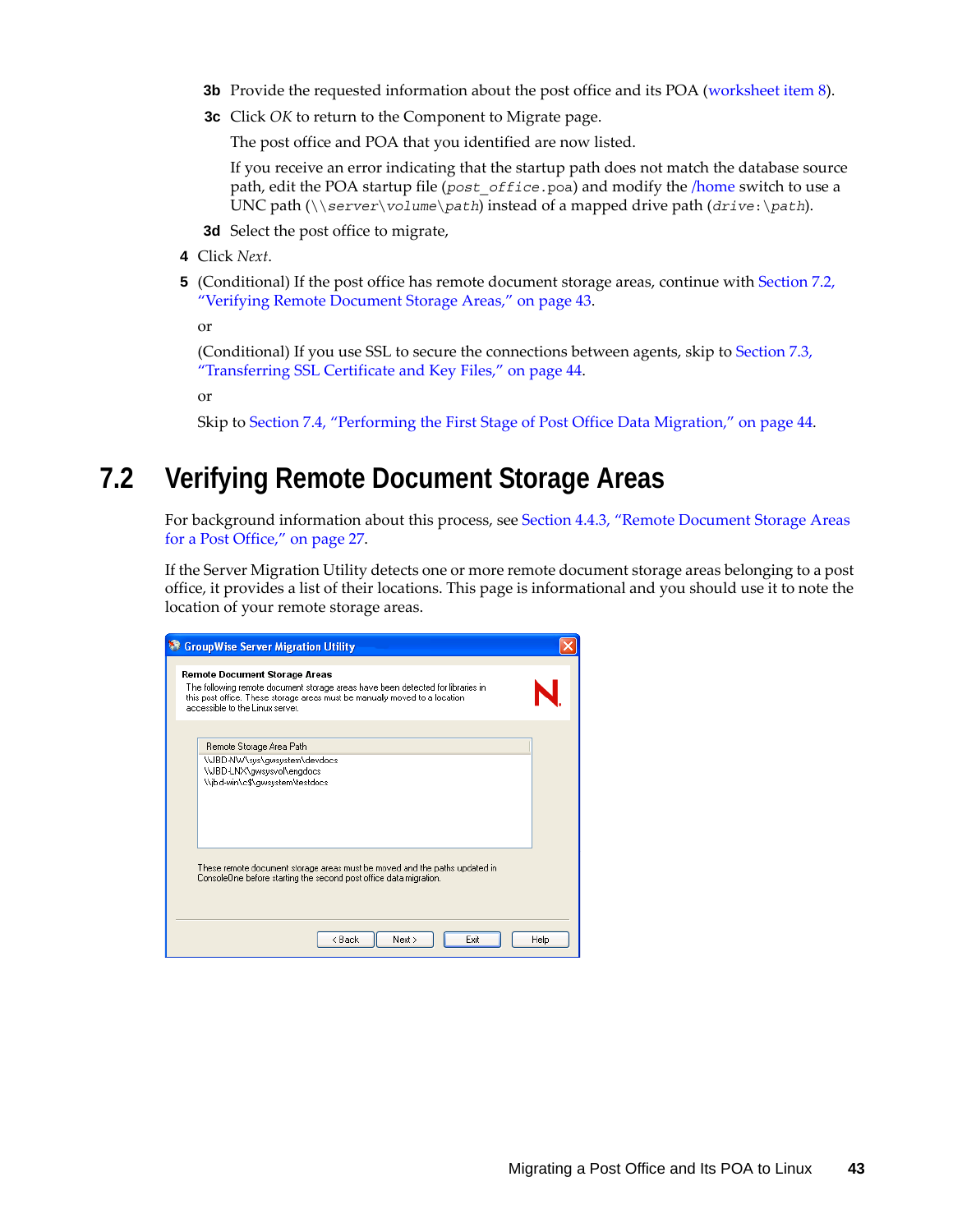- **3b** Provide the requested information about the post office and its POA (worksheet item 8).
- **3c** Click *OK* to return to the Component to Migrate page.

The post office and POA that you identified are now listed.

If you receive an error indicating that the startup path does not match the database source path, edit the POA startup file (*post\_office.*poa) and modify the [/home](http://www.novell.com/documentation/gw7/pdfdoc/gw7_admin/gw7_admin.pdf#Hctg5sgk) switch to use a UNC path (\\*server*\*volume*\*path*) instead of a mapped drive path (*drive*:\*path*).

**3d** Select the post office to migrate,

- **4** Click *Next*.
- **5** (Conditional) If the post office has remote document storage areas, continue with [Section 7.2,](#page-42-0)  ["Verifying Remote Document Storage Areas," on page 43](#page-42-0).

or

(Conditional) If you use SSL to secure the connections between agents, skip to [Section 7.3,](#page-43-0)  ["Transferring SSL Certificate and Key Files," on page 44](#page-43-0).

or

Skip to [Section 7.4, "Performing the First Stage of Post Office Data Migration," on page 44](#page-43-1).

## <span id="page-42-0"></span>**7.2 Verifying Remote Document Storage Areas**

For background information about this process, see [Section 4.4.3, "Remote Document Storage Areas](#page-26-0)  [for a Post Office," on page 27](#page-26-0).

If the Server Migration Utility detects one or more remote document storage areas belonging to a post office, it provides a list of their locations. This page is informational and you should use it to note the location of your remote storage areas.

| <b>GroupWise Server Migration Utility</b>                                                                                                                                                                                                |      |
|------------------------------------------------------------------------------------------------------------------------------------------------------------------------------------------------------------------------------------------|------|
| <b>Remote Document Storage Areas</b><br>The following remote document storage areas have been detected for libraries in<br>this post office. These storage areas must be manually moved to a location<br>accessible to the Linux server. |      |
| Remote Storage Area Path<br>\\JBD-NW\sys\gwsystem\devdocs<br>\\JBD-LNX\gwsysvol\engdocs<br>\\jbd-win\c\$\gwsystem\testdocs                                                                                                               |      |
| These remote document storage areas must be moved and the paths updated in<br>ConsoleOne before starting the second post office data migration.                                                                                          |      |
| < Back<br>Next ><br>Exit                                                                                                                                                                                                                 | Help |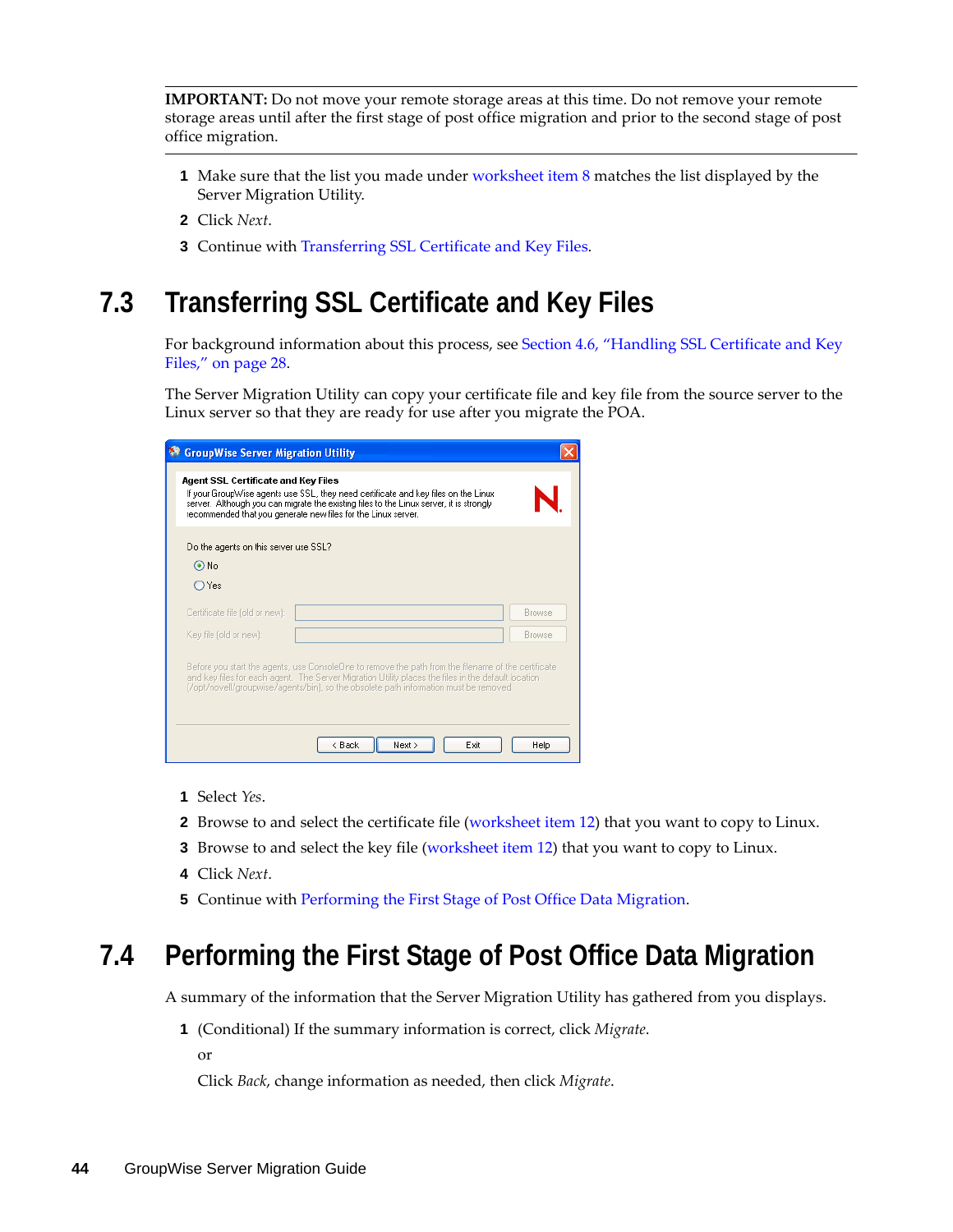**IMPORTANT:** Do not move your remote storage areas at this time. Do not remove your remote storage areas until after the first stage of post office migration and prior to the second stage of post office migration.

- **1** Make sure that the list you made under worksheet item 8 matches the list displayed by the Server Migration Utility.
- **2** Click *Next*.
- **3** Continue with [Transferring SSL Certificate and Key Files.](#page-43-0)

# <span id="page-43-0"></span>**7.3 Transferring SSL Certificate and Key Files**

For background information about this process, see [Section 4.6, "Handling SSL Certificate and Key](#page-27-0)  [Files," on page 28](#page-27-0).

The Server Migration Utility can copy your certificate file and key file from the source server to the Linux server so that they are ready for use after you migrate the POA.

| <b>GroupWise Server Migration Utility</b> |                                                                                                                                                                                                                                                                                                                                 |               |
|-------------------------------------------|---------------------------------------------------------------------------------------------------------------------------------------------------------------------------------------------------------------------------------------------------------------------------------------------------------------------------------|---------------|
| Agent SSL Certificate and Key Files       | If your GroupWise agents use SSL, they need certificate and key files on the Linux<br>server. Although you can migrate the existing files to the Linux server, it is strongly<br>recommended that you generate new files for the Linux server.                                                                                  |               |
| Do the agents on this server use SSL?     |                                                                                                                                                                                                                                                                                                                                 |               |
| $\odot$ No                                |                                                                                                                                                                                                                                                                                                                                 |               |
| OYes                                      |                                                                                                                                                                                                                                                                                                                                 |               |
| Certificate file (old or new):            |                                                                                                                                                                                                                                                                                                                                 | <b>Browse</b> |
| Key file (old or new):                    |                                                                                                                                                                                                                                                                                                                                 | <b>Browse</b> |
|                                           | Before you start the agents, use ConsoleOne to remove the path from the filename of the certificate<br>and key files for each agent. The Server Migration Utility places the files in the default location<br>(/opt/novell/groupwise/agents/bin), so the obsolete path information must be removed.<br>Next ><br>< Back<br>Exit | Help          |

- **1** Select *Yes*.
- **2** Browse to and select the certificate file (worksheet item 12) that you want to copy to Linux.
- **3** Browse to and select the key file (worksheet item 12) that you want to copy to Linux.
- **4** Click *Next*.
- **5** Continue with [Performing the First Stage of Post Office Data Migration.](#page-43-1)

## <span id="page-43-1"></span>**7.4 Performing the First Stage of Post Office Data Migration**

A summary of the information that the Server Migration Utility has gathered from you displays.

**1** (Conditional) If the summary information is correct, click *Migrate*.

or

Click *Back*, change information as needed, then click *Migrate*.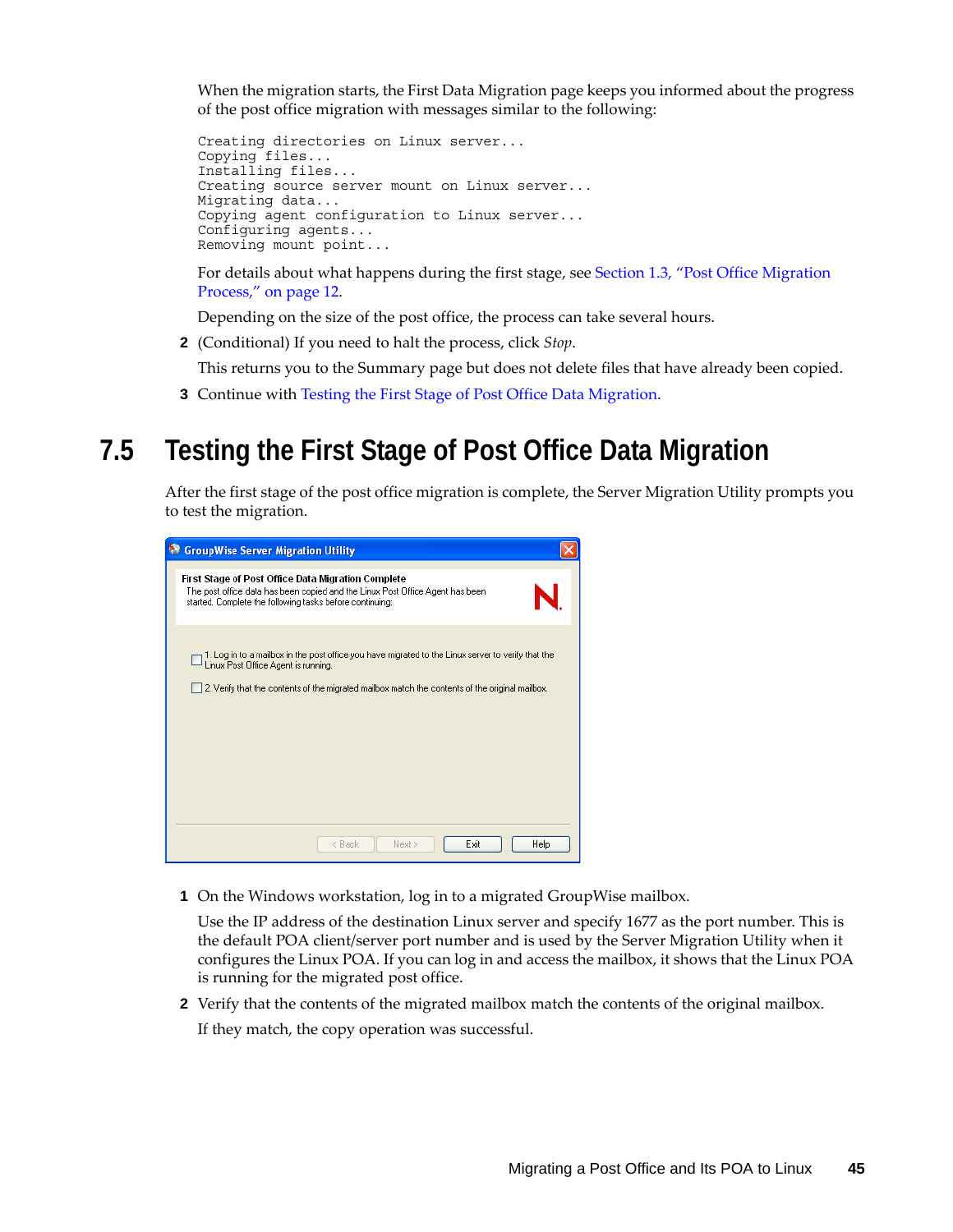When the migration starts, the First Data Migration page keeps you informed about the progress of the post office migration with messages similar to the following:

```
Creating directories on Linux server...
Copying files...
Installing files...
Creating source server mount on Linux server...
Migrating data...
Copying agent configuration to Linux server...
Configuring agents...
Removing mount point...
```
For details about what happens during the first stage, see [Section 1.3, "Post Office Migration](#page-11-0)  [Process," on page 12.](#page-11-0)

Depending on the size of the post office, the process can take several hours.

**2** (Conditional) If you need to halt the process, click *Stop*.

This returns you to the Summary page but does not delete files that have already been copied.

**3** Continue with [Testing the First Stage of Post Office Data Migration](#page-44-0).

## <span id="page-44-0"></span>**7.5 Testing the First Stage of Post Office Data Migration**

After the first stage of the post office migration is complete, the Server Migration Utility prompts you to test the migration.

| <sup>8</sup> GroupWise Server Migration Utility                                                                                                                                                                                              |
|----------------------------------------------------------------------------------------------------------------------------------------------------------------------------------------------------------------------------------------------|
| First Stage of Post Office Data Migration Complete<br>The post office data has been copied and the Linux Post Office Agent has been<br>started. Complete the following tasks before continuing:                                              |
| 1. Log in to a mailbox in the post office you have migrated to the Linux server to verify that the<br>Linux Post Office Agent is running.<br>2. Verify that the contents of the migrated mailbox match the contents of the original mailbox. |
|                                                                                                                                                                                                                                              |
| Exit<br>Help<br>< Back<br>Next >                                                                                                                                                                                                             |

**1** On the Windows workstation, log in to a migrated GroupWise mailbox.

Use the IP address of the destination Linux server and specify 1677 as the port number. This is the default POA client/server port number and is used by the Server Migration Utility when it configures the Linux POA. If you can log in and access the mailbox, it shows that the Linux POA is running for the migrated post office.

**2** Verify that the contents of the migrated mailbox match the contents of the original mailbox.

If they match, the copy operation was successful.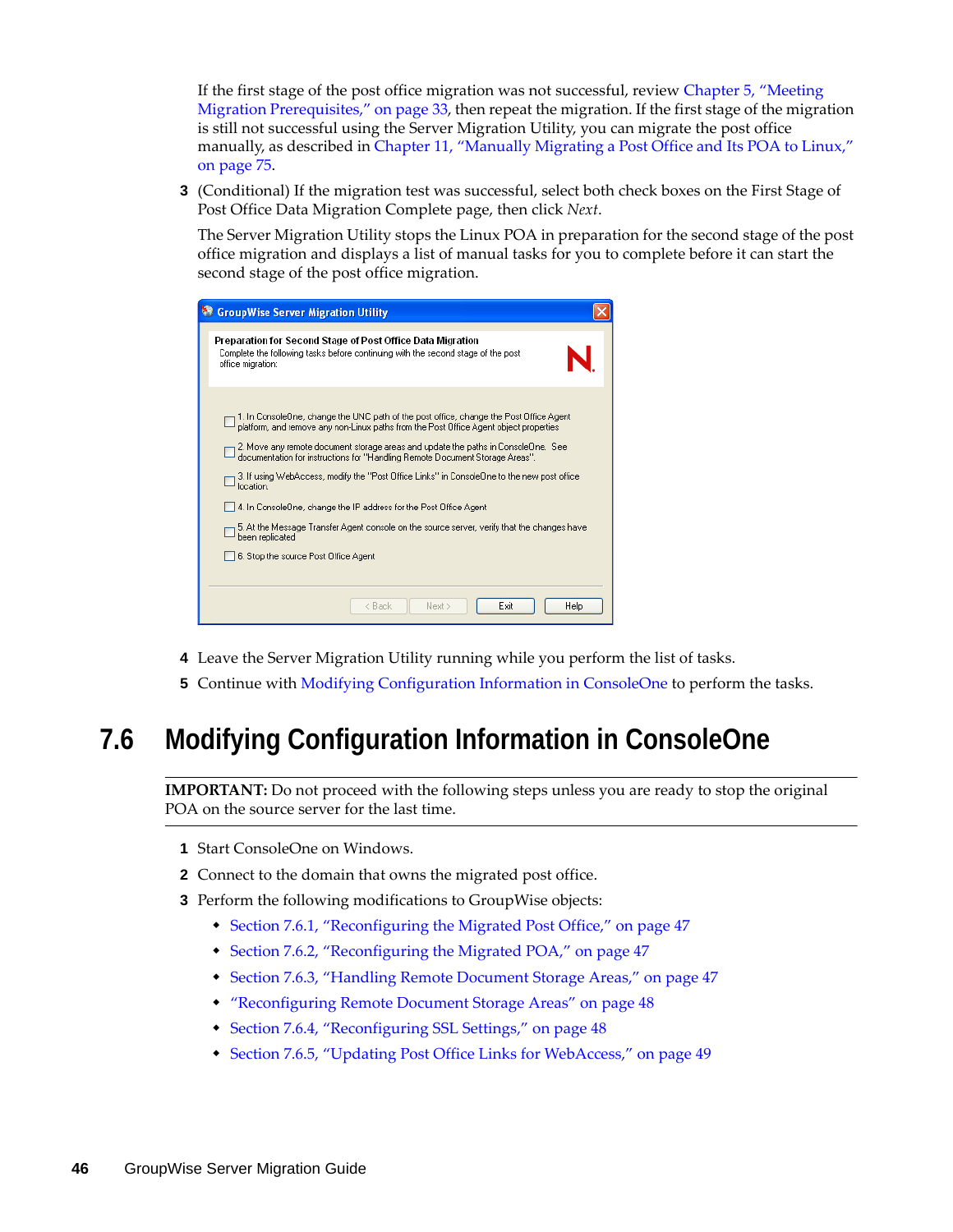If the first stage of the post office migration was not successful, review [Chapter 5, "Meeting](#page-32-0)  [Migration Prerequisites," on page 33,](#page-32-0) then repeat the migration. If the first stage of the migration is still not successful using the Server Migration Utility, you can migrate the post office manually, as described in [Chapter 11, "Manually Migrating a Post Office and Its POA to Linux,"](#page-74-0)  [on page 75.](#page-74-0)

**3** (Conditional) If the migration test was successful, select both check boxes on the First Stage of Post Office Data Migration Complete page, then click *Next*.

The Server Migration Utility stops the Linux POA in preparation for the second stage of the post office migration and displays a list of manual tasks for you to complete before it can start the second stage of the post office migration.

| <b>State CroupWise Server Migration Utility</b>                                                                                                                                                                                                                                                                                                                                                                                                                                                                                                                                                                                                                                                |  |
|------------------------------------------------------------------------------------------------------------------------------------------------------------------------------------------------------------------------------------------------------------------------------------------------------------------------------------------------------------------------------------------------------------------------------------------------------------------------------------------------------------------------------------------------------------------------------------------------------------------------------------------------------------------------------------------------|--|
| Preparation for Second Stage of Post Office Data Migration<br>Complete the following tasks before continuing with the second stage of the post<br>office migration:                                                                                                                                                                                                                                                                                                                                                                                                                                                                                                                            |  |
| 1. In ConsoleOne, change the UNC path of the post office, change the Post Office Agent<br>platform, and remove any non-Linux paths from the Post Office Agent object properties<br>2. Move any remote document storage areas and update the paths in ConsoleOne. See<br>documentation for instructions for "Handling Remote Document Storage Areas".<br>3. If using WebAccess, modify the "Post Office Links" in ConsoleOne to the new post office<br>location.<br>4. In ConsoleOne, change the IP address for the Post Office Agent<br>5. At the Message Transfer Agent console on the source server, verify that the changes have<br>been replicated<br>6. Stop the source Post Office Agent |  |
| Exit<br>< Back<br>Next ><br>Help                                                                                                                                                                                                                                                                                                                                                                                                                                                                                                                                                                                                                                                               |  |

- **4** Leave the Server Migration Utility running while you perform the list of tasks.
- **5** Continue with [Modifying Configuration Information in ConsoleOne](#page-45-0) to perform the tasks.

# <span id="page-45-0"></span>**7.6 Modifying Configuration Information in ConsoleOne**

**IMPORTANT:** Do not proceed with the following steps unless you are ready to stop the original POA on the source server for the last time.

- **1** Start ConsoleOne on Windows.
- **2** Connect to the domain that owns the migrated post office.
- **3** Perform the following modifications to GroupWise objects:
	- [Section 7.6.1, "Reconfiguring the Migrated Post Office," on page 47](#page-46-0)
	- [Section 7.6.2, "Reconfiguring the Migrated POA," on page 47](#page-46-1)
	- [Section 7.6.3, "Handling Remote Document Storage Areas," on page 47](#page-46-2)
	- ["Reconfiguring Remote Document Storage Areas" on page 48](#page-47-0)
	- [Section 7.6.4, "Reconfiguring SSL Settings," on page 48](#page-47-1)
	- [Section 7.6.5, "Updating Post Office Links for WebAccess," on page 49](#page-48-0)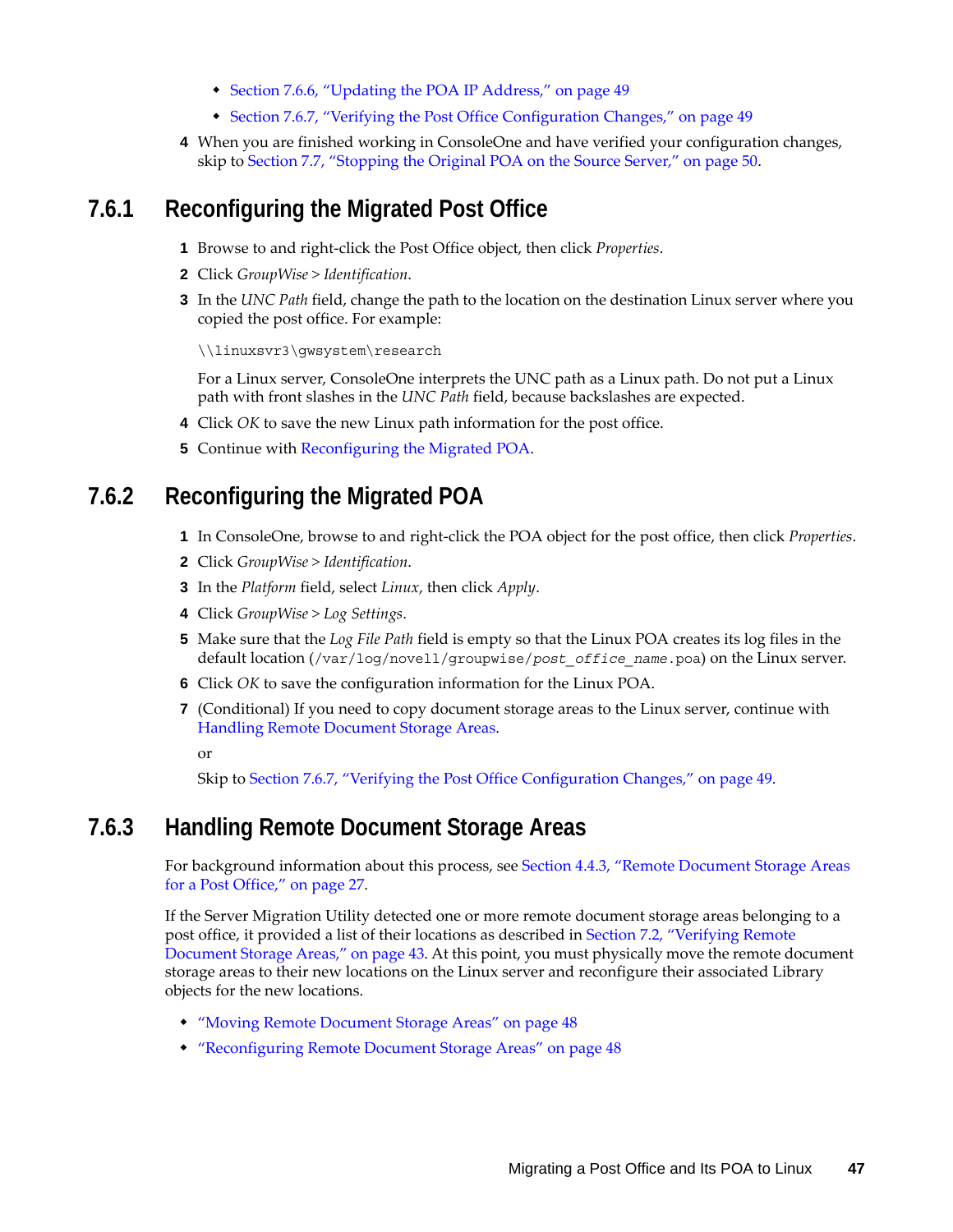- [Section 7.6.6, "Updating the POA IP Address," on page 49](#page-48-1)
- [Section 7.6.7, "Verifying the Post Office Configuration Changes," on page 49](#page-48-2)
- **4** When you are finished working in ConsoleOne and have verified your configuration changes, skip to [Section 7.7, "Stopping the Original POA on the Source Server," on page 50.](#page-49-0)

#### <span id="page-46-0"></span>**7.6.1 Reconfiguring the Migrated Post Office**

- **1** Browse to and right-click the Post Office object, then click *Properties*.
- **2** Click *GroupWise > Identification*.
- **3** In the *UNC Path* field, change the path to the location on the destination Linux server where you copied the post office. For example:

\\linuxsvr3\gwsystem\research

For a Linux server, ConsoleOne interprets the UNC path as a Linux path. Do not put a Linux path with front slashes in the *UNC Path* field, because backslashes are expected.

- **4** Click *OK* to save the new Linux path information for the post office.
- **5** Continue with [Reconfiguring the Migrated POA.](#page-46-1)

#### <span id="page-46-1"></span>**7.6.2 Reconfiguring the Migrated POA**

- **1** In ConsoleOne, browse to and right-click the POA object for the post office, then click *Properties*.
- **2** Click *GroupWise > Identification*.
- **3** In the *Platform* field, select *Linux*, then click *Apply*.
- **4** Click *GroupWise > Log Settings*.
- **5** Make sure that the *Log File Path* field is empty so that the Linux POA creates its log files in the default location (/var/log/novell/groupwise/*post\_office\_name*.poa) on the Linux server.
- **6** Click *OK* to save the configuration information for the Linux POA.
- **7** (Conditional) If you need to copy document storage areas to the Linux server, continue with [Handling Remote Document Storage Areas.](#page-46-2)

or

Skip to [Section 7.6.7, "Verifying the Post Office Configuration Changes," on page 49](#page-48-2).

#### <span id="page-46-2"></span>**7.6.3 Handling Remote Document Storage Areas**

For background information about this process, see [Section 4.4.3, "Remote Document Storage Areas](#page-26-0)  [for a Post Office," on page 27](#page-26-0).

If the Server Migration Utility detected one or more remote document storage areas belonging to a post office, it provided a list of their locations as described in [Section 7.2, "Verifying Remote](#page-42-0)  [Document Storage Areas," on page 43.](#page-42-0) At this point, you must physically move the remote document storage areas to their new locations on the Linux server and reconfigure their associated Library objects for the new locations.

- ["Moving Remote Document Storage Areas" on page 48](#page-47-2)
- ["Reconfiguring Remote Document Storage Areas" on page 48](#page-47-0)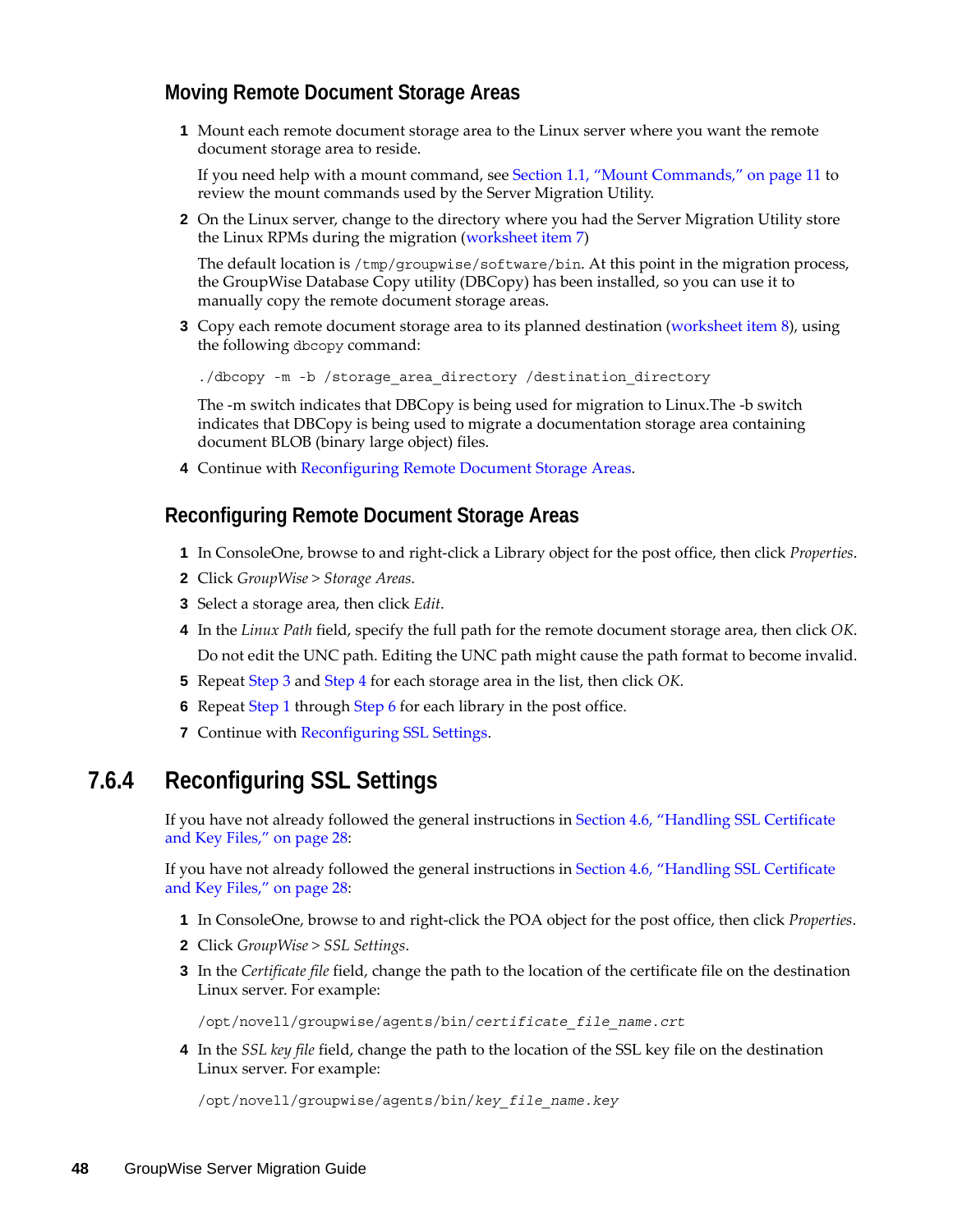#### <span id="page-47-2"></span>**Moving Remote Document Storage Areas**

**1** Mount each remote document storage area to the Linux server where you want the remote document storage area to reside.

If you need help with a mount command, see [Section 1.1, "Mount Commands," on page 11](#page-10-0) to review the mount commands used by the Server Migration Utility.

**2** On the Linux server, change to the directory where you had the Server Migration Utility store the Linux RPMs during the migration (worksheet item 7)

The default location is /tmp/groupwise/software/bin. At this point in the migration process, the GroupWise Database Copy utility (DBCopy) has been installed, so you can use it to manually copy the remote document storage areas.

**3** Copy each remote document storage area to its planned destination [\(worksheet item 8](#page-26-0)), using the following dbcopy command:

./dbcopy -m -b /storage area directory /destination directory

The -m switch indicates that DBCopy is being used for migration to Linux.The -b switch indicates that DBCopy is being used to migrate a documentation storage area containing document BLOB (binary large object) files.

**4** Continue with [Reconfiguring Remote Document Storage Areas.](#page-47-0)

#### <span id="page-47-0"></span>**Reconfiguring Remote Document Storage Areas**

- <span id="page-47-5"></span>**1** In ConsoleOne, browse to and right-click a Library object for the post office, then click *Properties*.
- **2** Click *GroupWise > Storage Areas*.
- <span id="page-47-3"></span>**3** Select a storage area, then click *Edit*.
- <span id="page-47-4"></span>**4** In the *Linux Path* field, specify the full path for the remote document storage area, then click *OK*. Do not edit the UNC path. Editing the UNC path might cause the path format to become invalid.
- **5** Repeat [Step 3](#page-47-3) and [Step 4](#page-47-4) for each storage area in the list, then click *OK*.
- <span id="page-47-6"></span>**6** Repeat [Step 1](#page-47-5) through [Step 6](#page-47-6) for each library in the post office.
- **7** Continue with [Reconfiguring SSL Settings](#page-47-1).

#### <span id="page-47-1"></span>**7.6.4 Reconfiguring SSL Settings**

If you have not already followed the general instructions in [Section 4.6, "Handling SSL Certificate](#page-27-0)  [and Key Files," on page 28:](#page-27-0)

If you have not already followed the general instructions in [Section 4.6, "Handling SSL Certificate](#page-27-0)  [and Key Files," on page 28:](#page-27-0)

- **1** In ConsoleOne, browse to and right-click the POA object for the post office, then click *Properties*.
- **2** Click *GroupWise > SSL Settings*.
- **3** In the *Certificate file* field, change the path to the location of the certificate file on the destination Linux server. For example:

/opt/novell/groupwise/agents/bin/*certificate\_file\_name.crt*

**4** In the *SSL key file* field, change the path to the location of the SSL key file on the destination Linux server. For example:

/opt/novell/groupwise/agents/bin/*key\_file\_name.key*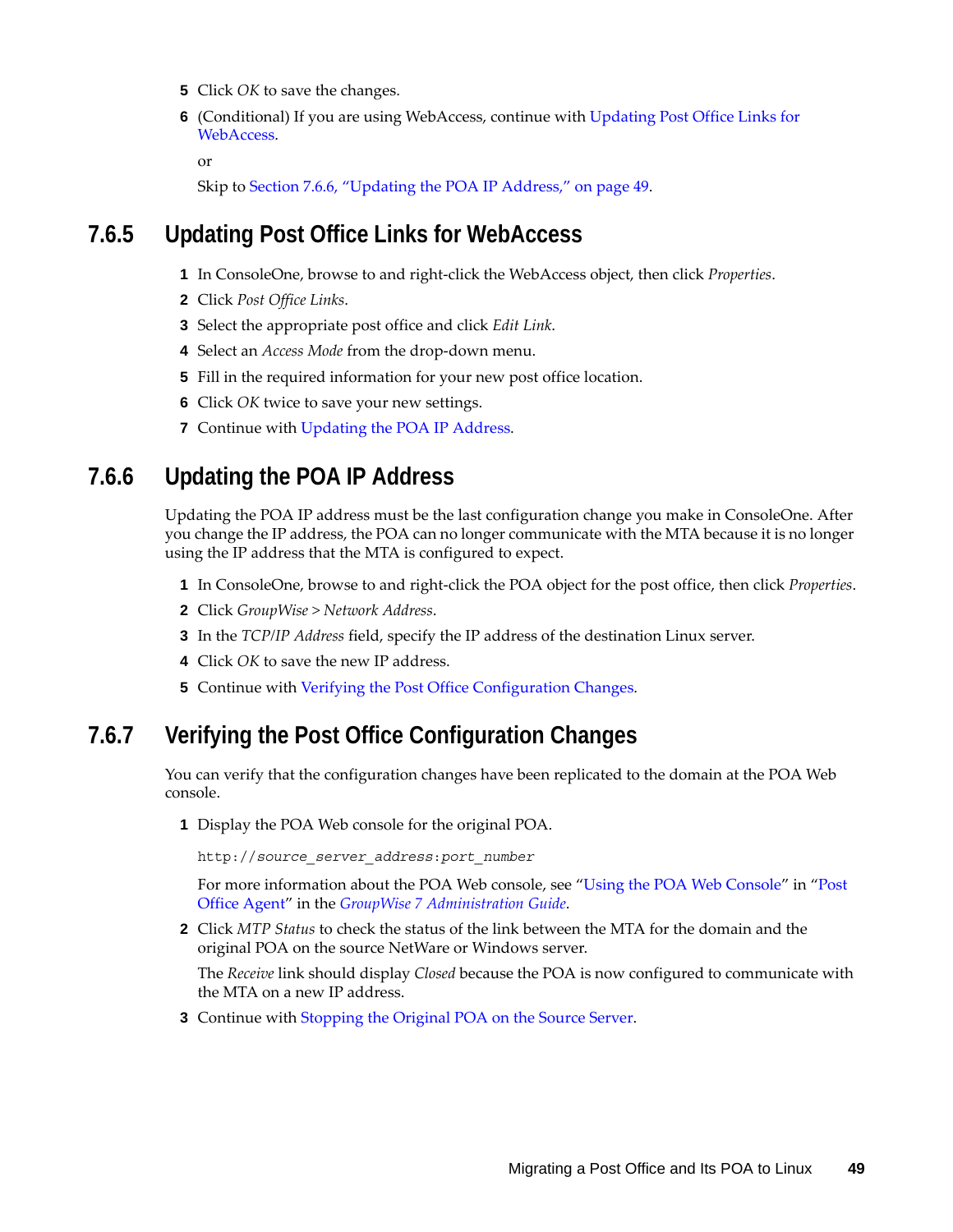- **5** Click *OK* to save the changes.
- **6** (Conditional) If you are using WebAccess, continue with [Updating Post Office Links for](#page-48-0)  [WebAccess.](#page-48-0)

or

Skip to [Section 7.6.6, "Updating the POA IP Address," on page 49](#page-48-1).

#### <span id="page-48-0"></span>**7.6.5 Updating Post Office Links for WebAccess**

- **1** In ConsoleOne, browse to and right-click the WebAccess object, then click *Properties*.
- **2** Click *Post Office Links*.
- **3** Select the appropriate post office and click *Edit Link*.
- **4** Select an *Access Mode* from the drop-down menu.
- **5** Fill in the required information for your new post office location.
- **6** Click *OK* twice to save your new settings.
- **7** Continue with [Updating the POA IP Address](#page-48-1).

### <span id="page-48-1"></span>**7.6.6 Updating the POA IP Address**

Updating the POA IP address must be the last configuration change you make in ConsoleOne. After you change the IP address, the POA can no longer communicate with the MTA because it is no longer using the IP address that the MTA is configured to expect.

- **1** In ConsoleOne, browse to and right-click the POA object for the post office, then click *Properties*.
- **2** Click *GroupWise > Network Address*.
- **3** In the *TCP/IP Address* field, specify the IP address of the destination Linux server.
- **4** Click *OK* to save the new IP address.
- **5** Continue with [Verifying the Post Office Configuration Changes](#page-48-2).

#### <span id="page-48-2"></span>**7.6.7 Verifying the Post Office Configuration Changes**

You can verify that the configuration changes have been replicated to the domain at the POA Web console.

**1** Display the POA Web console for the original POA.

http://*source\_server\_address*:*port\_number*

For more information about the POA Web console, see ["Using the POA Web Console](http://www.novell.com/documentation/gw7/pdfdoc/gw7_admin/gw7_admin.pdf#A7u977y)" in "[Post](http://www.novell.com/documentation/gw7/pdfdoc/gw7_admin/gw7_admin.pdf#A84jmbe)  [Office Agent](http://www.novell.com/documentation/gw7/pdfdoc/gw7_admin/gw7_admin.pdf#A84jmbe)" in the *[GroupWise 7 Administration Guide](http://www.novell.com/documentation/gw7/pdfdoc/gw7_admin/gw7_admin.pdf#A2zvyc4)*.

**2** Click *MTP Status* to check the status of the link between the MTA for the domain and the original POA on the source NetWare or Windows server.

The *Receive* link should display *Closed* because the POA is now configured to communicate with the MTA on a new IP address.

**3** Continue with [Stopping the Original POA on the Source Server.](#page-49-0)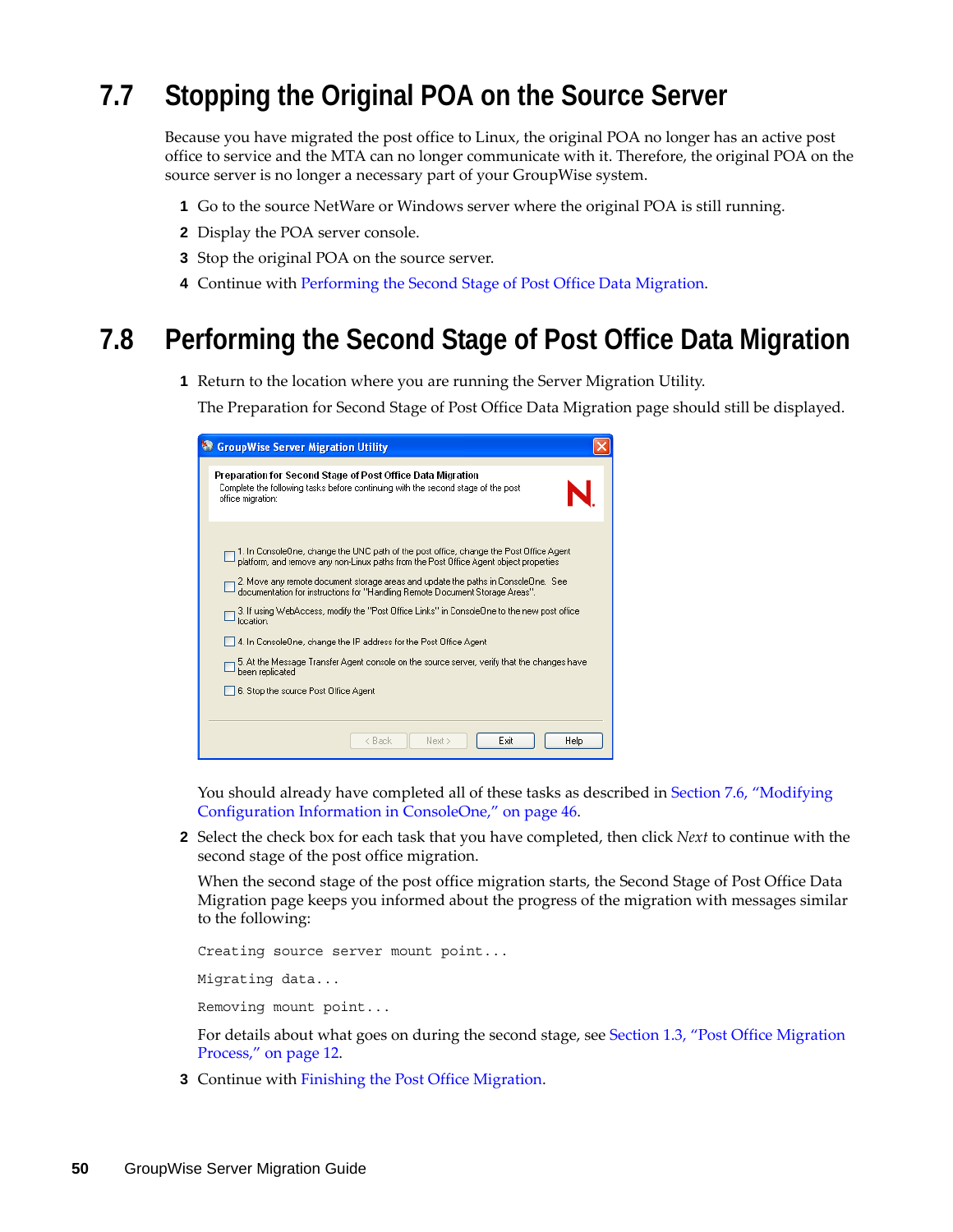# <span id="page-49-0"></span>**7.7 Stopping the Original POA on the Source Server**

Because you have migrated the post office to Linux, the original POA no longer has an active post office to service and the MTA can no longer communicate with it. Therefore, the original POA on the source server is no longer a necessary part of your GroupWise system.

- **1** Go to the source NetWare or Windows server where the original POA is still running.
- **2** Display the POA server console.
- **3** Stop the original POA on the source server.
- **4** Continue with [Performing the Second Stage of Post Office Data Migration.](#page-49-1)

## <span id="page-49-1"></span>**7.8 Performing the Second Stage of Post Office Data Migration**

**1** Return to the location where you are running the Server Migration Utility.

The Preparation for Second Stage of Post Office Data Migration page should still be displayed.

| <b>StroupWise Server Migration Utility</b>                                                                                                                                                                                                                                                                                                                                                                                                                                                                                                                                                                                                                                                     |
|------------------------------------------------------------------------------------------------------------------------------------------------------------------------------------------------------------------------------------------------------------------------------------------------------------------------------------------------------------------------------------------------------------------------------------------------------------------------------------------------------------------------------------------------------------------------------------------------------------------------------------------------------------------------------------------------|
| Preparation for Second Stage of Post Office Data Migration<br>Complete the following tasks before continuing with the second stage of the post<br>office migration:                                                                                                                                                                                                                                                                                                                                                                                                                                                                                                                            |
| 1. In ConsoleOne, change the UNC path of the post office, change the Post Office Agent<br>platform, and remove any non-Linux paths from the Post Office Agent object properties<br>2. Move any remote document storage areas and update the paths in ConsoleOne. See<br>documentation for instructions for "Handling Remote Document Storage Areas".<br>3. If using WebAccess, modify the "Post Office Links" in ConsoleOne to the new post office<br>location.<br>4. In ConsoleOne, change the IP address for the Post Office Agent<br>5. At the Message Transfer Agent console on the source server, verify that the changes have<br>been replicated<br>6. Stop the source Post Office Agent |
| Next ><br>Exit<br>Help<br>< Back                                                                                                                                                                                                                                                                                                                                                                                                                                                                                                                                                                                                                                                               |

You should already have completed all of these tasks as described in [Section 7.6, "Modifying](#page-45-0)  [Configuration Information in ConsoleOne," on page 46.](#page-45-0)

**2** Select the check box for each task that you have completed, then click *Next* to continue with the second stage of the post office migration.

When the second stage of the post office migration starts, the Second Stage of Post Office Data Migration page keeps you informed about the progress of the migration with messages similar to the following:

Creating source server mount point...

Migrating data...

Removing mount point...

For details about what goes on during the second stage, see [Section 1.3, "Post Office Migration](#page-11-0)  [Process," on page 12.](#page-11-0)

**3** Continue with [Finishing the Post Office Migration](#page-50-0).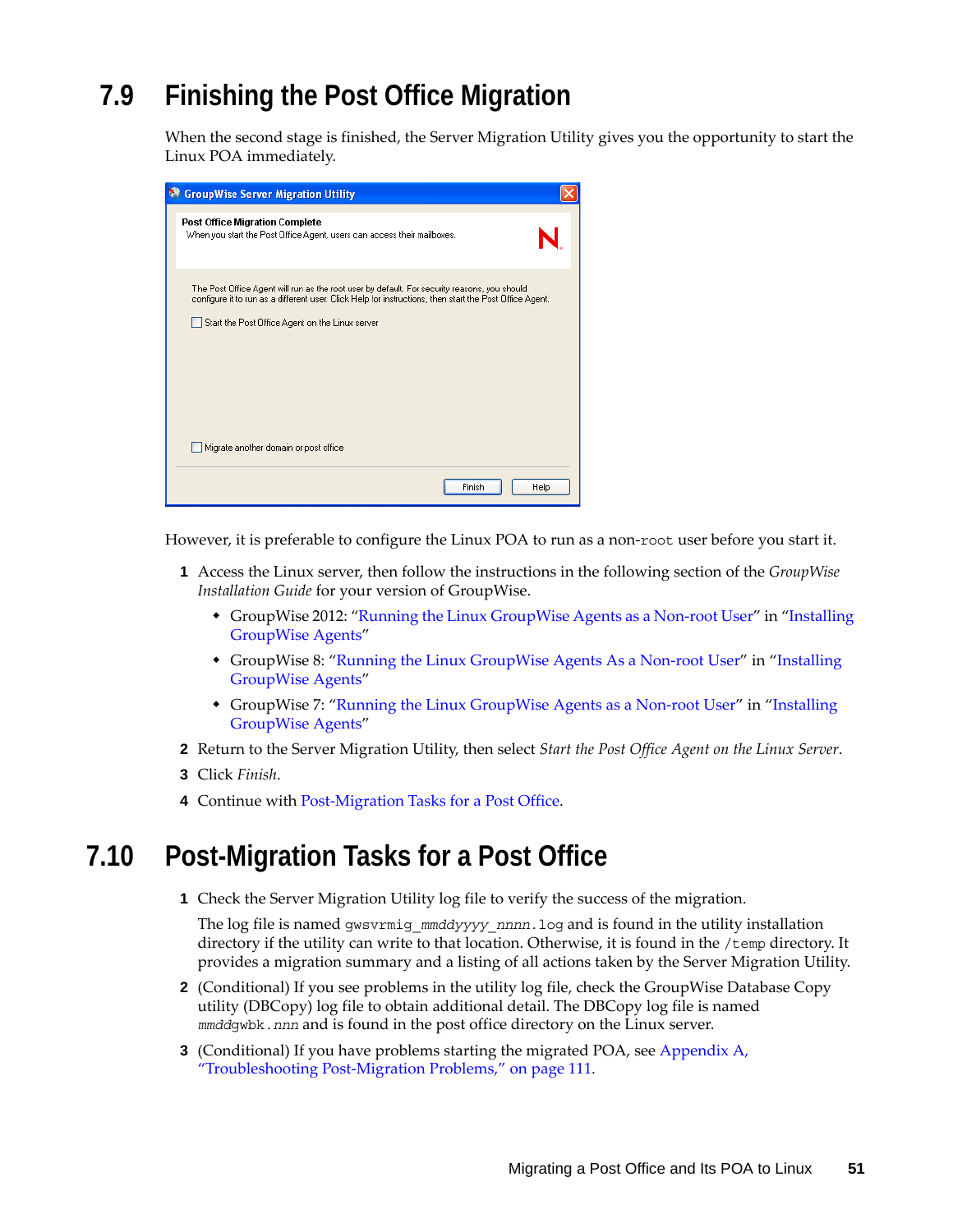# <span id="page-50-0"></span>**7.9 Finishing the Post Office Migration**

When the second stage is finished, the Server Migration Utility gives you the opportunity to start the Linux POA immediately.

| <b>StroupWise Server Migration Utility</b>                                                                                                                                                                                                                 |
|------------------------------------------------------------------------------------------------------------------------------------------------------------------------------------------------------------------------------------------------------------|
| <b>Post Office Migration Complete</b><br>When you start the Post Office Agent, users can access their mailboxes.                                                                                                                                           |
| The Post Office Agent will run as the root user by default. For security reasons, you should<br>configure it to run as a different user. Click Help for instructions, then start the Post Office Agent.<br>Start the Post Office Agent on the Linux server |
|                                                                                                                                                                                                                                                            |
| Migrate another domain or post office                                                                                                                                                                                                                      |
| Finish<br>Help                                                                                                                                                                                                                                             |

However, it is preferable to configure the Linux POA to run as a non-root user before you start it.

- **1** Access the Linux server, then follow the instructions in the following section of the *GroupWise Installation Guide* for your version of GroupWise.
	- GroupWise 2012: "Running the Linux GroupWise Agents as a Non-root User" in "Installing GroupWise Agents"
	- GroupWise 8: ["Running the Linux GroupWise Agents As a Non-root User"](http://www.novell.com/documentation/gw8/pdfdoc/gw8_install/gw8_install.pdf#bw8kalg) in "Installing [GroupWise Agents"](http://www.novell.com/documentation/gw8/pdfdoc/gw8_install/gw8_install.pdf#A8pam03)
	- GroupWise 7: ["Running the Linux GroupWise Agents as a Non-root User"](http://www.novell.com/documentation/gw7/pdfdoc/gw7_install/gw7_install.pdf#bw8kalg) in "Installing [GroupWise Agents"](http://www.novell.com/documentation/gw7/pdfdoc/gw7_install/gw7_install.pdf#A8pam03)
- **2** Return to the Server Migration Utility, then select *Start the Post Office Agent on the Linux Server*.
- **3** Click *Finish*.
- **4** Continue with [Post-Migration Tasks for a Post Office.](#page-50-1)

## <span id="page-50-1"></span>**7.10 Post-Migration Tasks for a Post Office**

**1** Check the Server Migration Utility log file to verify the success of the migration.

The log file is named gwsvrmig\_*mmddyyyy*\_*nnnn*.log and is found in the utility installation directory if the utility can write to that location. Otherwise, it is found in the /temp directory. It provides a migration summary and a listing of all actions taken by the Server Migration Utility.

- **2** (Conditional) If you see problems in the utility log file, check the GroupWise Database Copy utility (DBCopy) log file to obtain additional detail. The DBCopy log file is named *mmdd*gwbk.*nnn* and is found in the post office directory on the Linux server.
- **3** (Conditional) If you have problems starting the migrated POA, see [Appendix A,](#page-110-0)  ["Troubleshooting Post-Migration Problems," on page 111](#page-110-0).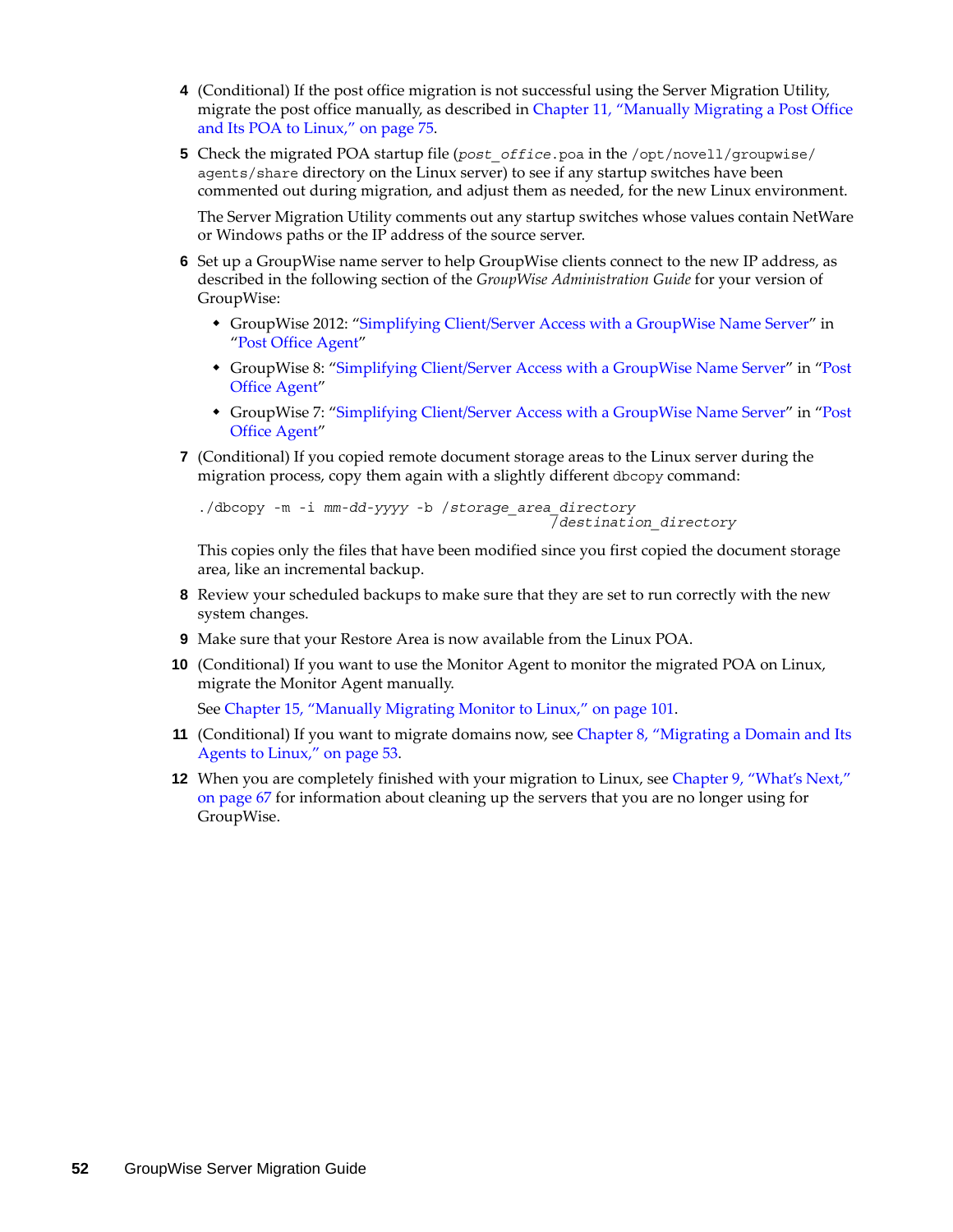- **4** (Conditional) If the post office migration is not successful using the Server Migration Utility, migrate the post office manually, as described in [Chapter 11, "Manually Migrating a Post Office](#page-74-0)  [and Its POA to Linux," on page 75.](#page-74-0)
- **5** Check the migrated POA startup file (*post\_office*.poa in the /opt/novell/groupwise/ agents/share directory on the Linux server) to see if any startup switches have been commented out during migration, and adjust them as needed, for the new Linux environment.

The Server Migration Utility comments out any startup switches whose values contain NetWare or Windows paths or the IP address of the source server.

- **6** Set up a GroupWise name server to help GroupWise clients connect to the new IP address, as described in the following section of the *GroupWise Administration Guide* for your version of GroupWise:
	- GroupWise 2012: "Simplifying Client/Server Access with a GroupWise Name Server" in "Post Office Agent"
	- GroupWise 8: ["Simplifying Client/Server Access with a GroupWise Name Server"](http://www.novell.com/documentation/gw8/pdfdoc/gw8_admin/gw8_admin.pdf#Hmlkfq3d) in "[Post](http://www.novell.com/documentation/gw8/pdfdoc/gw8_admin/gw8_admin.pdf#A84jmbe)  [Office Agent](http://www.novell.com/documentation/gw8/pdfdoc/gw8_admin/gw8_admin.pdf#A84jmbe)"
	- GroupWise 7: ["Simplifying Client/Server Access with a GroupWise Name Server"](http://www.novell.com/documentation/gw7/pdfdoc/gw7_admin/gw7_admin.pdf#Hmlkfq3d) in "[Post](http://www.novell.com/documentation/gw7/pdfdoc/gw7_admin/gw7_admin.pdf#A84jmbe)  [Office Agent](http://www.novell.com/documentation/gw7/pdfdoc/gw7_admin/gw7_admin.pdf#A84jmbe)"
- **7** (Conditional) If you copied remote document storage areas to the Linux server during the migration process, copy them again with a slightly different dbcopy command:

```
./dbcopy -m -i mm-dd-yyyy -b /storage_area_directory
                                           /destination_directory
```
This copies only the files that have been modified since you first copied the document storage area, like an incremental backup.

- **8** Review your scheduled backups to make sure that they are set to run correctly with the new system changes.
- **9** Make sure that your Restore Area is now available from the Linux POA.
- **10** (Conditional) If you want to use the Monitor Agent to monitor the migrated POA on Linux, migrate the Monitor Agent manually.

See [Chapter 15, "Manually Migrating Monitor to Linux," on page 101](#page-100-0).

- **11** (Conditional) If you want to migrate domains now, see [Chapter 8, "Migrating a Domain and Its](#page-52-0)  [Agents to Linux," on page 53.](#page-52-0)
- **12** When you are completely finished with your migration to Linux, see [Chapter 9, "What's Next,"](#page-66-0)  [on page 67](#page-66-0) for information about cleaning up the servers that you are no longer using for GroupWise.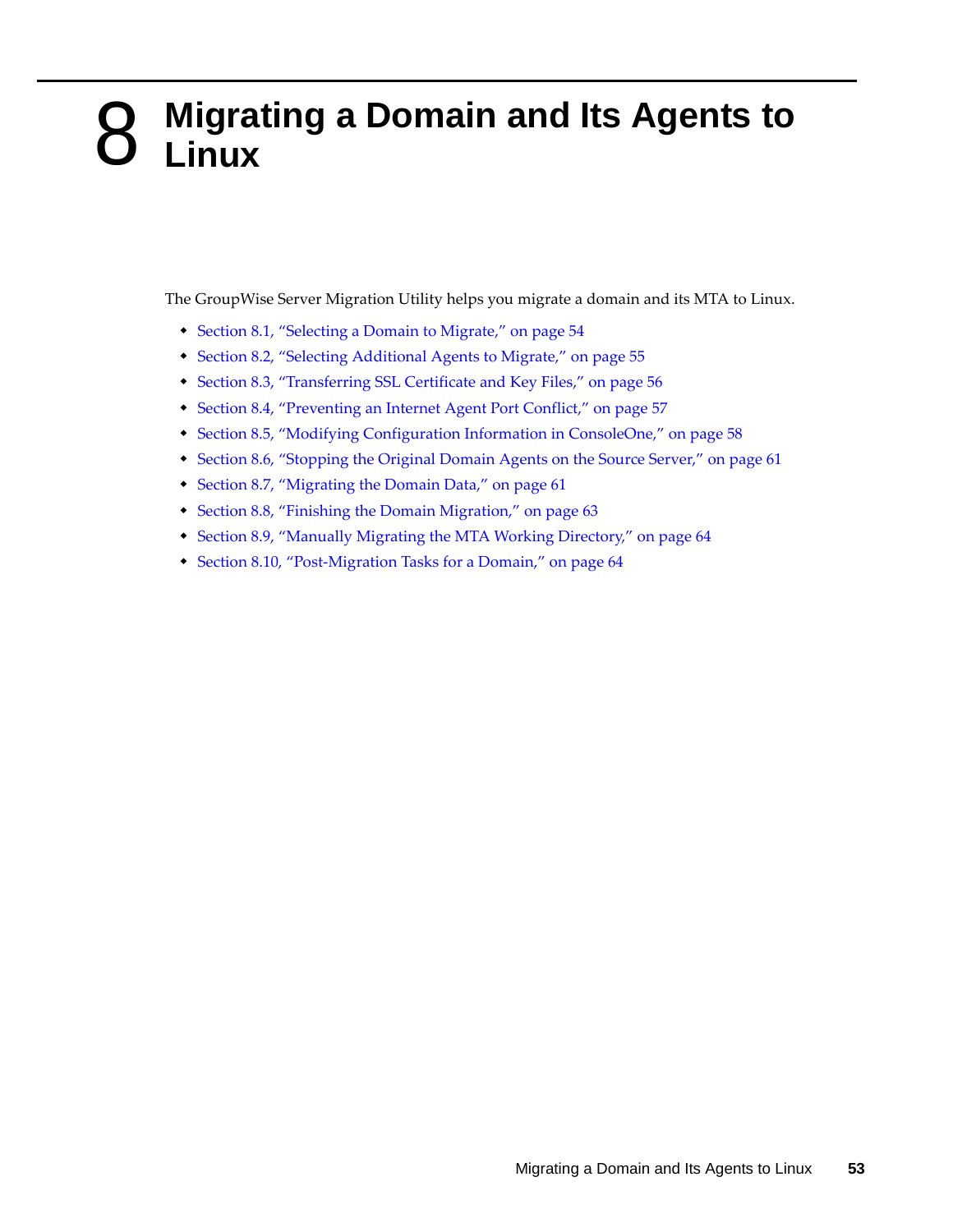## <span id="page-52-0"></span>8 <sup>8</sup>**Migrating a Domain and Its Agents to Linux**

The GroupWise Server Migration Utility helps you migrate a domain and its MTA to Linux.

- [Section 8.1, "Selecting a Domain to Migrate," on page 54](#page-53-0)
- [Section 8.2, "Selecting Additional Agents to Migrate," on page 55](#page-54-0)
- [Section 8.3, "Transferring SSL Certificate and Key Files," on page 56](#page-55-0)
- [Section 8.4, "Preventing an Internet Agent Port Conflict," on page 57](#page-56-0)
- [Section 8.5, "Modifying Configuration Information in ConsoleOne," on page 58](#page-57-0)
- [Section 8.6, "Stopping the Original Domain Agents on the Source Server," on page 61](#page-60-0)
- [Section 8.7, "Migrating the Domain Data," on page 61](#page-60-1)
- [Section 8.8, "Finishing the Domain Migration," on page 63](#page-62-0)
- [Section 8.9, "Manually Migrating the MTA Working Directory," on page 64](#page-63-0)
- [Section 8.10, "Post-Migration Tasks for a Domain," on page 64](#page-63-1)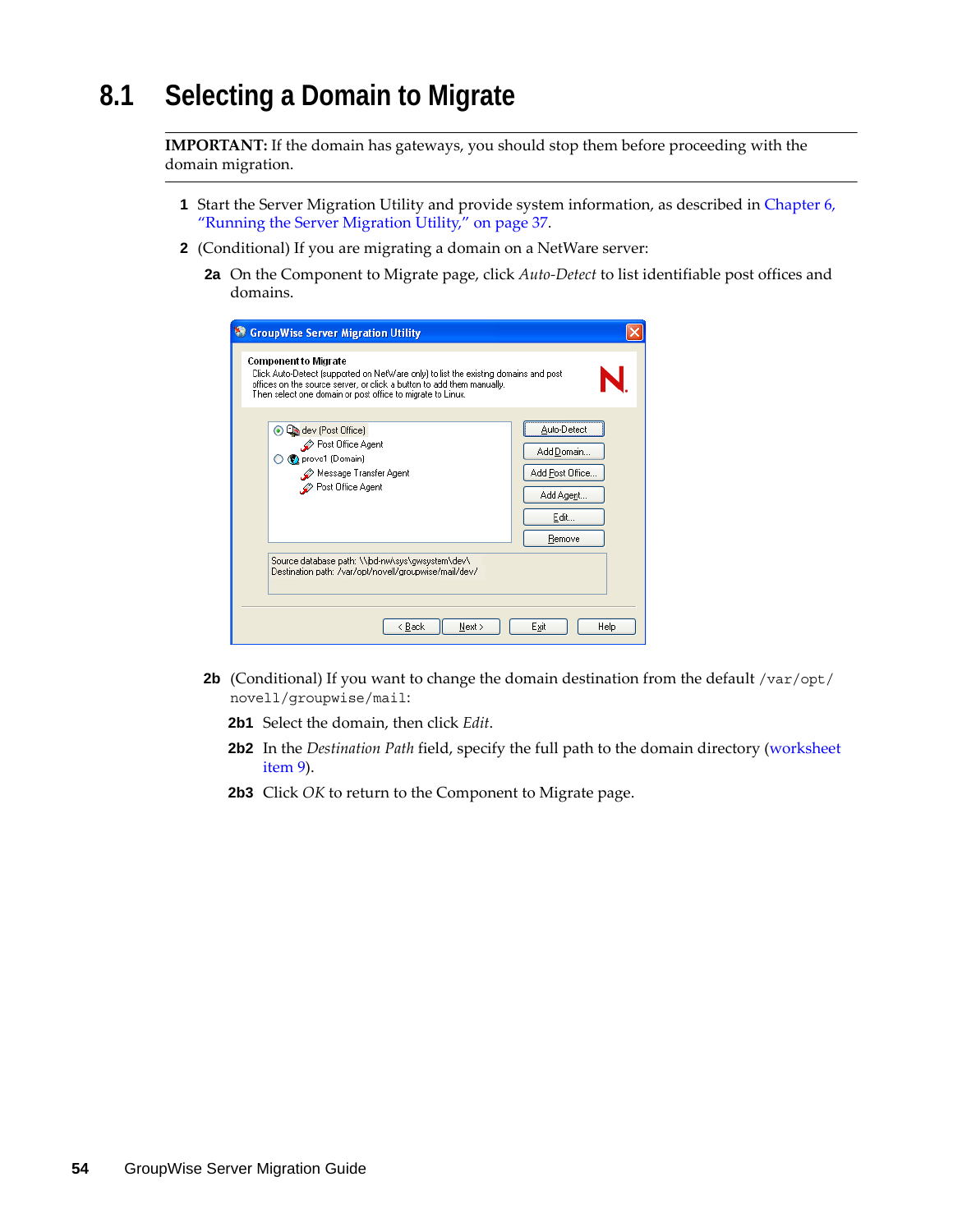# <span id="page-53-0"></span>**8.1 Selecting a Domain to Migrate**

**IMPORTANT:** If the domain has gateways, you should stop them before proceeding with the domain migration.

- **1** Start the Server Migration Utility and provide system information, as described in [Chapter 6,](#page-36-0)  ["Running the Server Migration Utility," on page 37](#page-36-0).
- **2** (Conditional) If you are migrating a domain on a NetWare server:
	- **2a** On the Component to Migrate page, click *Auto-Detect* to list identifiable post offices and domains.

| <b>GroupWise Server Migration Utility</b>                                                                                                                                                                                                                 |                                                                             |
|-----------------------------------------------------------------------------------------------------------------------------------------------------------------------------------------------------------------------------------------------------------|-----------------------------------------------------------------------------|
| <b>Component to Migrate</b><br>Click Auto-Detect [supported on NetWare only] to list the existing domains and post<br>offices on the source server, or click a button to add them manually.<br>Then select one domain or post office to migrate to Linux. |                                                                             |
| dev (Post Office)<br>$\left( \bullet \right)$<br>└ Post Office Agent<br>O (C) provo1 (Domain)<br>Message Transfer Agent<br>Post Office Agent                                                                                                              | Auto-Detect<br>Add Domain<br>Add Post Office<br>Add Agent<br>Edit<br>Remove |
| Source database path: \\jbd-nw\sys\gwsystem\dev\<br>Destination path: /var/opt/novell/groupwise/mail/dev/                                                                                                                                                 |                                                                             |
| < Back<br>Next >                                                                                                                                                                                                                                          | Exit<br>Help                                                                |

- **2b** (Conditional) If you want to change the domain destination from the default /var/opt/ novell/groupwise/mail:
	- **2b1** Select the domain, then click *Edit*.
	- **2b2** In the *Destination Path* field, specify the full path to the domain directory (worksheet item 9).
	- **2b3** Click *OK* to return to the Component to Migrate page.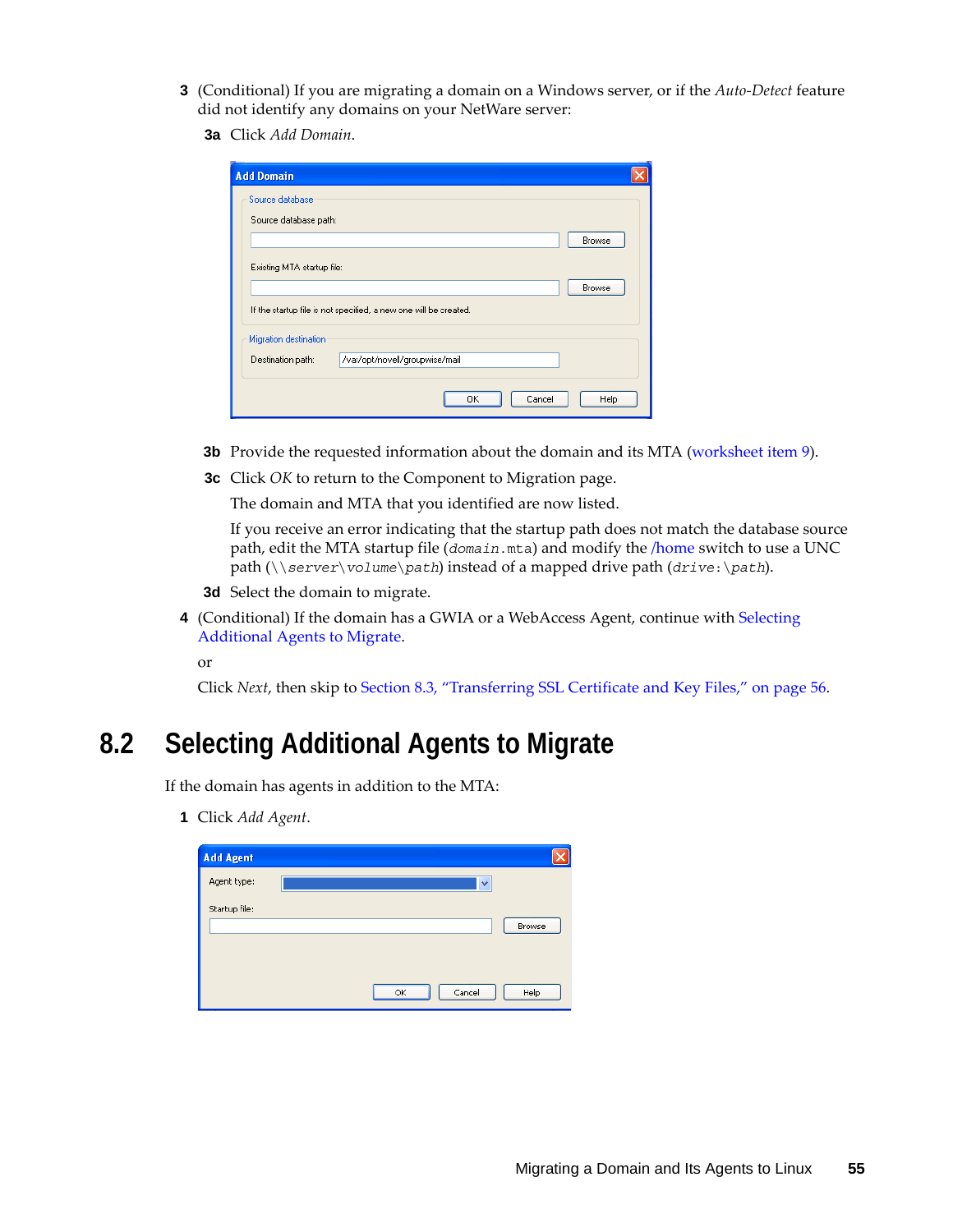- **3** (Conditional) If you are migrating a domain on a Windows server, or if the *Auto-Detect* feature did not identify any domains on your NetWare server:
	- **3a** Click *Add Domain*.

| <b>Add Domain</b>                                                |        |
|------------------------------------------------------------------|--------|
| Source database                                                  |        |
| Source database path:                                            |        |
|                                                                  | Browse |
| Existing MTA startup file:                                       |        |
|                                                                  | Browse |
| If the startup file is not specified, a new one will be created. |        |
| Migration destination                                            |        |
| /var/opt/novell/groupwise/mail<br>Destination path:              |        |
|                                                                  |        |
| Cancel<br>OΚ                                                     | Help   |

- **3b** Provide the requested information about the domain and its MTA (worksheet item 9).
- **3c** Click *OK* to return to the Component to Migration page.

The domain and MTA that you identified are now listed.

If you receive an error indicating that the startup path does not match the database source path, edit the MTA startup file (*domain*.mta) and modify the [/home](http://www.novell.com/documentation/gw7/pdfdoc/gw7_admin/gw7_admin.pdf#A532176) switch to use a UNC path (\\*server*\*volume*\*path*) instead of a mapped drive path (*drive*:\*path*).

- **3d** Select the domain to migrate.
- **4** (Conditional) If the domain has a GWIA or a WebAccess Agent, continue with [Selecting](#page-54-0)  [Additional Agents to Migrate.](#page-54-0)

or

Click *Next*, then skip to [Section 8.3, "Transferring SSL Certificate and Key Files," on page 56.](#page-55-0)

## <span id="page-54-0"></span>**8.2 Selecting Additional Agents to Migrate**

If the domain has agents in addition to the MTA:

<span id="page-54-1"></span>**1** Click *Add Agent*.

| <b>Add Agent</b> |              |        |
|------------------|--------------|--------|
| Agent type:      | v            |        |
| Startup file:    |              | Browse |
|                  | Cancel<br>OK | Help   |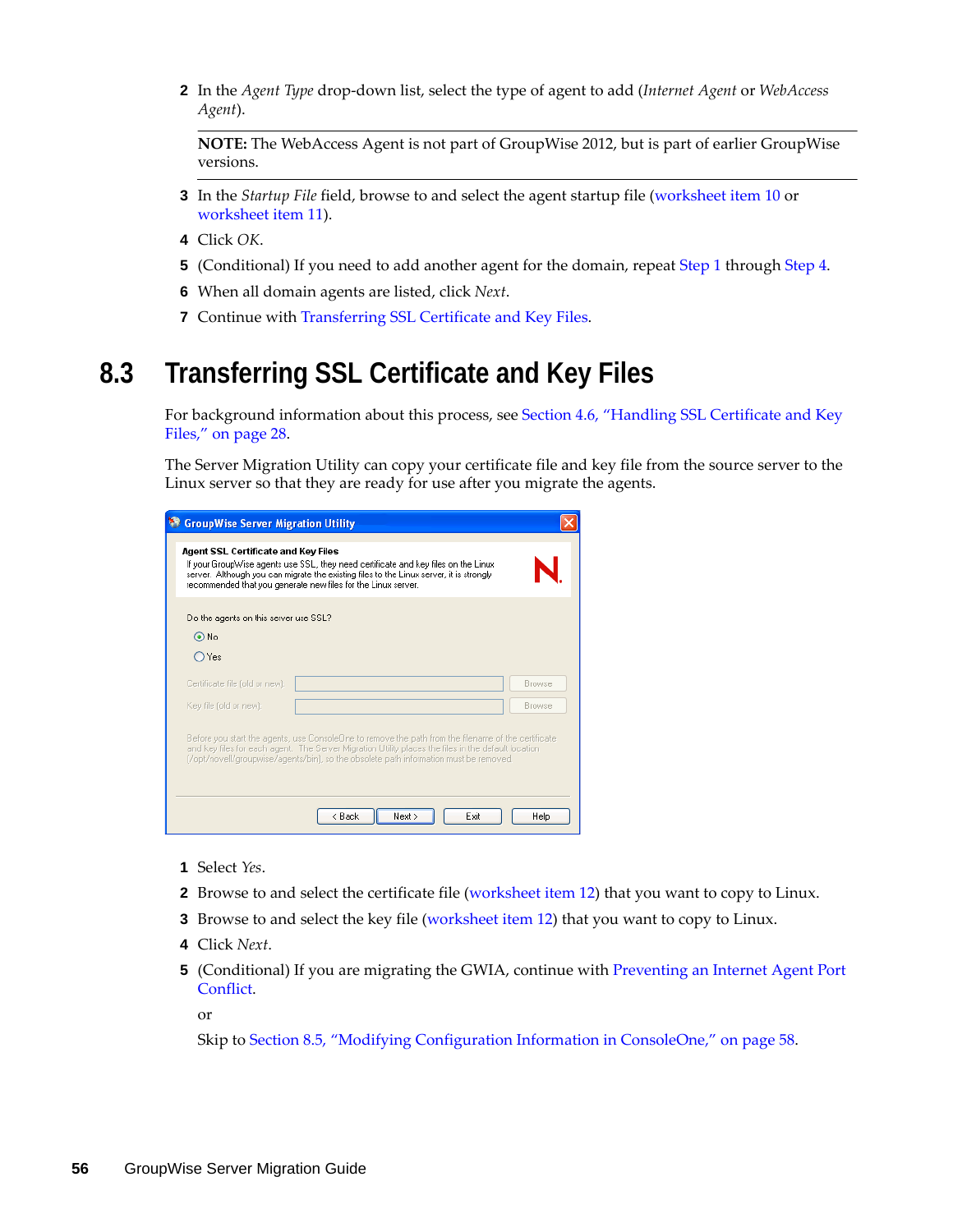**2** In the *Agent Type* drop-down list, select the type of agent to add (*Internet Agent* or *WebAccess Agent*).

**NOTE:** The WebAccess Agent is not part of GroupWise 2012, but is part of earlier GroupWise versions.

- **3** In the *Startup File* field, browse to and select the agent startup file ([worksheet item 10](#page-25-0) or worksheet item 11).
- <span id="page-55-1"></span>**4** Click *OK*.
- **5** (Conditional) If you need to add another agent for the domain, repeat [Step 1](#page-54-1) through [Step 4](#page-55-1).
- **6** When all domain agents are listed, click *Next*.
- **7** Continue with [Transferring SSL Certificate and Key Files.](#page-43-0)

## <span id="page-55-0"></span>**8.3 Transferring SSL Certificate and Key Files**

For background information about this process, see [Section 4.6, "Handling SSL Certificate and Key](#page-27-0)  [Files," on page 28](#page-27-0).

The Server Migration Utility can copy your certificate file and key file from the source server to the Linux server so that they are ready for use after you migrate the agents.

| <b>State CroupWise Server Migration Utility</b>                                                                                                                                                                                                                                                                                      |        |
|--------------------------------------------------------------------------------------------------------------------------------------------------------------------------------------------------------------------------------------------------------------------------------------------------------------------------------------|--------|
| Agent SSL Certificate and Key Files<br>If your GroupWise agents use SSL, they need certificate and key files on the Linux<br>server. Although you can migrate the existing files to the Linux server, it is strongly<br>recommended that you generate new files for the Linux server.                                                |        |
| Do the agents on this server use SSL?                                                                                                                                                                                                                                                                                                |        |
| $\odot$ No                                                                                                                                                                                                                                                                                                                           |        |
| $\bigcirc$ Yes                                                                                                                                                                                                                                                                                                                       |        |
| Certificate file (old or new):                                                                                                                                                                                                                                                                                                       | Browse |
| Key file (old or new):                                                                                                                                                                                                                                                                                                               | Browse |
| Before you start the agents, use ConsoleOne to remove the path from the filename of the certificate<br>and key files for each agent. The Server Migration Utility places the files in the default location<br>(/opt/novell/groupwise/agents/bin), so the obsolete path information must be removed.<br>Next ><br>$\leq$ Back<br>Exit | Help   |

- **1** Select *Yes*.
- **2** Browse to and select the certificate file (worksheet item 12) that you want to copy to Linux.
- **3** Browse to and select the key file (worksheet item 12) that you want to copy to Linux.
- **4** Click *Next*.
- **5** (Conditional) If you are migrating the GWIA, continue with [Preventing an Internet Agent Port](#page-56-0)  [Conflict](#page-56-0).

or

Skip to [Section 8.5, "Modifying Configuration Information in ConsoleOne," on page 58.](#page-57-0)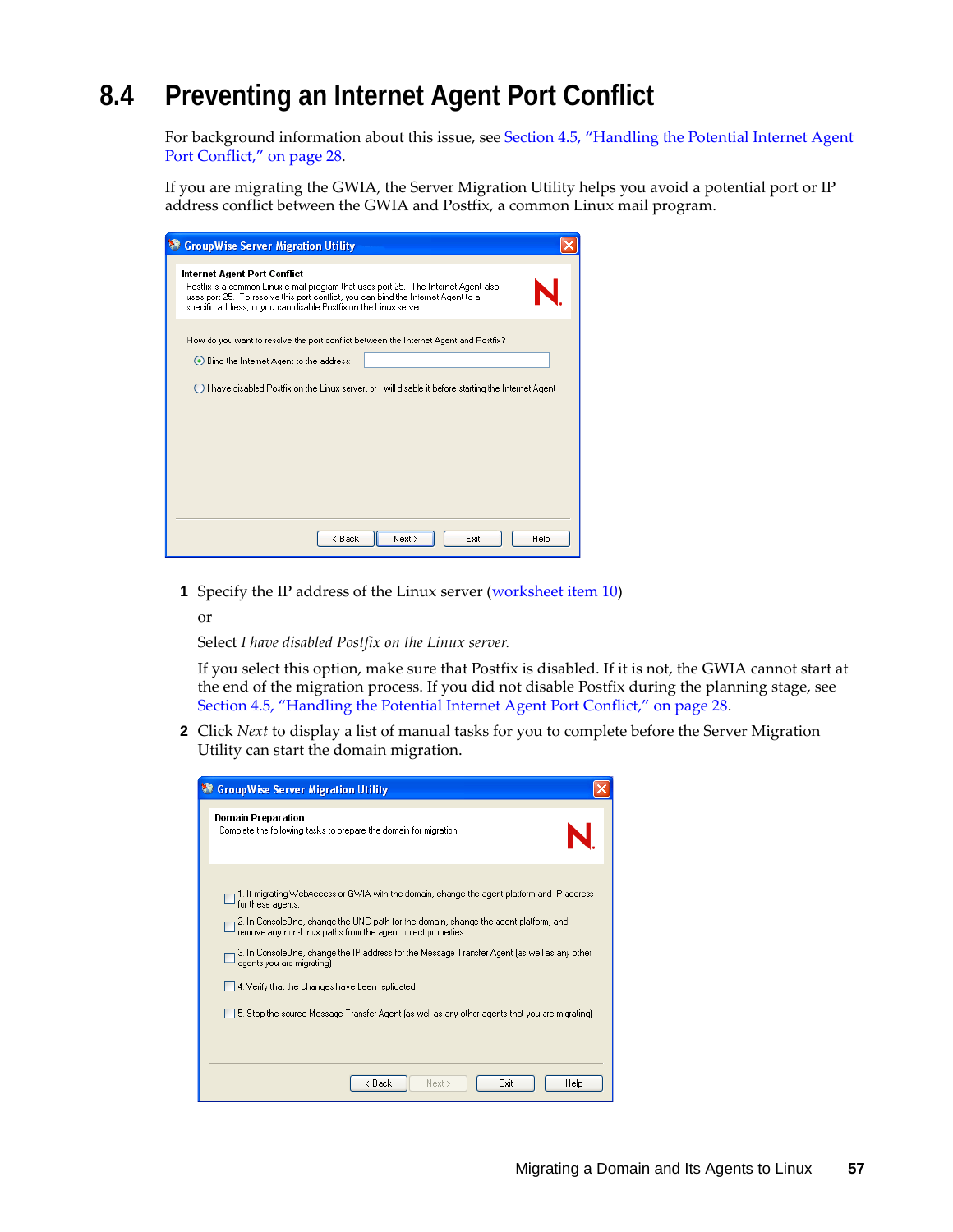# <span id="page-56-0"></span>**8.4 Preventing an Internet Agent Port Conflict**

For background information about this issue, see [Section 4.5, "Handling the Potential Internet Agent](#page-27-1)  [Port Conflict," on page 28.](#page-27-1)

If you are migrating the GWIA, the Server Migration Utility helps you avoid a potential port or IP address conflict between the GWIA and Postfix, a common Linux mail program.

| <b>GroupWise Server Migration Utility</b>                                                                                                                                                                                                                                     |
|-------------------------------------------------------------------------------------------------------------------------------------------------------------------------------------------------------------------------------------------------------------------------------|
| Internet Agent Port Conflict<br>Postfix is a common Linux e-mail program that uses port 25. The Internet Agent also<br>uses port 25. To resolve this port conflict, you can bind the Internet Agent to a<br>specific address, or you can disable Postfix on the Linux server. |
| How do you want to resolve the port conflict between the Internet Agent and Postfix?<br>◉ Bind the Internet Agent to the address:<br>◯ I have disabled Postfix on the Linux server, or I will disable it before starting the Internet Agent                                   |
| < Back<br>Next ><br>Exit<br>Help                                                                                                                                                                                                                                              |

**1** Specify the IP address of the Linux server (worksheet item 10)

or

Select *I have disabled Postfix on the Linux server.*

If you select this option, make sure that Postfix is disabled. If it is not, the GWIA cannot start at the end of the migration process. If you did not disable Postfix during the planning stage, see [Section 4.5, "Handling the Potential Internet Agent Port Conflict," on page 28.](#page-27-1)

**2** Click *Next* to display a list of manual tasks for you to complete before the Server Migration Utility can start the domain migration.

| <b>GroupWise Server Migration Utility</b>                                                                                                                                                                                                                                                                                                                                                                                                                                                                                                                  |
|------------------------------------------------------------------------------------------------------------------------------------------------------------------------------------------------------------------------------------------------------------------------------------------------------------------------------------------------------------------------------------------------------------------------------------------------------------------------------------------------------------------------------------------------------------|
| Domain Preparation<br>Complete the following tasks to prepare the domain for migration.                                                                                                                                                                                                                                                                                                                                                                                                                                                                    |
| 1. If migrating WebAccess or GWIA with the domain, change the agent platform and IP address<br>for these agents.<br>2. In ConsoleOne, change the UNC path for the domain, change the agent platform, and<br>remove any non-Linux paths from the agent object properties<br>3. In ConsoleOne, change the IP address for the Message Transfer Agent (as well as any other<br>agents you are migrating).<br>4. Verify that the changes have been replicated<br>5. Stop the source Message Transfer Agent (as well as any other agents that you are migrating) |
| < Back<br>Exit<br>Next ><br>Help                                                                                                                                                                                                                                                                                                                                                                                                                                                                                                                           |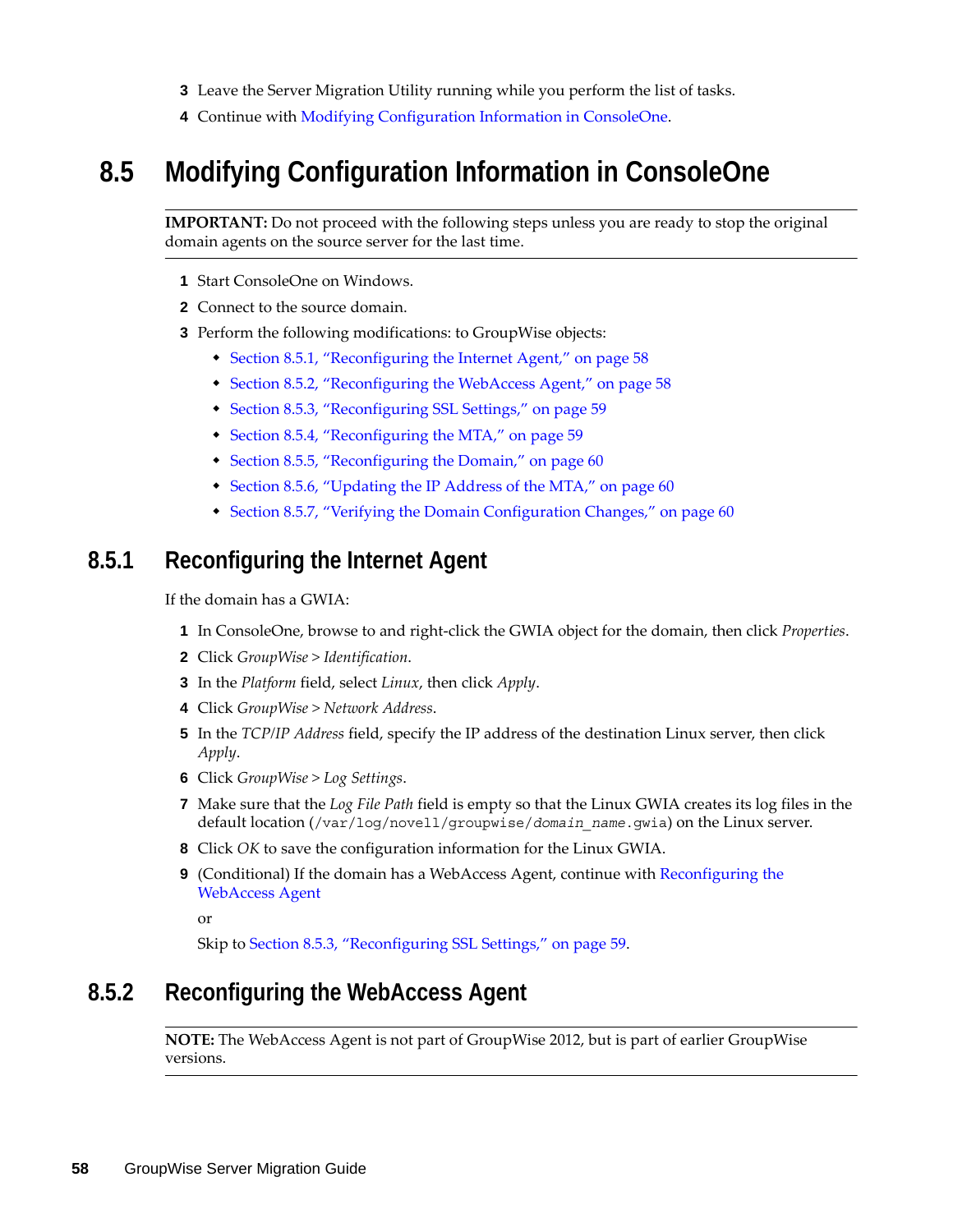- **3** Leave the Server Migration Utility running while you perform the list of tasks.
- **4** Continue with [Modifying Configuration Information in ConsoleOne](#page-57-0).

## <span id="page-57-0"></span>**8.5 Modifying Configuration Information in ConsoleOne**

**IMPORTANT:** Do not proceed with the following steps unless you are ready to stop the original domain agents on the source server for the last time.

- **1** Start ConsoleOne on Windows.
- **2** Connect to the source domain.
- **3** Perform the following modifications: to GroupWise objects:
	- [Section 8.5.1, "Reconfiguring the Internet Agent," on page 58](#page-57-1)
	- [Section 8.5.2, "Reconfiguring the WebAccess Agent," on page 58](#page-57-2)
	- [Section 8.5.3, "Reconfiguring SSL Settings," on page 59](#page-58-0)
	- [Section 8.5.4, "Reconfiguring the MTA," on page 59](#page-58-1)
	- [Section 8.5.5, "Reconfiguring the Domain," on page 60](#page-59-0)
	- [Section 8.5.6, "Updating the IP Address of the MTA," on page 60](#page-59-1)
	- [Section 8.5.7, "Verifying the Domain Configuration Changes," on page 60](#page-59-2)

### <span id="page-57-1"></span>**8.5.1 Reconfiguring the Internet Agent**

If the domain has a GWIA:

- **1** In ConsoleOne, browse to and right-click the GWIA object for the domain, then click *Properties*.
- **2** Click *GroupWise > Identification*.
- **3** In the *Platform* field, select *Linux*, then click *Apply*.
- **4** Click *GroupWise > Network Address*.
- **5** In the *TCP/IP Address* field, specify the IP address of the destination Linux server, then click *Apply*.
- **6** Click *GroupWise > Log Settings*.
- **7** Make sure that the *Log File Path* field is empty so that the Linux GWIA creates its log files in the default location (/var/log/novell/groupwise/*domain\_name*.gwia) on the Linux server.
- **8** Click *OK* to save the configuration information for the Linux GWIA.
- **9** (Conditional) If the domain has a WebAccess Agent, continue with [Reconfiguring the](#page-57-2)  [WebAccess Agent](#page-57-2)

or

Skip to [Section 8.5.3, "Reconfiguring SSL Settings," on page 59](#page-58-0).

#### <span id="page-57-2"></span>**8.5.2 Reconfiguring the WebAccess Agent**

**NOTE:** The WebAccess Agent is not part of GroupWise 2012, but is part of earlier GroupWise versions.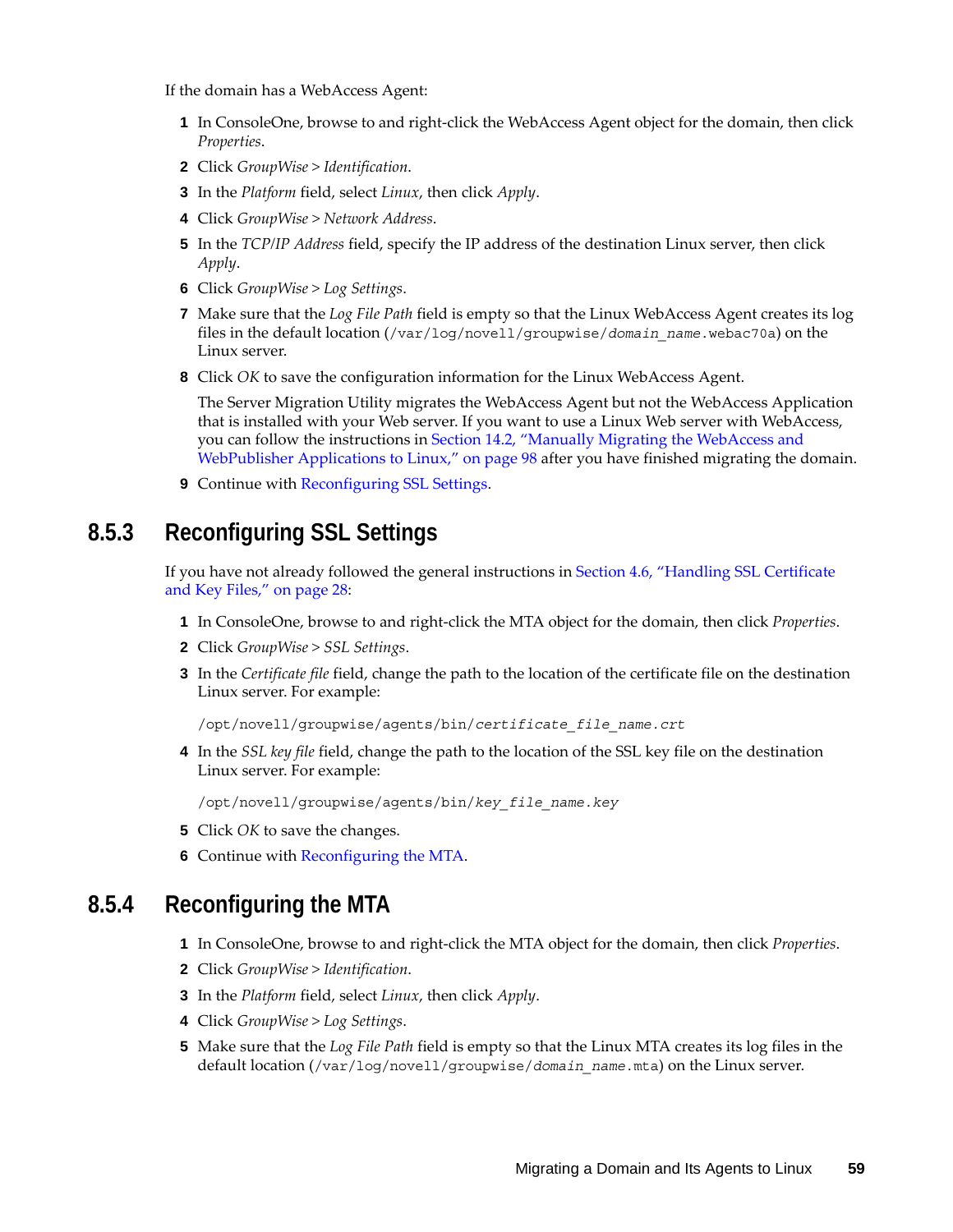If the domain has a WebAccess Agent:

- **1** In ConsoleOne, browse to and right-click the WebAccess Agent object for the domain, then click *Properties*.
- **2** Click *GroupWise > Identification*.
- **3** In the *Platform* field, select *Linux*, then click *Apply*.
- **4** Click *GroupWise > Network Address*.
- **5** In the *TCP/IP Address* field, specify the IP address of the destination Linux server, then click *Apply*.
- **6** Click *GroupWise > Log Settings*.
- **7** Make sure that the *Log File Path* field is empty so that the Linux WebAccess Agent creates its log files in the default location (/var/log/novell/groupwise/*domain\_name*.webac70a) on the Linux server.
- **8** Click *OK* to save the configuration information for the Linux WebAccess Agent.

The Server Migration Utility migrates the WebAccess Agent but not the WebAccess Application that is installed with your Web server. If you want to use a Linux Web server with WebAccess, you can follow the instructions in [Section 14.2, "Manually Migrating the WebAccess and](#page-97-0)  [WebPublisher Applications to Linux," on page 98](#page-97-0) after you have finished migrating the domain.

**9** Continue with [Reconfiguring SSL Settings](#page-58-0).

#### <span id="page-58-0"></span>**8.5.3 Reconfiguring SSL Settings**

If you have not already followed the general instructions in [Section 4.6, "Handling SSL Certificate](#page-27-0)  [and Key Files," on page 28:](#page-27-0)

- **1** In ConsoleOne, browse to and right-click the MTA object for the domain, then click *Properties*.
- **2** Click *GroupWise > SSL Settings*.
- **3** In the *Certificate file* field, change the path to the location of the certificate file on the destination Linux server. For example:

/opt/novell/groupwise/agents/bin/*certificate\_file\_name.crt*

**4** In the *SSL key file* field, change the path to the location of the SSL key file on the destination Linux server. For example:

/opt/novell/groupwise/agents/bin/*key\_file\_name.key*

- **5** Click *OK* to save the changes.
- **6** Continue with [Reconfiguring the MTA](#page-58-1).

#### <span id="page-58-1"></span>**8.5.4 Reconfiguring the MTA**

- **1** In ConsoleOne, browse to and right-click the MTA object for the domain, then click *Properties*.
- **2** Click *GroupWise > Identification*.
- **3** In the *Platform* field, select *Linux*, then click *Apply*.
- **4** Click *GroupWise > Log Settings*.
- **5** Make sure that the *Log File Path* field is empty so that the Linux MTA creates its log files in the default location (/var/log/novell/groupwise/*domain\_name*.mta) on the Linux server.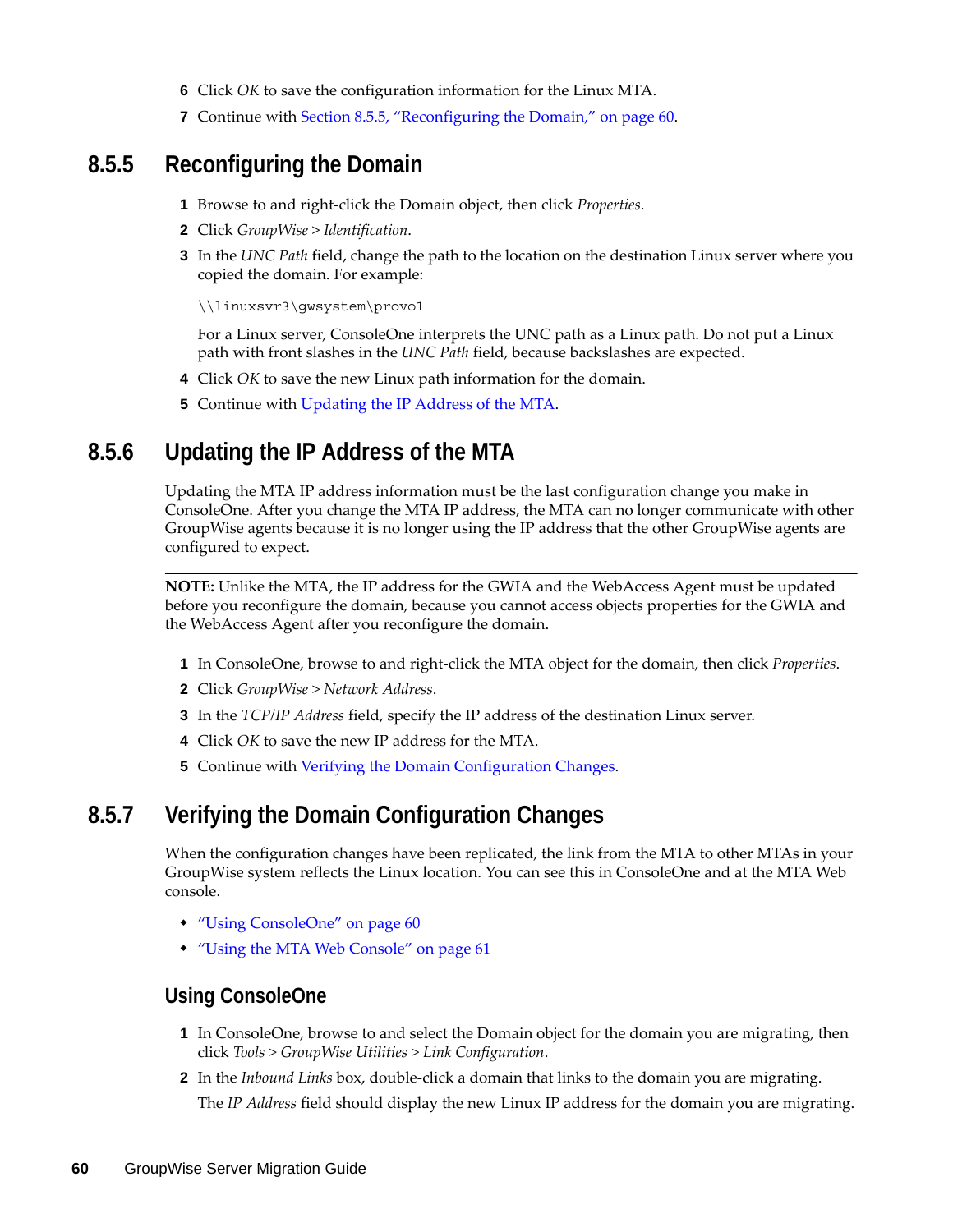- **6** Click *OK* to save the configuration information for the Linux MTA.
- **7** Continue with [Section 8.5.5, "Reconfiguring the Domain," on page 60](#page-59-0).

#### <span id="page-59-0"></span>**8.5.5 Reconfiguring the Domain**

- **1** Browse to and right-click the Domain object, then click *Properties*.
- **2** Click *GroupWise > Identification*.
- **3** In the *UNC Path* field, change the path to the location on the destination Linux server where you copied the domain. For example:

\\linuxsvr3\gwsystem\provo1

For a Linux server, ConsoleOne interprets the UNC path as a Linux path. Do not put a Linux path with front slashes in the *UNC Path* field, because backslashes are expected.

- **4** Click *OK* to save the new Linux path information for the domain.
- **5** Continue with [Updating the IP Address of the MTA.](#page-59-1)

#### <span id="page-59-1"></span>**8.5.6 Updating the IP Address of the MTA**

Updating the MTA IP address information must be the last configuration change you make in ConsoleOne. After you change the MTA IP address, the MTA can no longer communicate with other GroupWise agents because it is no longer using the IP address that the other GroupWise agents are configured to expect.

**NOTE:** Unlike the MTA, the IP address for the GWIA and the WebAccess Agent must be updated before you reconfigure the domain, because you cannot access objects properties for the GWIA and the WebAccess Agent after you reconfigure the domain.

- **1** In ConsoleOne, browse to and right-click the MTA object for the domain, then click *Properties*.
- **2** Click *GroupWise > Network Address*.
- **3** In the *TCP/IP Address* field, specify the IP address of the destination Linux server.
- **4** Click *OK* to save the new IP address for the MTA.
- **5** Continue with [Verifying the Domain Configuration Changes](#page-59-2).

#### <span id="page-59-2"></span>**8.5.7 Verifying the Domain Configuration Changes**

When the configuration changes have been replicated, the link from the MTA to other MTAs in your GroupWise system reflects the Linux location. You can see this in ConsoleOne and at the MTA Web console.

- ["Using ConsoleOne" on page 60](#page-59-3)
- ["Using the MTA Web Console" on page 61](#page-60-2)

#### <span id="page-59-3"></span>**Using ConsoleOne**

- **1** In ConsoleOne, browse to and select the Domain object for the domain you are migrating, then click *Tools > GroupWise Utilities > Link Configuration*.
- **2** In the *Inbound Links* box, double-click a domain that links to the domain you are migrating. The *IP Address* field should display the new Linux IP address for the domain you are migrating.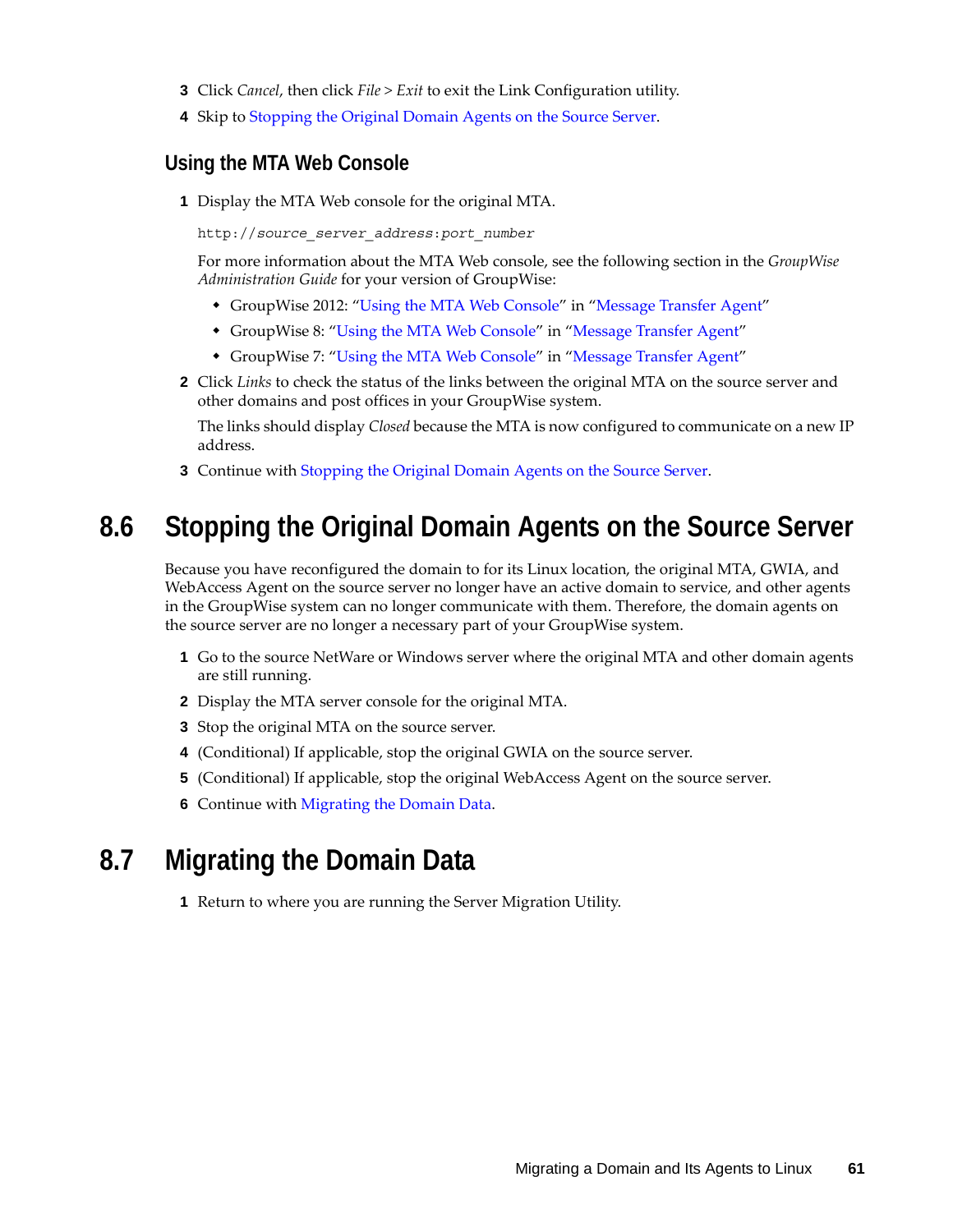- **3** Click *Cancel*, then click *File > Exit* to exit the Link Configuration utility.
- **4** Skip to [Stopping the Original Domain Agents on the Source Server.](#page-60-0)

#### <span id="page-60-2"></span>**Using the MTA Web Console**

**1** Display the MTA Web console for the original MTA.

http://*source\_server\_address*:*port\_number*

For more information about the MTA Web console, see the following section in the *GroupWise Administration Guide* for your version of GroupWise:

- GroupWise 2012: "Using the MTA Web Console" in "Message Transfer Agent"
- GroupWise 8: ["Using the MTA Web Console"](http://www.novell.com/documentation/gw8/pdfdoc/gw8_admin/gw8_admin.pdf#A7xzvr1) in ["Message Transfer Agent"](http://www.novell.com/documentation/gw8/pdfdoc/gw8_admin/gw8_admin.pdf#A7q4zpk)
- GroupWise 7: ["Using the MTA Web Console"](http://www.novell.com/documentation/gw7/pdfdoc/gw7_admin/gw7_admin.pdf#A7xzvr1) in ["Message Transfer Agent"](http://www.novell.com/documentation/gw7/pdfdoc/gw7_admin/gw7_admin.pdf#A7q4zpk)
- **2** Click *Links* to check the status of the links between the original MTA on the source server and other domains and post offices in your GroupWise system.

The links should display *Closed* because the MTA is now configured to communicate on a new IP address.

**3** Continue with [Stopping the Original Domain Agents on the Source Server.](#page-60-0)

## <span id="page-60-0"></span>**8.6 Stopping the Original Domain Agents on the Source Server**

Because you have reconfigured the domain to for its Linux location, the original MTA, GWIA, and WebAccess Agent on the source server no longer have an active domain to service, and other agents in the GroupWise system can no longer communicate with them. Therefore, the domain agents on the source server are no longer a necessary part of your GroupWise system.

- **1** Go to the source NetWare or Windows server where the original MTA and other domain agents are still running.
- **2** Display the MTA server console for the original MTA.
- **3** Stop the original MTA on the source server.
- **4** (Conditional) If applicable, stop the original GWIA on the source server.
- **5** (Conditional) If applicable, stop the original WebAccess Agent on the source server.
- **6** Continue with [Migrating the Domain Data.](#page-60-1)

## <span id="page-60-1"></span>**8.7 Migrating the Domain Data**

**1** Return to where you are running the Server Migration Utility.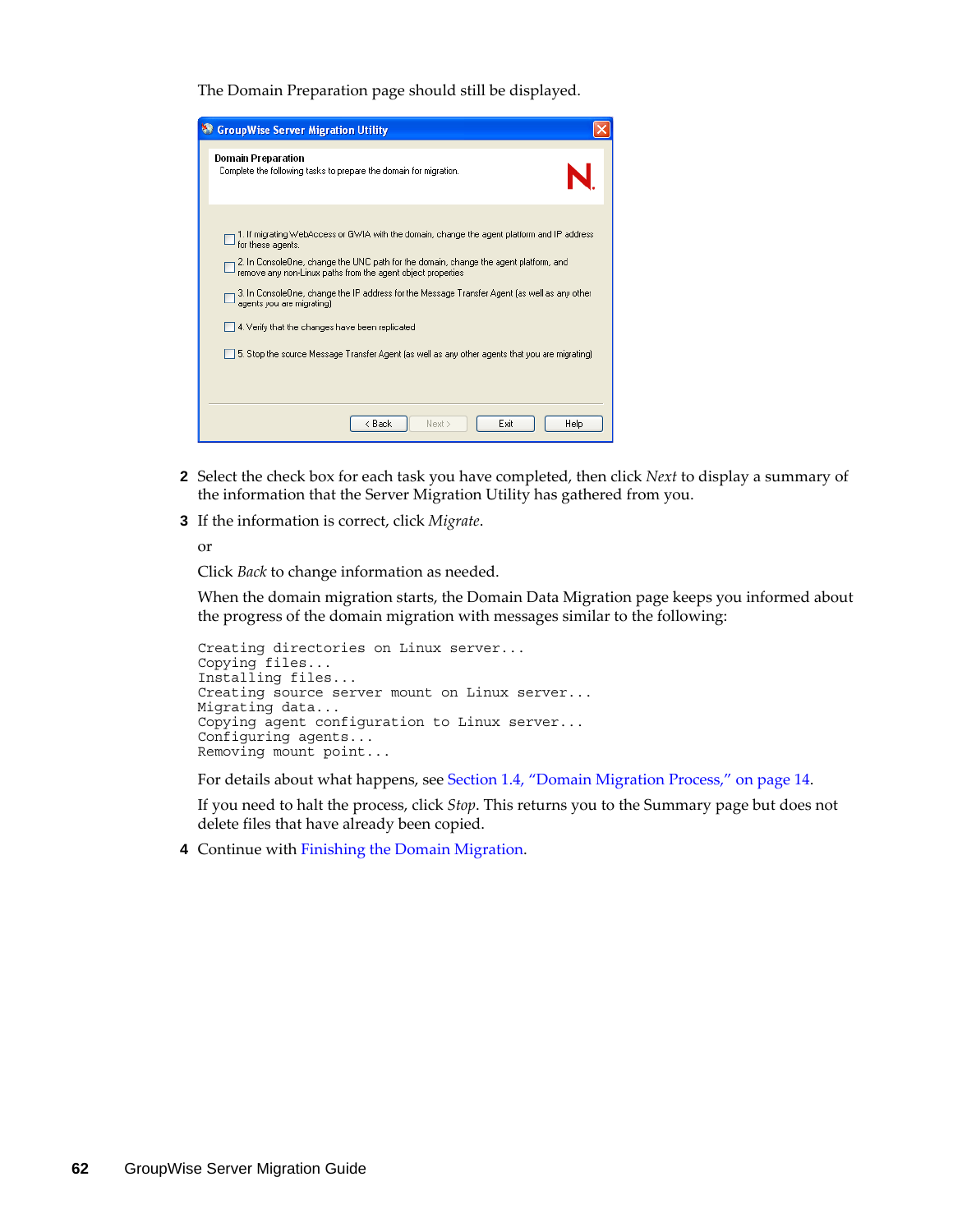The Domain Preparation page should still be displayed.

| <b>GroupWise Server Migration Utility</b>                                                                                                                                                                                                                                                                                                                                                                                                                                                                                                                  |
|------------------------------------------------------------------------------------------------------------------------------------------------------------------------------------------------------------------------------------------------------------------------------------------------------------------------------------------------------------------------------------------------------------------------------------------------------------------------------------------------------------------------------------------------------------|
| Domain Preparation<br>Complete the following tasks to prepare the domain for migration.                                                                                                                                                                                                                                                                                                                                                                                                                                                                    |
| 1. If migrating WebAccess or GWIA with the domain, change the agent platform and IP address<br>for these agents.<br>2. In ConsoleOne, change the UNC path for the domain, change the agent platform, and<br>remove any non-Linux paths from the agent object properties<br>3. In ConsoleOne, change the IP address for the Message Transfer Agent (as well as any other<br>agents you are migrating).<br>4. Verify that the changes have been replicated<br>5. Stop the source Message Transfer Agent (as well as any other agents that you are migrating) |
| Next ><br>< Back<br>Exit<br>Help                                                                                                                                                                                                                                                                                                                                                                                                                                                                                                                           |

- **2** Select the check box for each task you have completed, then click *Next* to display a summary of the information that the Server Migration Utility has gathered from you.
- **3** If the information is correct, click *Migrate*.

or

Click *Back* to change information as needed.

When the domain migration starts, the Domain Data Migration page keeps you informed about the progress of the domain migration with messages similar to the following:

```
Creating directories on Linux server...
Copying files...
Installing files...
Creating source server mount on Linux server...
Migrating data...
Copying agent configuration to Linux server...
Configuring agents...
Removing mount point...
```
For details about what happens, see [Section 1.4, "Domain Migration Process," on page 14](#page-13-0).

If you need to halt the process, click *Stop*. This returns you to the Summary page but does not delete files that have already been copied.

**4** Continue with [Finishing the Domain Migration](#page-62-0).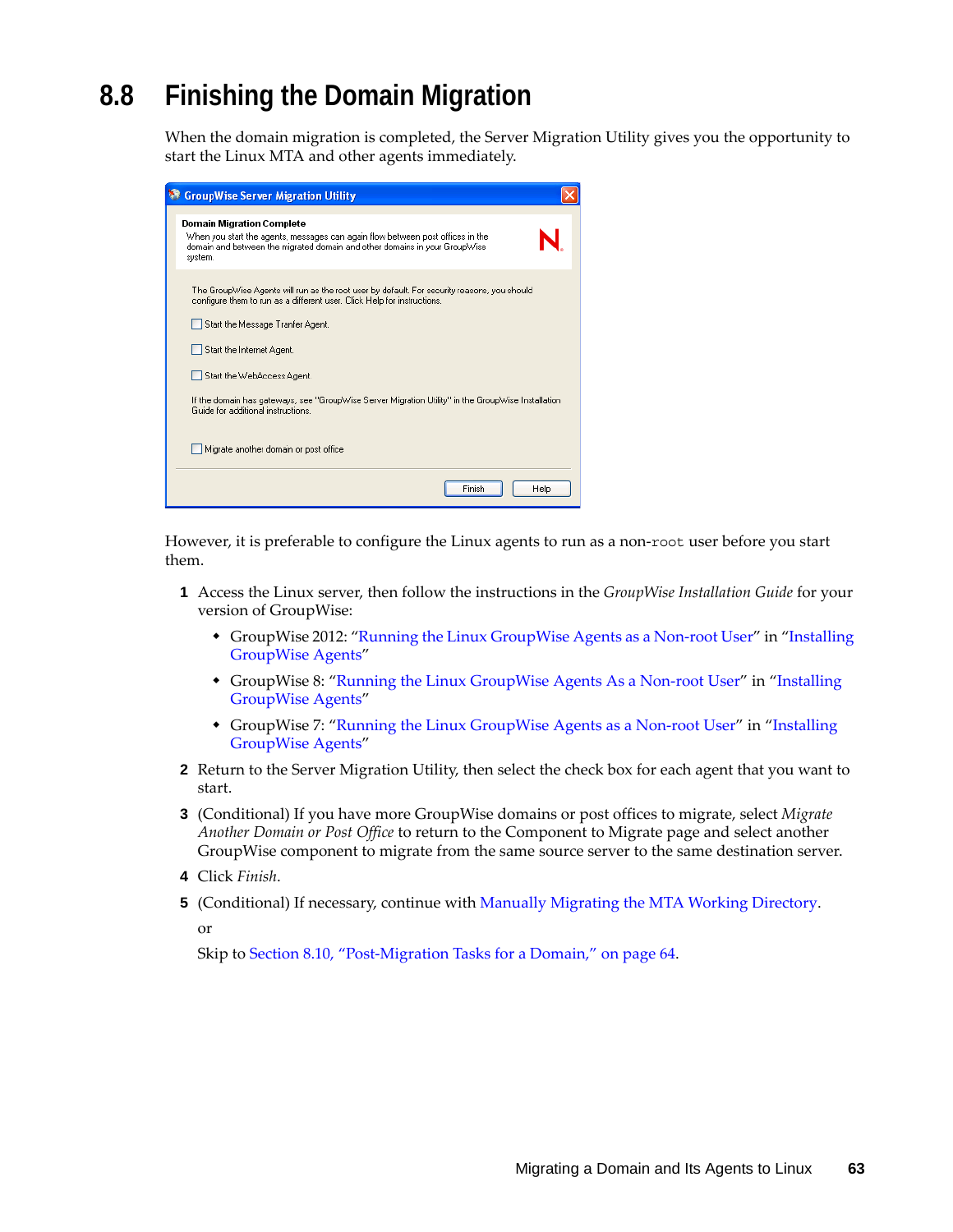# <span id="page-62-0"></span>**8.8 Finishing the Domain Migration**

When the domain migration is completed, the Server Migration Utility gives you the opportunity to start the Linux MTA and other agents immediately.

| <b>GroupWise Server Migration Utility</b>                                                                                                                                                                   |
|-------------------------------------------------------------------------------------------------------------------------------------------------------------------------------------------------------------|
| <b>Domain Migration Complete</b><br>When you start the agents, messages can again flow between post offices in the<br>domain and between the migrated domain and other domains in your GroupWise<br>system. |
| The GroupWise Agents will run as the root user by default. For security reasons, you should<br>configure them to run as a different user. Click Help for instructions.                                      |
| Start the Message Tranfer Agent.                                                                                                                                                                            |
| Start the Internet Agent.                                                                                                                                                                                   |
| Start the WebAccess Agent.                                                                                                                                                                                  |
| If the domain has gateways, see "GroupWise Server Migration Utility" in the GroupWise Installation<br>Guide for additional instructions.                                                                    |
| Migrate another domain or post office.                                                                                                                                                                      |
| Finish<br>Help                                                                                                                                                                                              |

However, it is preferable to configure the Linux agents to run as a non-root user before you start them.

- **1** Access the Linux server, then follow the instructions in the *GroupWise Installation Guide* for your version of GroupWise:
	- GroupWise 2012: "Running the Linux GroupWise Agents as a Non-root User" in "Installing GroupWise Agents"
	- GroupWise 8: ["Running the Linux GroupWise Agents As a Non-root User"](http://www.novell.com/documentation/gw8/pdfdoc/gw8_install/gw8_install.pdf#bw8kalg) in ["Installing](http://www.novell.com/documentation/gw8/pdfdoc/gw8_install/gw8_install.pdf#A8pam03)  [GroupWise Agents"](http://www.novell.com/documentation/gw8/pdfdoc/gw8_install/gw8_install.pdf#A8pam03)
	- GroupWise 7: ["Running the Linux GroupWise Agents as a Non-root User"](http://www.novell.com/documentation/gw7/pdfdoc/gw7_install/gw7_install.pdf#bw8kalg) in "[Installing](http://www.novell.com/documentation/gw7/pdfdoc/gw7_install/gw7_install.pdf#A8pam03)  [GroupWise Agents"](http://www.novell.com/documentation/gw7/pdfdoc/gw7_install/gw7_install.pdf#A8pam03)
- **2** Return to the Server Migration Utility, then select the check box for each agent that you want to start.
- **3** (Conditional) If you have more GroupWise domains or post offices to migrate, select *Migrate Another Domain or Post Office* to return to the Component to Migrate page and select another GroupWise component to migrate from the same source server to the same destination server.
- **4** Click *Finish*.
- **5** (Conditional) If necessary, continue with [Manually Migrating the MTA Working Directory](#page-63-0).

or

Skip to [Section 8.10, "Post-Migration Tasks for a Domain," on page 64](#page-63-1).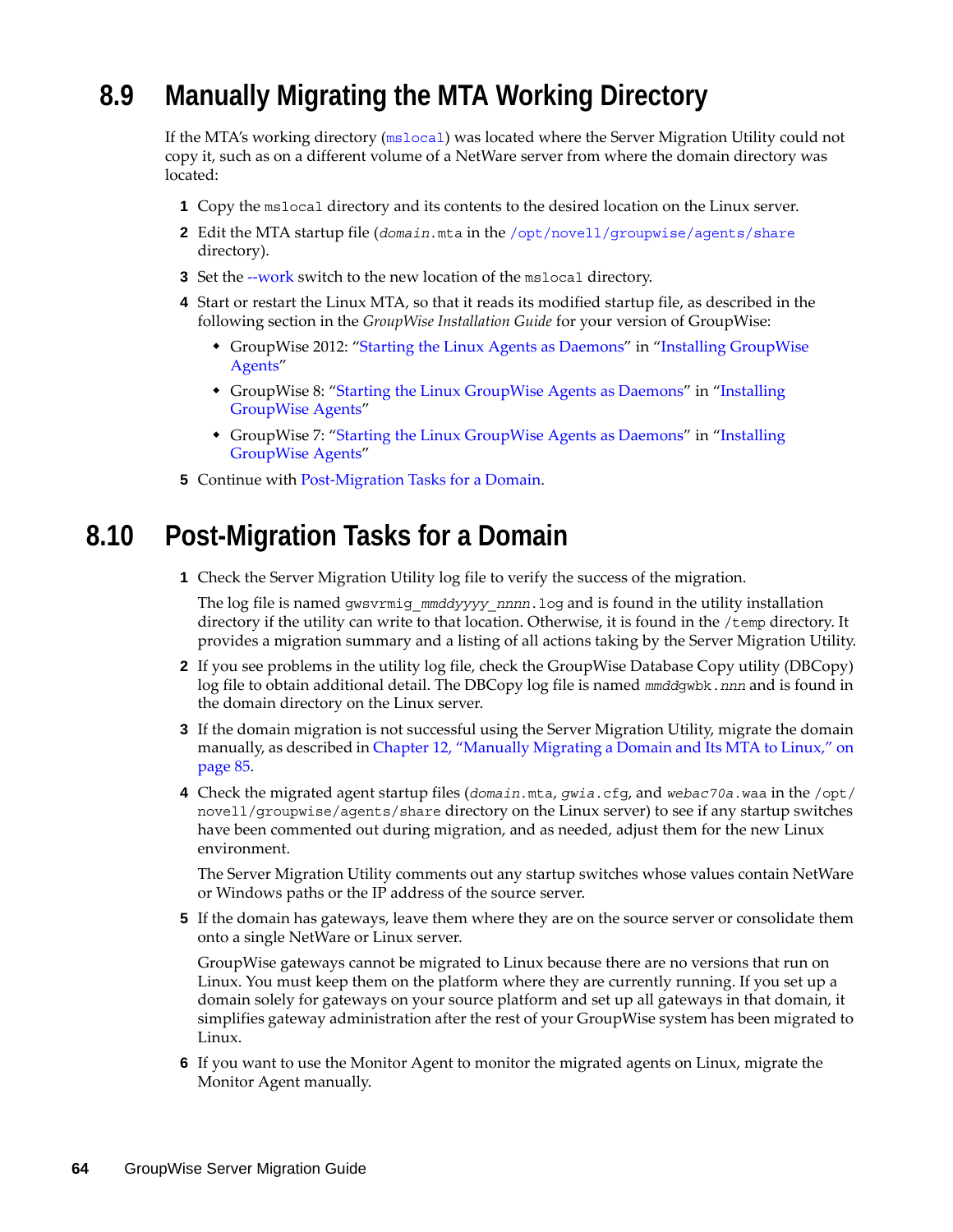# <span id="page-63-0"></span>**8.9 Manually Migrating the MTA Working Directory**

If the MTA's working directory ([mslocal](http://www.novell.com/documentation/gw7/pdfdoc/gw7_tsh3/gw7_tsh3.pdf#A3lhv1j)) was located where the Server Migration Utility could not copy it, such as on a different volume of a NetWare server from where the domain directory was located:

- **1** Copy the mslocal directory and its contents to the desired location on the Linux server.
- **2** Edit the MTA startup file (*domain*.mta in the [/opt/novell/groupwise/agents/share](http://www.novell.com/documentation/gw7/pdfdoc/gw7_tsh3/gw7_tsh3.pdf#bs8yiw0) directory).
- **3** Set the [--work](http://www.novell.com/documentation/gw7/pdfdoc/gw7_admin/gw7_admin.pdf#Het48tb5) switch to the new location of the mslocal directory.
- **4** Start or restart the Linux MTA, so that it reads its modified startup file, as described in the following section in the *GroupWise Installation Guide* for your version of GroupWise:
	- GroupWise 2012: "Starting the Linux Agents as Daemons" in "Installing GroupWise Agents"
	- GroupWise 8: ["Starting the Linux GroupWise Agents as Daemons](http://www.novell.com/documentation/gw8/pdfdoc/gw8_install/gw8_install.pdf#bq5d7ly)" in "Installing [GroupWise Agents"](http://www.novell.com/documentation/gw8/pdfdoc/gw8_install/gw8_install.pdf#A8pam03)
	- GroupWise 7: ["Starting the Linux GroupWise Agents as Daemons](http://www.novell.com/documentation/gw7/pdfdoc/gw7_install/gw7_install.pdf#bq5d7ly)" in ["Installing](http://www.novell.com/documentation/gw7/pdfdoc/gw7_install/gw7_install.pdf#A8pam03)  [GroupWise Agents"](http://www.novell.com/documentation/gw7/pdfdoc/gw7_install/gw7_install.pdf#A8pam03)
- **5** Continue with [Post-Migration Tasks for a Domain.](#page-63-1)

## <span id="page-63-1"></span>**8.10 Post-Migration Tasks for a Domain**

**1** Check the Server Migration Utility log file to verify the success of the migration.

The log file is named gwsvrmig\_*mmddyyyy*\_*nnnn*.log and is found in the utility installation directory if the utility can write to that location. Otherwise, it is found in the /temp directory. It provides a migration summary and a listing of all actions taking by the Server Migration Utility.

- **2** If you see problems in the utility log file, check the GroupWise Database Copy utility (DBCopy) log file to obtain additional detail. The DBCopy log file is named *mmdd*gwbk.*nnn* and is found in the domain directory on the Linux server.
- **3** If the domain migration is not successful using the Server Migration Utility, migrate the domain manually, as described in [Chapter 12, "Manually Migrating a Domain and Its MTA to Linux," on](#page-84-0)  [page 85.](#page-84-0)
- **4** Check the migrated agent startup files (*domain*.mta, *gwia*.cfg, and *webac70a*.waa in the /opt/ novell/groupwise/agents/share directory on the Linux server) to see if any startup switches have been commented out during migration, and as needed, adjust them for the new Linux environment.

The Server Migration Utility comments out any startup switches whose values contain NetWare or Windows paths or the IP address of the source server.

**5** If the domain has gateways, leave them where they are on the source server or consolidate them onto a single NetWare or Linux server.

GroupWise gateways cannot be migrated to Linux because there are no versions that run on Linux. You must keep them on the platform where they are currently running. If you set up a domain solely for gateways on your source platform and set up all gateways in that domain, it simplifies gateway administration after the rest of your GroupWise system has been migrated to Linux.

**6** If you want to use the Monitor Agent to monitor the migrated agents on Linux, migrate the Monitor Agent manually.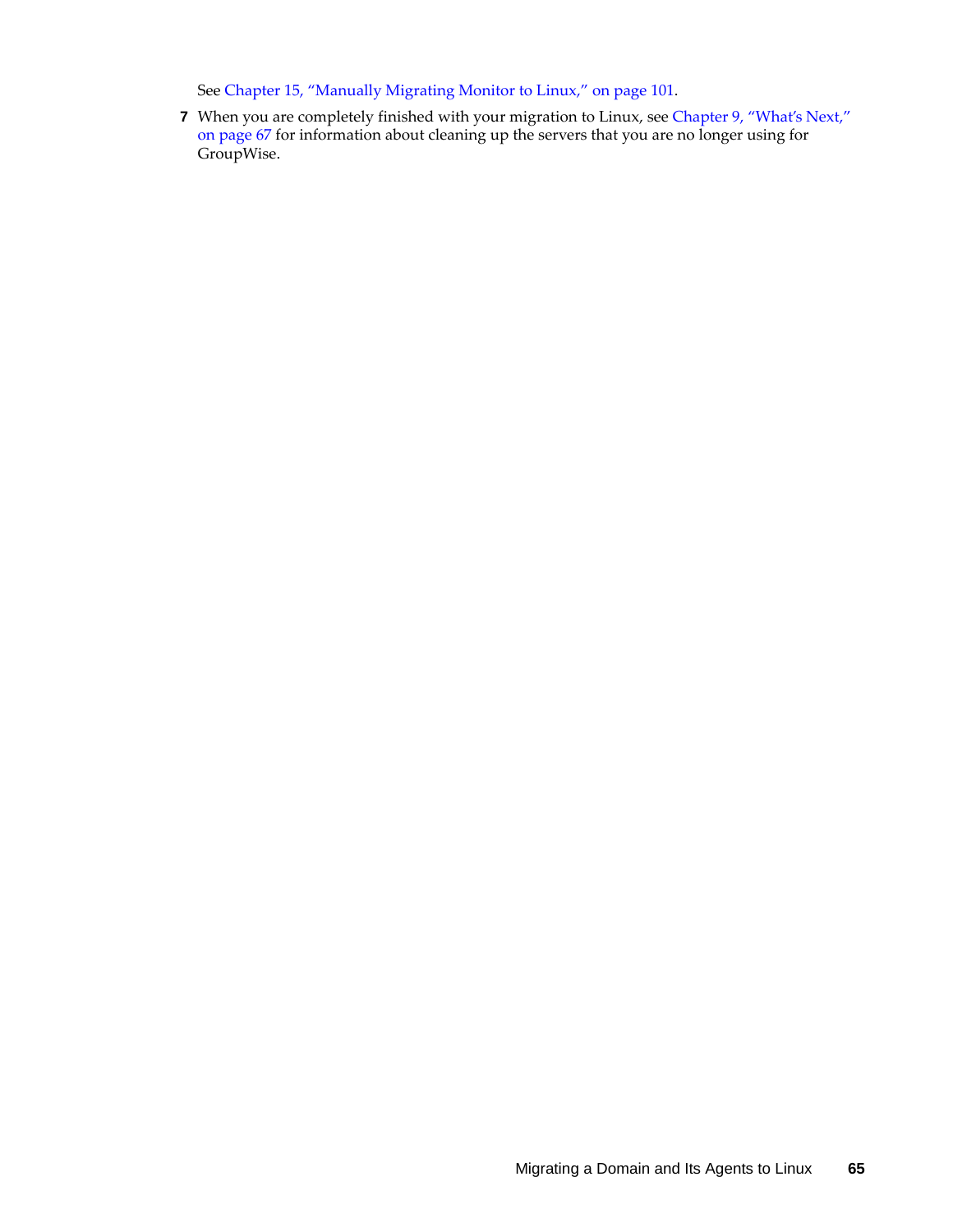See [Chapter 15, "Manually Migrating Monitor to Linux," on page 101](#page-100-0).

**7** When you are completely finished with your migration to Linux, see [Chapter 9, "What's Next,"](#page-66-0)  [on page 67](#page-66-0) for information about cleaning up the servers that you are no longer using for GroupWise.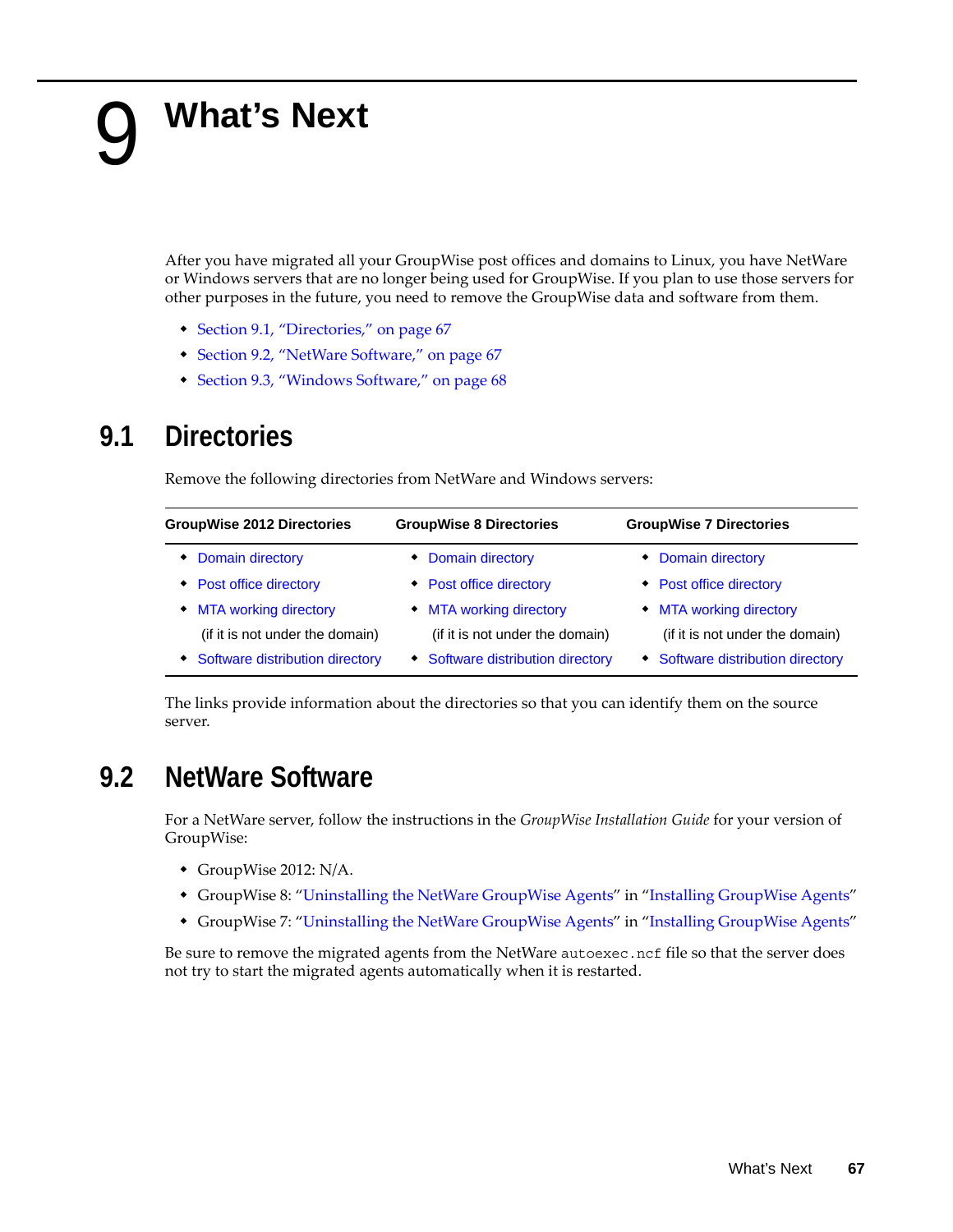# <span id="page-66-0"></span>9 <sup>9</sup>**What's Next**

After you have migrated all your GroupWise post offices and domains to Linux, you have NetWare or Windows servers that are no longer being used for GroupWise. If you plan to use those servers for other purposes in the future, you need to remove the GroupWise data and software from them.

- [Section 9.1, "Directories," on page 67](#page-66-1)
- [Section 9.2, "NetWare Software," on page 67](#page-66-2)
- [Section 9.3, "Windows Software," on page 68](#page-67-0)

## <span id="page-66-1"></span>**9.1 Directories**

Remove the following directories from NetWare and Windows servers:

| <b>GroupWise 2012 Directories</b> | <b>GroupWise 8 Directories</b>    | <b>GroupWise 7 Directories</b>    |
|-----------------------------------|-----------------------------------|-----------------------------------|
| Domain directory                  | • Domain directory                | • Domain directory                |
| • Post office directory           | • Post office directory           | • Post office directory           |
| • MTA working directory           | • MTA working directory           | • MTA working directory           |
| (if it is not under the domain)   | (if it is not under the domain)   | (if it is not under the domain)   |
| Software distribution directory   | • Software distribution directory | • Software distribution directory |

The links provide information about the directories so that you can identify them on the source server.

## <span id="page-66-2"></span>**9.2 NetWare Software**

For a NetWare server, follow the instructions in the *GroupWise Installation Guide* for your version of GroupWise:

- GroupWise 2012: N/A.
- GroupWise 8: "[Uninstalling the NetWare GroupWise Agents](http://www.novell.com/documentation/gw8/pdfdoc/gw8_install/gw8_install.pdf#b3g0yus)" in ["Installing GroupWise Agents"](http://www.novell.com/documentation/gw8/pdfdoc/gw8_install/gw8_install.pdf#A8pam03)
- GroupWise 7: "[Uninstalling the NetWare GroupWise Agents](http://www.novell.com/documentation/gw7/pdfdoc/gw7_install/gw7_install.pdf#b3g0yus)" in ["Installing GroupWise Agents"](http://www.novell.com/documentation/gw7/pdfdoc/gw7_install/gw7_install.pdf#A8pam03)

Be sure to remove the migrated agents from the NetWare autoexec.ncf file so that the server does not try to start the migrated agents automatically when it is restarted.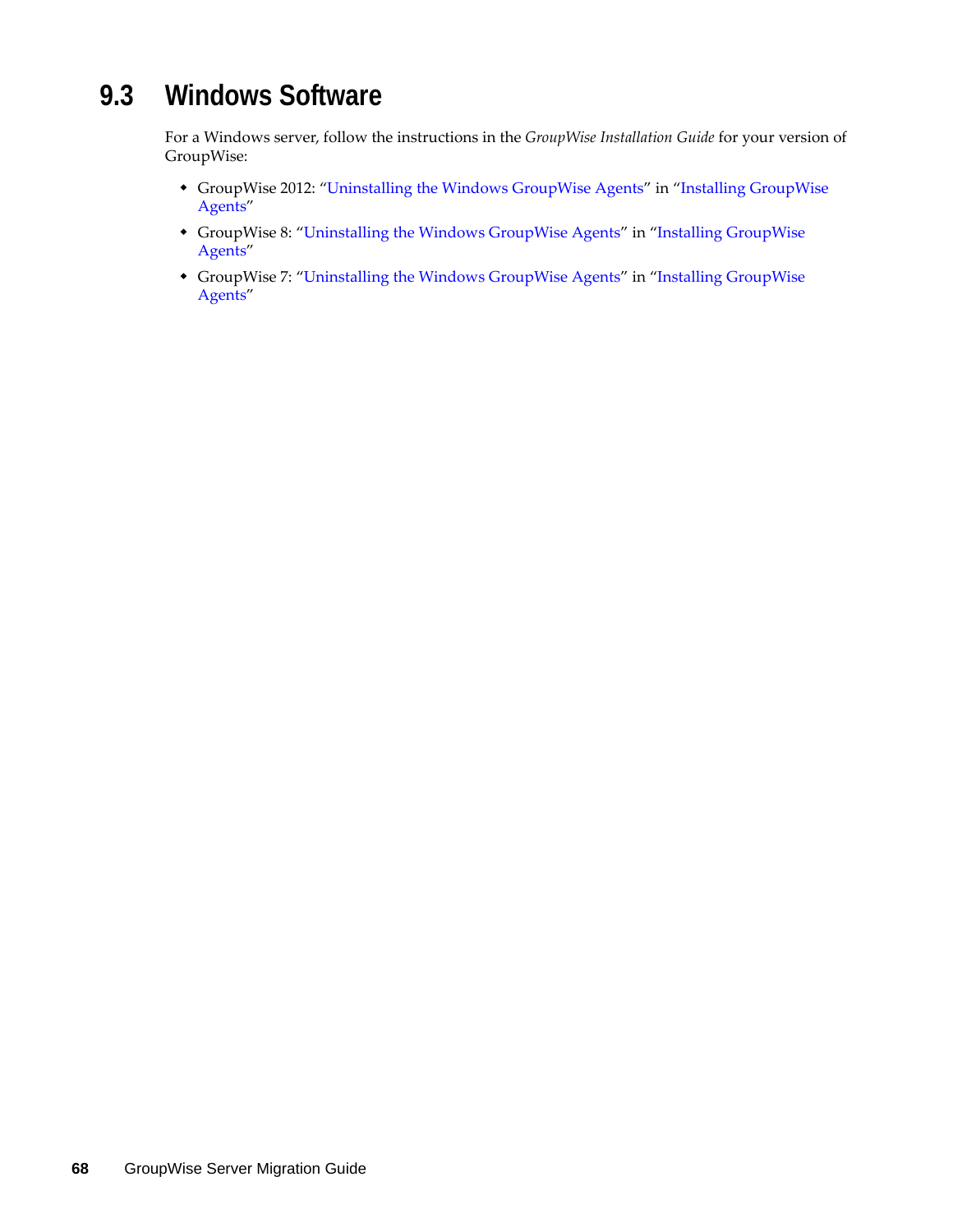# <span id="page-67-0"></span>**9.3 Windows Software**

For a Windows server, follow the instructions in the *GroupWise Installation Guide* for your version of GroupWise:

- GroupWise 2012: "Uninstalling the Windows GroupWise Agents" in "Installing GroupWise Agents"
- GroupWise 8: ["Uninstalling the Windows GroupWise Agents"](http://www.novell.com/documentation/gw8/pdfdoc/gw8_install/gw8_install.pdf#b3fk9ww) in "[Installing GroupWise](http://www.novell.com/documentation/gw8/pdfdoc/gw8_install/gw8_install.pdf#A8pam03)  [Agents](http://www.novell.com/documentation/gw8/pdfdoc/gw8_install/gw8_install.pdf#A8pam03)"
- GroupWise 7: ["Uninstalling the Windows GroupWise Agents"](http://www.novell.com/documentation/gw7/pdfdoc/gw7_install/gw7_install.pdf#b3fk9ww) in "[Installing GroupWise](http://www.novell.com/documentation/gw7/pdfdoc/gw7_install/gw7_install.pdf#A8pam03)  [Agents](http://www.novell.com/documentation/gw7/pdfdoc/gw7_install/gw7_install.pdf#A8pam03)"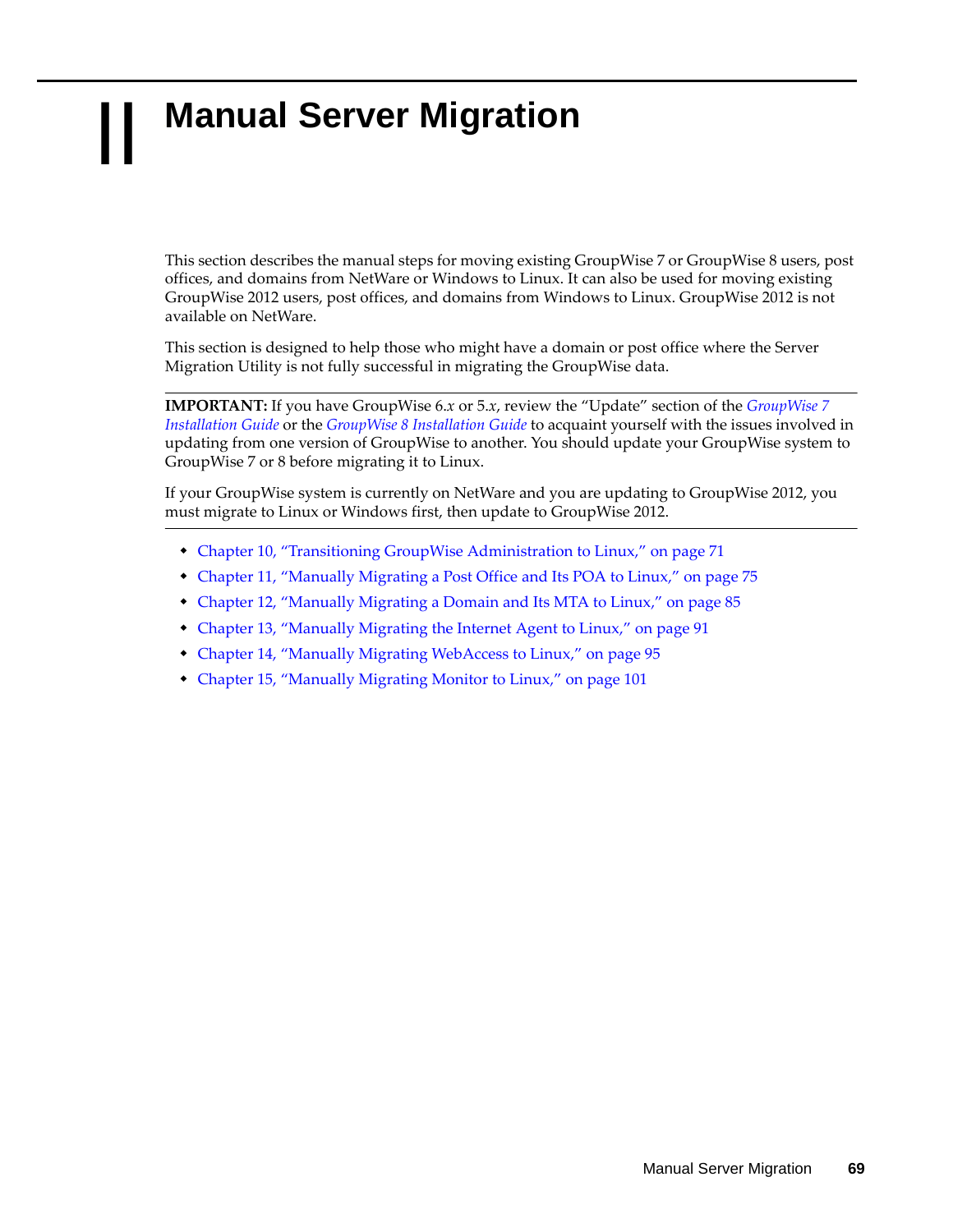# II **Manual Server Migration**

This section describes the manual steps for moving existing GroupWise 7 or GroupWise 8 users, post offices, and domains from NetWare or Windows to Linux. It can also be used for moving existing GroupWise 2012 users, post offices, and domains from Windows to Linux. GroupWise 2012 is not available on NetWare.

This section is designed to help those who might have a domain or post office where the Server Migration Utility is not fully successful in migrating the GroupWise data.

**IMPORTANT:** If you have GroupWise 6.*x* or 5.*x*, review the "Update" section of the *[GroupWise 7](http://www.novell.com/documentation/gw7/pdfdoc/gw7_install/gw7_install.pdf#A20gkue)  [Installation Guide](http://www.novell.com/documentation/gw7/pdfdoc/gw7_install/gw7_install.pdf#A20gkue)* or the *[GroupWise 8 Installation Guide](http://www.novell.com/documentation/gw8/pdfdoc/gw8_install/gw8_install.pdf#A20gkue)* to acquaint yourself with the issues involved in updating from one version of GroupWise to another. You should update your GroupWise system to GroupWise 7 or 8 before migrating it to Linux.

If your GroupWise system is currently on NetWare and you are updating to GroupWise 2012, you must migrate to Linux or Windows first, then update to GroupWise 2012.

- [Chapter 10, "Transitioning GroupWise Administration to Linux," on page 71](#page-70-0)
- [Chapter 11, "Manually Migrating a Post Office and Its POA to Linux," on page 75](#page-74-1)
- [Chapter 12, "Manually Migrating a Domain and Its MTA to Linux," on page 85](#page-84-1)
- [Chapter 13, "Manually Migrating the Internet Agent to Linux," on page 91](#page-90-0)
- [Chapter 14, "Manually Migrating WebAccess to Linux," on page 95](#page-94-0)
- [Chapter 15, "Manually Migrating Monitor to Linux," on page 101](#page-100-1)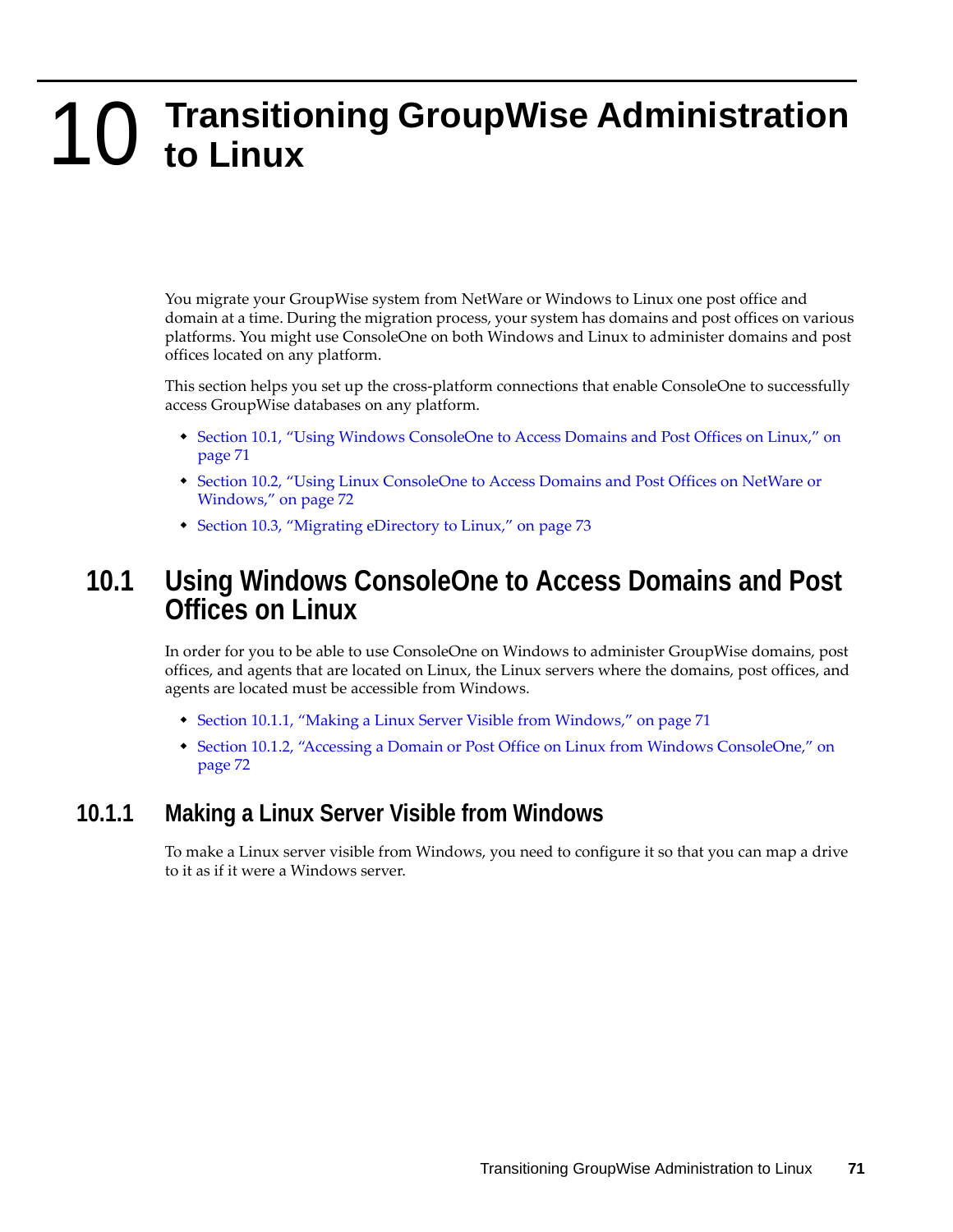# <span id="page-70-0"></span>10 <sup>10</sup>**Transitioning GroupWise Administration to Linux**

You migrate your GroupWise system from NetWare or Windows to Linux one post office and domain at a time. During the migration process, your system has domains and post offices on various platforms. You might use ConsoleOne on both Windows and Linux to administer domains and post offices located on any platform.

This section helps you set up the cross-platform connections that enable ConsoleOne to successfully access GroupWise databases on any platform.

- [Section 10.1, "Using Windows ConsoleOne to Access Domains and Post Offices on Linux," on](#page-70-1)  [page 71](#page-70-1)
- [Section 10.2, "Using Linux ConsoleOne to Access Domains and Post Offices on NetWare or](#page-71-0)  [Windows," on page 72](#page-71-0)
- [Section 10.3, "Migrating eDirectory to Linux," on page 73](#page-72-0)

## <span id="page-70-1"></span>**10.1 Using Windows ConsoleOne to Access Domains and Post Offices on Linux**

In order for you to be able to use ConsoleOne on Windows to administer GroupWise domains, post offices, and agents that are located on Linux, the Linux servers where the domains, post offices, and agents are located must be accessible from Windows.

- [Section 10.1.1, "Making a Linux Server Visible from Windows," on page 71](#page-70-2)
- [Section 10.1.2, "Accessing a Domain or Post Office on Linux from Windows ConsoleOne," on](#page-71-1)  [page 72](#page-71-1)

#### <span id="page-70-2"></span>**10.1.1 Making a Linux Server Visible from Windows**

To make a Linux server visible from Windows, you need to configure it so that you can map a drive to it as if it were a Windows server.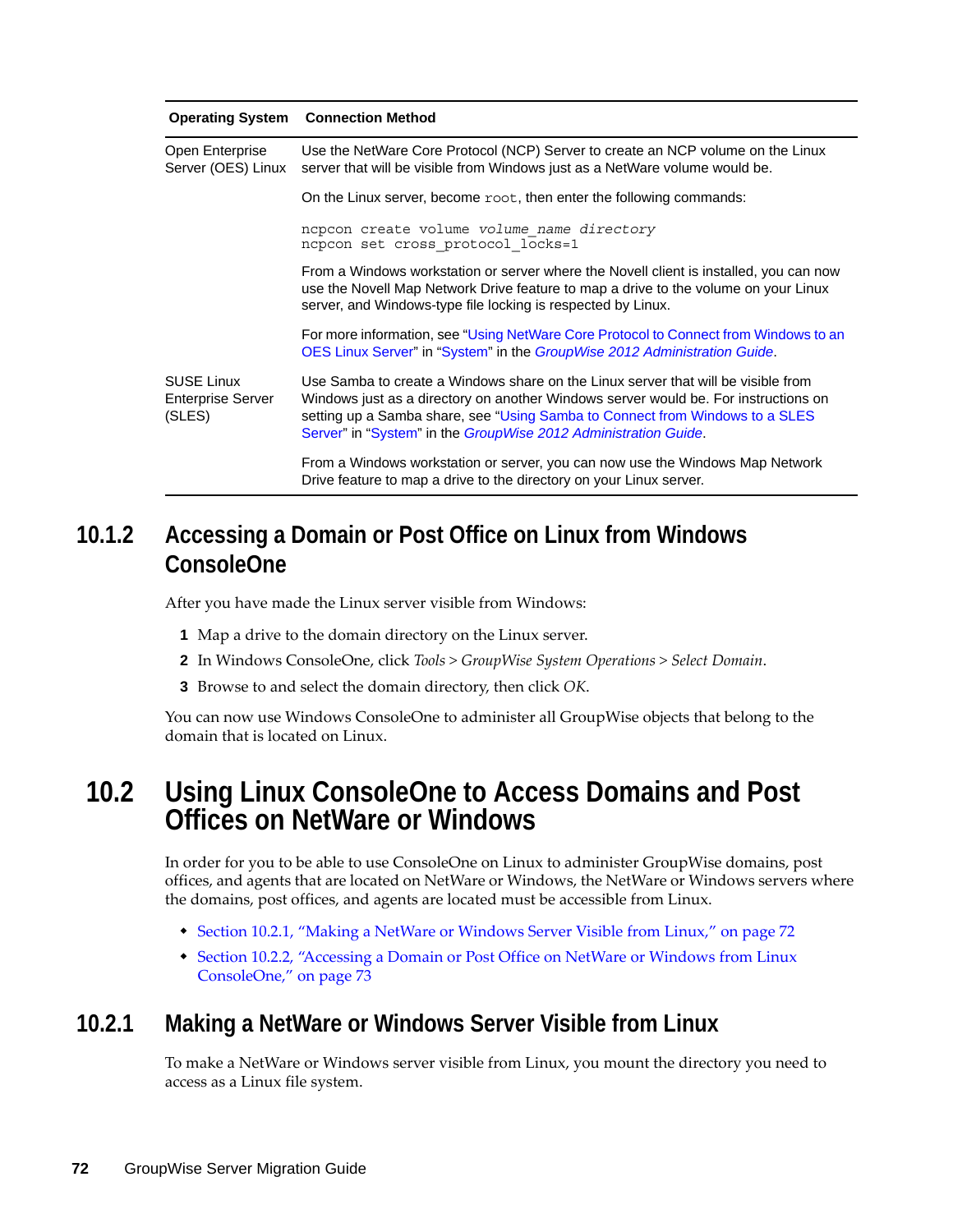|                                                         | <b>Operating System Connection Method</b>                                                                                                                                                                                                                                                                                   |
|---------------------------------------------------------|-----------------------------------------------------------------------------------------------------------------------------------------------------------------------------------------------------------------------------------------------------------------------------------------------------------------------------|
| Open Enterprise<br>Server (OES) Linux                   | Use the NetWare Core Protocol (NCP) Server to create an NCP volume on the Linux<br>server that will be visible from Windows just as a NetWare volume would be.                                                                                                                                                              |
|                                                         | On the Linux server, become root, then enter the following commands:                                                                                                                                                                                                                                                        |
|                                                         | ncpcon create volume volume name directory<br>ncpcon set cross protocol locks=1                                                                                                                                                                                                                                             |
|                                                         | From a Windows workstation or server where the Novell client is installed, you can now<br>use the Novell Map Network Drive feature to map a drive to the volume on your Linux<br>server, and Windows-type file locking is respected by Linux.                                                                               |
|                                                         | For more information, see "Using NetWare Core Protocol to Connect from Windows to an<br>OES Linux Server" in "System" in the GroupWise 2012 Administration Guide.                                                                                                                                                           |
| <b>SUSE Linux</b><br><b>Enterprise Server</b><br>(SLES) | Use Samba to create a Windows share on the Linux server that will be visible from<br>Windows just as a directory on another Windows server would be. For instructions on<br>setting up a Samba share, see "Using Samba to Connect from Windows to a SLES<br>Server" in "System" in the GroupWise 2012 Administration Guide. |
|                                                         | From a Windows workstation or server, you can now use the Windows Map Network<br>Drive feature to map a drive to the directory on your Linux server.                                                                                                                                                                        |

## <span id="page-71-1"></span>**10.1.2 Accessing a Domain or Post Office on Linux from Windows ConsoleOne**

After you have made the Linux server visible from Windows:

- **1** Map a drive to the domain directory on the Linux server.
- **2** In Windows ConsoleOne, click *Tools > GroupWise System Operations > Select Domain*.
- **3** Browse to and select the domain directory, then click *OK*.

You can now use Windows ConsoleOne to administer all GroupWise objects that belong to the domain that is located on Linux.

## <span id="page-71-0"></span>**10.2 Using Linux ConsoleOne to Access Domains and Post Offices on NetWare or Windows**

In order for you to be able to use ConsoleOne on Linux to administer GroupWise domains, post offices, and agents that are located on NetWare or Windows, the NetWare or Windows servers where the domains, post offices, and agents are located must be accessible from Linux.

- \* [Section 10.2.1, "Making a NetWare or Windows Server Visible from Linux," on page 72](#page-71-2)
- [Section 10.2.2, "Accessing a Domain or Post Office on NetWare or Windows from Linux](#page-72-1)  [ConsoleOne," on page 73](#page-72-1)

#### <span id="page-71-2"></span>**10.2.1 Making a NetWare or Windows Server Visible from Linux**

To make a NetWare or Windows server visible from Linux, you mount the directory you need to access as a Linux file system.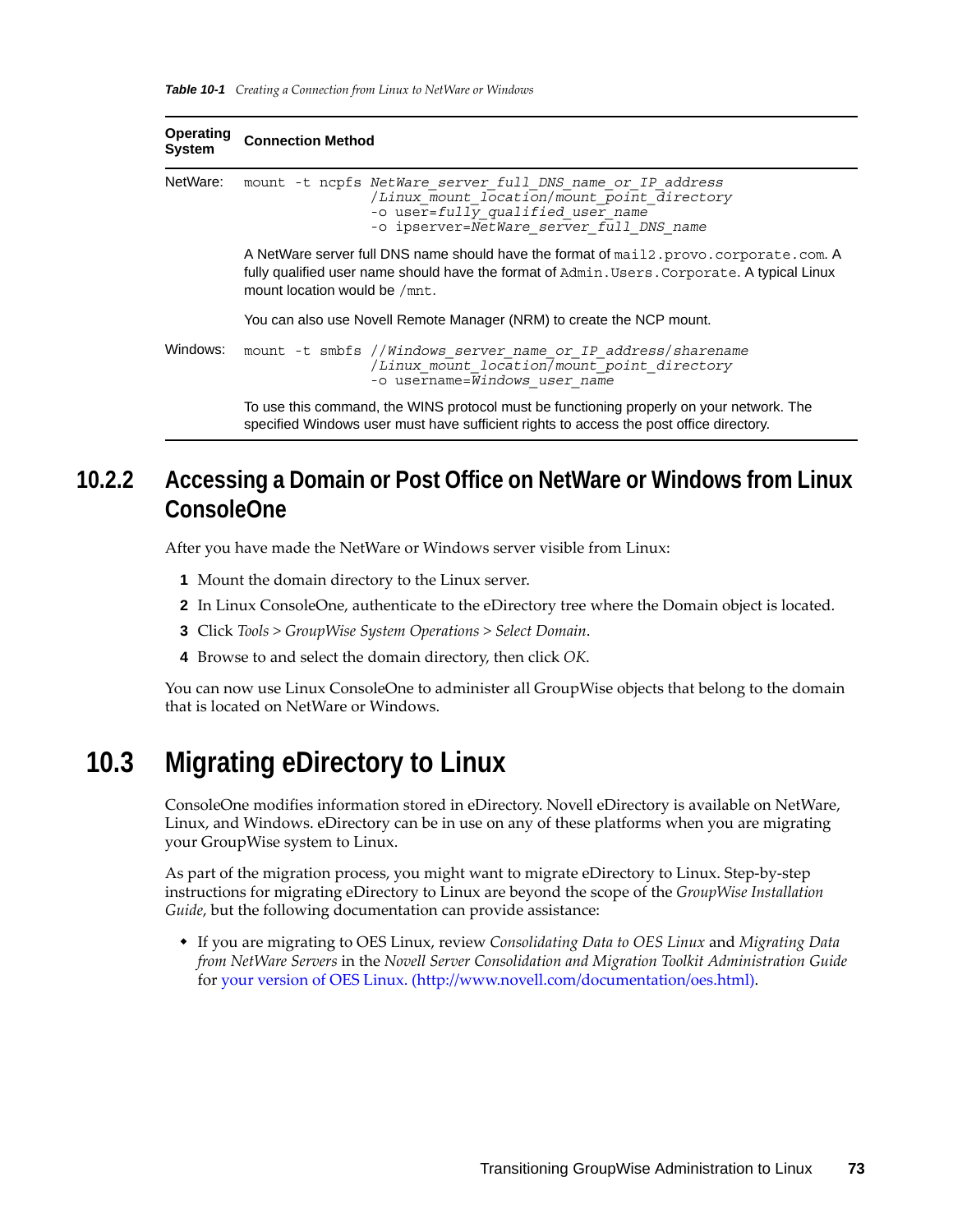| <b>Operating</b><br><b>System</b> | <b>Connection Method</b>                                                                                                                                                                                                   |
|-----------------------------------|----------------------------------------------------------------------------------------------------------------------------------------------------------------------------------------------------------------------------|
| NetWare:                          | mount -t nepfs NetWare server full DNS name or IP address<br>/Linux mount location/mount point directory<br>-o user=fully qualified user name<br>-o ipserver=NetWare server full DNS name                                  |
|                                   | A NetWare server full DNS name should have the format of mail 2, provo, corporate, com. A<br>fully qualified user name should have the format of Admin. Users. Corporate. A typical Linux<br>mount location would be /mnt. |
|                                   | You can also use Novell Remote Manager (NRM) to create the NCP mount.                                                                                                                                                      |
| Windows:                          | mount -t smbfs //Windows server name or IP address/sharename<br>/Linux mount location/mount point directory<br>-o username=Windows user name                                                                               |
|                                   | To use this command, the WINS protocol must be functioning properly on your network. The<br>specified Windows user must have sufficient rights to access the post office directory.                                        |

#### **10.2.2 Accessing a Domain or Post Office on NetWare or Windows from Linux ConsoleOne**

After you have made the NetWare or Windows server visible from Linux:

- **1** Mount the domain directory to the Linux server.
- **2** In Linux ConsoleOne, authenticate to the eDirectory tree where the Domain object is located.
- **3** Click *Tools > GroupWise System Operations > Select Domain*.
- **4** Browse to and select the domain directory, then click *OK*.

You can now use Linux ConsoleOne to administer all GroupWise objects that belong to the domain that is located on NetWare or Windows.

#### **10.3 Migrating eDirectory to Linux**

ConsoleOne modifies information stored in eDirectory. Novell eDirectory is available on NetWare, Linux, and Windows. eDirectory can be in use on any of these platforms when you are migrating your GroupWise system to Linux.

As part of the migration process, you might want to migrate eDirectory to Linux. Step-by-step instructions for migrating eDirectory to Linux are beyond the scope of the *GroupWise Installation Guide*, but the following documentation can provide assistance:

 If you are migrating to OES Linux, review *Consolidating Data to OES Linux* and *Migrating Data from NetWare Servers* in the *Novell Server Consolidation and Migration Toolkit Administration Guide* for [your version of OES Linux.](http://www.novell.com/documentation/oes.html) (http://www.novell.com/documentation/oes.html).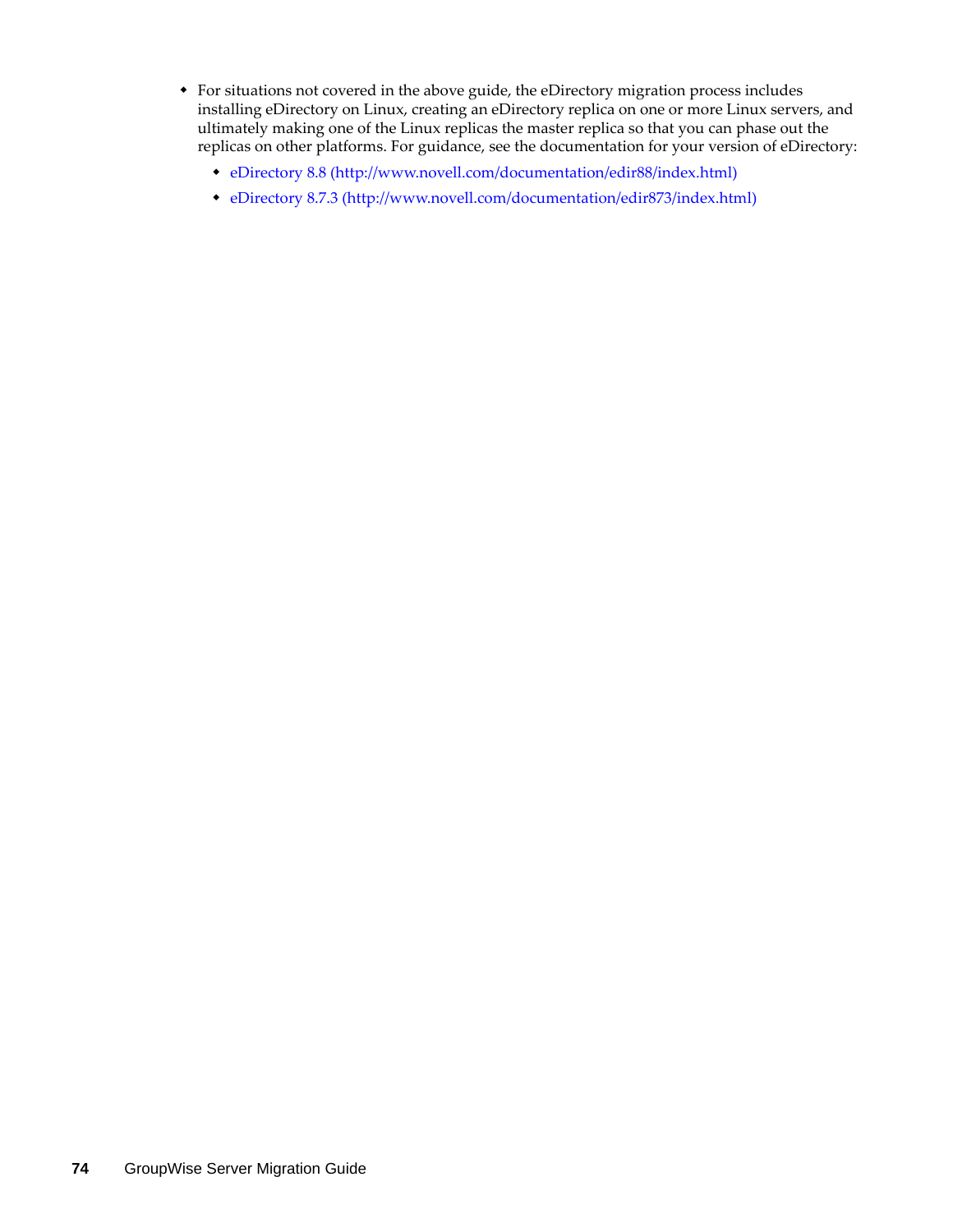- For situations not covered in the above guide, the eDirectory migration process includes installing eDirectory on Linux, creating an eDirectory replica on one or more Linux servers, and ultimately making one of the Linux replicas the master replica so that you can phase out the replicas on other platforms. For guidance, see the documentation for your version of eDirectory:
	- [eDirectory 8.8](http://www.novell.com/documentation/edir88/index.html) (http://www.novell.com/documentation/edir88/index.html)
	- [eDirectory 8.7.3](http://www.novell.com/documentation/edir873/index.html) (http://www.novell.com/documentation/edir873/index.html)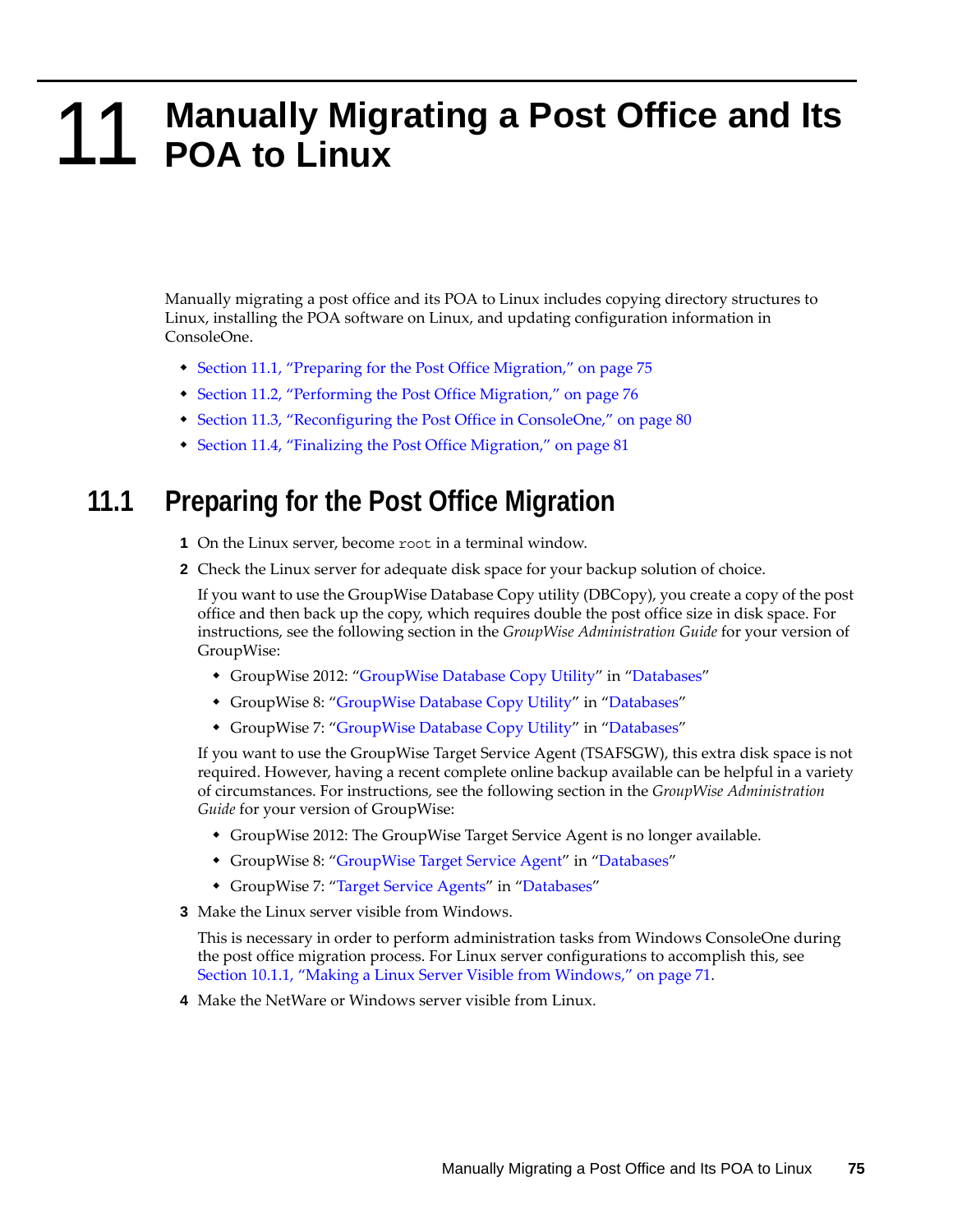# 11 Manually Mig<br> **11 POA to Linux** <sup>11</sup>**Manually Migrating a Post Office and Its**

Manually migrating a post office and its POA to Linux includes copying directory structures to Linux, installing the POA software on Linux, and updating configuration information in ConsoleOne.

- [Section 11.1, "Preparing for the Post Office Migration," on page 75](#page-74-0)
- [Section 11.2, "Performing the Post Office Migration," on page 76](#page-75-0)
- [Section 11.3, "Reconfiguring the Post Office in ConsoleOne," on page 80](#page-79-0)
- [Section 11.4, "Finalizing the Post Office Migration," on page 81](#page-80-0)

#### <span id="page-74-0"></span>**11.1 Preparing for the Post Office Migration**

- **1** On the Linux server, become root in a terminal window.
- **2** Check the Linux server for adequate disk space for your backup solution of choice.

If you want to use the GroupWise Database Copy utility (DBCopy), you create a copy of the post office and then back up the copy, which requires double the post office size in disk space. For instructions, see the following section in the *GroupWise Administration Guide* for your version of GroupWise:

- GroupWise 2012: "GroupWise Database Copy Utility" in "Databases"
- GroupWise 8: ["GroupWise Database Copy Utility"](http://www.novell.com/documentation/gw8/pdfdoc/gw8_admin/gw8_admin.pdf#bqpw8ct) in ["Databases](http://www.novell.com/documentation/gw8/pdfdoc/gw8_admin/gw8_admin.pdf#A8n802e)"
- GroupWise 7: ["GroupWise Database Copy Utility"](http://www.novell.com/documentation/gw7/pdfdoc/gw7_admin/gw7_admin.pdf#bqpw8ct) in ["Databases](http://www.novell.com/documentation/gw7/pdfdoc/gw7_admin/gw7_admin.pdf#A8n802e)"

If you want to use the GroupWise Target Service Agent (TSAFSGW), this extra disk space is not required. However, having a recent complete online backup available can be helpful in a variety of circumstances. For instructions, see the following section in the *GroupWise Administration Guide* for your version of GroupWise:

- GroupWise 2012: The GroupWise Target Service Agent is no longer available.
- GroupWise 8: ["GroupWise Target Service Agent](http://www.novell.com/documentation/gw8/pdfdoc/gw8_admin/gw8_admin.pdf#btf0xb0)" in ["Databases"](http://www.novell.com/documentation/gw8/pdfdoc/gw8_admin/gw8_admin.pdf#A8n802e)
- GroupWise 7: ["Target Service Agents](http://www.novell.com/documentation/gw7/pdfdoc/gw7_admin/gw7_admin.pdf#btf0xb0)" in ["Databases"](http://www.novell.com/documentation/gw7/pdfdoc/gw7_admin/gw7_admin.pdf#A8n802e)
- <span id="page-74-1"></span>**3** Make the Linux server visible from Windows.

This is necessary in order to perform administration tasks from Windows ConsoleOne during the post office migration process. For Linux server configurations to accomplish this, see [Section 10.1.1, "Making a Linux Server Visible from Windows," on page 71.](#page-70-0)

**4** Make the NetWare or Windows server visible from Linux.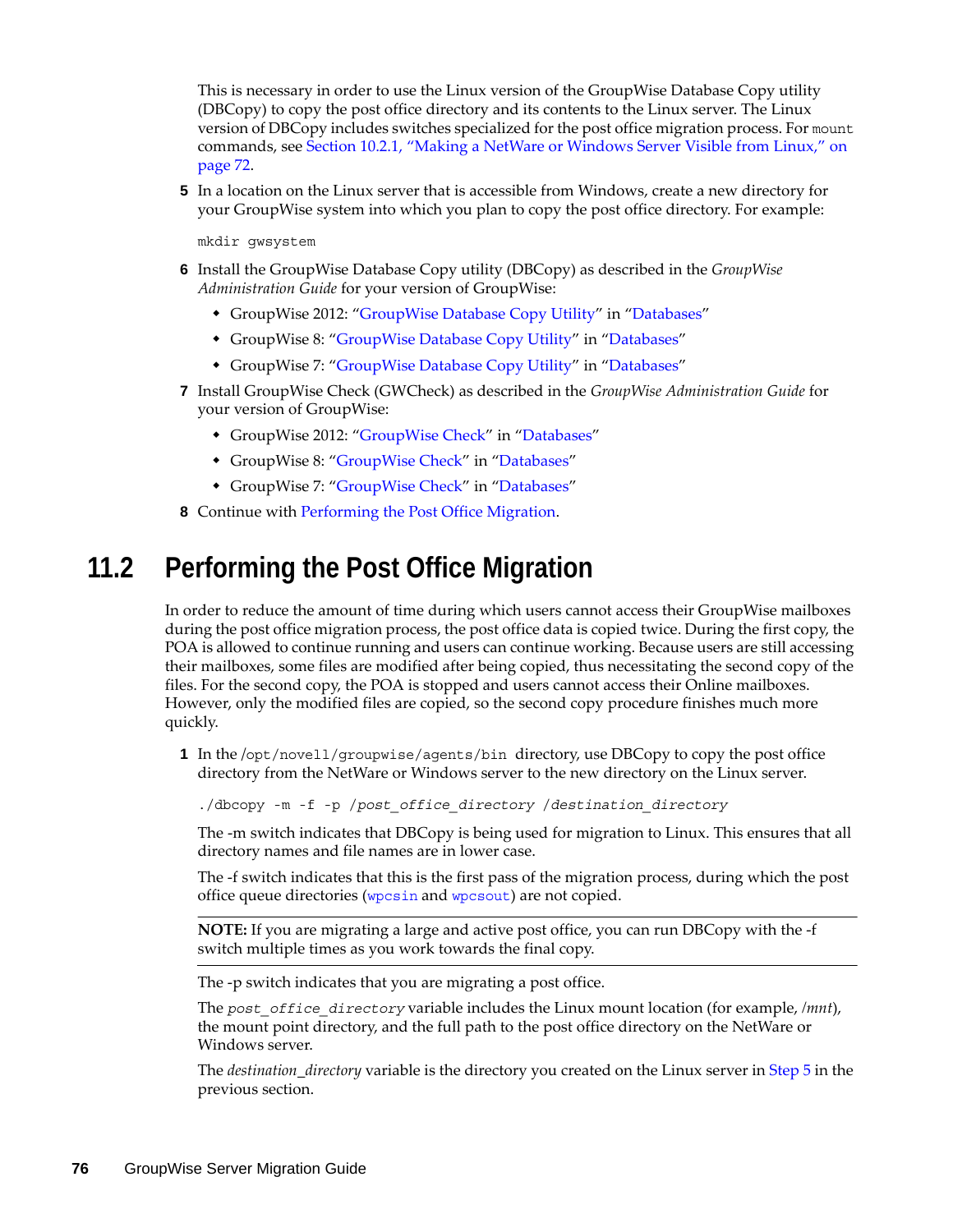This is necessary in order to use the Linux version of the GroupWise Database Copy utility (DBCopy) to copy the post office directory and its contents to the Linux server. The Linux version of DBCopy includes switches specialized for the post office migration process. For mount commands, see [Section 10.2.1, "Making a NetWare or Windows Server Visible from Linux," on](#page-71-0)  [page 72.](#page-71-0)

<span id="page-75-1"></span>**5** In a location on the Linux server that is accessible from Windows, create a new directory for your GroupWise system into which you plan to copy the post office directory. For example:

mkdir gwsystem

- **6** Install the GroupWise Database Copy utility (DBCopy) as described in the *GroupWise Administration Guide* for your version of GroupWise:
	- GroupWise 2012: "GroupWise Database Copy Utility" in "Databases"
	- GroupWise 8: ["GroupWise Database Copy Utility"](http://www.novell.com/documentation/gw8/pdfdoc/gw8_admin/gw8_admin.pdf#bqpw8ct) in ["Databases](http://www.novell.com/documentation/gw8/pdfdoc/gw8_admin/gw8_admin.pdf#A8n802e)"
	- GroupWise 7: ["GroupWise Database Copy Utility"](http://www.novell.com/documentation/gw7/pdfdoc/gw7_admin/gw7_admin.pdf#bqpw8ct) in ["Databases](http://www.novell.com/documentation/gw7/pdfdoc/gw7_admin/gw7_admin.pdf#A8n802e)"
- **7** Install GroupWise Check (GWCheck) as described in the *GroupWise Administration Guide* for your version of GroupWise:
	- GroupWise 2012: "GroupWise Check" in "Databases"
	- GroupWise 8: ["GroupWise Check](http://www.novell.com/documentation/gw8/pdfdoc/gw8_admin/gw8_admin.pdf#A3n60l6)" in "[Databases"](http://www.novell.com/documentation/gw8/pdfdoc/gw8_admin/gw8_admin.pdf#A8n802e)
	- GroupWise 7: ["GroupWise Check](http://www.novell.com/documentation/gw7/pdfdoc/gw7_admin/gw7_admin.pdf#A3n60l6)" in "[Databases"](http://www.novell.com/documentation/gw7/pdfdoc/gw7_admin/gw7_admin.pdf#A8n802e)
- **8** Continue with [Performing the Post Office Migration](#page-75-0).

### <span id="page-75-0"></span>**11.2 Performing the Post Office Migration**

In order to reduce the amount of time during which users cannot access their GroupWise mailboxes during the post office migration process, the post office data is copied twice. During the first copy, the POA is allowed to continue running and users can continue working. Because users are still accessing their mailboxes, some files are modified after being copied, thus necessitating the second copy of the files. For the second copy, the POA is stopped and users cannot access their Online mailboxes. However, only the modified files are copied, so the second copy procedure finishes much more quickly.

**1** In the /opt/novell/groupwise/agents/bin directory, use DBCopy to copy the post office directory from the NetWare or Windows server to the new directory on the Linux server.

./dbcopy -m -f -p /*post\_office\_directory* /*destination\_directory*

The -m switch indicates that DBCopy is being used for migration to Linux. This ensures that all directory names and file names are in lower case.

The -f switch indicates that this is the first pass of the migration process, during which the post office queue directories ([wpcsin](http://www.novell.com/documentation/gw7/pdfdoc/gw7_tsh3/gw7_tsh3.pdf#A3ectbd) and [wpcsout](http://www.novell.com/documentation/gw7/pdfdoc/gw7_tsh3/gw7_tsh3.pdf#A3edx6n)) are not copied.

**NOTE:** If you are migrating a large and active post office, you can run DBCopy with the -f switch multiple times as you work towards the final copy.

The -p switch indicates that you are migrating a post office.

The *post\_office\_directory* variable includes the Linux mount location (for example, */mnt*), the mount point directory, and the full path to the post office directory on the NetWare or Windows server.

The *destination\_directory* variable is the directory you created on the Linux server in [Step 5](#page-75-1) in the previous section.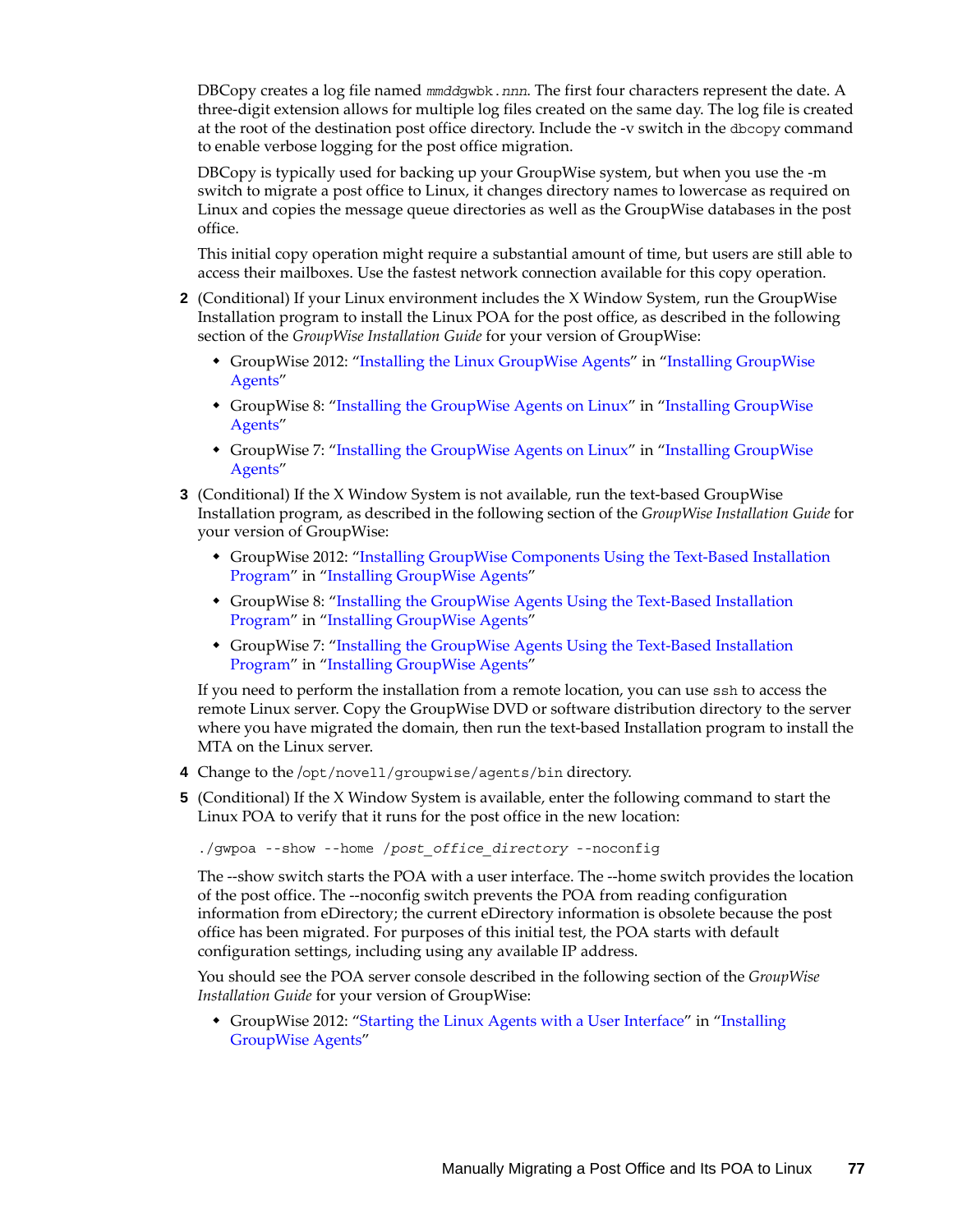DBCopy creates a log file named *mmdd*gwbk.*nnn*. The first four characters represent the date. A three-digit extension allows for multiple log files created on the same day. The log file is created at the root of the destination post office directory. Include the -v switch in the dbcopy command to enable verbose logging for the post office migration.

DBCopy is typically used for backing up your GroupWise system, but when you use the -m switch to migrate a post office to Linux, it changes directory names to lowercase as required on Linux and copies the message queue directories as well as the GroupWise databases in the post office.

This initial copy operation might require a substantial amount of time, but users are still able to access their mailboxes. Use the fastest network connection available for this copy operation.

- **2** (Conditional) If your Linux environment includes the X Window System, run the GroupWise Installation program to install the Linux POA for the post office, as described in the following section of the *GroupWise Installation Guide* for your version of GroupWise:
	- GroupWise 2012: "Installing the Linux GroupWise Agents" in "Installing GroupWise Agents"
	- GroupWise 8: ["Installing the GroupWise Agents on Linux"](http://www.novell.com/documentation/gw8/pdfdoc/gw8_install/gw8_install.pdf#bnmtjck) in "[Installing GroupWise](http://www.novell.com/documentation/gw8/pdfdoc/gw8_install/gw8_install.pdf#A8pam03)  [Agents](http://www.novell.com/documentation/gw8/pdfdoc/gw8_install/gw8_install.pdf#A8pam03)"
	- GroupWise 7: ["Installing the GroupWise Agents on Linux"](http://www.novell.com/documentation/gw7/pdfdoc/gw7_install/gw7_install.pdf#bnmtjck) in "[Installing GroupWise](http://www.novell.com/documentation/gw7/pdfdoc/gw7_install/gw7_install.pdf#A8pam03)  [Agents](http://www.novell.com/documentation/gw7/pdfdoc/gw7_install/gw7_install.pdf#A8pam03)"
- **3** (Conditional) If the X Window System is not available, run the text-based GroupWise Installation program, as described in the following section of the *GroupWise Installation Guide* for your version of GroupWise:
	- GroupWise 2012: "Installing GroupWise Components Using the Text-Based Installation Program" in "Installing GroupWise Agents"
	- GroupWise 8: ["Installing the GroupWise Agents Using the Text-Based Installation](http://www.novell.com/documentation/gw8/pdfdoc/gw8_install/gw8_install.pdf#bpovd7y)  [Program"](http://www.novell.com/documentation/gw8/pdfdoc/gw8_install/gw8_install.pdf#bpovd7y) in ["Installing GroupWise Agents](http://www.novell.com/documentation/gw8/pdfdoc/gw8_install/gw8_install.pdf#A8pam03)"
	- GroupWise 7: ["Installing the GroupWise Agents Using the Text-Based Installation](http://www.novell.com/documentation/gw7/pdfdoc/gw7_install/gw7_install.pdf#bpovd7y)  [Program"](http://www.novell.com/documentation/gw7/pdfdoc/gw7_install/gw7_install.pdf#bpovd7y) in ["Installing GroupWise Agents](http://www.novell.com/documentation/gw7/pdfdoc/gw7_install/gw7_install.pdf#A8pam03)"

If you need to perform the installation from a remote location, you can use ssh to access the remote Linux server. Copy the GroupWise DVD or software distribution directory to the server where you have migrated the domain, then run the text-based Installation program to install the MTA on the Linux server.

- **4** Change to the /opt/novell/groupwise/agents/bin directory.
- **5** (Conditional) If the X Window System is available, enter the following command to start the Linux POA to verify that it runs for the post office in the new location:

./gwpoa --show --home /*post\_office\_directory* --noconfig

The --show switch starts the POA with a user interface. The --home switch provides the location of the post office. The --noconfig switch prevents the POA from reading configuration information from eDirectory; the current eDirectory information is obsolete because the post office has been migrated. For purposes of this initial test, the POA starts with default configuration settings, including using any available IP address.

You should see the POA server console described in the following section of the *GroupWise Installation Guide* for your version of GroupWise:

• GroupWise 2012: "Starting the Linux Agents with a User Interface" in "Installing GroupWise Agents"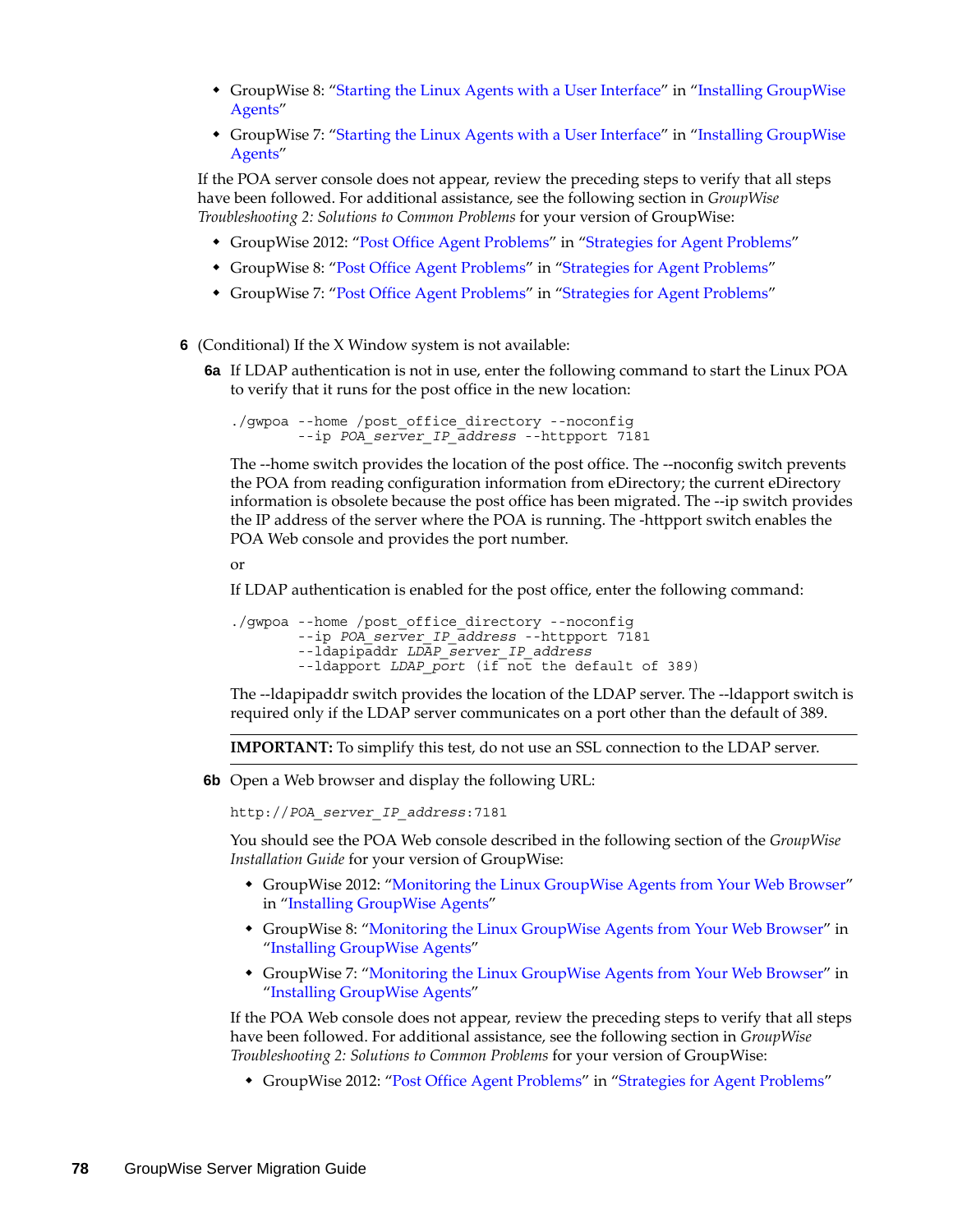- GroupWise 8: ["Starting the Linux Agents with a User Interface"](http://www.novell.com/documentation/gw8/pdfdoc/gw8_install/gw8_install.pdf#bq5d2mk) in "Installing GroupWise [Agents](http://www.novell.com/documentation/gw8/pdfdoc/gw8_install/gw8_install.pdf#A8pam03)"
- GroupWise 7: ["Starting the Linux Agents with a User Interface"](http://www.novell.com/documentation/gw7/pdfdoc/gw7_install/gw7_install.pdf#bq5d2mk) in "Installing GroupWise [Agents](http://www.novell.com/documentation/gw7/pdfdoc/gw7_install/gw7_install.pdf#A8pam03)"

If the POA server console does not appear, review the preceding steps to verify that all steps have been followed. For additional assistance, see the following section in *GroupWise Troubleshooting 2: Solutions to Common Problems* for your version of GroupWise:

- GroupWise 2012: "Post Office Agent Problems" in "Strategies for Agent Problems"
- GroupWise 8: ["Post Office Agent Problems"](http://www.novell.com/documentation/gw8/pdfdoc/gw8_tsh2/gw8_tsh2.pdf#Hymgub6l) in "[Strategies for Agent Problems"](http://www.novell.com/documentation/gw8/pdfdoc/gw8_tsh2/gw8_tsh2.pdf#A4exn4s)
- GroupWise 7: ["Post Office Agent Problems"](http://www.novell.com/documentation/gw7/pdfdoc/gw7_tsh2/gw7_tsh2.pdf#Hymgub6l) in "[Strategies for Agent Problems"](http://www.novell.com/documentation/gw7/pdfdoc/gw7_tsh2/gw7_tsh2.pdf#A4exn4s)
- **6** (Conditional) If the X Window system is not available:
	- **6a** If LDAP authentication is not in use, enter the following command to start the Linux POA to verify that it runs for the post office in the new location:

./gwpoa --home /post\_office\_directory --noconfig --ip *POA\_server\_IP\_address* --httpport 7181

The --home switch provides the location of the post office. The --noconfig switch prevents the POA from reading configuration information from eDirectory; the current eDirectory information is obsolete because the post office has been migrated. The --ip switch provides the IP address of the server where the POA is running. The -httpport switch enables the POA Web console and provides the port number.

or

If LDAP authentication is enabled for the post office, enter the following command:

```
./gwpoa --home /post_office_directory --noconfig 
         --ip POA_server_IP_address --httpport 7181
        --ldapipaddr LDAP_server_IP_address
        --ldapport LDAP_port (if not the default of 389)
```
The --ldapipaddr switch provides the location of the LDAP server. The --ldapport switch is required only if the LDAP server communicates on a port other than the default of 389.

**IMPORTANT:** To simplify this test, do not use an SSL connection to the LDAP server.

**6b** Open a Web browser and display the following URL:

http://*POA\_server\_IP\_address*:7181

You should see the POA Web console described in the following section of the *GroupWise Installation Guide* for your version of GroupWise:

- GroupWise 2012: "Monitoring the Linux GroupWise Agents from Your Web Browser" in "Installing GroupWise Agents"
- GroupWise 8: ["Monitoring the Linux GroupWise Agents from Your Web Browser](http://www.novell.com/documentation/gw8/pdfdoc/gw8_install/gw8_install.pdf#bpms2a6)" in "[Installing GroupWise Agents"](http://www.novell.com/documentation/gw8/pdfdoc/gw8_install/gw8_install.pdf#A8pam03)
- GroupWise 7: ["Monitoring the Linux GroupWise Agents from Your Web Browser](http://www.novell.com/documentation/gw7/pdfdoc/gw7_install/gw7_install.pdf#bpms2a6)" in "[Installing GroupWise Agents"](http://www.novell.com/documentation/gw7/pdfdoc/gw7_install/gw7_install.pdf#A8pam03)

If the POA Web console does not appear, review the preceding steps to verify that all steps have been followed. For additional assistance, see the following section in *GroupWise Troubleshooting 2: Solutions to Common Problems* for your version of GroupWise:

GroupWise 2012: "Post Office Agent Problems" in "Strategies for Agent Problems"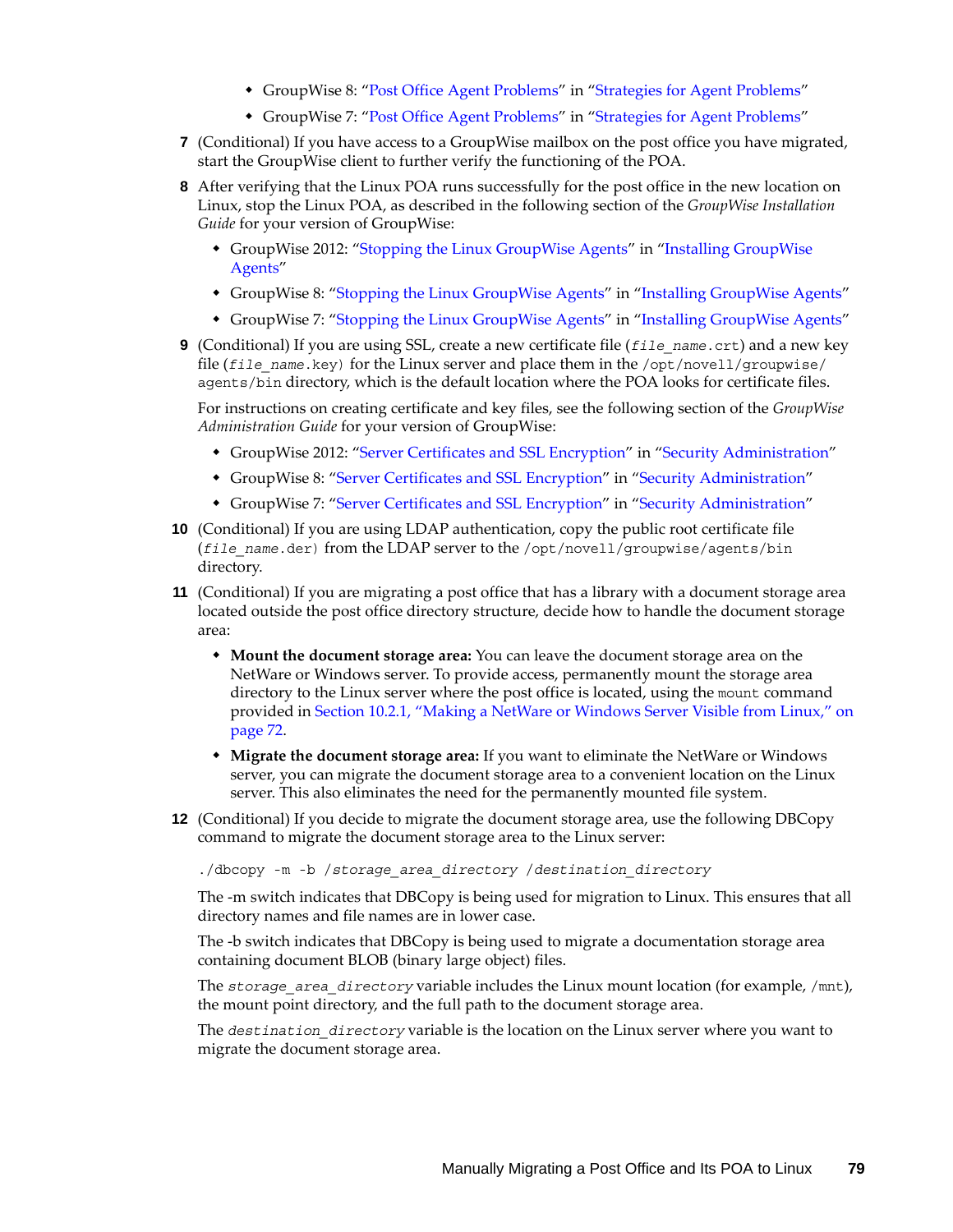- GroupWise 8: ["Post Office Agent Problems"](http://www.novell.com/documentation/gw8/pdfdoc/gw8_tsh2/gw8_tsh2.pdf#Hymgub6l) in "[Strategies for Agent Problems"](http://www.novell.com/documentation/gw8/pdfdoc/gw8_tsh2/gw8_tsh2.pdf#A4exn4s)
- GroupWise 7: ["Post Office Agent Problems"](http://www.novell.com/documentation/gw7/pdfdoc/gw7_tsh2/gw7_tsh2.pdf#Hymgub6l) in "[Strategies for Agent Problems"](http://www.novell.com/documentation/gw7/pdfdoc/gw7_tsh2/gw7_tsh2.pdf#A4exn4s)
- **7** (Conditional) If you have access to a GroupWise mailbox on the post office you have migrated, start the GroupWise client to further verify the functioning of the POA.
- **8** After verifying that the Linux POA runs successfully for the post office in the new location on Linux, stop the Linux POA, as described in the following section of the *GroupWise Installation Guide* for your version of GroupWise:
	- GroupWise 2012: "Stopping the Linux GroupWise Agents" in "Installing GroupWise Agents"
	- GroupWise 8: ["Stopping the Linux GroupWise Agents"](http://www.novell.com/documentation/gw8/pdfdoc/gw8_install/gw8_install.pdf#bnquavn) in ["Installing GroupWise Agents](http://www.novell.com/documentation/gw8/pdfdoc/gw8_install/gw8_install.pdf#A8pam03)"
	- GroupWise 7: ["Stopping the Linux GroupWise Agents"](http://www.novell.com/documentation/gw7/pdfdoc/gw7_install/gw7_install.pdf#bnquavn) in ["Installing GroupWise Agents](http://www.novell.com/documentation/gw7/pdfdoc/gw7_install/gw7_install.pdf#A8pam03)"
- <span id="page-78-0"></span>**9** (Conditional) If you are using SSL, create a new certificate file (*file\_name*.crt) and a new key file (*file\_name*.key) for the Linux server and place them in the /opt/novell/groupwise/ agents/bin directory, which is the default location where the POA looks for certificate files.

For instructions on creating certificate and key files, see the following section of the *GroupWise Administration Guide* for your version of GroupWise:

- GroupWise 2012: "Server Certificates and SSL Encryption" in "Security Administration"
- GroupWise 8: ["Server Certificates and SSL Encryption](http://www.novell.com/documentation/gw8/pdfdoc/gw8_admin/gw8_admin.pdf#Ak9e3ju)" in "[Security Administration"](http://www.novell.com/documentation/gw8/pdfdoc/gw8_admin/gw8_admin.pdf#Altf8xr)
- GroupWise 7: ["Server Certificates and SSL Encryption](http://www.novell.com/documentation/gw7/pdfdoc/gw7_admin/gw7_admin.pdf#Ak9e3ju)" in "[Security Administration"](http://www.novell.com/documentation/gw7/pdfdoc/gw7_admin/gw7_admin.pdf#Altf8xr)
- **10** (Conditional) If you are using LDAP authentication, copy the public root certificate file (*file\_name*.der) from the LDAP server to the /opt/novell/groupwise/agents/bin directory.
- <span id="page-78-1"></span>**11** (Conditional) If you are migrating a post office that has a library with a document storage area located outside the post office directory structure, decide how to handle the document storage area:
	- **Mount the document storage area:** You can leave the document storage area on the NetWare or Windows server. To provide access, permanently mount the storage area directory to the Linux server where the post office is located, using the mount command provided in [Section 10.2.1, "Making a NetWare or Windows Server Visible from Linux," on](#page-71-0)  [page 72.](#page-71-0)
	- **Migrate the document storage area:** If you want to eliminate the NetWare or Windows server, you can migrate the document storage area to a convenient location on the Linux server. This also eliminates the need for the permanently mounted file system.
- **12** (Conditional) If you decide to migrate the document storage area, use the following DBCopy command to migrate the document storage area to the Linux server:

./dbcopy -m -b /*storage\_area\_directory* /*destination\_directory*

The -m switch indicates that DBCopy is being used for migration to Linux. This ensures that all directory names and file names are in lower case.

The -b switch indicates that DBCopy is being used to migrate a documentation storage area containing document BLOB (binary large object) files.

The *storage* area directory variable includes the Linux mount location (for example, /mnt), the mount point directory, and the full path to the document storage area.

The *destination\_directory* variable is the location on the Linux server where you want to migrate the document storage area.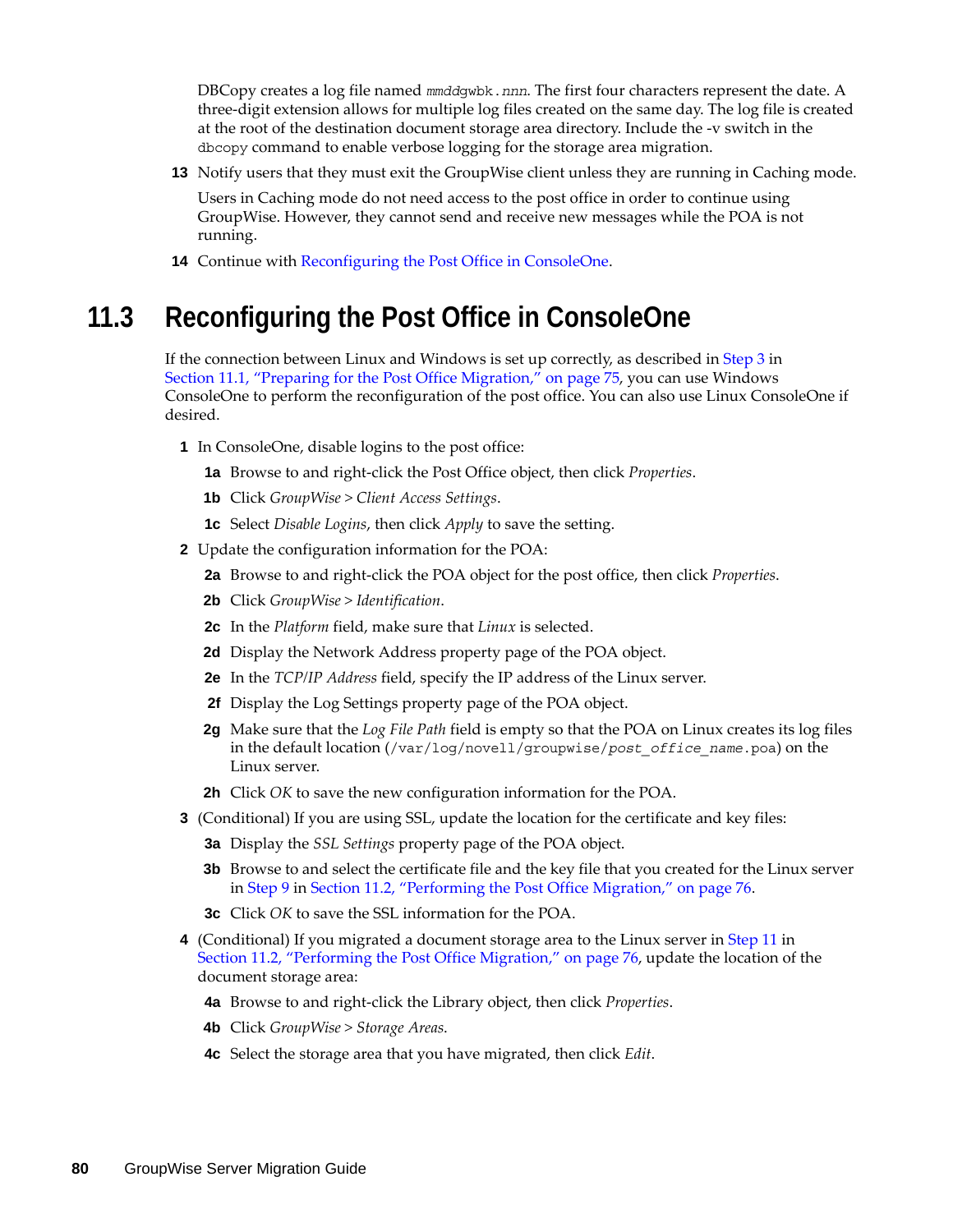DBCopy creates a log file named *mmdd*gwbk.*nnn*. The first four characters represent the date. A three-digit extension allows for multiple log files created on the same day. The log file is created at the root of the destination document storage area directory. Include the -v switch in the dbcopy command to enable verbose logging for the storage area migration.

**13** Notify users that they must exit the GroupWise client unless they are running in Caching mode.

Users in Caching mode do not need access to the post office in order to continue using GroupWise. However, they cannot send and receive new messages while the POA is not running.

**14** Continue with [Reconfiguring the Post Office in ConsoleOne](#page-79-0).

### <span id="page-79-0"></span>**11.3 Reconfiguring the Post Office in ConsoleOne**

If the connection between Linux and Windows is set up correctly, as described in [Step 3](#page-74-1) in [Section 11.1, "Preparing for the Post Office Migration," on page 75](#page-74-0), you can use Windows ConsoleOne to perform the reconfiguration of the post office. You can also use Linux ConsoleOne if desired.

- **1** In ConsoleOne, disable logins to the post office:
	- **1a** Browse to and right-click the Post Office object, then click *Properties*.
	- **1b** Click *GroupWise > Client Access Settings*.
	- **1c** Select *Disable Logins*, then click *Apply* to save the setting.
- **2** Update the configuration information for the POA:
	- **2a** Browse to and right-click the POA object for the post office, then click *Properties*.
	- **2b** Click *GroupWise > Identification*.
	- **2c** In the *Platform* field, make sure that *Linux* is selected.
	- **2d** Display the Network Address property page of the POA object.
	- **2e** In the *TCP/IP Address* field, specify the IP address of the Linux server.
	- **2f** Display the Log Settings property page of the POA object.
	- **2g** Make sure that the *Log File Path* field is empty so that the POA on Linux creates its log files in the default location (/var/log/novell/groupwise/*post\_office\_name*.poa) on the Linux server.
	- **2h** Click *OK* to save the new configuration information for the POA.
- **3** (Conditional) If you are using SSL, update the location for the certificate and key files:
	- **3a** Display the *SSL Settings* property page of the POA object.
	- **3b** Browse to and select the certificate file and the key file that you created for the Linux server in [Step 9](#page-78-0) in [Section 11.2, "Performing the Post Office Migration," on page 76.](#page-75-0)
	- **3c** Click *OK* to save the SSL information for the POA.
- **4** (Conditional) If you migrated a document storage area to the Linux server in [Step 11](#page-78-1) in [Section 11.2, "Performing the Post Office Migration," on page 76](#page-75-0), update the location of the document storage area:
	- **4a** Browse to and right-click the Library object, then click *Properties*.
	- **4b** Click *GroupWise > Storage Areas*.
	- **4c** Select the storage area that you have migrated, then click *Edit*.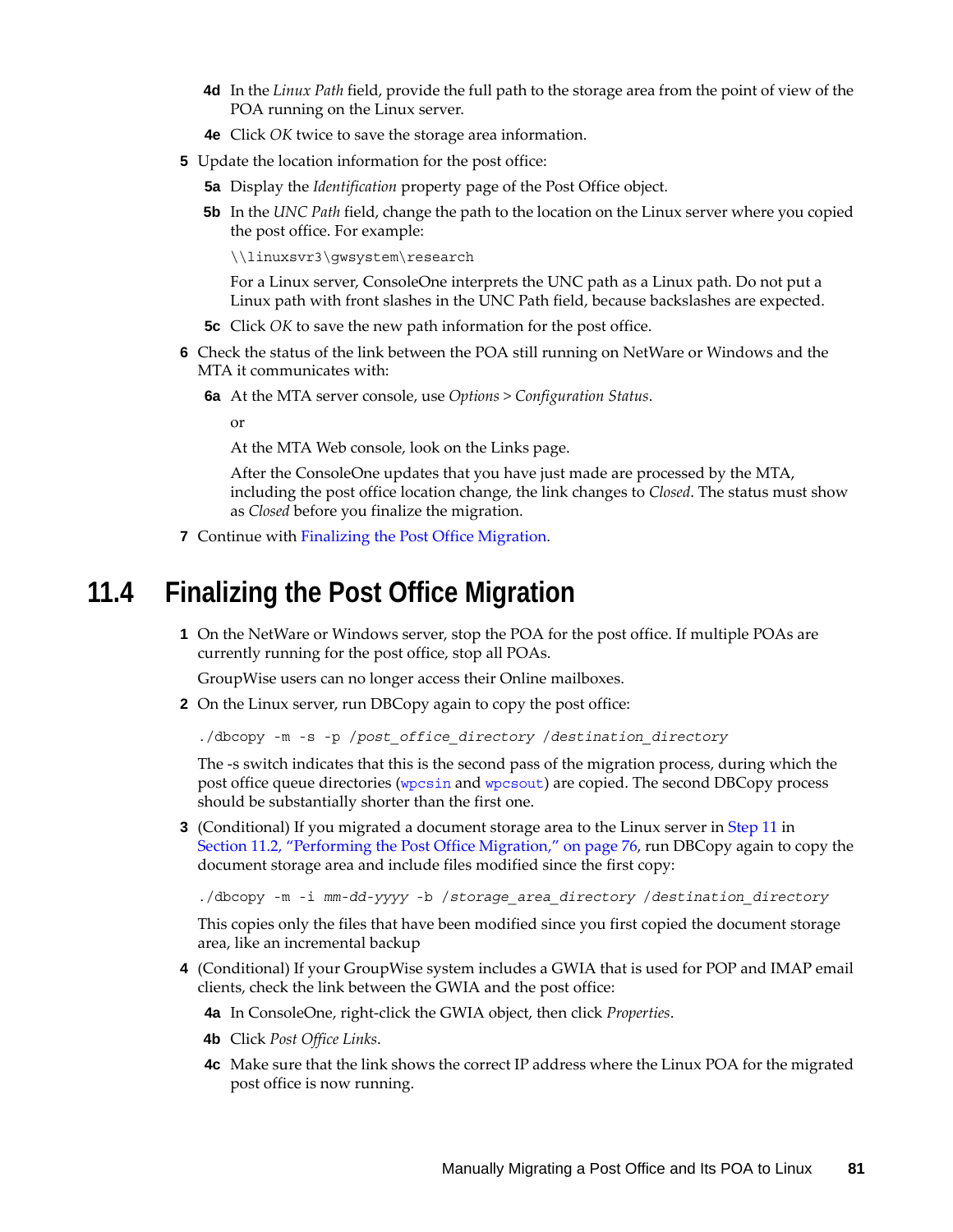- **4d** In the *Linux Path* field, provide the full path to the storage area from the point of view of the POA running on the Linux server.
- **4e** Click *OK* twice to save the storage area information.
- **5** Update the location information for the post office:
	- **5a** Display the *Identification* property page of the Post Office object.
	- **5b** In the *UNC Path* field, change the path to the location on the Linux server where you copied the post office. For example:

\\linuxsvr3\gwsystem\research

For a Linux server, ConsoleOne interprets the UNC path as a Linux path. Do not put a Linux path with front slashes in the UNC Path field, because backslashes are expected.

- **5c** Click *OK* to save the new path information for the post office.
- **6** Check the status of the link between the POA still running on NetWare or Windows and the MTA it communicates with:
	- **6a** At the MTA server console, use *Options > Configuration Status*.

or

At the MTA Web console, look on the Links page.

After the ConsoleOne updates that you have just made are processed by the MTA, including the post office location change, the link changes to *Closed*. The status must show as *Closed* before you finalize the migration.

**7** Continue with [Finalizing the Post Office Migration](#page-80-0).

#### <span id="page-80-0"></span>**11.4 Finalizing the Post Office Migration**

**1** On the NetWare or Windows server, stop the POA for the post office. If multiple POAs are currently running for the post office, stop all POAs.

GroupWise users can no longer access their Online mailboxes.

**2** On the Linux server, run DBCopy again to copy the post office:

./dbcopy -m -s -p /*post\_office\_directory* /*destination\_directory*

The -s switch indicates that this is the second pass of the migration process, during which the post office queue directories ([wpcsin](http://www.novell.com/documentation/gw7/pdfdoc/gw7_tsh3/gw7_tsh3.pdf#A3ectbd) and [wpcsout](http://www.novell.com/documentation/gw7/pdfdoc/gw7_tsh3/gw7_tsh3.pdf#A3edx6n)) are copied. The second DBCopy process should be substantially shorter than the first one.

**3** (Conditional) If you migrated a document storage area to the Linux server in [Step 11](#page-78-1) in [Section 11.2, "Performing the Post Office Migration," on page 76,](#page-75-0) run DBCopy again to copy the document storage area and include files modified since the first copy:

./dbcopy -m -i *mm-dd-yyyy* -b /*storage\_area\_directory* /*destination\_directory*

This copies only the files that have been modified since you first copied the document storage area, like an incremental backup

**4** (Conditional) If your GroupWise system includes a GWIA that is used for POP and IMAP email clients, check the link between the GWIA and the post office:

**4a** In ConsoleOne, right-click the GWIA object, then click *Properties*.

- **4b** Click *Post Office Links*.
- **4c** Make sure that the link shows the correct IP address where the Linux POA for the migrated post office is now running.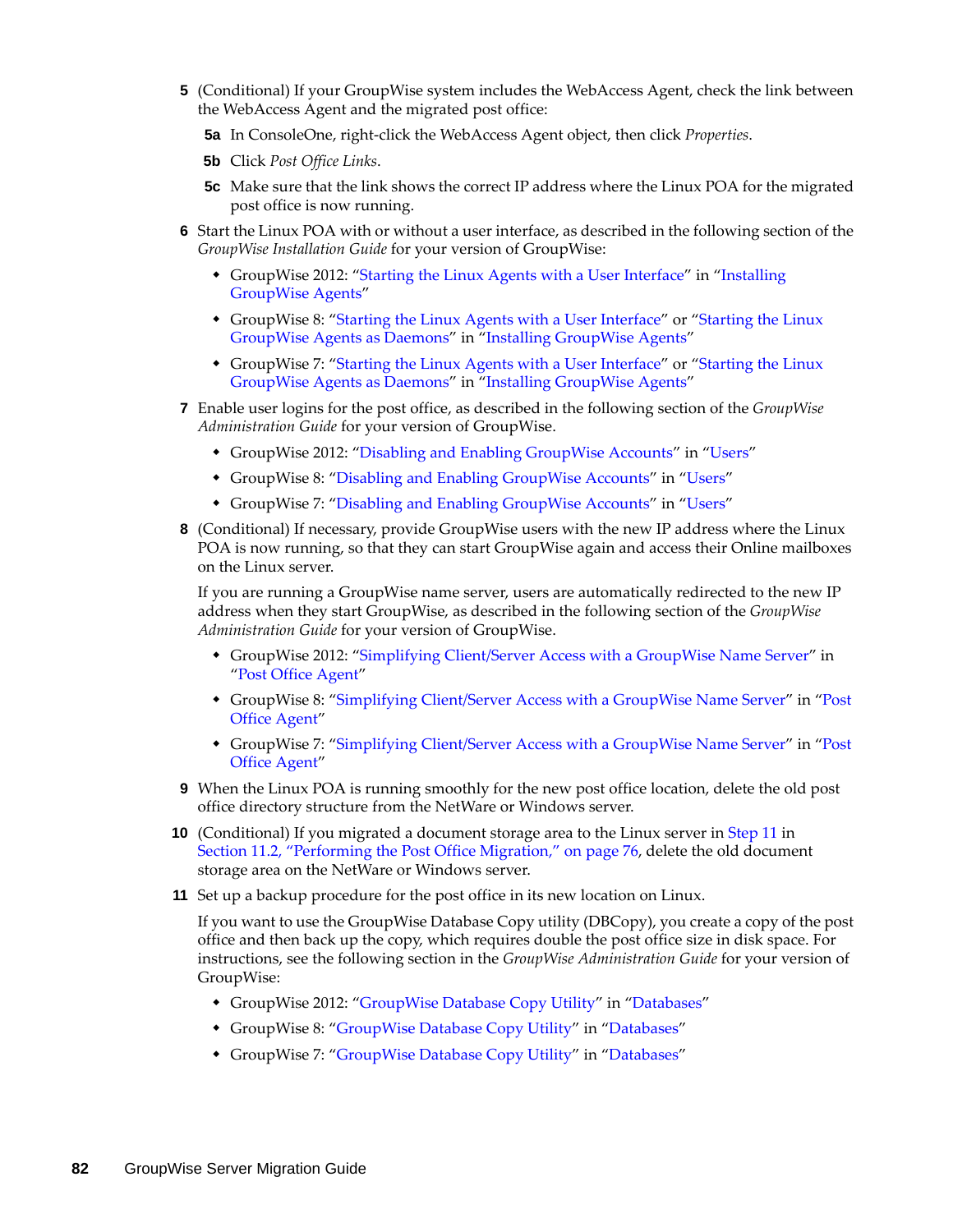- **5** (Conditional) If your GroupWise system includes the WebAccess Agent, check the link between the WebAccess Agent and the migrated post office:
	- **5a** In ConsoleOne, right-click the WebAccess Agent object, then click *Properties*.
	- **5b** Click *Post Office Links*.
	- **5c** Make sure that the link shows the correct IP address where the Linux POA for the migrated post office is now running.
- **6** Start the Linux POA with or without a user interface, as described in the following section of the *GroupWise Installation Guide* for your version of GroupWise:
	- GroupWise 2012: "Starting the Linux Agents with a User Interface" in "Installing GroupWise Agents"
	- GroupWise 8: ["Starting the Linux Agents with a User Interface"](http://www.novell.com/documentation/gw8/pdfdoc/gw8_install/gw8_install.pdf#bq5d2mk) or "Starting the Linux [GroupWise Agents as Daemons"](http://www.novell.com/documentation/gw8/pdfdoc/gw8_install/gw8_install.pdf#bq5d7ly) in ["Installing GroupWise Agents](http://www.novell.com/documentation/gw8/pdfdoc/gw8_install/gw8_install.pdf#A8pam03)"
	- GroupWise 7: ["Starting the Linux Agents with a User Interface"](http://www.novell.com/documentation/gw7/pdfdoc/gw7_install/gw7_install.pdf#bq5d2mk) or "Starting the Linux [GroupWise Agents as Daemons"](http://www.novell.com/documentation/gw7/pdfdoc/gw7_install/gw7_install.pdf#bq5d7ly) in ["Installing GroupWise Agents](http://www.novell.com/documentation/gw7/pdfdoc/gw7_install/gw7_install.pdf#A8pam03)"
- **7** Enable user logins for the post office, as described in the following section of the *GroupWise Administration Guide* for your version of GroupWise.
	- GroupWise 2012: "Disabling and Enabling GroupWise Accounts" in "Users"
	- GroupWise 8: ["Disabling and Enabling GroupWise Accounts"](http://www.novell.com/documentation/gw8/pdfdoc/gw8_admin/gw8_admin.pdf#bwtkoiv) in ["Users](http://www.novell.com/documentation/gw8/pdfdoc/gw8_admin/gw8_admin.pdf#A7q4x8x)"
	- GroupWise 7: ["Disabling and Enabling GroupWise Accounts"](http://www.novell.com/documentation/gw7/pdfdoc/gw7_admin/gw7_admin.pdf#bwtkoiv) in ["Users](http://www.novell.com/documentation/gw7/pdfdoc/gw7_admin/gw7_admin.pdf#A7q4x8x)"
- **8** (Conditional) If necessary, provide GroupWise users with the new IP address where the Linux POA is now running, so that they can start GroupWise again and access their Online mailboxes on the Linux server.

If you are running a GroupWise name server, users are automatically redirected to the new IP address when they start GroupWise, as described in the following section of the *GroupWise Administration Guide* for your version of GroupWise.

- GroupWise 2012: "Simplifying Client/Server Access with a GroupWise Name Server" in "Post Office Agent"
- GroupWise 8: ["Simplifying Client/Server Access with a GroupWise Name Server"](http://www.novell.com/documentation/gw8/pdfdoc/gw8_admin/gw8_admin.pdf#Hmlkfq3d) in "[Post](http://www.novell.com/documentation/gw8/pdfdoc/gw8_admin/gw8_admin.pdf#A84jmbe)  [Office Agent](http://www.novell.com/documentation/gw8/pdfdoc/gw8_admin/gw8_admin.pdf#A84jmbe)"
- GroupWise 7: ["Simplifying Client/Server Access with a GroupWise Name Server"](http://www.novell.com/documentation/gw7/pdfdoc/gw7_admin/gw7_admin.pdf#Hmlkfq3d) in "[Post](http://www.novell.com/documentation/gw7/pdfdoc/gw7_admin/gw7_admin.pdf#A84jmbe)  [Office Agent](http://www.novell.com/documentation/gw7/pdfdoc/gw7_admin/gw7_admin.pdf#A84jmbe)"
- **9** When the Linux POA is running smoothly for the new post office location, delete the old post office directory structure from the NetWare or Windows server.
- **10** (Conditional) If you migrated a document storage area to the Linux server in [Step 11](#page-78-1) in [Section 11.2, "Performing the Post Office Migration," on page 76](#page-75-0), delete the old document storage area on the NetWare or Windows server.
- **11** Set up a backup procedure for the post office in its new location on Linux.

If you want to use the GroupWise Database Copy utility (DBCopy), you create a copy of the post office and then back up the copy, which requires double the post office size in disk space. For instructions, see the following section in the *GroupWise Administration Guide* for your version of GroupWise:

- GroupWise 2012: "GroupWise Database Copy Utility" in "Databases"
- GroupWise 8: ["GroupWise Database Copy Utility"](http://www.novell.com/documentation/gw8/pdfdoc/gw8_admin/gw8_admin.pdf#bqpw8ct) in ["Databases](http://www.novell.com/documentation/gw8/pdfdoc/gw8_admin/gw8_admin.pdf#A8n802e)"
- GroupWise 7: ["GroupWise Database Copy Utility"](http://www.novell.com/documentation/gw7/pdfdoc/gw7_admin/gw7_admin.pdf#bqpw8ct) in ["Databases](http://www.novell.com/documentation/gw7/pdfdoc/gw7_admin/gw7_admin.pdf#A8n802e)"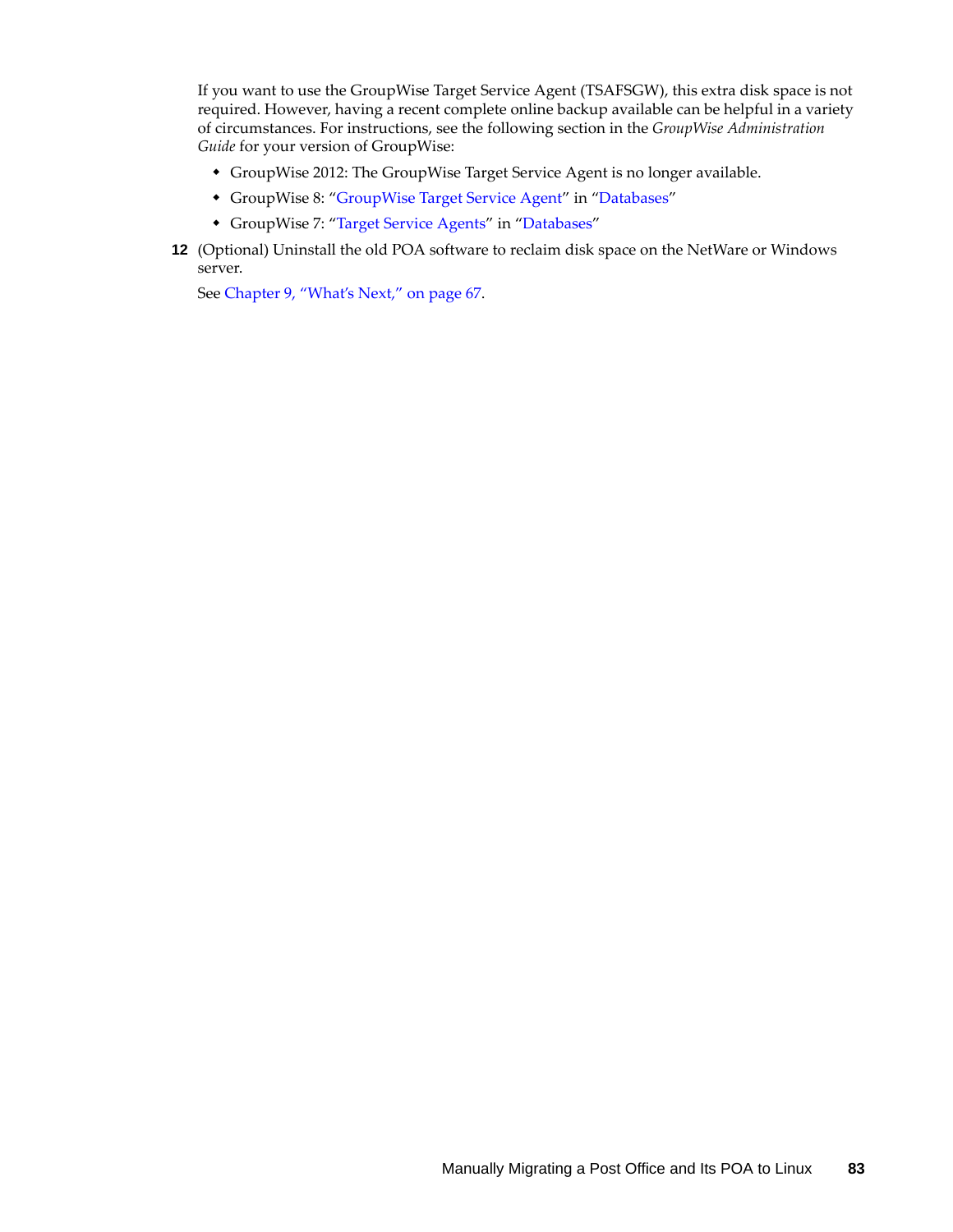If you want to use the GroupWise Target Service Agent (TSAFSGW), this extra disk space is not required. However, having a recent complete online backup available can be helpful in a variety of circumstances. For instructions, see the following section in the *GroupWise Administration Guide* for your version of GroupWise:

- GroupWise 2012: The GroupWise Target Service Agent is no longer available.
- GroupWise 8: ["GroupWise Target Service Agent](http://www.novell.com/documentation/gw8/pdfdoc/gw8_admin/gw8_admin.pdf#btf0xb0)" in ["Databases"](http://www.novell.com/documentation/gw8/pdfdoc/gw8_admin/gw8_admin.pdf#A8n802e)
- GroupWise 7: ["Target Service Agents](http://www.novell.com/documentation/gw7/pdfdoc/gw7_admin/gw7_admin.pdf#btf0xb0)" in ["Databases"](http://www.novell.com/documentation/gw7/pdfdoc/gw7_admin/gw7_admin.pdf#A8n802e)
- **12** (Optional) Uninstall the old POA software to reclaim disk space on the NetWare or Windows server.

See [Chapter 9, "What's Next," on page 67](#page-66-0).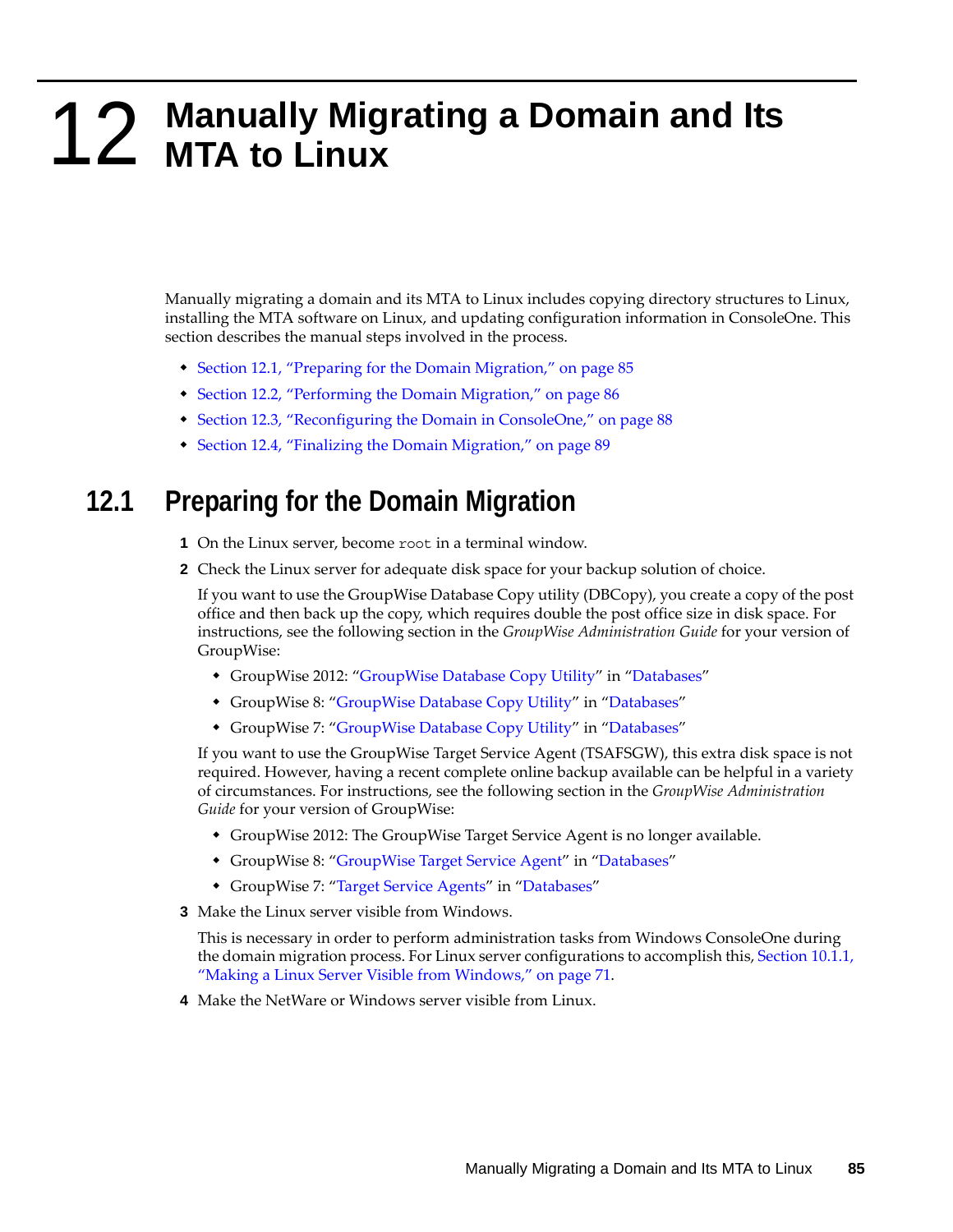# <span id="page-84-2"></span>**12** Manually Migrating a Domain and Its MTA to Linux **MTA to Linux**

Manually migrating a domain and its MTA to Linux includes copying directory structures to Linux, installing the MTA software on Linux, and updating configuration information in ConsoleOne. This section describes the manual steps involved in the process.

- [Section 12.1, "Preparing for the Domain Migration," on page 85](#page-84-0)
- [Section 12.2, "Performing the Domain Migration," on page 86](#page-85-0)
- [Section 12.3, "Reconfiguring the Domain in ConsoleOne," on page 88](#page-88-0)
- [Section 12.4, "Finalizing the Domain Migration," on page 89](#page-88-1)

#### <span id="page-84-0"></span>**12.1 Preparing for the Domain Migration**

- **1** On the Linux server, become root in a terminal window.
- **2** Check the Linux server for adequate disk space for your backup solution of choice.

If you want to use the GroupWise Database Copy utility (DBCopy), you create a copy of the post office and then back up the copy, which requires double the post office size in disk space. For instructions, see the following section in the *GroupWise Administration Guide* for your version of GroupWise:

- GroupWise 2012: "GroupWise Database Copy Utility" in "Databases"
- GroupWise 8: ["GroupWise Database Copy Utility"](http://www.novell.com/documentation/gw8/pdfdoc/gw8_admin/gw8_admin.pdf#bqpw8ct) in ["Databases](http://www.novell.com/documentation/gw8/pdfdoc/gw8_admin/gw8_admin.pdf#A8n802e)"
- GroupWise 7: ["GroupWise Database Copy Utility"](http://www.novell.com/documentation/gw7/pdfdoc/gw7_admin/gw7_admin.pdf#bqpw8ct) in ["Databases](http://www.novell.com/documentation/gw7/pdfdoc/gw7_admin/gw7_admin.pdf#A8n802e)"

If you want to use the GroupWise Target Service Agent (TSAFSGW), this extra disk space is not required. However, having a recent complete online backup available can be helpful in a variety of circumstances. For instructions, see the following section in the *GroupWise Administration Guide* for your version of GroupWise:

- GroupWise 2012: The GroupWise Target Service Agent is no longer available.
- GroupWise 8: ["GroupWise Target Service Agent](http://www.novell.com/documentation/gw8/pdfdoc/gw8_admin/gw8_admin.pdf#btf0xb0)" in ["Databases"](http://www.novell.com/documentation/gw8/pdfdoc/gw8_admin/gw8_admin.pdf#A8n802e)
- GroupWise 7: ["Target Service Agents](http://www.novell.com/documentation/gw7/pdfdoc/gw7_admin/gw7_admin.pdf#btf0xb0)" in ["Databases"](http://www.novell.com/documentation/gw7/pdfdoc/gw7_admin/gw7_admin.pdf#A8n802e)
- <span id="page-84-1"></span>**3** Make the Linux server visible from Windows.

This is necessary in order to perform administration tasks from Windows ConsoleOne during the domain migration process. For Linux server configurations to accomplish this, [Section 10.1.1,](#page-70-0)  ["Making a Linux Server Visible from Windows," on page 71.](#page-70-0)

**4** Make the NetWare or Windows server visible from Linux.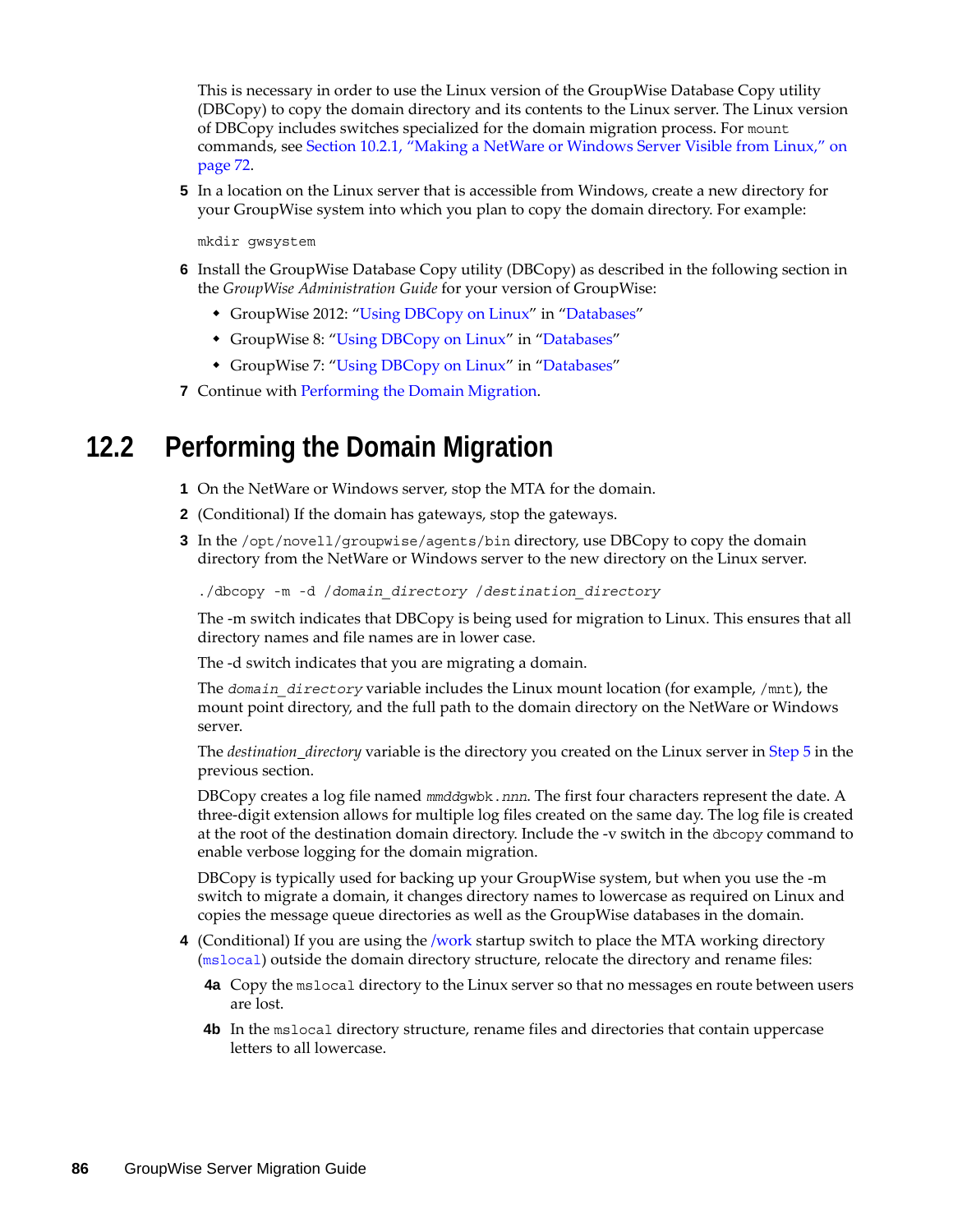This is necessary in order to use the Linux version of the GroupWise Database Copy utility (DBCopy) to copy the domain directory and its contents to the Linux server. The Linux version of DBCopy includes switches specialized for the domain migration process. For mount commands, see [Section 10.2.1, "Making a NetWare or Windows Server Visible from Linux," on](#page-71-0)  [page 72.](#page-71-0)

<span id="page-85-1"></span>**5** In a location on the Linux server that is accessible from Windows, create a new directory for your GroupWise system into which you plan to copy the domain directory. For example:

mkdir gwsystem

- **6** Install the GroupWise Database Copy utility (DBCopy) as described in the following section in the *GroupWise Administration Guide* for your version of GroupWise:
	- GroupWise 2012: "Using DBCopy on Linux" in "Databases"
	- GroupWise 8: ["Using DBCopy on Linux](http://www.novell.com/documentation/gw8/pdfdoc/gw8_admin/gw8_admin.pdf#bqpxea0)" in "[Databases"](http://www.novell.com/documentation/gw8/pdfdoc/gw8_admin/gw8_admin.pdf#A8n802e)
	- GroupWise 7: ["Using DBCopy on Linux](http://www.novell.com/documentation/gw7/pdfdoc/gw7_admin/gw7_admin.pdf#bqpxea0)" in "[Databases"](http://www.novell.com/documentation/gw7/pdfdoc/gw7_admin/gw7_admin.pdf#A8n802e)
- **7** Continue with [Performing the Domain Migration](#page-85-0).

#### <span id="page-85-0"></span>**12.2 Performing the Domain Migration**

- **1** On the NetWare or Windows server, stop the MTA for the domain.
- **2** (Conditional) If the domain has gateways, stop the gateways.
- **3** In the /opt/novell/groupwise/agents/bin directory, use DBCopy to copy the domain directory from the NetWare or Windows server to the new directory on the Linux server.

./dbcopy -m -d /*domain\_directory* /*destination\_directory*

The -m switch indicates that DBCopy is being used for migration to Linux. This ensures that all directory names and file names are in lower case.

The -d switch indicates that you are migrating a domain.

The *domain* directory variable includes the Linux mount location (for example, /mnt), the mount point directory, and the full path to the domain directory on the NetWare or Windows server.

The *destination\_directory* variable is the directory you created on the Linux server in [Step 5](#page-85-1) in the previous section.

DBCopy creates a log file named *mmdd*gwbk.*nnn*. The first four characters represent the date. A three-digit extension allows for multiple log files created on the same day. The log file is created at the root of the destination domain directory. Include the -v switch in the dbcopy command to enable verbose logging for the domain migration.

DBCopy is typically used for backing up your GroupWise system, but when you use the -m switch to migrate a domain, it changes directory names to lowercase as required on Linux and copies the message queue directories as well as the GroupWise databases in the domain.

- **4** (Conditional) If you are using the [/work](http://www.novell.com/documentation/gw7/pdfdoc/gw7_admin/gw7_admin.pdf#Het48tb5) startup switch to place the MTA working directory ([mslocal](http://www.novell.com/documentation/gw7/pdfdoc/gw7_tsh3/gw7_tsh3.pdf#A3lhv1j)) outside the domain directory structure, relocate the directory and rename files:
	- **4a** Copy the mslocal directory to the Linux server so that no messages en route between users are lost.
	- **4b** In the mslocal directory structure, rename files and directories that contain uppercase letters to all lowercase.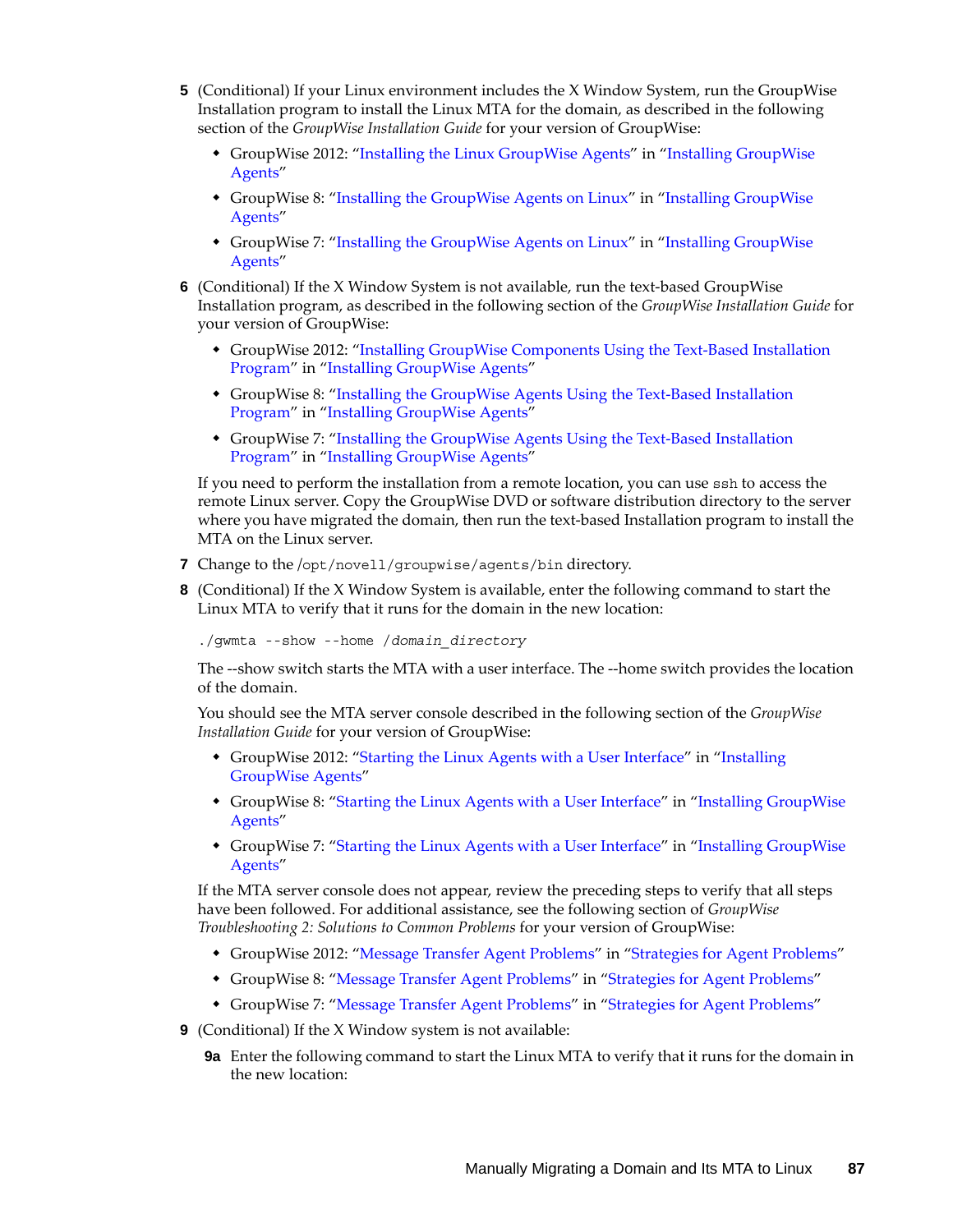- **5** (Conditional) If your Linux environment includes the X Window System, run the GroupWise Installation program to install the Linux MTA for the domain, as described in the following section of the *GroupWise Installation Guide* for your version of GroupWise:
	- GroupWise 2012: "Installing the Linux GroupWise Agents" in "Installing GroupWise Agents"
	- GroupWise 8: ["Installing the GroupWise Agents on Linux"](http://www.novell.com/documentation/gw8/pdfdoc/gw8_install/gw8_install.pdf#bnmtjck) in "[Installing GroupWise](http://www.novell.com/documentation/gw8/pdfdoc/gw8_install/gw8_install.pdf#A8pam03)  [Agents](http://www.novell.com/documentation/gw8/pdfdoc/gw8_install/gw8_install.pdf#A8pam03)"
	- GroupWise 7: ["Installing the GroupWise Agents on Linux"](http://www.novell.com/documentation/gw7/pdfdoc/gw7_install/gw7_install.pdf#bnmtjck) in "Installing GroupWise [Agents](http://www.novell.com/documentation/gw7/pdfdoc/gw7_install/gw7_install.pdf#A8pam03)"
- **6** (Conditional) If the X Window System is not available, run the text-based GroupWise Installation program, as described in the following section of the *GroupWise Installation Guide* for your version of GroupWise:
	- GroupWise 2012: "Installing GroupWise Components Using the Text-Based Installation Program" in "Installing GroupWise Agents"
	- GroupWise 8: ["Installing the GroupWise Agents Using the Text-Based Installation](http://www.novell.com/documentation/gw8/pdfdoc/gw8_install/gw8_install.pdf#bpovd7y)  [Program"](http://www.novell.com/documentation/gw8/pdfdoc/gw8_install/gw8_install.pdf#bpovd7y) in ["Installing GroupWise Agents](http://www.novell.com/documentation/gw8/pdfdoc/gw8_install/gw8_install.pdf#A8pam03)"
	- GroupWise 7: ["Installing the GroupWise Agents Using the Text-Based Installation](http://www.novell.com/documentation/gw7/pdfdoc/gw7_install/gw7_install.pdf#bpovd7y)  [Program"](http://www.novell.com/documentation/gw7/pdfdoc/gw7_install/gw7_install.pdf#bpovd7y) in ["Installing GroupWise Agents](http://www.novell.com/documentation/gw7/pdfdoc/gw7_install/gw7_install.pdf#A8pam03)"

If you need to perform the installation from a remote location, you can use ssh to access the remote Linux server. Copy the GroupWise DVD or software distribution directory to the server where you have migrated the domain, then run the text-based Installation program to install the MTA on the Linux server.

- **7** Change to the /opt/novell/groupwise/agents/bin directory.
- **8** (Conditional) If the X Window System is available, enter the following command to start the Linux MTA to verify that it runs for the domain in the new location:

./gwmta --show --home /*domain\_directory*

The --show switch starts the MTA with a user interface. The --home switch provides the location of the domain.

You should see the MTA server console described in the following section of the *GroupWise Installation Guide* for your version of GroupWise:

- GroupWise 2012: "Starting the Linux Agents with a User Interface" in "Installing GroupWise Agents"
- GroupWise 8: ["Starting the Linux Agents with a User Interface"](http://www.novell.com/documentation/gw8/pdfdoc/gw8_install/gw8_install.pdf#bq5d2mk) in "Installing GroupWise [Agents](http://www.novell.com/documentation/gw8/pdfdoc/gw8_install/gw8_install.pdf#A8pam03)"
- GroupWise 7: ["Starting the Linux Agents with a User Interface"](http://www.novell.com/documentation/gw7/pdfdoc/gw7_install/gw7_install.pdf#bq5d2mk) in "[Installing GroupWise](http://www.novell.com/documentation/gw7/pdfdoc/gw7_install/gw7_install.pdf#A8pam03)  [Agents](http://www.novell.com/documentation/gw7/pdfdoc/gw7_install/gw7_install.pdf#A8pam03)"

If the MTA server console does not appear, review the preceding steps to verify that all steps have been followed. For additional assistance, see the following section of *GroupWise Troubleshooting 2: Solutions to Common Problems* for your version of GroupWise:

- GroupWise 2012: "Message Transfer Agent Problems" in "Strategies for Agent Problems"
- GroupWise 8: ["Message Transfer Agent Problems](http://www.novell.com/documentation/gw8/pdfdoc/gw8_tsh2/gw8_tsh2.pdf#H0m5qtmo)" in "[Strategies for Agent Problems](http://www.novell.com/documentation/gw8/pdfdoc/gw8_tsh2/gw8_tsh2.pdf#A4exn4s)"
- GroupWise 7: ["Message Transfer Agent Problems](http://www.novell.com/documentation/gw7/pdfdoc/gw7_tsh2/gw7_tsh2.pdf#H0m5qtmo)" in "[Strategies for Agent Problems](http://www.novell.com/documentation/gw7/pdfdoc/gw7_tsh2/gw7_tsh2.pdf#A4exn4s)"
- **9** (Conditional) If the X Window system is not available:
	- **9a** Enter the following command to start the Linux MTA to verify that it runs for the domain in the new location: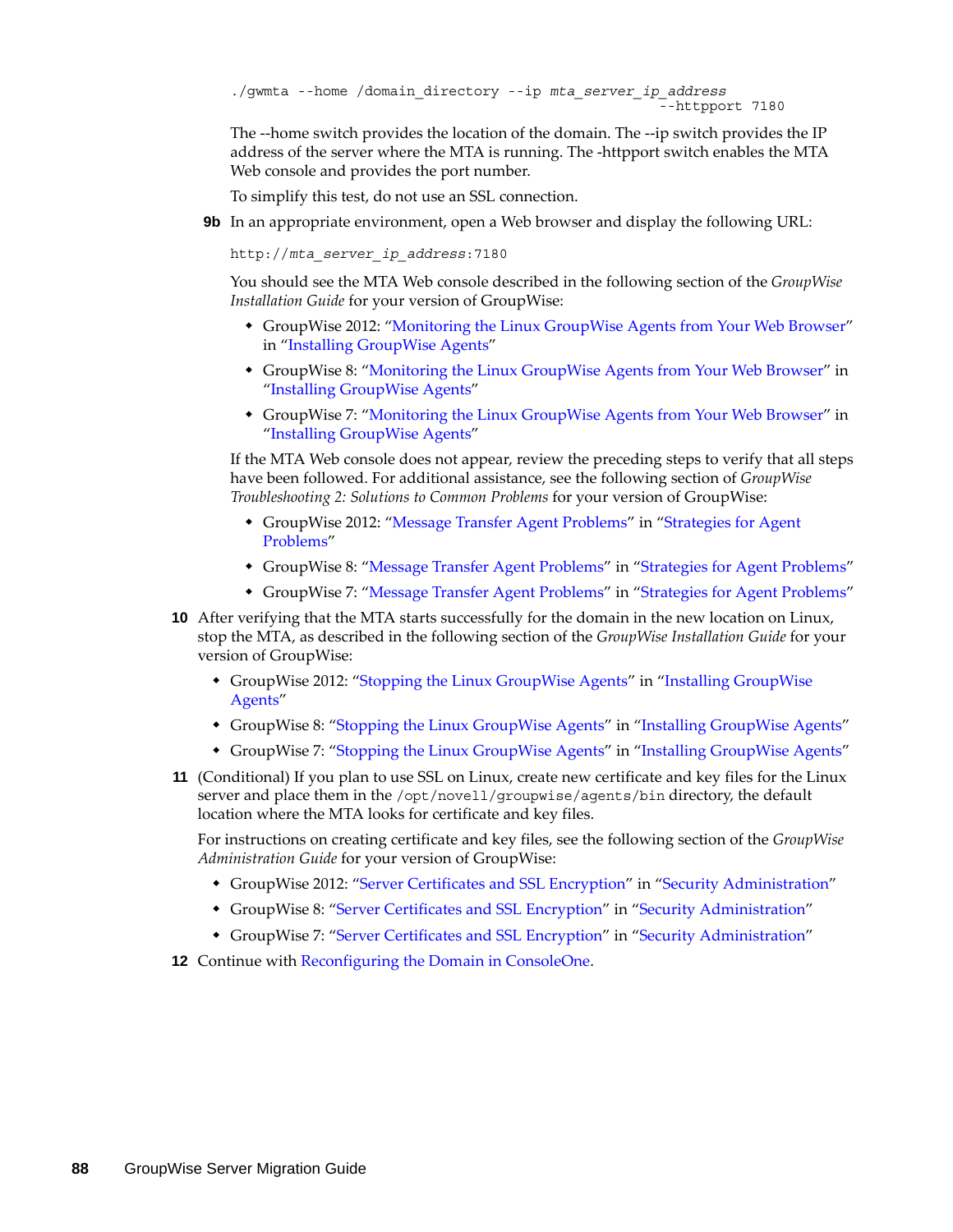```
./gwmta --home /domain_directory --ip mta_server_ip_address
                                                       -<br>-httpport 7180
```
The --home switch provides the location of the domain. The --ip switch provides the IP address of the server where the MTA is running. The -httpport switch enables the MTA Web console and provides the port number.

To simplify this test, do not use an SSL connection.

**9b** In an appropriate environment, open a Web browser and display the following URL:

http://*mta\_server\_ip\_address*:7180

You should see the MTA Web console described in the following section of the *GroupWise Installation Guide* for your version of GroupWise:

- GroupWise 2012: "Monitoring the Linux GroupWise Agents from Your Web Browser" in "Installing GroupWise Agents"
- GroupWise 8: ["Monitoring the Linux GroupWise Agents from Your Web Browser](http://www.novell.com/documentation/gw8/pdfdoc/gw8_install/gw8_install.pdf#bpms2a6)" in "[Installing GroupWise Agents"](http://www.novell.com/documentation/gw8/pdfdoc/gw8_install/gw8_install.pdf#A8pam03)
- GroupWise 7: ["Monitoring the Linux GroupWise Agents from Your Web Browser](http://www.novell.com/documentation/gw7/pdfdoc/gw7_install/gw7_install.pdf#bpms2a6)" in "[Installing GroupWise Agents"](http://www.novell.com/documentation/gw7/pdfdoc/gw7_install/gw7_install.pdf#A8pam03)

If the MTA Web console does not appear, review the preceding steps to verify that all steps have been followed. For additional assistance, see the following section of *GroupWise Troubleshooting 2: Solutions to Common Problems* for your version of GroupWise:

- GroupWise 2012: "Message Transfer Agent Problems" in "Strategies for Agent Problems"
- GroupWise 8: ["Message Transfer Agent Problems](http://www.novell.com/documentation/gw8/pdfdoc/gw8_tsh2/gw8_tsh2.pdf#H0m5qtmo)" in "[Strategies for Agent Problems](http://www.novell.com/documentation/gw8/pdfdoc/gw8_tsh2/gw8_tsh2.pdf#A4exn4s)"
- GroupWise 7: ["Message Transfer Agent Problems](http://www.novell.com/documentation/gw7/pdfdoc/gw7_tsh2/gw7_tsh2.pdf#H0m5qtmo)" in "[Strategies for Agent Problems](http://www.novell.com/documentation/gw7/pdfdoc/gw7_tsh2/gw7_tsh2.pdf#A4exn4s)"
- **10** After verifying that the MTA starts successfully for the domain in the new location on Linux, stop the MTA, as described in the following section of the *GroupWise Installation Guide* for your version of GroupWise:
	- GroupWise 2012: "Stopping the Linux GroupWise Agents" in "Installing GroupWise Agents"
	- GroupWise 8: ["Stopping the Linux GroupWise Agents"](http://www.novell.com/documentation/gw8/pdfdoc/gw8_install/gw8_install.pdf#bnquavn) in ["Installing GroupWise Agents](http://www.novell.com/documentation/gw8/pdfdoc/gw8_install/gw8_install.pdf#A8pam03)"
	- GroupWise 7: ["Stopping the Linux GroupWise Agents"](http://www.novell.com/documentation/gw7/pdfdoc/gw7_install/gw7_install.pdf#bnquavn) in ["Installing GroupWise Agents](http://www.novell.com/documentation/gw7/pdfdoc/gw7_install/gw7_install.pdf#A8pam03)"
- <span id="page-87-0"></span>**11** (Conditional) If you plan to use SSL on Linux, create new certificate and key files for the Linux server and place them in the /opt/novell/groupwise/agents/bin directory, the default location where the MTA looks for certificate and key files.

For instructions on creating certificate and key files, see the following section of the *GroupWise Administration Guide* for your version of GroupWise:

- GroupWise 2012: "Server Certificates and SSL Encryption" in "Security Administration"
- GroupWise 8: ["Server Certificates and SSL Encryption](http://www.novell.com/documentation/gw8/pdfdoc/gw8_admin/gw8_admin.pdf#Ak9e3ju)" in "[Security Administration"](http://www.novell.com/documentation/gw8/pdfdoc/gw8_admin/gw8_admin.pdf#Altf8xr)
- GroupWise 7: ["Server Certificates and SSL Encryption](http://www.novell.com/documentation/gw7/pdfdoc/gw7_admin/gw7_admin.pdf#Ak9e3ju)" in "[Security Administration"](http://www.novell.com/documentation/gw7/pdfdoc/gw7_admin/gw7_admin.pdf#Altf8xr)
- **12** Continue with [Reconfiguring the Domain in ConsoleOne](#page-88-0).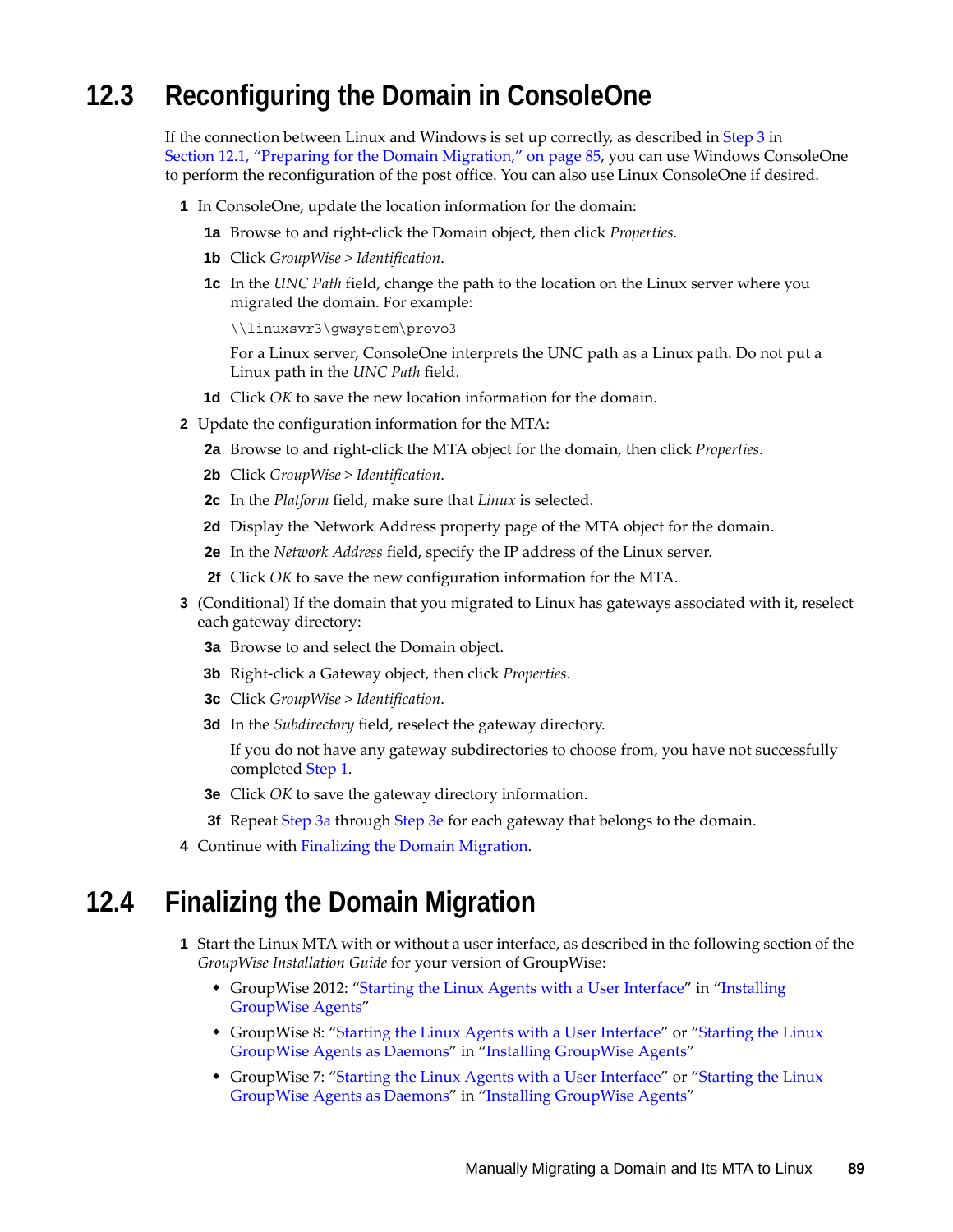### <span id="page-88-0"></span>**12.3 Reconfiguring the Domain in ConsoleOne**

If the connection between Linux and Windows is set up correctly, as described in [Step 3](#page-84-1) in [Section 12.1, "Preparing for the Domain Migration," on page 85](#page-84-0), you can use Windows ConsoleOne to perform the reconfiguration of the post office. You can also use Linux ConsoleOne if desired.

- <span id="page-88-2"></span>**1** In ConsoleOne, update the location information for the domain:
	- **1a** Browse to and right-click the Domain object, then click *Properties*.
	- **1b** Click *GroupWise > Identification*.
	- **1c** In the *UNC Path* field, change the path to the location on the Linux server where you migrated the domain. For example:

\\linuxsvr3\gwsystem\provo3

For a Linux server, ConsoleOne interprets the UNC path as a Linux path. Do not put a Linux path in the *UNC Path* field.

- **1d** Click *OK* to save the new location information for the domain.
- **2** Update the configuration information for the MTA:
	- **2a** Browse to and right-click the MTA object for the domain, then click *Properties*.
	- **2b** Click *GroupWise > Identification*.
	- **2c** In the *Platform* field, make sure that *Linux* is selected.
	- **2d** Display the Network Address property page of the MTA object for the domain.
	- **2e** In the *Network Address* field, specify the IP address of the Linux server.
	- **2f** Click *OK* to save the new configuration information for the MTA.
- <span id="page-88-3"></span>**3** (Conditional) If the domain that you migrated to Linux has gateways associated with it, reselect each gateway directory:
	- **3a** Browse to and select the Domain object.
	- **3b** Right-click a Gateway object, then click *Properties*.
	- **3c** Click *GroupWise > Identification*.
	- **3d** In the *Subdirectory* field, reselect the gateway directory.

If you do not have any gateway subdirectories to choose from, you have not successfully completed [Step 1.](#page-88-2)

- <span id="page-88-4"></span>**3e** Click *OK* to save the gateway directory information.
- **3f** Repeat [Step 3a](#page-88-3) through [Step 3e](#page-88-4) for each gateway that belongs to the domain.
- **4** Continue with [Finalizing the Domain Migration](#page-88-1).

#### <span id="page-88-1"></span>**12.4 Finalizing the Domain Migration**

- **1** Start the Linux MTA with or without a user interface, as described in the following section of the *GroupWise Installation Guide* for your version of GroupWise:
	- GroupWise 2012: "Starting the Linux Agents with a User Interface" in "Installing GroupWise Agents"
	- GroupWise 8: ["Starting the Linux Agents with a User Interface"](http://www.novell.com/documentation/gw8/pdfdoc/gw8_install/gw8_install.pdf#bq5d2mk) or "Starting the Linux [GroupWise Agents as Daemons"](http://www.novell.com/documentation/gw8/pdfdoc/gw8_install/gw8_install.pdf#bq5d7ly) in ["Installing GroupWise Agents](http://www.novell.com/documentation/gw8/pdfdoc/gw8_install/gw8_install.pdf#A8pam03)"
	- GroupWise 7: ["Starting the Linux Agents with a User Interface"](http://www.novell.com/documentation/gw7/pdfdoc/gw7_install/gw7_install.pdf#bq5d2mk) or ["Starting the Linux](http://www.novell.com/documentation/gw7/pdfdoc/gw7_install/gw7_install.pdf#bq5d7ly)  [GroupWise Agents as Daemons"](http://www.novell.com/documentation/gw7/pdfdoc/gw7_install/gw7_install.pdf#bq5d7ly) in ["Installing GroupWise Agents](http://www.novell.com/documentation/gw7/pdfdoc/gw7_install/gw7_install.pdf#A8pam03)"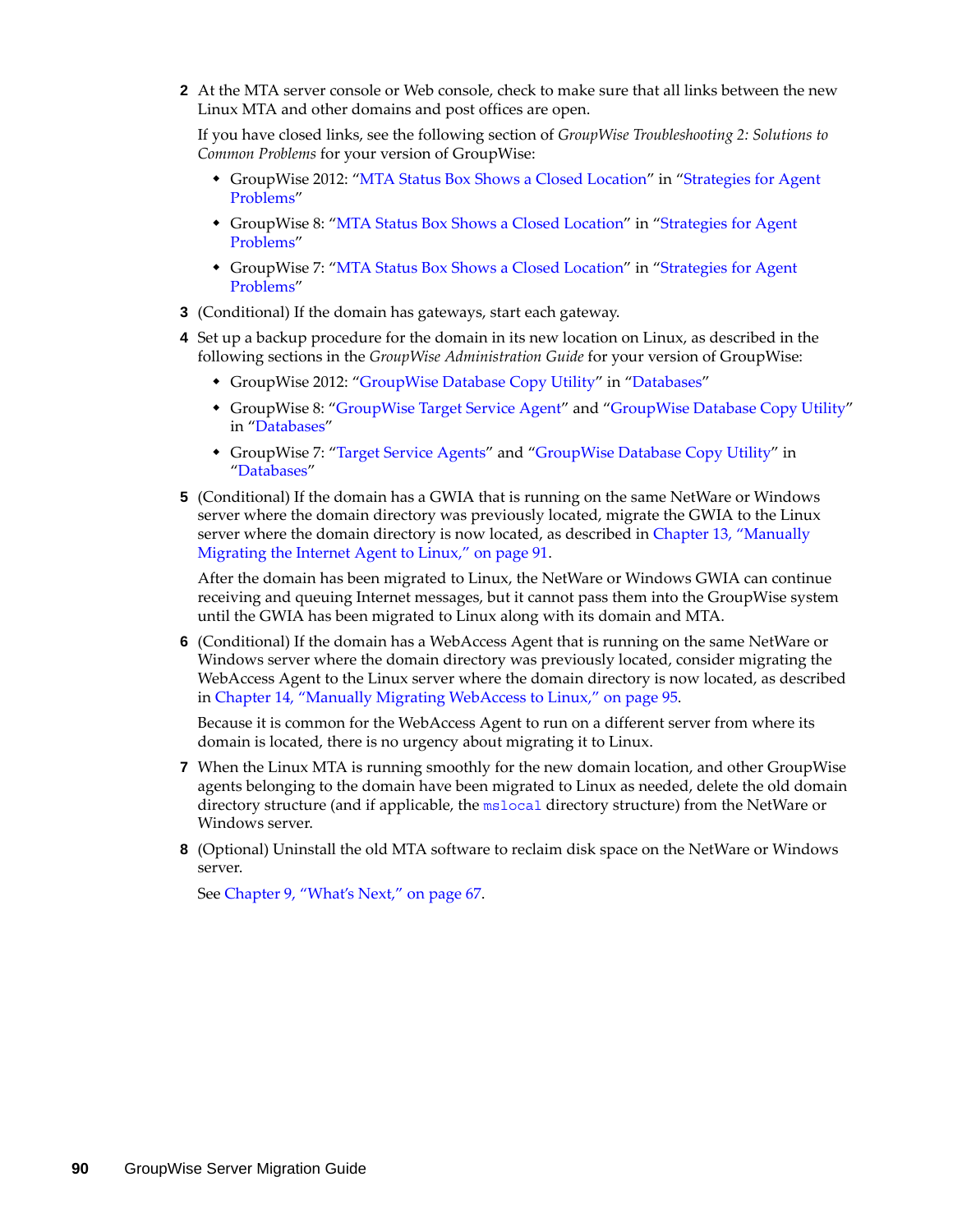**2** At the MTA server console or Web console, check to make sure that all links between the new Linux MTA and other domains and post offices are open.

If you have closed links, see the following section of *GroupWise Troubleshooting 2: Solutions to Common Problems* for your version of GroupWise:

- GroupWise 2012: "MTA Status Box Shows a Closed Location" in "Strategies for Agent Problems"
- GroupWise 8: ["MTA Status Box Shows a Closed Location"](http://www.novell.com/documentation/gw8/pdfdoc/gw8_tsh2/gw8_tsh2.pdf#Hovbh8uj) in "[Strategies for Agent](http://www.novell.com/documentation/gw8/pdfdoc/gw8_tsh2/gw8_tsh2.pdf#A4exn4s)  [Problems"](http://www.novell.com/documentation/gw8/pdfdoc/gw8_tsh2/gw8_tsh2.pdf#A4exn4s)
- GroupWise 7: ["MTA Status Box Shows a Closed Location"](http://www.novell.com/documentation/gw7/pdfdoc/gw7_tsh2/gw7_tsh2.pdf#Hovbh8uj) in "[Strategies for Agent](http://www.novell.com/documentation/gw7/pdfdoc/gw7_tsh2/gw7_tsh2.pdf#A4exn4s)  [Problems"](http://www.novell.com/documentation/gw7/pdfdoc/gw7_tsh2/gw7_tsh2.pdf#A4exn4s)
- **3** (Conditional) If the domain has gateways, start each gateway.
- **4** Set up a backup procedure for the domain in its new location on Linux, as described in the following sections in the *GroupWise Administration Guide* for your version of GroupWise:
	- GroupWise 2012: "GroupWise Database Copy Utility" in "Databases"
	- GroupWise 8: "[GroupWise Target Service Agent"](http://www.novell.com/documentation/gw8/pdfdoc/gw8_admin/gw8_admin.pdf#btf0xb0) and ["GroupWise Database Copy Utility"](http://www.novell.com/documentation/gw8/pdfdoc/gw8_admin/gw8_admin.pdf#bqpw8ct) in ["Databases"](http://www.novell.com/documentation/gw8/pdfdoc/gw8_admin/gw8_admin.pdf#A8n802e)
	- GroupWise 7: ["Target Service Agents](http://www.novell.com/documentation/gw7/pdfdoc/gw7_admin/gw7_admin.pdf#btf0xb0)" and ["GroupWise Database Copy Utility"](http://www.novell.com/documentation/gw7/pdfdoc/gw7_admin/gw7_admin.pdf#bqpw8ct) in "[Databases"](http://www.novell.com/documentation/gw7/pdfdoc/gw7_admin/gw7_admin.pdf#A8n802e)
- **5** (Conditional) If the domain has a GWIA that is running on the same NetWare or Windows server where the domain directory was previously located, migrate the GWIA to the Linux server where the domain directory is now located, as described in [Chapter 13, "Manually](#page-90-0)  [Migrating the Internet Agent to Linux," on page 91](#page-90-0).

After the domain has been migrated to Linux, the NetWare or Windows GWIA can continue receiving and queuing Internet messages, but it cannot pass them into the GroupWise system until the GWIA has been migrated to Linux along with its domain and MTA.

**6** (Conditional) If the domain has a WebAccess Agent that is running on the same NetWare or Windows server where the domain directory was previously located, consider migrating the WebAccess Agent to the Linux server where the domain directory is now located, as described in [Chapter 14, "Manually Migrating WebAccess to Linux," on page 95.](#page-94-0)

Because it is common for the WebAccess Agent to run on a different server from where its domain is located, there is no urgency about migrating it to Linux.

- **7** When the Linux MTA is running smoothly for the new domain location, and other GroupWise agents belonging to the domain have been migrated to Linux as needed, delete the old domain directory structure (and if applicable, the [mslocal](http://www.novell.com/documentation/gw7/pdfdoc/gw7_tsh3/gw7_tsh3.pdf#A3lhv1j) directory structure) from the NetWare or Windows server.
- **8** (Optional) Uninstall the old MTA software to reclaim disk space on the NetWare or Windows server.

See [Chapter 9, "What's Next," on page 67](#page-66-0).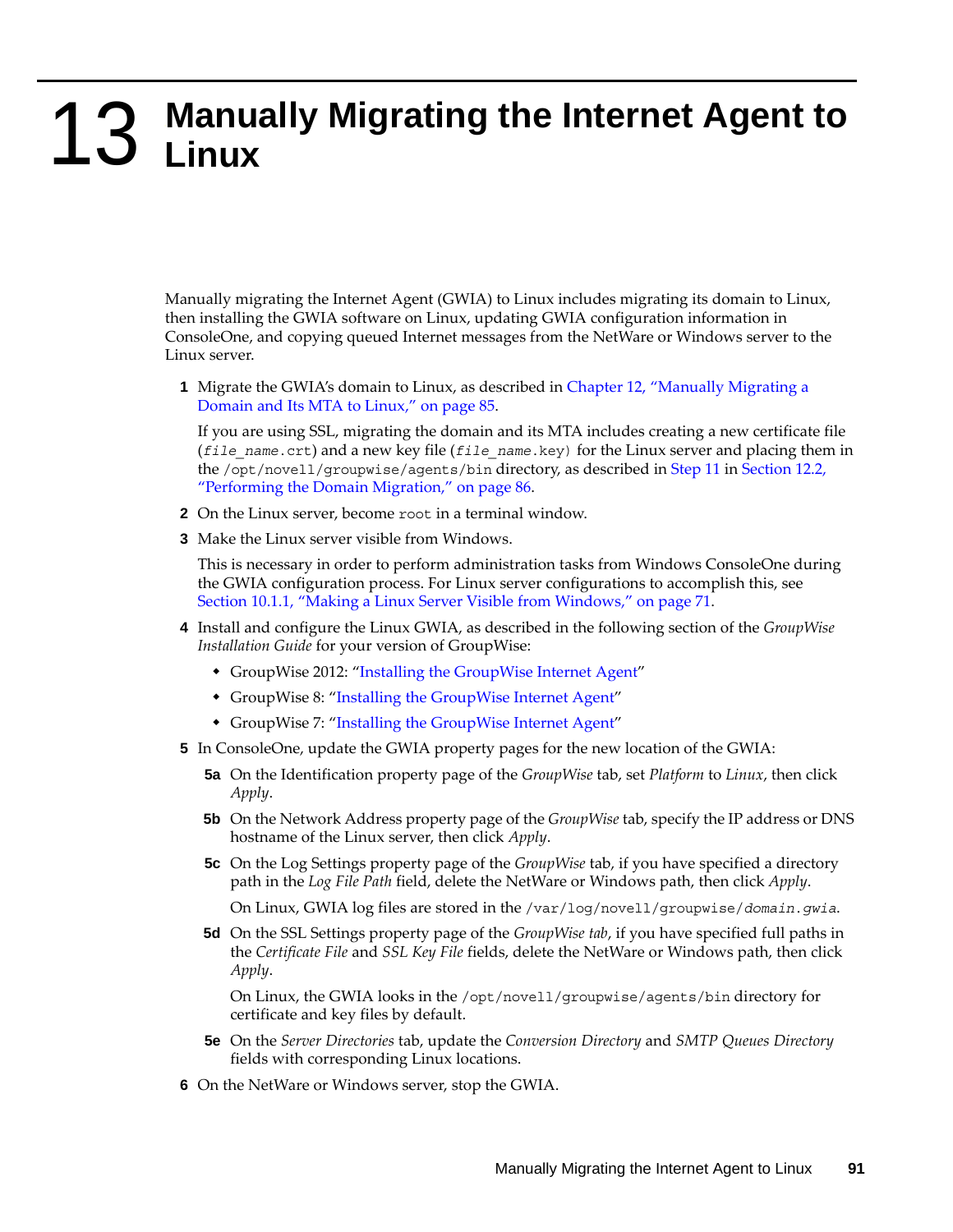# <span id="page-90-0"></span>**13 Manually Migrating the Internet Agent to Linux Linux**

Manually migrating the Internet Agent (GWIA) to Linux includes migrating its domain to Linux, then installing the GWIA software on Linux, updating GWIA configuration information in ConsoleOne, and copying queued Internet messages from the NetWare or Windows server to the Linux server.

**1** Migrate the GWIA's domain to Linux, as described in [Chapter 12, "Manually Migrating a](#page-84-2)  [Domain and Its MTA to Linux," on page 85](#page-84-2).

If you are using SSL, migrating the domain and its MTA includes creating a new certificate file (*file\_name*.crt) and a new key file (*file\_name*.key) for the Linux server and placing them in the /opt/novell/groupwise/agents/bin directory, as described in [Step 11](#page-87-0) in [Section 12.2,](#page-85-0)  ["Performing the Domain Migration," on page 86](#page-85-0).

- **2** On the Linux server, become root in a terminal window.
- <span id="page-90-1"></span>**3** Make the Linux server visible from Windows.

This is necessary in order to perform administration tasks from Windows ConsoleOne during the GWIA configuration process. For Linux server configurations to accomplish this, see [Section 10.1.1, "Making a Linux Server Visible from Windows," on page 71.](#page-70-0)

- **4** Install and configure the Linux GWIA, as described in the following section of the *GroupWise Installation Guide* for your version of GroupWise:
	- GroupWise 2012: "Installing the GroupWise Internet Agent"
	- GroupWise 8: ["Installing the GroupWise Internet Agent"](http://www.novell.com/documentation/gw8/pdfdoc/gw8_install/gw8_install.pdf#A8sx8kq)
	- GroupWise 7: ["Installing the GroupWise Internet Agent"](http://www.novell.com/documentation/gw7/pdfdoc/gw7_install/gw7_install.pdf#A8sx8kq)
- **5** In ConsoleOne, update the GWIA property pages for the new location of the GWIA:
	- **5a** On the Identification property page of the *GroupWise* tab, set *Platform* to *Linux*, then click *Apply*.
	- **5b** On the Network Address property page of the *GroupWise* tab, specify the IP address or DNS hostname of the Linux server, then click *Apply*.
	- **5c** On the Log Settings property page of the *GroupWise* tab, if you have specified a directory path in the *Log File Path* field, delete the NetWare or Windows path, then click *Apply*.

On Linux, GWIA log files are stored in the /var/log/novell/groupwise/*domain*.*gwia*.

**5d** On the SSL Settings property page of the *GroupWise tab*, if you have specified full paths in the *Certificate File* and *SSL Key File* fields, delete the NetWare or Windows path, then click *Apply*.

On Linux, the GWIA looks in the /opt/novell/groupwise/agents/bin directory for certificate and key files by default.

- **5e** On the *Server Directories* tab, update the *Conversion Directory* and *SMTP Queues Directory*  fields with corresponding Linux locations.
- **6** On the NetWare or Windows server, stop the GWIA.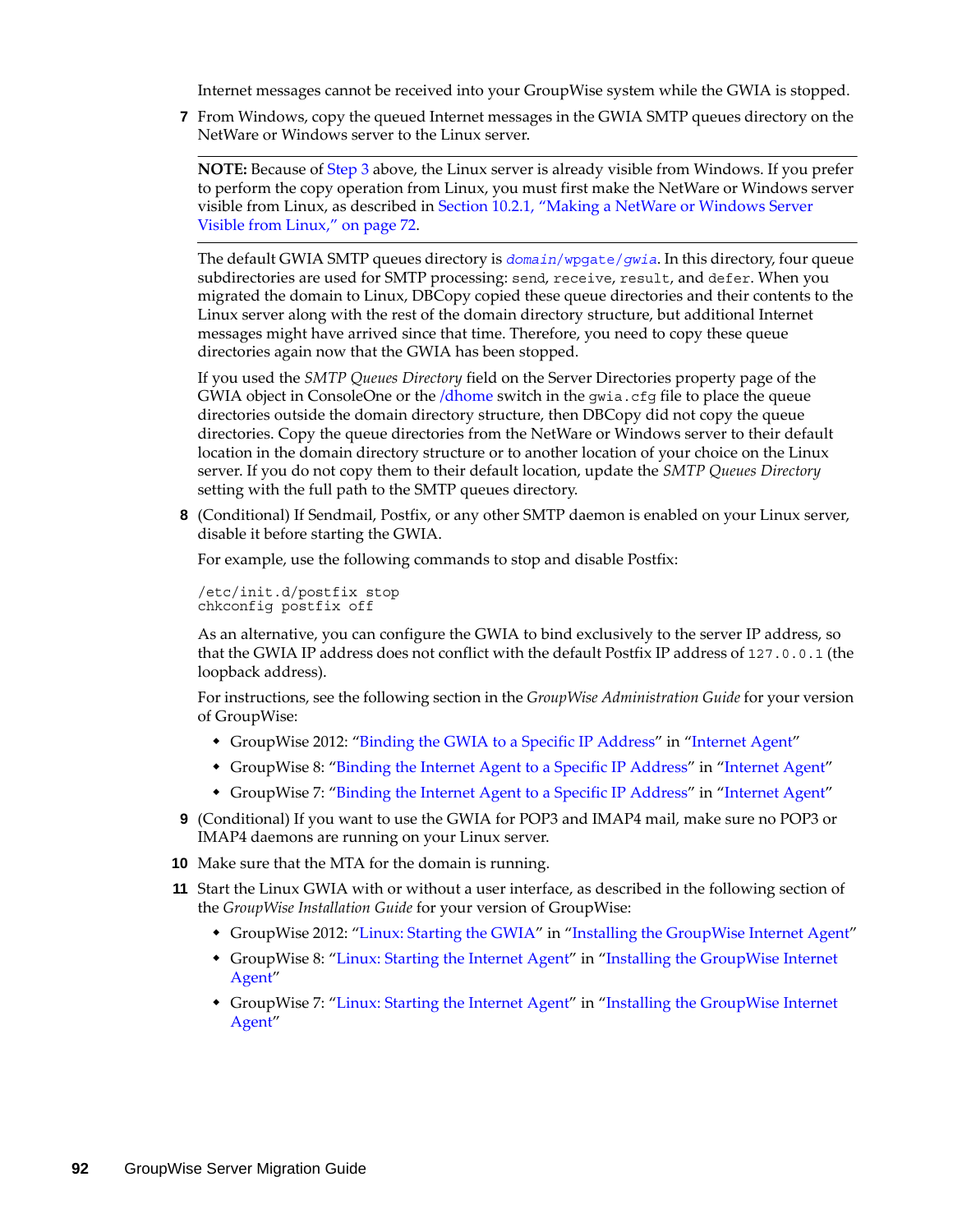Internet messages cannot be received into your GroupWise system while the GWIA is stopped.

**7** From Windows, copy the queued Internet messages in the GWIA SMTP queues directory on the NetWare or Windows server to the Linux server.

**NOTE:** Because of [Step 3](#page-90-1) above, the Linux server is already visible from Windows. If you prefer to perform the copy operation from Linux, you must first make the NetWare or Windows server visible from Linux, as described in [Section 10.2.1, "Making a NetWare or Windows Server](#page-71-0)  [Visible from Linux," on page 72](#page-71-0).

The default GWIA SMTP queues directory is *domain*[/wpgate/](http://www.novell.com/documentation/gw7/pdfdoc/gw7_tsh3/gw7_tsh3.pdf#A2iehes)*[gwia](http://www.novell.com/documentation/gw7/pdfdoc/gw7_tsh3/gw7_tsh3.pdf#A2iehes)*. In this directory, four queue subdirectories are used for SMTP processing: send, receive, result, and defer. When you migrated the domain to Linux, DBCopy copied these queue directories and their contents to the Linux server along with the rest of the domain directory structure, but additional Internet messages might have arrived since that time. Therefore, you need to copy these queue directories again now that the GWIA has been stopped.

If you used the *SMTP Queues Directory* field on the Server Directories property page of the GWIA object in ConsoleOne or the [/dhome](http://www.novell.com/documentation/gw7/pdfdoc/gw7_admin/gw7_admin.pdf#A377a8d) switch in the gwia.cfg file to place the queue directories outside the domain directory structure, then DBCopy did not copy the queue directories. Copy the queue directories from the NetWare or Windows server to their default location in the domain directory structure or to another location of your choice on the Linux server. If you do not copy them to their default location, update the *SMTP Queues Directory* setting with the full path to the SMTP queues directory.

**8** (Conditional) If Sendmail, Postfix, or any other SMTP daemon is enabled on your Linux server, disable it before starting the GWIA.

For example, use the following commands to stop and disable Postfix:

/etc/init.d/postfix stop chkconfig postfix off

As an alternative, you can configure the GWIA to bind exclusively to the server IP address, so that the GWIA IP address does not conflict with the default Postfix IP address of 127.0.0.1 (the loopback address).

For instructions, see the following section in the *GroupWise Administration Guide* for your version of GroupWise:

- GroupWise 2012: "Binding the GWIA to a Specific IP Address" in "Internet Agent"
- GroupWise 8: ["Binding the Internet Agent to a Specific IP Address"](http://www.novell.com/documentation/gw8/pdfdoc/gw8_admin/gw8_admin.pdf#byu0ma0) in "[Internet Agent](http://www.novell.com/documentation/gw8/pdfdoc/gw8_admin/gw8_admin.pdf#A7q50pq)"
- GroupWise 7: ["Binding the Internet Agent to a Specific IP Address"](http://www.novell.com/documentation/gw7/pdfdoc/gw7_admin/gw7_admin.pdf#byu0ma0) in "[Internet Agent](http://www.novell.com/documentation/gw7/pdfdoc/gw7_admin/gw7_admin.pdf#A7q50pq)"
- **9** (Conditional) If you want to use the GWIA for POP3 and IMAP4 mail, make sure no POP3 or IMAP4 daemons are running on your Linux server.
- **10** Make sure that the MTA for the domain is running.
- **11** Start the Linux GWIA with or without a user interface, as described in the following section of the *GroupWise Installation Guide* for your version of GroupWise:
	- GroupWise 2012: "Linux: Starting the GWIA" in "Installing the GroupWise Internet Agent"
	- GroupWise 8: ["Linux: Starting the Internet Agent"](http://www.novell.com/documentation/gw8/pdfdoc/gw8_install/gw8_install.pdf#bpazt30) in "[Installing the GroupWise Internet](http://www.novell.com/documentation/gw8/pdfdoc/gw8_install/gw8_install.pdf#A8sx8kq)  [Agent](http://www.novell.com/documentation/gw8/pdfdoc/gw8_install/gw8_install.pdf#A8sx8kq)"
	- GroupWise 7: ["Linux: Starting the Internet Agent"](http://www.novell.com/documentation/gw7/pdfdoc/gw7_install/gw7_install.pdf#bpazt30) in "[Installing the GroupWise Internet](http://www.novell.com/documentation/gw7/pdfdoc/gw7_install/gw7_install.pdf#A8sx8kq)  [Agent](http://www.novell.com/documentation/gw7/pdfdoc/gw7_install/gw7_install.pdf#A8sx8kq)"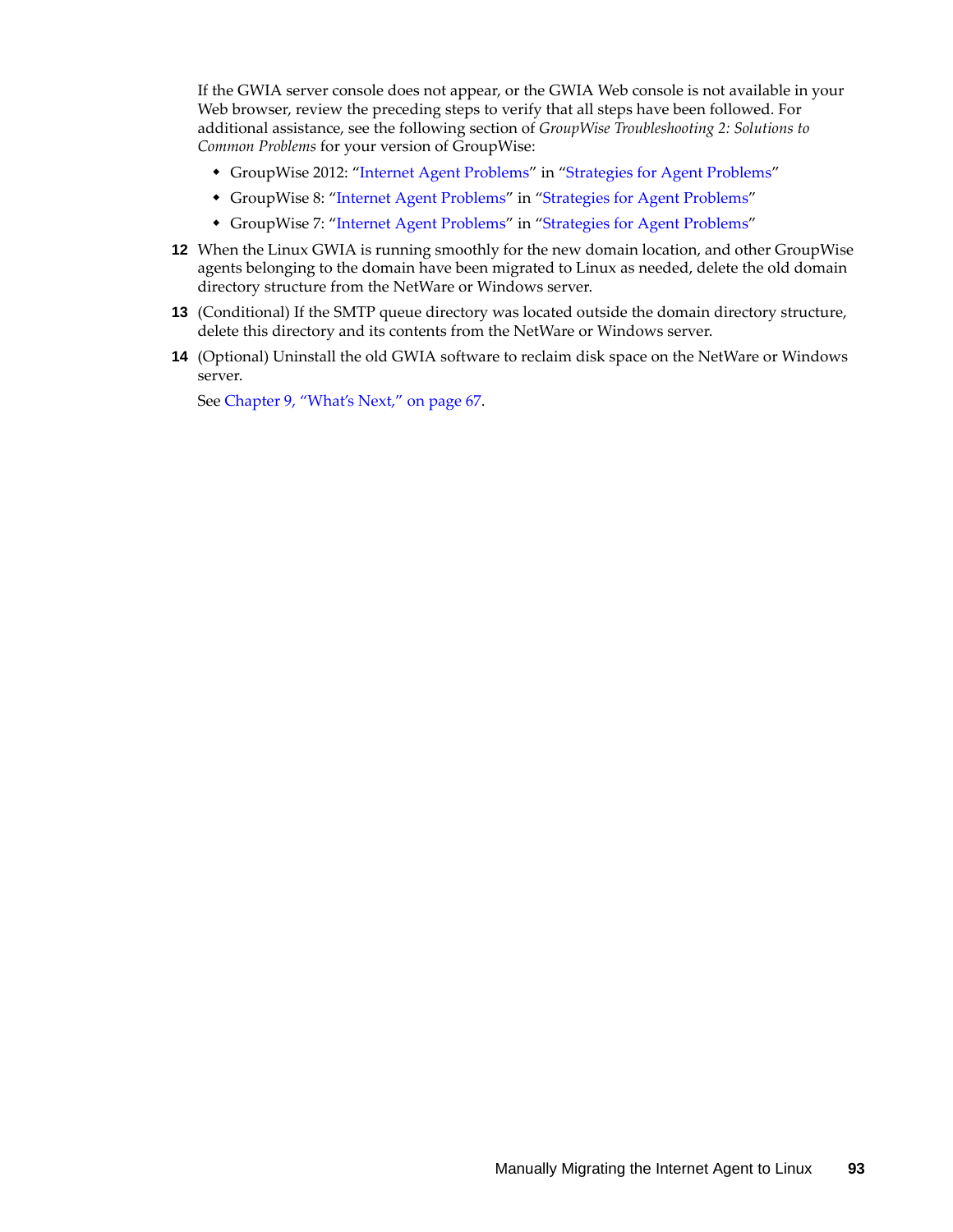If the GWIA server console does not appear, or the GWIA Web console is not available in your Web browser, review the preceding steps to verify that all steps have been followed. For additional assistance, see the following section of *GroupWise Troubleshooting 2: Solutions to Common Problems* for your version of GroupWise:

- GroupWise 2012: "Internet Agent Problems" in "Strategies for Agent Problems"
- GroupWise 8: ["Internet Agent Problems](http://www.novell.com/documentation/gw8/pdfdoc/gw8_tsh2/gw8_tsh2.pdf#Adlpgz8)" in "[Strategies for Agent Problems](http://www.novell.com/documentation/gw8/pdfdoc/gw8_tsh2/gw8_tsh2.pdf#A4exn4s)"
- GroupWise 7: ["Internet Agent Problems](http://www.novell.com/documentation/gw7/pdfdoc/gw7_tsh2/gw7_tsh2.pdf#Adlpgz8)" in "[Strategies for Agent Problems](http://www.novell.com/documentation/gw7/pdfdoc/gw7_tsh2/gw7_tsh2.pdf#A4exn4s)"
- **12** When the Linux GWIA is running smoothly for the new domain location, and other GroupWise agents belonging to the domain have been migrated to Linux as needed, delete the old domain directory structure from the NetWare or Windows server.
- **13** (Conditional) If the SMTP queue directory was located outside the domain directory structure, delete this directory and its contents from the NetWare or Windows server.
- **14** (Optional) Uninstall the old GWIA software to reclaim disk space on the NetWare or Windows server.

See [Chapter 9, "What's Next," on page 67](#page-66-0).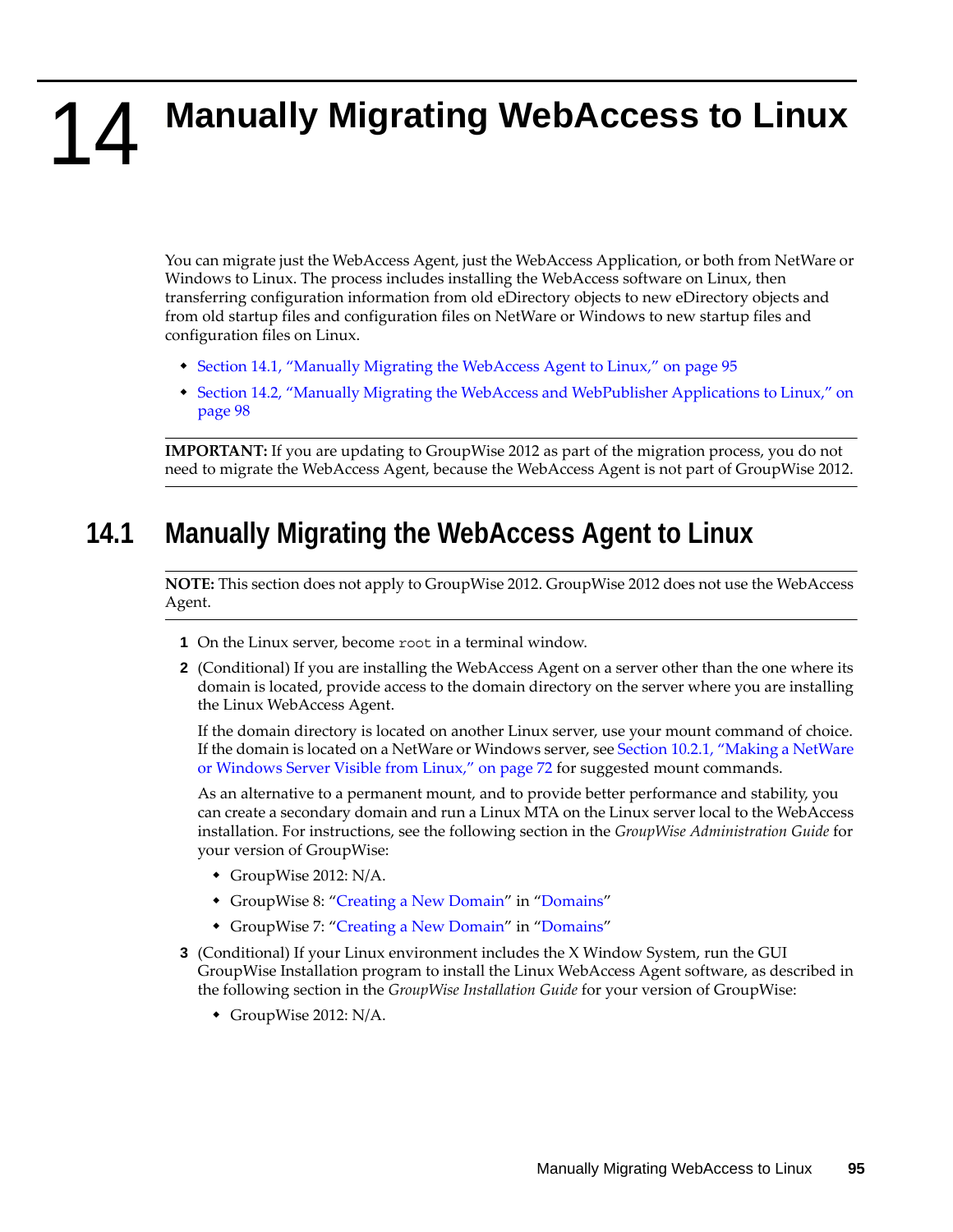# <span id="page-94-0"></span>14 **Manually Migrating WebAccess to Linux**

You can migrate just the WebAccess Agent, just the WebAccess Application, or both from NetWare or Windows to Linux. The process includes installing the WebAccess software on Linux, then transferring configuration information from old eDirectory objects to new eDirectory objects and from old startup files and configuration files on NetWare or Windows to new startup files and configuration files on Linux.

- [Section 14.1, "Manually Migrating the WebAccess Agent to Linux," on page 95](#page-94-1)
- [Section 14.2, "Manually Migrating the WebAccess and WebPublisher Applications to Linux," on](#page-97-0)  [page 98](#page-97-0)

**IMPORTANT:** If you are updating to GroupWise 2012 as part of the migration process, you do not need to migrate the WebAccess Agent, because the WebAccess Agent is not part of GroupWise 2012.

### <span id="page-94-1"></span>**14.1 Manually Migrating the WebAccess Agent to Linux**

**NOTE:** This section does not apply to GroupWise 2012. GroupWise 2012 does not use the WebAccess Agent.

- **1** On the Linux server, become root in a terminal window.
- **2** (Conditional) If you are installing the WebAccess Agent on a server other than the one where its domain is located, provide access to the domain directory on the server where you are installing the Linux WebAccess Agent.

If the domain directory is located on another Linux server, use your mount command of choice. If the domain is located on a NetWare or Windows server, see [Section 10.2.1, "Making a NetWare](#page-71-0)  [or Windows Server Visible from Linux," on page 72](#page-71-0) for suggested mount commands.

As an alternative to a permanent mount, and to provide better performance and stability, you can create a secondary domain and run a Linux MTA on the Linux server local to the WebAccess installation. For instructions, see the following section in the *GroupWise Administration Guide* for your version of GroupWise:

- GroupWise 2012: N/A.
- GroupWise 8: ["Creating a New Domain](http://www.novell.com/documentation/gw8/pdfdoc/gw8_admin/gw8_admin.pdf#Ab4pqj9)" in "[Domains"](http://www.novell.com/documentation/gw8/pdfdoc/gw8_admin/gw8_admin.pdf#A7q4vpv)
- GroupWise 7: ["Creating a New Domain](http://www.novell.com/documentation/gw7/pdfdoc/gw7_admin/gw7_admin.pdf#Ab4pqj9)" in "[Domains"](http://www.novell.com/documentation/gw7/pdfdoc/gw7_admin/gw7_admin.pdf#A7q4vpv)
- **3** (Conditional) If your Linux environment includes the X Window System, run the GUI GroupWise Installation program to install the Linux WebAccess Agent software, as described in the following section in the *GroupWise Installation Guide* for your version of GroupWise:
	- GroupWise 2012: N/A.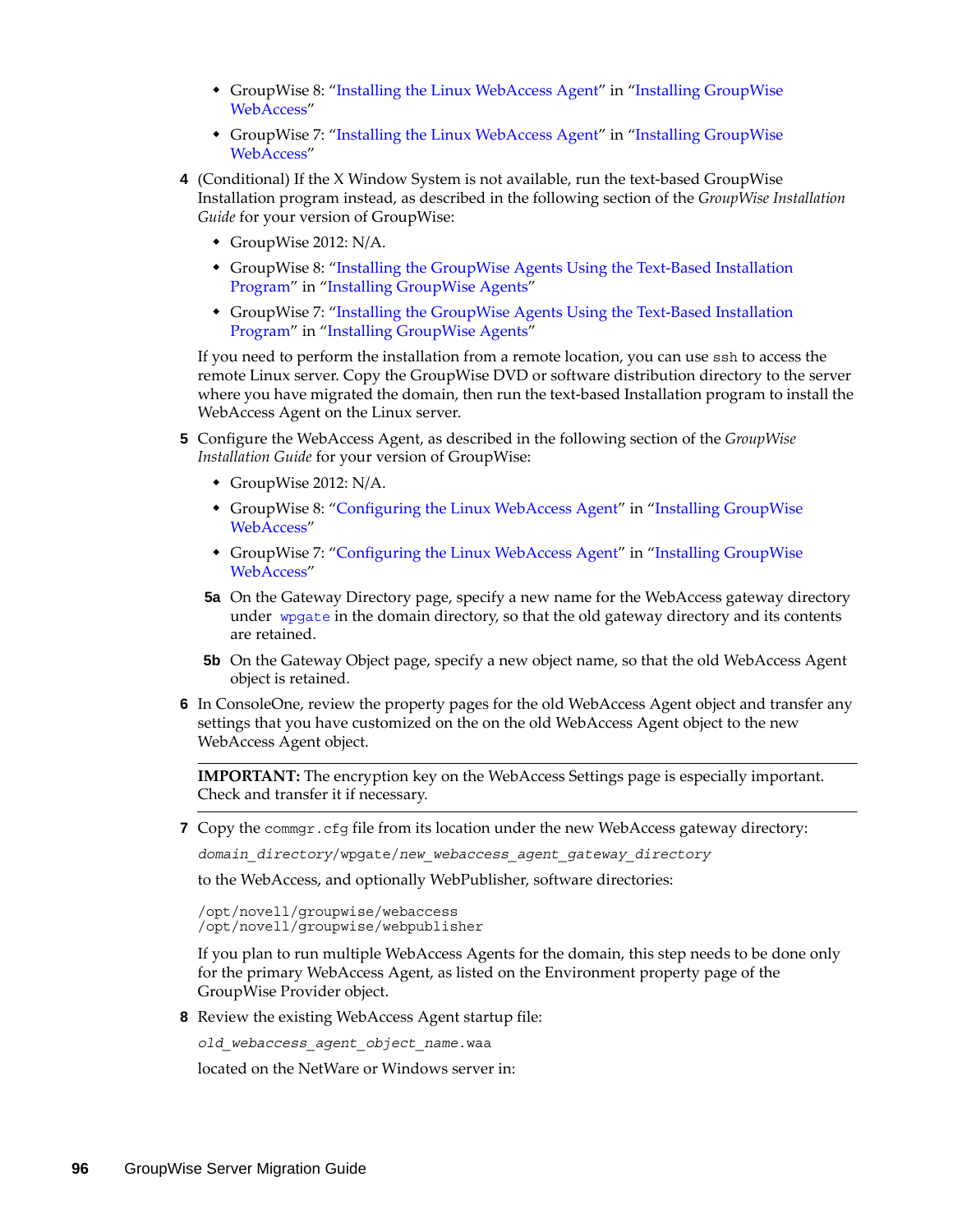- GroupWise 8: ["Installing the Linux WebAccess Agent"](http://www.novell.com/documentation/gw8/pdfdoc/gw8_install/gw8_install.pdf#bpfnfpc) in "Installing GroupWise [WebAccess"](http://www.novell.com/documentation/gw8/pdfdoc/gw8_install/gw8_install.pdf#Aaaw1rr)
- GroupWise 7: ["Installing the Linux WebAccess Agent"](http://www.novell.com/documentation/gw7/pdfdoc/gw7_install/gw7_install.pdf#bpfnfpc) in ["Installing GroupWise](http://www.novell.com/documentation/gw7/pdfdoc/gw7_install/gw7_install.pdf#Aaaw1rr)  [WebAccess"](http://www.novell.com/documentation/gw7/pdfdoc/gw7_install/gw7_install.pdf#Aaaw1rr)
- **4** (Conditional) If the X Window System is not available, run the text-based GroupWise Installation program instead, as described in the following section of the *GroupWise Installation Guide* for your version of GroupWise:
	- GroupWise 2012: N/A.
	- GroupWise 8: ["Installing the GroupWise Agents Using the Text-Based Installation](http://www.novell.com/documentation/gw8/pdfdoc/gw8_install/gw8_install.pdf#bpovd7y)  [Program"](http://www.novell.com/documentation/gw8/pdfdoc/gw8_install/gw8_install.pdf#bpovd7y) in ["Installing GroupWise Agents](http://www.novell.com/documentation/gw8/pdfdoc/gw8_install/gw8_install.pdf#A8pam03)"
	- GroupWise 7: ["Installing the GroupWise Agents Using the Text-Based Installation](http://www.novell.com/documentation/gw7/pdfdoc/gw7_install/gw7_install.pdf#bpovd7y)  [Program"](http://www.novell.com/documentation/gw7/pdfdoc/gw7_install/gw7_install.pdf#bpovd7y) in ["Installing GroupWise Agents](http://www.novell.com/documentation/gw7/pdfdoc/gw7_install/gw7_install.pdf#A8pam03)"

If you need to perform the installation from a remote location, you can use ssh to access the remote Linux server. Copy the GroupWise DVD or software distribution directory to the server where you have migrated the domain, then run the text-based Installation program to install the WebAccess Agent on the Linux server.

- **5** Configure the WebAccess Agent, as described in the following section of the *GroupWise Installation Guide* for your version of GroupWise:
	- GroupWise 2012: N/A.
	- GroupWise 8: ["Configuring the Linux WebAccess Agent](http://www.novell.com/documentation/gw8/pdfdoc/gw8_install/gw8_install.pdf#bppdn58)" in "[Installing GroupWise](http://www.novell.com/documentation/gw8/pdfdoc/gw8_install/gw8_install.pdf#Aaaw1rr)  [WebAccess"](http://www.novell.com/documentation/gw8/pdfdoc/gw8_install/gw8_install.pdf#Aaaw1rr)
	- GroupWise 7: ["Configuring the Linux WebAccess Agent](http://www.novell.com/documentation/gw7/pdfdoc/gw7_install/gw7_install.pdf#bppdn58)" in "[Installing GroupWise](http://www.novell.com/documentation/gw7/pdfdoc/gw7_install/gw7_install.pdf#Aaaw1rr)  [WebAccess"](http://www.novell.com/documentation/gw7/pdfdoc/gw7_install/gw7_install.pdf#Aaaw1rr)
	- **5a** On the Gateway Directory page, specify a new name for the WebAccess gateway directory under [wpgate](http://www.novell.com/documentation/gw7/pdfdoc/gw7_tsh3/gw7_tsh3.pdf#A3eahux) in the domain directory, so that the old gateway directory and its contents are retained.
	- **5b** On the Gateway Object page, specify a new object name, so that the old WebAccess Agent object is retained.
- **6** In ConsoleOne, review the property pages for the old WebAccess Agent object and transfer any settings that you have customized on the on the old WebAccess Agent object to the new WebAccess Agent object.

**IMPORTANT:** The encryption key on the WebAccess Settings page is especially important. Check and transfer it if necessary.

**7** Copy the commgr.cfg file from its location under the new WebAccess gateway directory:

*domain\_directory*/wpgate/*new\_webaccess\_agent\_gateway\_directory*

to the WebAccess, and optionally WebPublisher, software directories:

```
/opt/novell/groupwise/webaccess
/opt/novell/groupwise/webpublisher
```
If you plan to run multiple WebAccess Agents for the domain, this step needs to be done only for the primary WebAccess Agent, as listed on the Environment property page of the GroupWise Provider object.

**8** Review the existing WebAccess Agent startup file:

*old\_webaccess\_agent\_object\_name*.waa

located on the NetWare or Windows server in: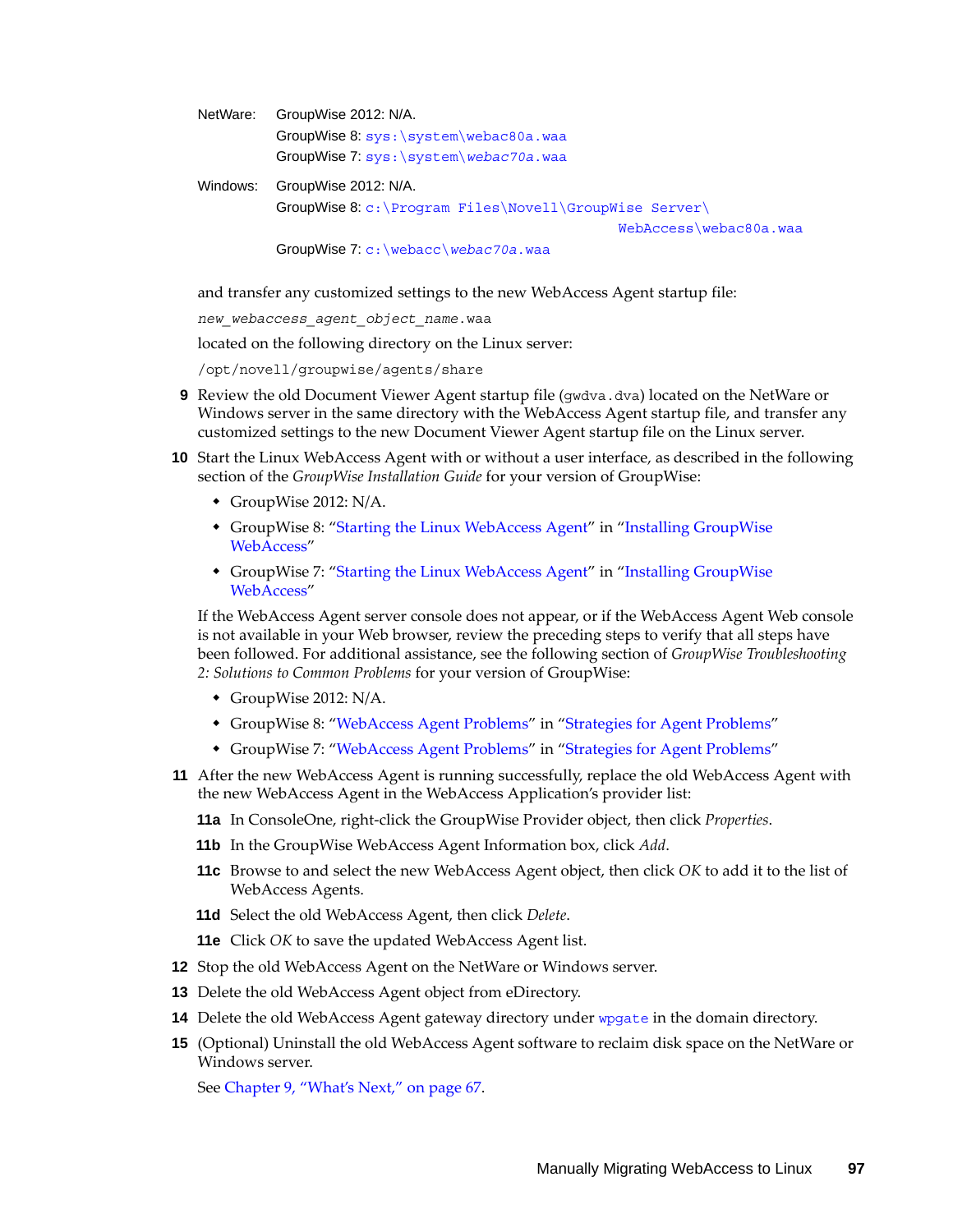| NetWare: | GroupWise 2012: N/A.                                    |
|----------|---------------------------------------------------------|
|          | GroupWise 8: sys: \system\webac80a.waa                  |
|          | GroupWise 7: sys: \system\webac70a.waa                  |
| Windows: | GroupWise 2012: N/A.                                    |
|          | GroupWise 8: c: \Program Files\Novell\GroupWise Server\ |
|          | WebAccess\webac80a.waa                                  |
|          | GroupWise 7: $c:$ webacc webac70a. waa                  |

and transfer any customized settings to the new WebAccess Agent startup file:

*new\_webaccess\_agent\_object\_name*.waa

located on the following directory on the Linux server:

/opt/novell/groupwise/agents/share

- **9** Review the old Document Viewer Agent startup file (gwdva.dva) located on the NetWare or Windows server in the same directory with the WebAccess Agent startup file, and transfer any customized settings to the new Document Viewer Agent startup file on the Linux server.
- **10** Start the Linux WebAccess Agent with or without a user interface, as described in the following section of the *GroupWise Installation Guide* for your version of GroupWise:
	- GroupWise 2012: N/A.
	- GroupWise 8: ["Starting the Linux WebAccess Agent"](http://www.novell.com/documentation/gw8/pdfdoc/gw8_install/gw8_install.pdf#bpfnfpe) in "[Installing GroupWise](http://www.novell.com/documentation/gw8/pdfdoc/gw8_install/gw8_install.pdf#Aaaw1rr)  [WebAccess"](http://www.novell.com/documentation/gw8/pdfdoc/gw8_install/gw8_install.pdf#Aaaw1rr)
	- GroupWise 7: ["Starting the Linux WebAccess Agent"](http://www.novell.com/documentation/gw7/pdfdoc/gw7_install/gw7_install.pdf#bpfnfpe) in "[Installing GroupWise](http://www.novell.com/documentation/gw7/pdfdoc/gw7_install/gw7_install.pdf#Aaaw1rr)  [WebAccess"](http://www.novell.com/documentation/gw7/pdfdoc/gw7_install/gw7_install.pdf#Aaaw1rr)

If the WebAccess Agent server console does not appear, or if the WebAccess Agent Web console is not available in your Web browser, review the preceding steps to verify that all steps have been followed. For additional assistance, see the following section of *GroupWise Troubleshooting 2: Solutions to Common Problems* for your version of GroupWise:

- GroupWise 2012: N/A.
- GroupWise 8: ["WebAccess Agent Problems"](http://www.novell.com/documentation/gw8/pdfdoc/gw8_tsh2/gw8_tsh2.pdf#Adlph2n) in ["Strategies for Agent Problems"](http://www.novell.com/documentation/gw8/pdfdoc/gw8_tsh2/gw8_tsh2.pdf#A4exn4s)
- GroupWise 7: ["WebAccess Agent Problems"](http://www.novell.com/documentation/gw7/pdfdoc/gw7_tsh2/gw7_tsh2.pdf#Adlph2n) in ["Strategies for Agent Problems"](http://www.novell.com/documentation/gw7/pdfdoc/gw7_tsh2/gw7_tsh2.pdf#A4exn4s)
- **11** After the new WebAccess Agent is running successfully, replace the old WebAccess Agent with the new WebAccess Agent in the WebAccess Application's provider list:
	- **11a** In ConsoleOne, right-click the GroupWise Provider object, then click *Properties*.
	- **11b** In the GroupWise WebAccess Agent Information box, click *Add*.
	- **11c** Browse to and select the new WebAccess Agent object, then click *OK* to add it to the list of WebAccess Agents.
	- **11d** Select the old WebAccess Agent, then click *Delete*.
	- **11e** Click *OK* to save the updated WebAccess Agent list.
- **12** Stop the old WebAccess Agent on the NetWare or Windows server.
- **13** Delete the old WebAccess Agent object from eDirectory.
- **14** Delete the old WebAccess Agent gateway directory under [wpgate](http://www.novell.com/documentation/gw7/pdfdoc/gw7_tsh3/gw7_tsh3.pdf#A3eahux) in the domain directory.
- **15** (Optional) Uninstall the old WebAccess Agent software to reclaim disk space on the NetWare or Windows server.

See [Chapter 9, "What's Next," on page 67](#page-66-0).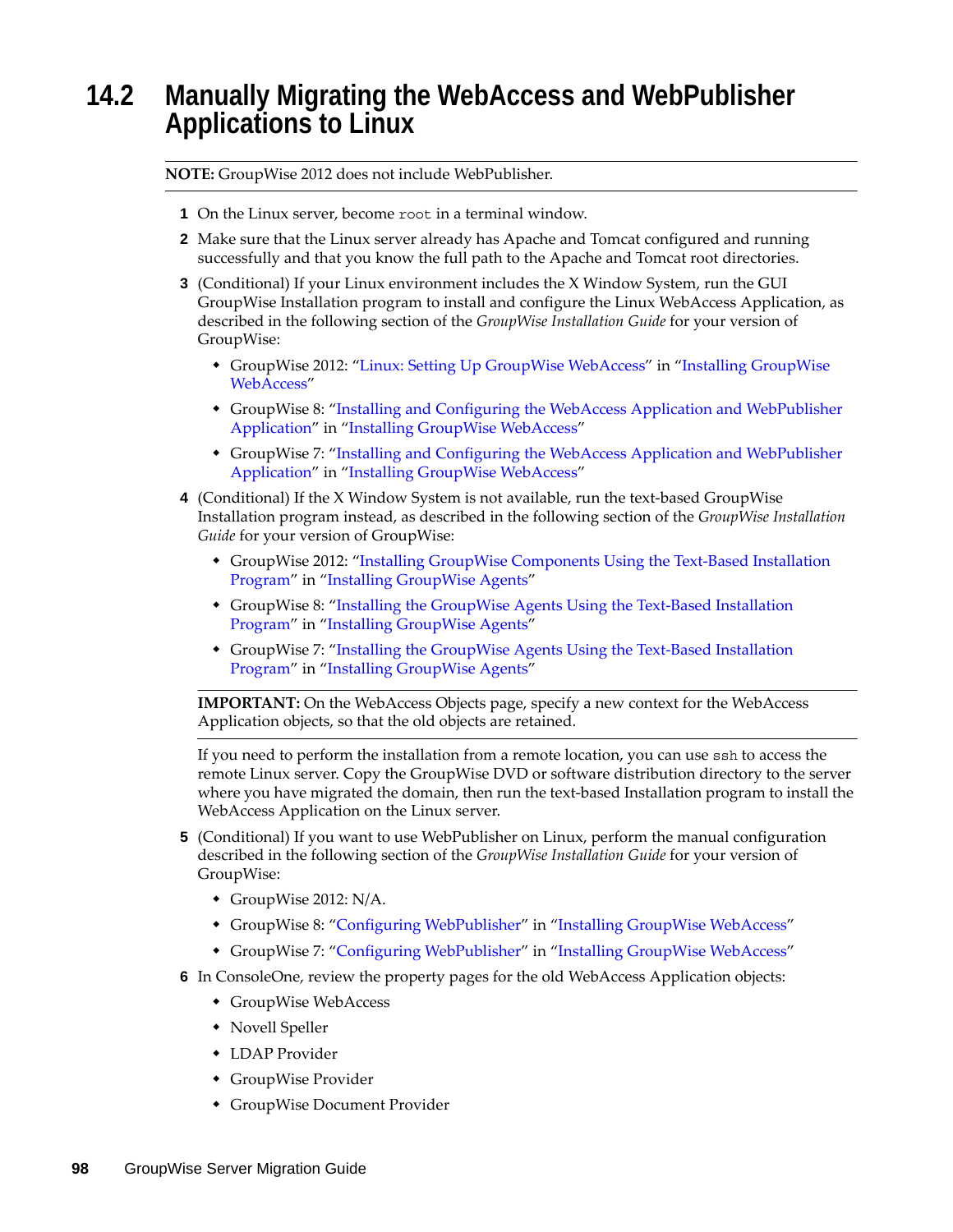### <span id="page-97-0"></span>**14.2 Manually Migrating the WebAccess and WebPublisher Applications to Linux**

**NOTE:** GroupWise 2012 does not include WebPublisher.

- **1** On the Linux server, become root in a terminal window.
- **2** Make sure that the Linux server already has Apache and Tomcat configured and running successfully and that you know the full path to the Apache and Tomcat root directories.
- **3** (Conditional) If your Linux environment includes the X Window System, run the GUI GroupWise Installation program to install and configure the Linux WebAccess Application, as described in the following section of the *GroupWise Installation Guide* for your version of GroupWise:
	- GroupWise 2012: "Linux: Setting Up GroupWise WebAccess" in "Installing GroupWise WebAccess"
	- GroupWise 8: ["Installing and Configuring the WebAccess Application and WebPublisher](http://www.novell.com/documentation/gw8/pdfdoc/gw8_install/gw8_install.pdf#bpfnfpd)  [Application](http://www.novell.com/documentation/gw8/pdfdoc/gw8_install/gw8_install.pdf#bpfnfpd)" in ["Installing GroupWise WebAccess](http://www.novell.com/documentation/gw8/pdfdoc/gw8_install/gw8_install.pdf#Aaaw1rr)"
	- GroupWise 7: ["Installing and Configuring the WebAccess Application and WebPublisher](http://www.novell.com/documentation/gw7/pdfdoc/gw7_install/gw7_install.pdf#bpfnfpd)  [Application](http://www.novell.com/documentation/gw7/pdfdoc/gw7_install/gw7_install.pdf#bpfnfpd)" in ["Installing GroupWise WebAccess](http://www.novell.com/documentation/gw7/pdfdoc/gw7_install/gw7_install.pdf#Aaaw1rr)"
- **4** (Conditional) If the X Window System is not available, run the text-based GroupWise Installation program instead, as described in the following section of the *GroupWise Installation Guide* for your version of GroupWise:
	- GroupWise 2012: "Installing GroupWise Components Using the Text-Based Installation Program" in "Installing GroupWise Agents"
	- GroupWise 8: ["Installing the GroupWise Agents Using the Text-Based Installation](http://www.novell.com/documentation/gw8/pdfdoc/gw8_install/gw8_install.pdf#bpovd7y)  [Program"](http://www.novell.com/documentation/gw8/pdfdoc/gw8_install/gw8_install.pdf#bpovd7y) in ["Installing GroupWise Agents](http://www.novell.com/documentation/gw8/pdfdoc/gw8_install/gw8_install.pdf#A8pam03)"
	- GroupWise 7: ["Installing the GroupWise Agents Using the Text-Based Installation](http://www.novell.com/documentation/gw7/pdfdoc/gw7_install/gw7_install.pdf#bpovd7y)  [Program"](http://www.novell.com/documentation/gw7/pdfdoc/gw7_install/gw7_install.pdf#bpovd7y) in ["Installing GroupWise Agents](http://www.novell.com/documentation/gw7/pdfdoc/gw7_install/gw7_install.pdf#A8pam03)"

**IMPORTANT:** On the WebAccess Objects page, specify a new context for the WebAccess Application objects, so that the old objects are retained.

If you need to perform the installation from a remote location, you can use ssh to access the remote Linux server. Copy the GroupWise DVD or software distribution directory to the server where you have migrated the domain, then run the text-based Installation program to install the WebAccess Application on the Linux server.

- **5** (Conditional) If you want to use WebPublisher on Linux, perform the manual configuration described in the following section of the *GroupWise Installation Guide* for your version of GroupWise:
	- GroupWise 2012: N/A.
	- GroupWise 8: ["Configuring WebPublisher"](http://www.novell.com/documentation/gw8/pdfdoc/gw8_install/gw8_install.pdf#bq4vqfs) in "[Installing GroupWise WebAccess"](http://www.novell.com/documentation/gw8/pdfdoc/gw8_install/gw8_install.pdf#Aaaw1rr)
	- \* GroupWise 7: ["Configuring WebPublisher"](http://www.novell.com/documentation/gw7/pdfdoc/gw7_install/gw7_install.pdf#bq4vqfs) in "[Installing GroupWise WebAccess"](http://www.novell.com/documentation/gw7/pdfdoc/gw7_install/gw7_install.pdf#Aaaw1rr)
- **6** In ConsoleOne, review the property pages for the old WebAccess Application objects:
	- GroupWise WebAccess
	- Novell Speller
	- LDAP Provider
	- GroupWise Provider
	- GroupWise Document Provider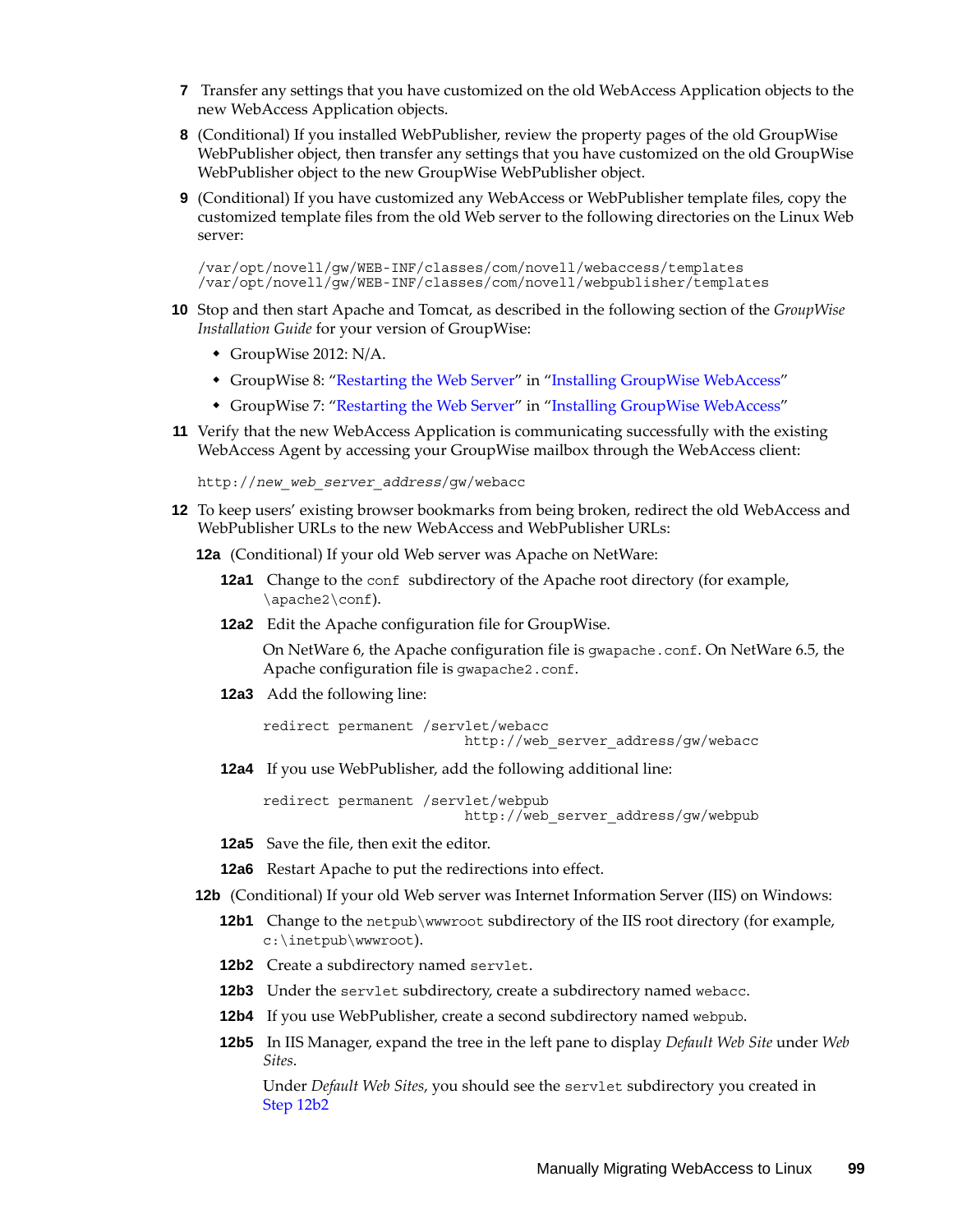- **7** Transfer any settings that you have customized on the old WebAccess Application objects to the new WebAccess Application objects.
- **8** (Conditional) If you installed WebPublisher, review the property pages of the old GroupWise WebPublisher object, then transfer any settings that you have customized on the old GroupWise WebPublisher object to the new GroupWise WebPublisher object.
- **9** (Conditional) If you have customized any WebAccess or WebPublisher template files, copy the customized template files from the old Web server to the following directories on the Linux Web server:

/var/opt/novell/gw/WEB-INF/classes/com/novell/webaccess/templates /var/opt/novell/gw/WEB-INF/classes/com/novell/webpublisher/templates

- **10** Stop and then start Apache and Tomcat, as described in the following section of the *GroupWise Installation Guide* for your version of GroupWise:
	- GroupWise 2012: N/A.
	- GroupWise 8: ["Restarting the Web Server"](http://www.novell.com/documentation/gw8/pdfdoc/gw8_install/gw8_install.pdf#bppe5f1) in "[Installing GroupWise WebAccess"](http://www.novell.com/documentation/gw8/pdfdoc/gw8_install/gw8_install.pdf#Aaaw1rr)
	- GroupWise 7: ["Restarting the Web Server"](http://www.novell.com/documentation/gw7/pdfdoc/gw7_install/gw7_install.pdf#bppe5f1) in "[Installing GroupWise WebAccess"](http://www.novell.com/documentation/gw7/pdfdoc/gw7_install/gw7_install.pdf#Aaaw1rr)
- **11** Verify that the new WebAccess Application is communicating successfully with the existing WebAccess Agent by accessing your GroupWise mailbox through the WebAccess client:

http://*new\_web\_server\_address*/gw/webacc

- **12** To keep users' existing browser bookmarks from being broken, redirect the old WebAccess and WebPublisher URLs to the new WebAccess and WebPublisher URLs:
	- **12a** (Conditional) If your old Web server was Apache on NetWare:
		- **12a1** Change to the conf subdirectory of the Apache root directory (for example, \apache2\conf).
		- **12a2** Edit the Apache configuration file for GroupWise.

On NetWare 6, the Apache configuration file is gwapache.conf. On NetWare 6.5, the Apache configuration file is gwapache2.conf.

**12a3** Add the following line:

redirect permanent /servlet/webacc http://web server address/gw/webacc

**12a4** If you use WebPublisher, add the following additional line:

redirect permanent /servlet/webpub http://web server address/gw/webpub

**12a5** Save the file, then exit the editor.

**12a6** Restart Apache to put the redirections into effect.

**12b** (Conditional) If your old Web server was Internet Information Server (IIS) on Windows:

- **12b1** Change to the netpub\wwwroot subdirectory of the IIS root directory (for example, c:\inetpub\wwwroot).
- <span id="page-98-0"></span>12b2 Create a subdirectory named servlet.
- <span id="page-98-1"></span>**12b3** Under the servlet subdirectory, create a subdirectory named webacc.
- **12b4** If you use WebPublisher, create a second subdirectory named webpub.
- **12b5** In IIS Manager, expand the tree in the left pane to display *Default Web Site* under *Web Sites*.

Under *Default Web Sites*, you should see the servlet subdirectory you created in [Step 12b2](#page-98-0)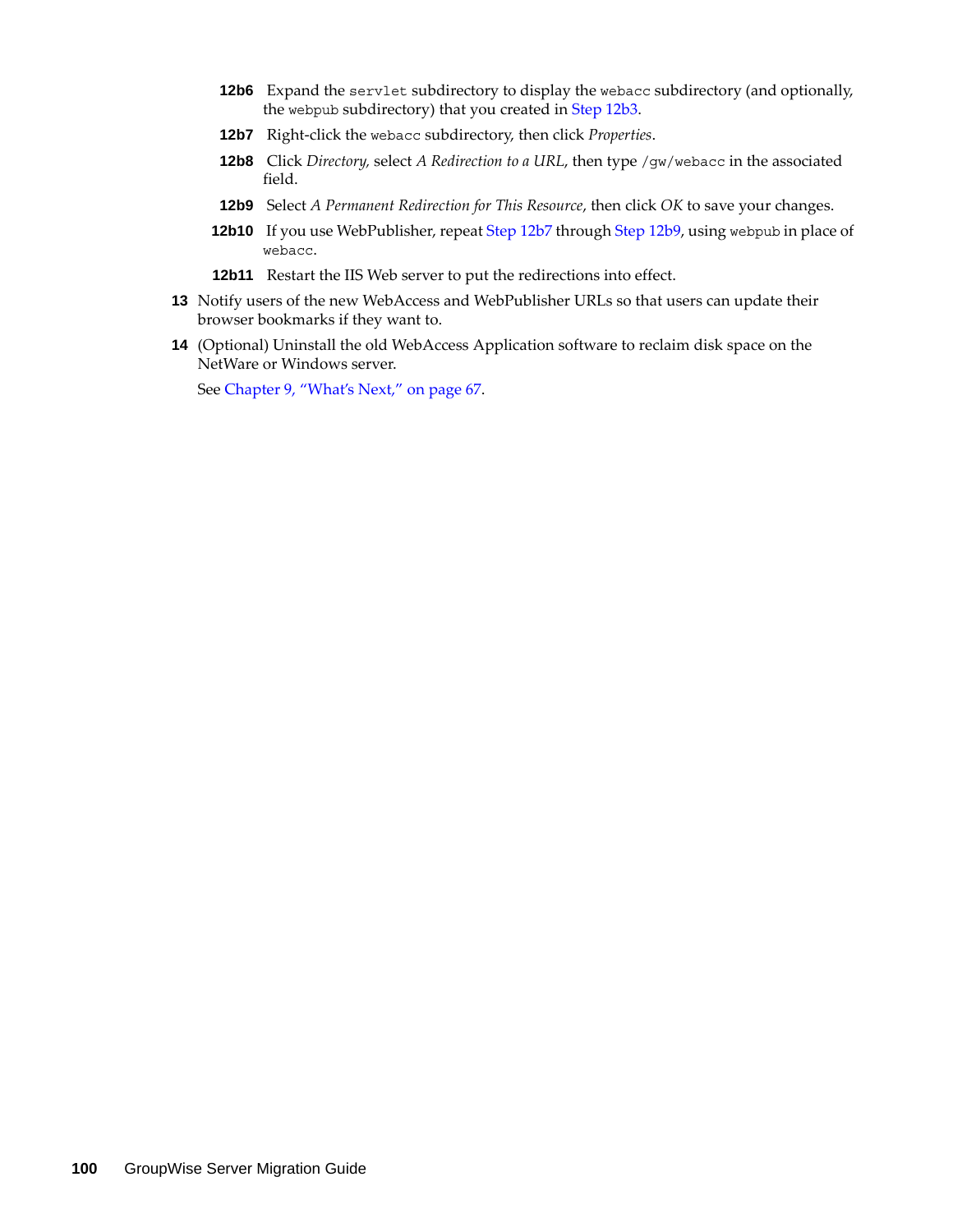- **12b6** Expand the servlet subdirectory to display the webacc subdirectory (and optionally, the webpub subdirectory) that you created in [Step 12b3.](#page-98-1)
- <span id="page-99-0"></span>**12b7** Right-click the webacc subdirectory, then click *Properties*.
- **12b8** Click *Directory,* select *A Redirection to a URL*, then type /gw/webacc in the associated field.
- <span id="page-99-1"></span>**12b9** Select *A Permanent Redirection for This Resource*, then click *OK* to save your changes.
- **12b10** If you use WebPublisher, repeat [Step 12b7](#page-99-0) through [Step 12b9,](#page-99-1) using webpub in place of webacc.
- **12b11** Restart the IIS Web server to put the redirections into effect.
- **13** Notify users of the new WebAccess and WebPublisher URLs so that users can update their browser bookmarks if they want to.
- **14** (Optional) Uninstall the old WebAccess Application software to reclaim disk space on the NetWare or Windows server.

See [Chapter 9, "What's Next," on page 67](#page-66-0).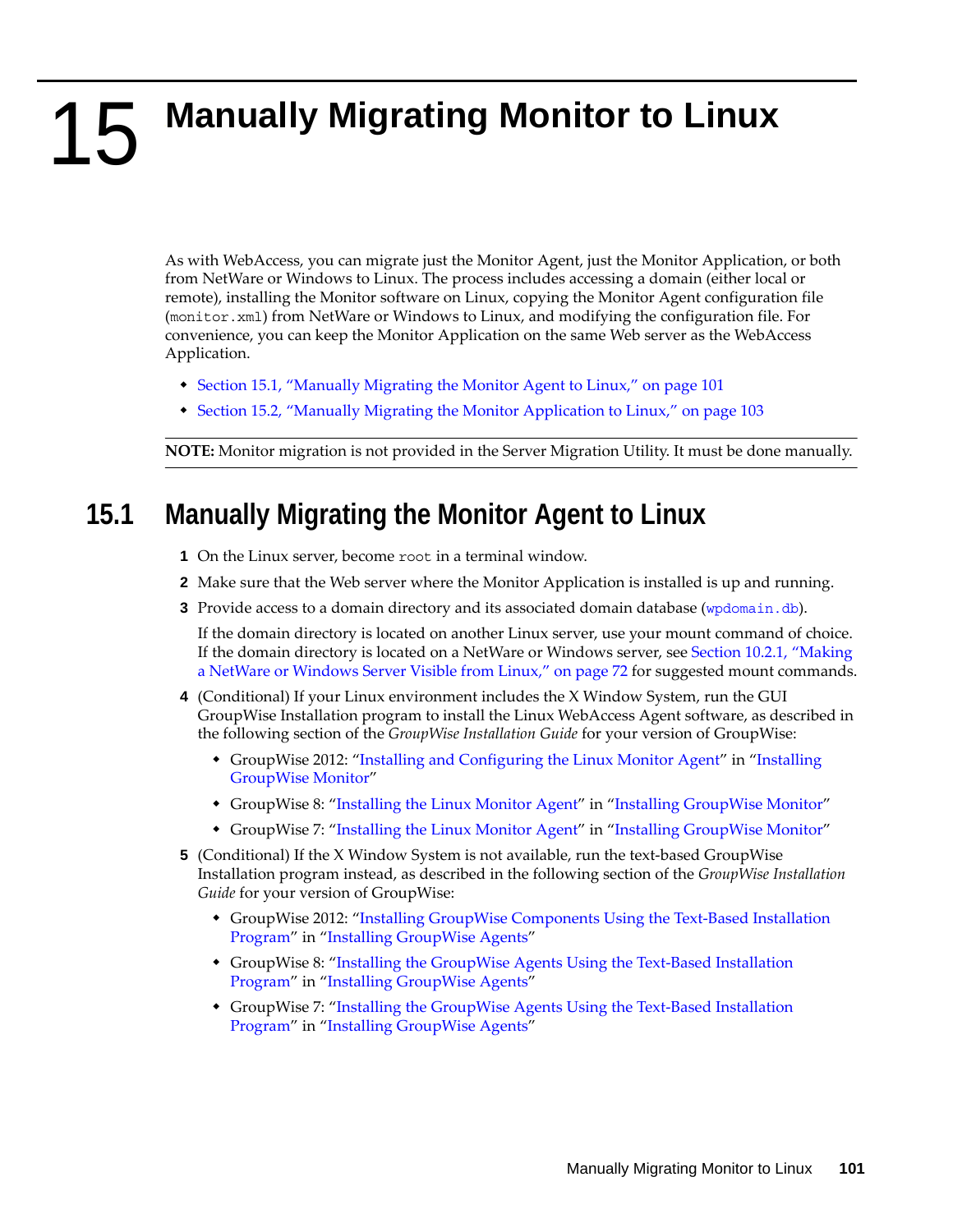# 15 **Manually Migrating Monitor to Linux**

As with WebAccess, you can migrate just the Monitor Agent, just the Monitor Application, or both from NetWare or Windows to Linux. The process includes accessing a domain (either local or remote), installing the Monitor software on Linux, copying the Monitor Agent configuration file (monitor.xml) from NetWare or Windows to Linux, and modifying the configuration file. For convenience, you can keep the Monitor Application on the same Web server as the WebAccess Application.

- [Section 15.1, "Manually Migrating the Monitor Agent to Linux," on page 101](#page-100-0)
- [Section 15.2, "Manually Migrating the Monitor Application to Linux," on page 103](#page-102-0)

**NOTE:** Monitor migration is not provided in the Server Migration Utility. It must be done manually.

### <span id="page-100-0"></span>**15.1 Manually Migrating the Monitor Agent to Linux**

- **1** On the Linux server, become root in a terminal window.
- **2** Make sure that the Web server where the Monitor Application is installed is up and running.
- <span id="page-100-1"></span>**3** Provide access to a domain directory and its associated domain database ([wpdomain.db](http://www.novell.com/documentation/gw7/pdfdoc/gw7_tsh3/gw7_tsh3.pdf#A3ec28k)).

If the domain directory is located on another Linux server, use your mount command of choice. If the domain directory is located on a NetWare or Windows server, see [Section 10.2.1, "Making](#page-71-0)  [a NetWare or Windows Server Visible from Linux," on page 72](#page-71-0) for suggested mount commands.

- **4** (Conditional) If your Linux environment includes the X Window System, run the GUI GroupWise Installation program to install the Linux WebAccess Agent software, as described in the following section of the *GroupWise Installation Guide* for your version of GroupWise:
	- GroupWise 2012: "Installing and Configuring the Linux Monitor Agent" in "Installing GroupWise Monitor"
	- GroupWise 8: ["Installing the Linux Monitor Agent](http://www.novell.com/documentation/gw8/pdfdoc/gw8_install/gw8_install.pdf#bpeksb0)" in ["Installing GroupWise Monitor"](http://www.novell.com/documentation/gw8/pdfdoc/gw8_install/gw8_install.pdf#A8hyiuh)
	- GroupWise 7: ["Installing the Linux Monitor Agent](http://www.novell.com/documentation/gw7/pdfdoc/gw7_install/gw7_install.pdf#bpeksb0)" in ["Installing GroupWise Monitor"](http://www.novell.com/documentation/gw7/pdfdoc/gw7_install/gw7_install.pdf#A8hyiuh)
- **5** (Conditional) If the X Window System is not available, run the text-based GroupWise Installation program instead, as described in the following section of the *GroupWise Installation Guide* for your version of GroupWise:
	- GroupWise 2012: "Installing GroupWise Components Using the Text-Based Installation Program" in "Installing GroupWise Agents"
	- GroupWise 8: "Installing the GroupWise Agents Using the Text-Based Installation [Program"](http://www.novell.com/documentation/gw8/pdfdoc/gw8_install/gw8_install.pdf#bpovd7y) in ["Installing GroupWise Agents](http://www.novell.com/documentation/gw8/pdfdoc/gw8_install/gw8_install.pdf#A8pam03)"
	- GroupWise 7: ["Installing the GroupWise Agents Using the Text-Based Installation](http://www.novell.com/documentation/gw7/pdfdoc/gw7_install/gw7_install.pdf#bpovd7y)  [Program"](http://www.novell.com/documentation/gw7/pdfdoc/gw7_install/gw7_install.pdf#bpovd7y) in ["Installing GroupWise Agents](http://www.novell.com/documentation/gw7/pdfdoc/gw7_install/gw7_install.pdf#A8pam03)"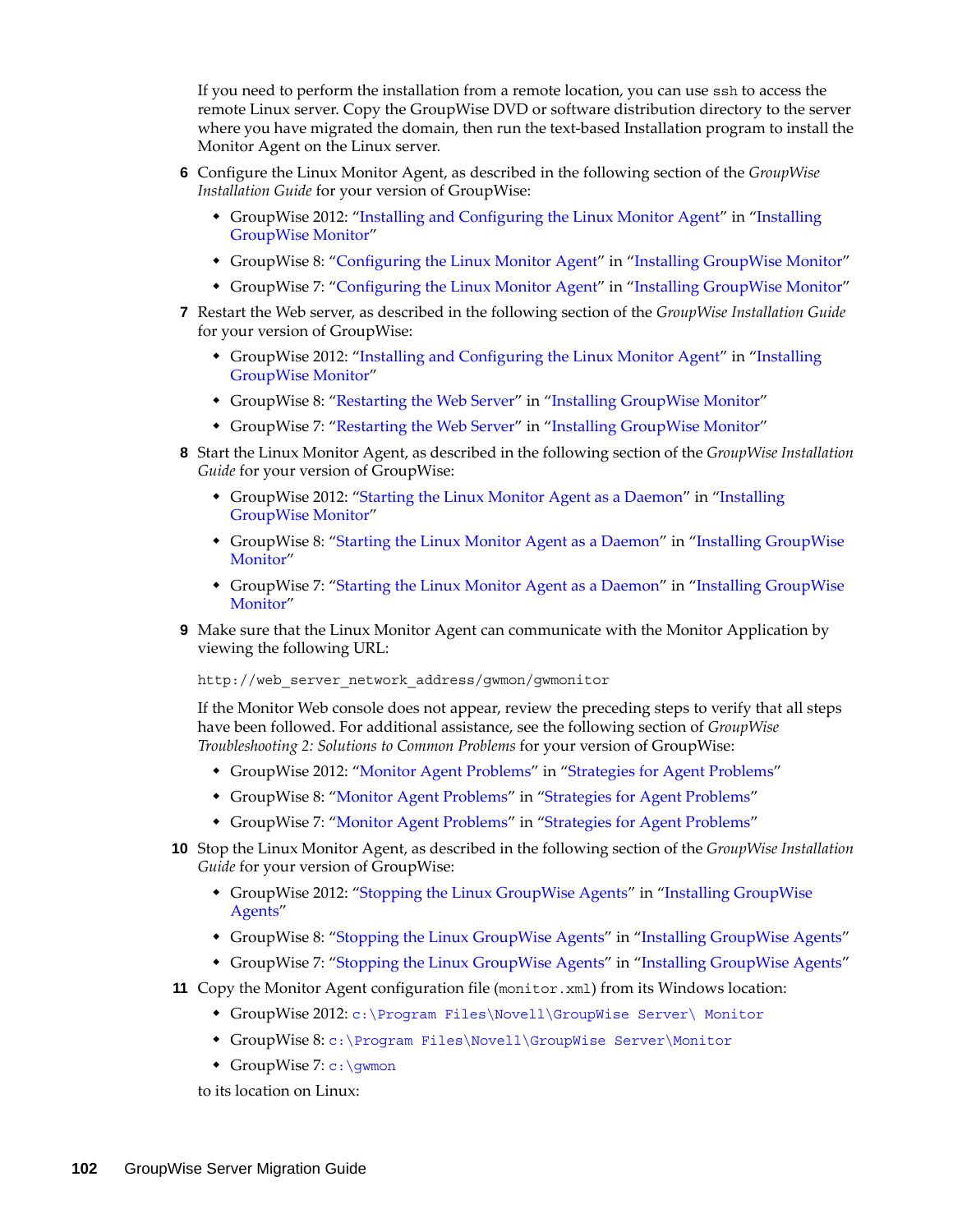If you need to perform the installation from a remote location, you can use ssh to access the remote Linux server. Copy the GroupWise DVD or software distribution directory to the server where you have migrated the domain, then run the text-based Installation program to install the Monitor Agent on the Linux server.

- **6** Configure the Linux Monitor Agent, as described in the following section of the *GroupWise Installation Guide* for your version of GroupWise:
	- GroupWise 2012: "Installing and Configuring the Linux Monitor Agent" in "Installing GroupWise Monitor"
	- GroupWise 8: ["Configuring the Linux Monitor Agent](http://www.novell.com/documentation/gw8/pdfdoc/gw8_install/gw8_install.pdf#bptzni6)" in "[Installing GroupWise Monitor"](http://www.novell.com/documentation/gw8/pdfdoc/gw8_install/gw8_install.pdf#A8hyiuh)
	- GroupWise 7: ["Configuring the Linux Monitor Agent"](http://www.novell.com/documentation/gw7/pdfdoc/gw7_install/gw7_install.pdf#bptzni6) in "[Installing GroupWise Monitor"](http://www.novell.com/documentation/gw7/pdfdoc/gw7_install/gw7_install.pdf#A8hyiuh)
- **7** Restart the Web server, as described in the following section of the *GroupWise Installation Guide* for your version of GroupWise:
	- GroupWise 2012: "Installing and Configuring the Linux Monitor Agent" in "Installing GroupWise Monitor"
	- GroupWise 8: ["Restarting the Web Server"](http://www.novell.com/documentation/gw8/pdfdoc/gw8_install/gw8_install.pdf#bq5cnjy) in "[Installing GroupWise Monitor](http://www.novell.com/documentation/gw8/pdfdoc/gw8_install/gw8_install.pdf#A8hyiuh)"
	- GroupWise 7: ["Restarting the Web Server"](http://www.novell.com/documentation/gw7/pdfdoc/gw7_install/gw7_install.pdf#bq5cnjy) in "[Installing GroupWise Monitor](http://www.novell.com/documentation/gw7/pdfdoc/gw7_install/gw7_install.pdf#A8hyiuh)"
- **8** Start the Linux Monitor Agent, as described in the following section of the *GroupWise Installation Guide* for your version of GroupWise:
	- GroupWise 2012: "Starting the Linux Monitor Agent as a Daemon" in "Installing GroupWise Monitor"
	- GroupWise 8: ["Starting the Linux Monitor Agent as a Daemon"](http://www.novell.com/documentation/gw8/pdfdoc/gw8_install/gw8_install.pdf#bpeksfd) in "[Installing GroupWise](http://www.novell.com/documentation/gw8/pdfdoc/gw8_install/gw8_install.pdf#A8hyiuh)  [Monitor](http://www.novell.com/documentation/gw8/pdfdoc/gw8_install/gw8_install.pdf#A8hyiuh)"
	- GroupWise 7: ["Starting the Linux Monitor Agent as a Daemon"](http://www.novell.com/documentation/gw7/pdfdoc/gw7_install/gw7_install.pdf#bpeksfd) in "[Installing GroupWise](http://www.novell.com/documentation/gw7/pdfdoc/gw7_install/gw7_install.pdf#A8hyiuh)  [Monitor](http://www.novell.com/documentation/gw7/pdfdoc/gw7_install/gw7_install.pdf#A8hyiuh)"
- **9** Make sure that the Linux Monitor Agent can communicate with the Monitor Application by viewing the following URL:

http://web server network address/gwmon/gwmonitor

If the Monitor Web console does not appear, review the preceding steps to verify that all steps have been followed. For additional assistance, see the following section of *GroupWise Troubleshooting 2: Solutions to Common Problems* for your version of GroupWise:

- GroupWise 2012: "Monitor Agent Problems" in "Strategies for Agent Problems"
- GroupWise 8: ["Monitor Agent Problems](http://www.novell.com/documentation/gw8/pdfdoc/gw8_tsh2/gw8_tsh2.pdf#Adlph5a)" in ["Strategies for Agent Problems](http://www.novell.com/documentation/gw8/pdfdoc/gw8_tsh2/gw8_tsh2.pdf#A4exn4s)"
- GroupWise 7: ["Monitor Agent Problems](http://www.novell.com/documentation/gw7/pdfdoc/gw7_tsh2/gw7_tsh2.pdf#Adlph5a)" in ["Strategies for Agent Problems](http://www.novell.com/documentation/gw7/pdfdoc/gw7_tsh2/gw7_tsh2.pdf#A4exn4s)"
- **10** Stop the Linux Monitor Agent, as described in the following section of the *GroupWise Installation Guide* for your version of GroupWise:
	- GroupWise 2012: "Stopping the Linux GroupWise Agents" in "Installing GroupWise Agents"
	- GroupWise 8: ["Stopping the Linux GroupWise Agents"](http://www.novell.com/documentation/gw8/pdfdoc/gw8_install/gw8_install.pdf#bnquavn) in ["Installing GroupWise Agents](http://www.novell.com/documentation/gw8/pdfdoc/gw8_install/gw8_install.pdf#A8pam03)"
	- GroupWise 7: ["Stopping the Linux GroupWise Agents"](http://www.novell.com/documentation/gw7/pdfdoc/gw7_install/gw7_install.pdf#bnquavn) in ["Installing GroupWise Agents](http://www.novell.com/documentation/gw7/pdfdoc/gw7_install/gw7_install.pdf#A8pam03)"
- **11** Copy the Monitor Agent configuration file (monitor.xml) from its Windows location:
	- GroupWise 2012: c:\Program Files\Novell\GroupWise Server\ Monitor
	- GroupWise 8: [c:\Program Files\Novell\GroupWise Server\Monitor](http://www.novell.com/documentation/gw8/pdfdoc/gw8_tsh3/gw8_tsh3.pdf#bsbfuk6)
	- ◆ GroupWise 7: c: \gwmon

to its location on Linux: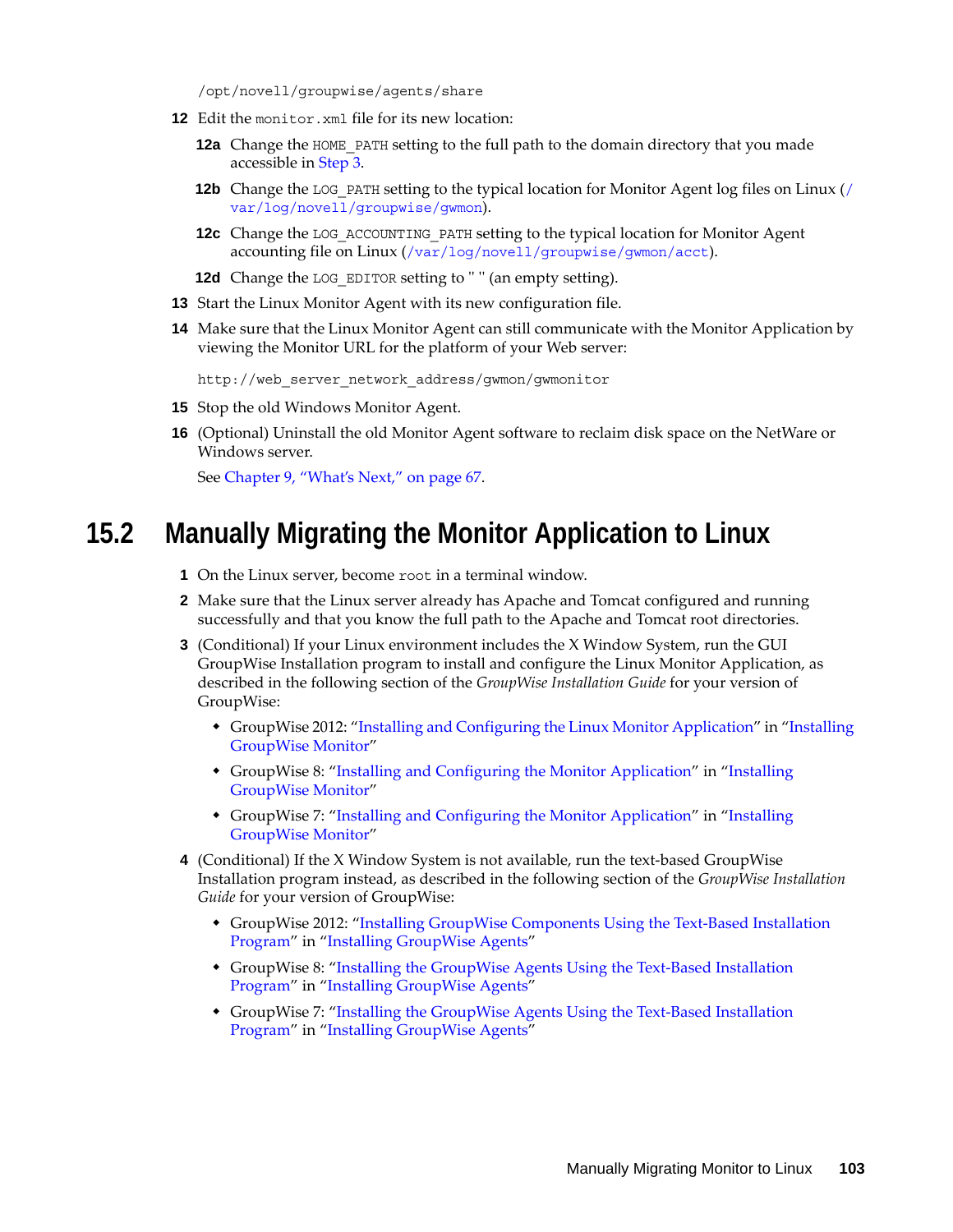/opt/novell/groupwise/agents/share

- **12** Edit the monitor.xml file for its new location:
	- **12a** Change the HOME\_PATH setting to the full path to the domain directory that you made accessible in [Step 3.](#page-100-1)
	- **12b** Change the LOG\_PATH setting to the typical location for Monitor Agent log files on Linux ([/](http://www.novell.com/documentation/gw7/pdfdoc/gw7_tsh3/gw7_tsh3.pdf#bsbiuc2) [var/log/novell/groupwise/gwmon](http://www.novell.com/documentation/gw7/pdfdoc/gw7_tsh3/gw7_tsh3.pdf#bsbiuc2)).
	- **12c** Change the LOG ACCOUNTING PATH setting to the typical location for Monitor Agent accounting file on Linux ([/var/log/novell/groupwise/gwmon/acct](http://www.novell.com/documentation/gw7/pdfdoc/gw7_tsh3/gw7_tsh3.pdf#b3ii84u)).
	- **12d** Change the LOG EDITOR setting to "" (an empty setting).
- **13** Start the Linux Monitor Agent with its new configuration file.
- **14** Make sure that the Linux Monitor Agent can still communicate with the Monitor Application by viewing the Monitor URL for the platform of your Web server:

```
http://web server network address/gwmon/gwmonitor
```
- **15** Stop the old Windows Monitor Agent.
- **16** (Optional) Uninstall the old Monitor Agent software to reclaim disk space on the NetWare or Windows server.

See [Chapter 9, "What's Next," on page 67](#page-66-0).

#### <span id="page-102-0"></span>**15.2 Manually Migrating the Monitor Application to Linux**

- **1** On the Linux server, become root in a terminal window.
- **2** Make sure that the Linux server already has Apache and Tomcat configured and running successfully and that you know the full path to the Apache and Tomcat root directories.
- **3** (Conditional) If your Linux environment includes the X Window System, run the GUI GroupWise Installation program to install and configure the Linux Monitor Application, as described in the following section of the *GroupWise Installation Guide* for your version of GroupWise:
	- GroupWise 2012: "Installing and Configuring the Linux Monitor Application" in "Installing GroupWise Monitor"
	- GroupWise 8: ["Installing and Configuring the Monitor Application](http://www.novell.com/documentation/gw8/pdfdoc/gw8_install/gw8_install.pdf#bq5c0nu)" in ["Installing](http://www.novell.com/documentation/gw8/pdfdoc/gw8_install/gw8_install.pdf#A8hyiuh)  [GroupWise Monitor"](http://www.novell.com/documentation/gw8/pdfdoc/gw8_install/gw8_install.pdf#A8hyiuh)
	- GroupWise 7: ["Installing and Configuring the Monitor Application](http://www.novell.com/documentation/gw7/pdfdoc/gw7_install/gw7_install.pdf#bq5c0nu)" in ["Installing](http://www.novell.com/documentation/gw7/pdfdoc/gw7_install/gw7_install.pdf#A8hyiuh)  [GroupWise Monitor"](http://www.novell.com/documentation/gw7/pdfdoc/gw7_install/gw7_install.pdf#A8hyiuh)
- **4** (Conditional) If the X Window System is not available, run the text-based GroupWise Installation program instead, as described in the following section of the *GroupWise Installation Guide* for your version of GroupWise:
	- GroupWise 2012: "Installing GroupWise Components Using the Text-Based Installation Program" in "Installing GroupWise Agents"
	- GroupWise 8: ["Installing the GroupWise Agents Using the Text-Based Installation](http://www.novell.com/documentation/gw8/pdfdoc/gw8_install/gw8_install.pdf#bpovd7y)  [Program"](http://www.novell.com/documentation/gw8/pdfdoc/gw8_install/gw8_install.pdf#bpovd7y) in ["Installing GroupWise Agents](http://www.novell.com/documentation/gw8/pdfdoc/gw8_install/gw8_install.pdf#A8pam03)"
	- GroupWise 7: ["Installing the GroupWise Agents Using the Text-Based Installation](http://www.novell.com/documentation/gw7/pdfdoc/gw7_install/gw7_install.pdf#bpovd7y)  [Program"](http://www.novell.com/documentation/gw7/pdfdoc/gw7_install/gw7_install.pdf#bpovd7y) in ["Installing GroupWise Agents](http://www.novell.com/documentation/gw7/pdfdoc/gw7_install/gw7_install.pdf#A8pam03)"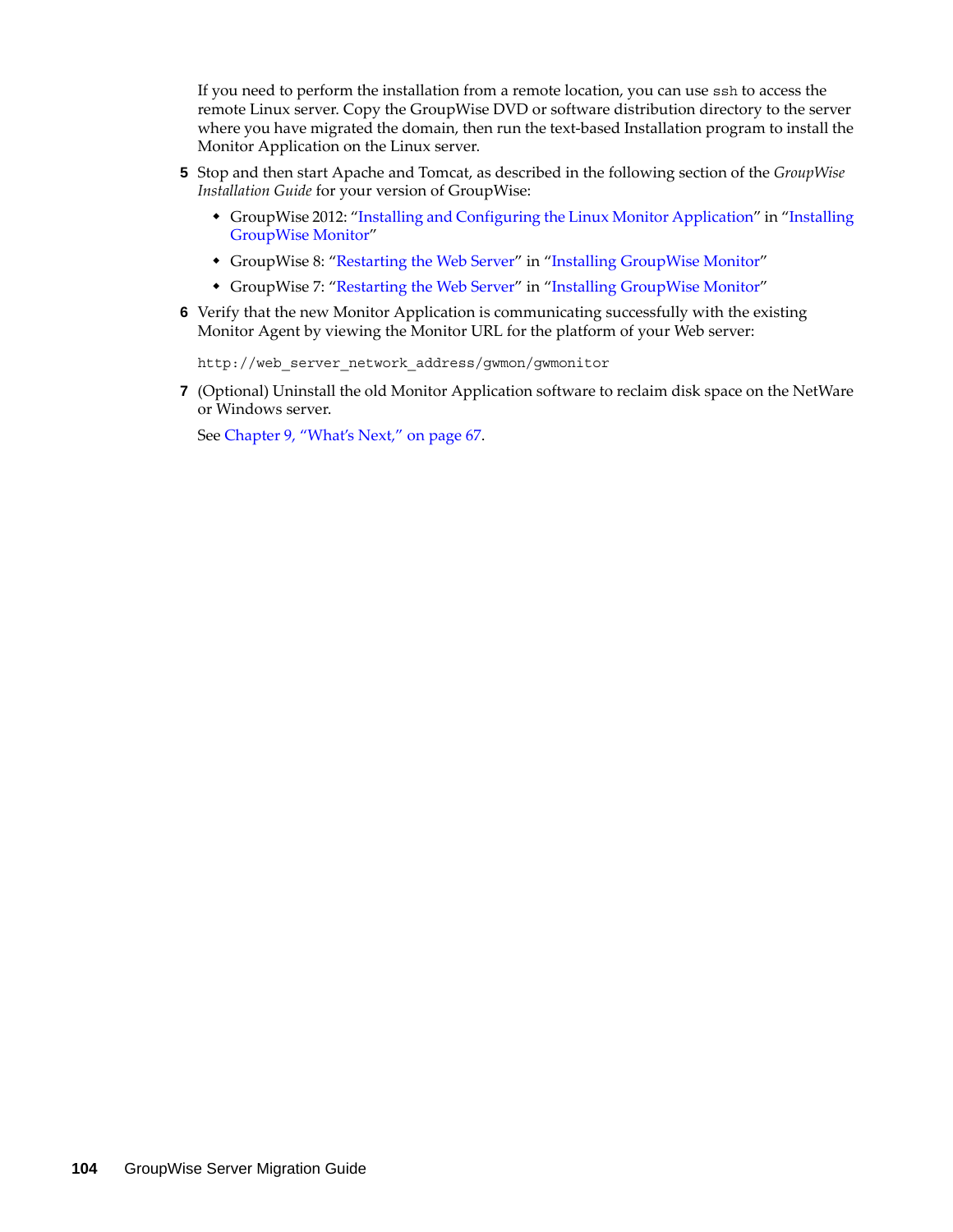If you need to perform the installation from a remote location, you can use ssh to access the remote Linux server. Copy the GroupWise DVD or software distribution directory to the server where you have migrated the domain, then run the text-based Installation program to install the Monitor Application on the Linux server.

- **5** Stop and then start Apache and Tomcat, as described in the following section of the *GroupWise Installation Guide* for your version of GroupWise:
	- GroupWise 2012: "Installing and Configuring the Linux Monitor Application" in "Installing GroupWise Monitor"
	- GroupWise 8: ["Restarting the Web Server"](http://www.novell.com/documentation/gw8/pdfdoc/gw8_install/gw8_install.pdf#bq5cnjy) in "[Installing GroupWise Monitor](http://www.novell.com/documentation/gw8/pdfdoc/gw8_install/gw8_install.pdf#A8hyiuh)"
	- GroupWise 7: ["Restarting the Web Server"](http://www.novell.com/documentation/gw7/pdfdoc/gw7_install/gw7_install.pdf#bq5cnjy) in "[Installing GroupWise Monitor](http://www.novell.com/documentation/gw7/pdfdoc/gw7_install/gw7_install.pdf#A8hyiuh)"
- **6** Verify that the new Monitor Application is communicating successfully with the existing Monitor Agent by viewing the Monitor URL for the platform of your Web server:

http://web server network address/gwmon/gwmonitor

**7** (Optional) Uninstall the old Monitor Application software to reclaim disk space on the NetWare or Windows server.

See [Chapter 9, "What's Next," on page 67](#page-66-0).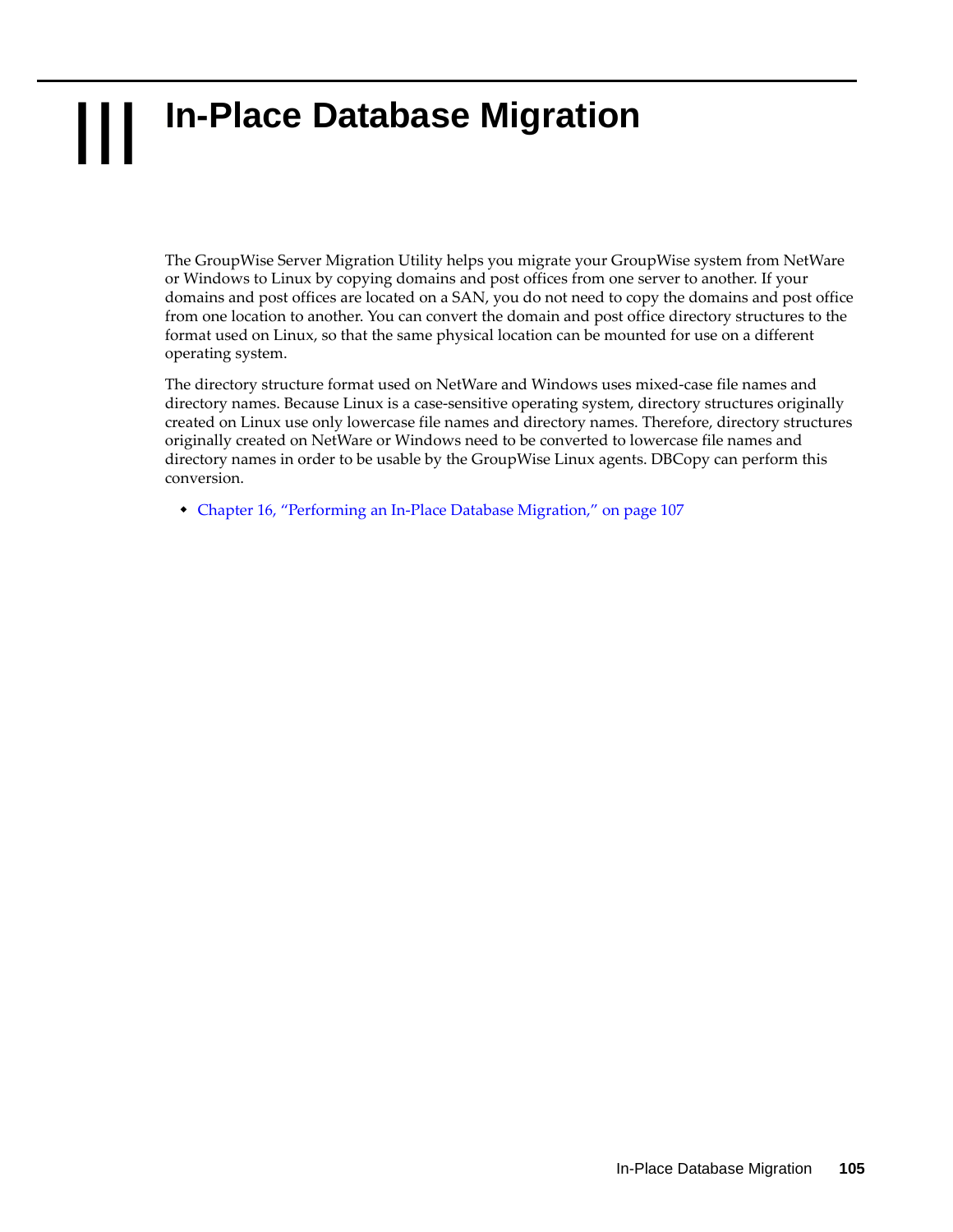# III **In-Place Database Migration**

The GroupWise Server Migration Utility helps you migrate your GroupWise system from NetWare or Windows to Linux by copying domains and post offices from one server to another. If your domains and post offices are located on a SAN, you do not need to copy the domains and post office from one location to another. You can convert the domain and post office directory structures to the format used on Linux, so that the same physical location can be mounted for use on a different operating system.

The directory structure format used on NetWare and Windows uses mixed-case file names and directory names. Because Linux is a case-sensitive operating system, directory structures originally created on Linux use only lowercase file names and directory names. Therefore, directory structures originally created on NetWare or Windows need to be converted to lowercase file names and directory names in order to be usable by the GroupWise Linux agents. DBCopy can perform this conversion.

[Chapter 16, "Performing an In-Place Database Migration," on page 107](#page-106-0)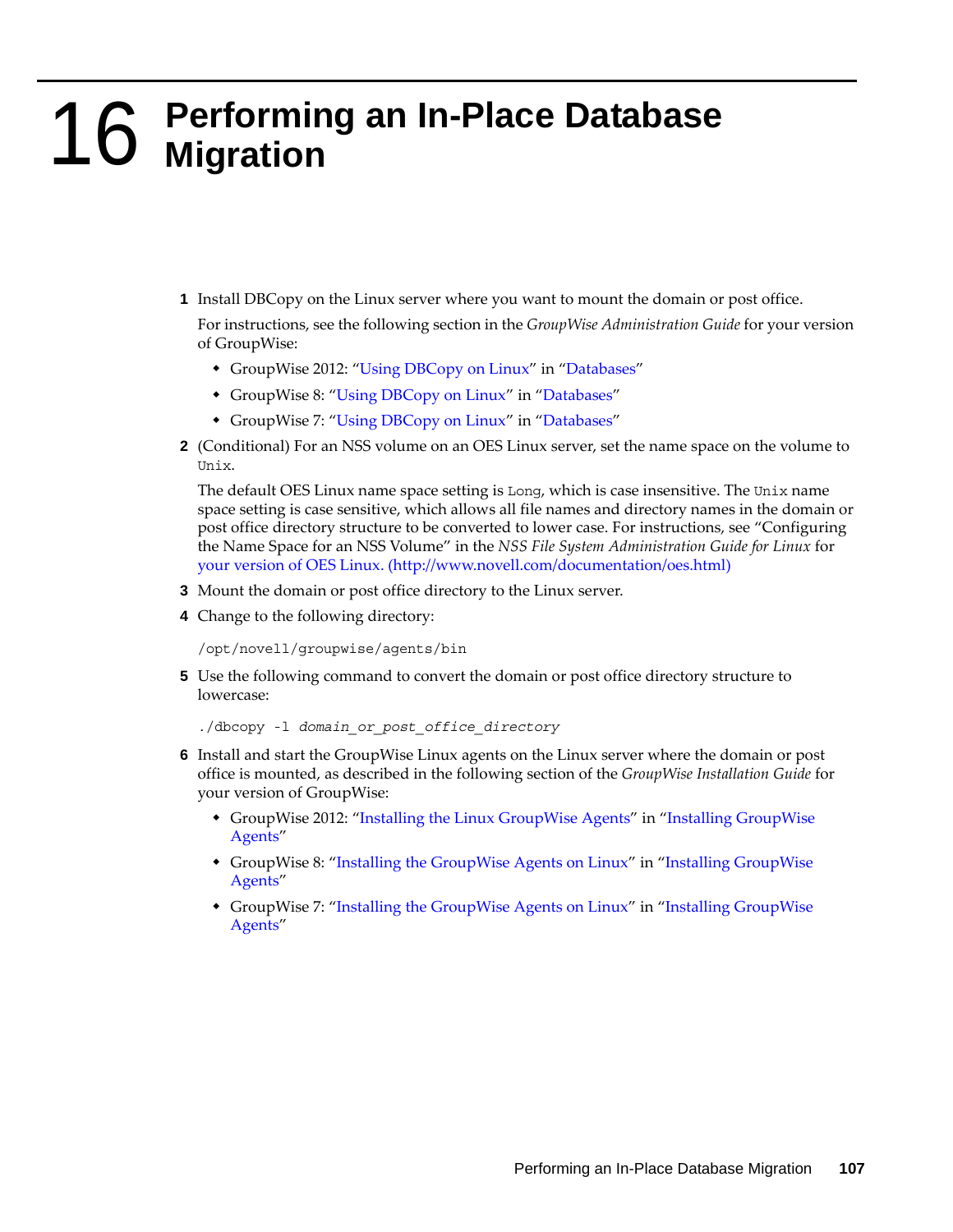# <span id="page-106-0"></span>16 <sup>16</sup>**Performing an In-Place Database Migration**

**1** Install DBCopy on the Linux server where you want to mount the domain or post office.

For instructions, see the following section in the *GroupWise Administration Guide* for your version of GroupWise:

- GroupWise 2012: "Using DBCopy on Linux" in "Databases"
- GroupWise 8: ["Using DBCopy on Linux](http://www.novell.com/documentation/gw8/pdfdoc/gw8_admin/gw8_admin.pdf#bqpxea0)" in "[Databases"](http://www.novell.com/documentation/gw8/pdfdoc/gw8_admin/gw8_admin.pdf#A8n802e)
- GroupWise 7: ["Using DBCopy on Linux](http://www.novell.com/documentation/gw7/pdfdoc/gw7_admin/gw7_admin.pdf#bqpxea0)" in "[Databases"](http://www.novell.com/documentation/gw7/pdfdoc/gw7_admin/gw7_admin.pdf#A8n802e)
- **2** (Conditional) For an NSS volume on an OES Linux server, set the name space on the volume to Unix.

The default OES Linux name space setting is Long, which is case insensitive. The Unix name space setting is case sensitive, which allows all file names and directory names in the domain or post office directory structure to be converted to lower case. For instructions, see "Configuring the Name Space for an NSS Volume" in the *NSS File System Administration Guide for Linux* for [your version of OES Linux.](http://www.novell.com/documentation/oes.html) (http://www.novell.com/documentation/oes.html)

- **3** Mount the domain or post office directory to the Linux server.
- **4** Change to the following directory:

```
/opt/novell/groupwise/agents/bin
```
**5** Use the following command to convert the domain or post office directory structure to lowercase:

```
./dbcopy -l domain_or_post_office_directory
```
- **6** Install and start the GroupWise Linux agents on the Linux server where the domain or post office is mounted, as described in the following section of the *GroupWise Installation Guide* for your version of GroupWise:
	- GroupWise 2012: "Installing the Linux GroupWise Agents" in "Installing GroupWise Agents"
	- GroupWise 8: ["Installing the GroupWise Agents on Linux"](http://www.novell.com/documentation/gw8/pdfdoc/gw8_install/gw8_install.pdf#bnmtjck) in "[Installing GroupWise](http://www.novell.com/documentation/gw8/pdfdoc/gw8_install/gw8_install.pdf#A8pam03)  [Agents](http://www.novell.com/documentation/gw8/pdfdoc/gw8_install/gw8_install.pdf#A8pam03)"
	- GroupWise 7: ["Installing the GroupWise Agents on Linux"](http://www.novell.com/documentation/gw7/pdfdoc/gw7_install/gw7_install.pdf#bnmtjck) in "Installing GroupWise [Agents](http://www.novell.com/documentation/gw7/pdfdoc/gw7_install/gw7_install.pdf#A8pam03)"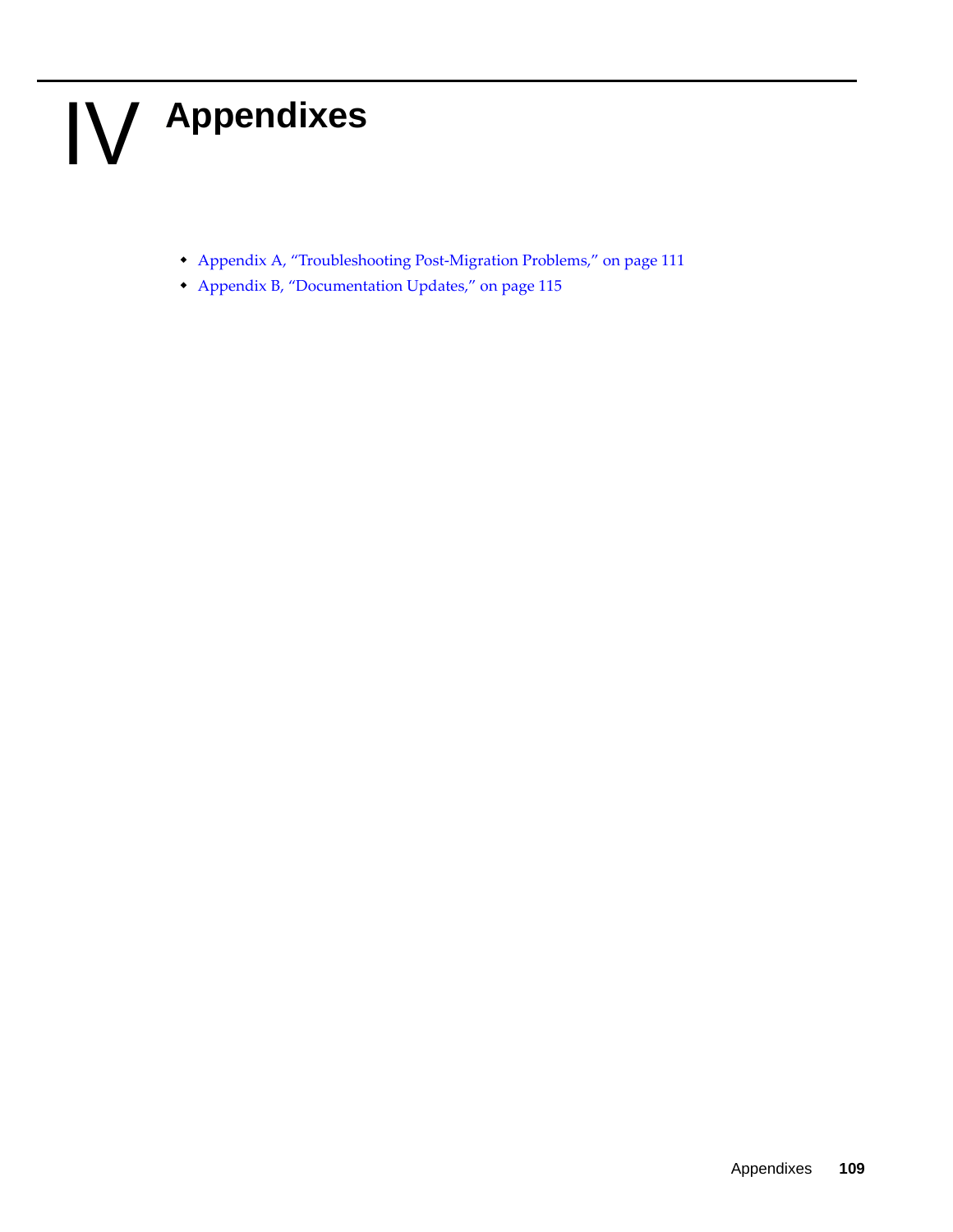# IV IV**Appendixes**

- [Appendix A, "Troubleshooting Post-Migration Problems," on page 111](#page-110-0)
- [Appendix B, "Documentation Updates," on page 115](#page-114-0)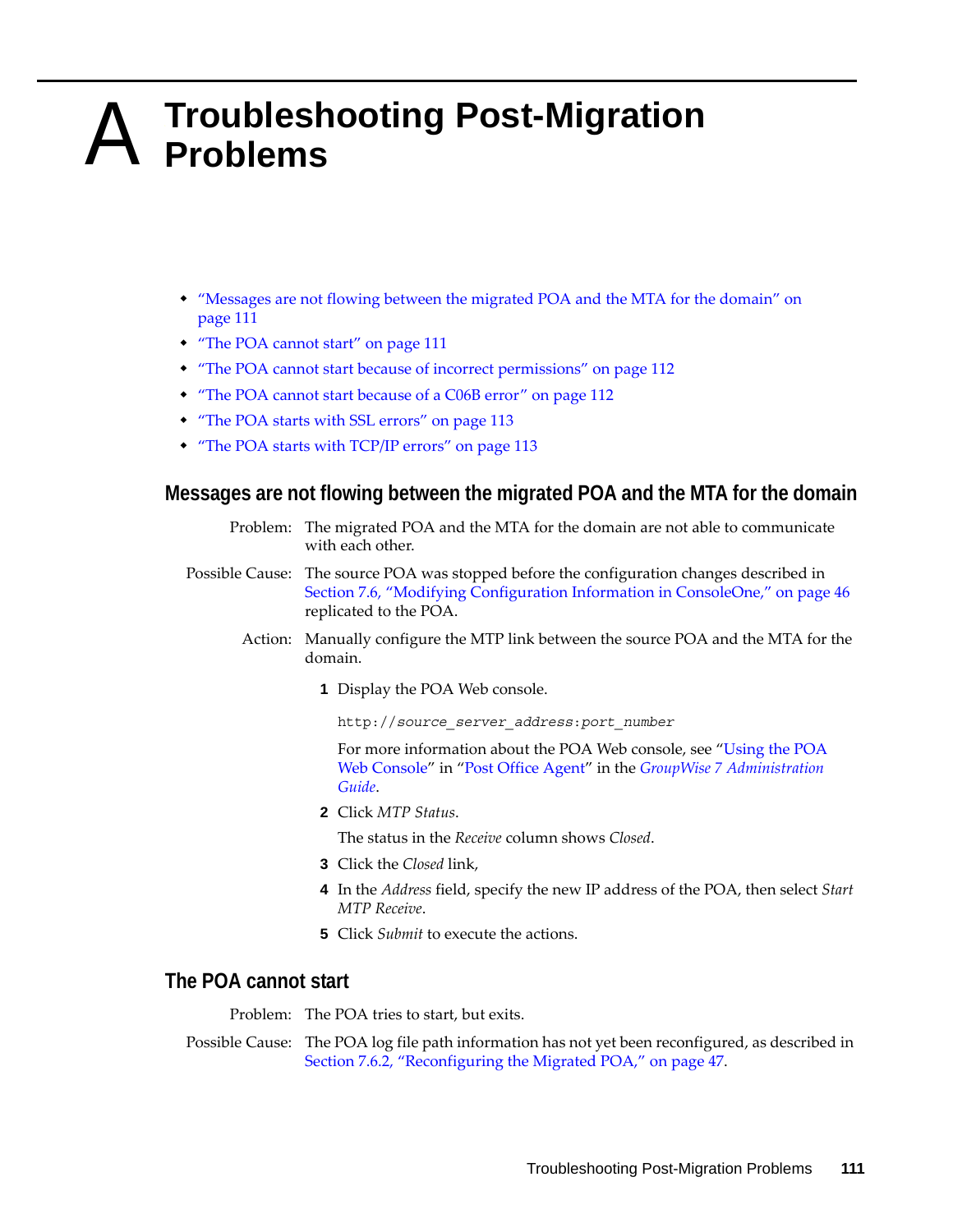# <span id="page-110-0"></span>A <sup>A</sup>**Troubleshooting Post-Migration Problems**

- ["Messages are not flowing between the migrated POA and the MTA for the domain" on](#page-110-1)  [page 111](#page-110-1)
- ["The POA cannot start" on page 111](#page-110-2)
- ["The POA cannot start because of incorrect permissions" on page 112](#page-111-0)
- ["The POA cannot start because of a C06B error" on page 112](#page-111-1)
- ["The POA starts with SSL errors" on page 113](#page-112-0)
- ["The POA starts with TCP/IP errors" on page 113](#page-112-1)

#### <span id="page-110-1"></span>**Messages are not flowing between the migrated POA and the MTA for the domain**

- Problem: The migrated POA and the MTA for the domain are not able to communicate with each other.
- Possible Cause: The source POA was stopped before the configuration changes described in [Section 7.6, "Modifying Configuration Information in ConsoleOne," on page 46](#page-45-0) replicated to the POA.
	- Action: Manually configure the MTP link between the source POA and the MTA for the domain.
		- **1** Display the POA Web console.

http://*source\_server\_address*:*port\_number*

For more information about the POA Web console, see ["Using the POA](http://www.novell.com/documentation/gw7/pdfdoc/gw7_admin/gw7_admin.pdf#A7u977y)  [Web Console"](http://www.novell.com/documentation/gw7/pdfdoc/gw7_admin/gw7_admin.pdf#A7u977y) in "[Post Office Agent](http://www.novell.com/documentation/gw7/pdfdoc/gw7_admin/gw7_admin.pdf#A84jmbe)" in the *[GroupWise 7 Administration](http://www.novell.com/documentation/gw7/pdfdoc/gw7_admin/gw7_admin.pdf#A2zvyc4)  [Guide](http://www.novell.com/documentation/gw7/pdfdoc/gw7_admin/gw7_admin.pdf#A2zvyc4)*.

**2** Click *MTP Status*.

The status in the *Receive* column shows *Closed*.

- **3** Click the *Closed* link,
- **4** In the *Address* field, specify the new IP address of the POA, then select *Start MTP Receive*.
- **5** Click *Submit* to execute the actions.

#### <span id="page-110-2"></span>**The POA cannot start**

Problem: The POA tries to start, but exits.

Possible Cause: The POA log file path information has not yet been reconfigured, as described in [Section 7.6.2, "Reconfiguring the Migrated POA," on page 47](#page-46-0).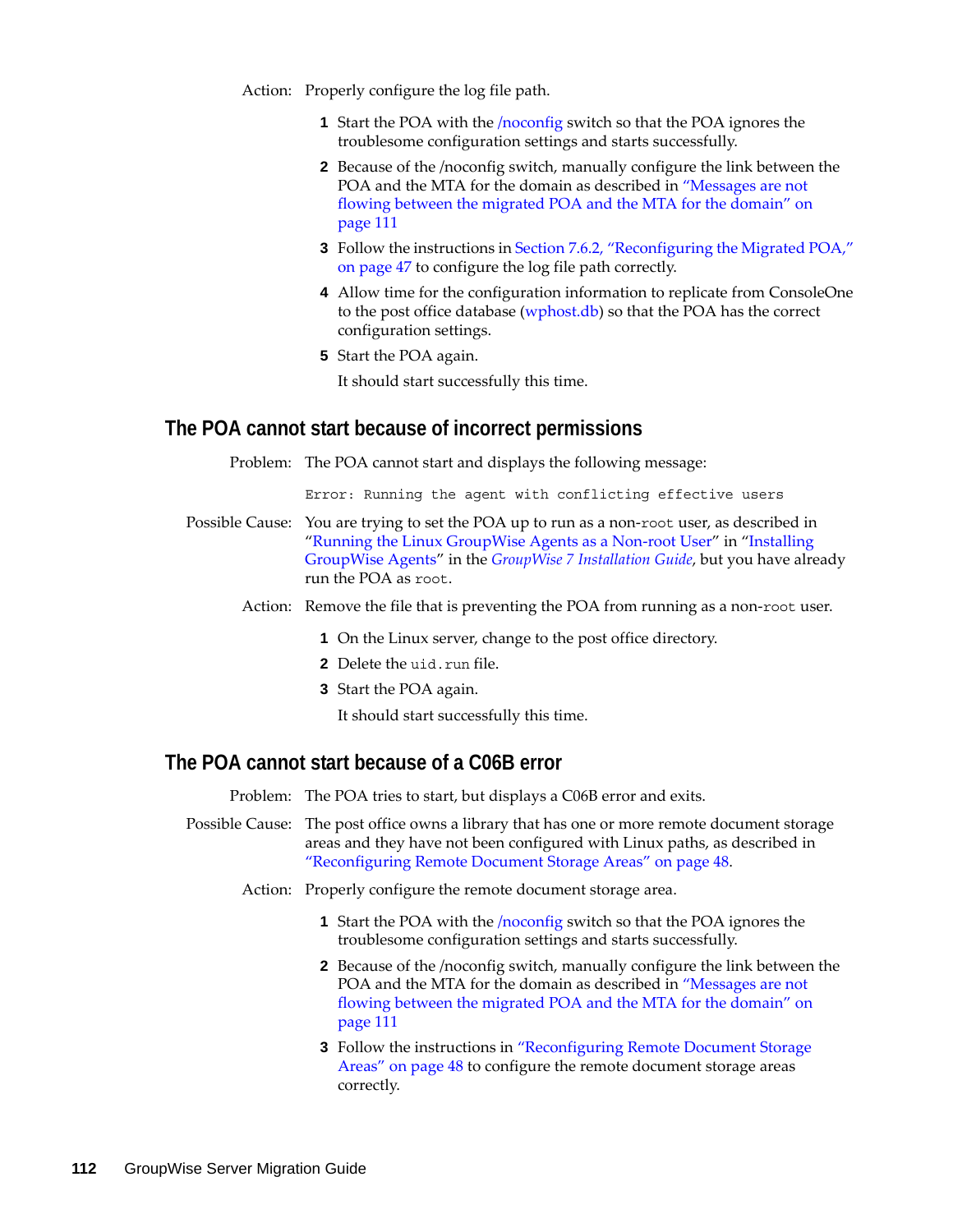Action: Properly configure the log file path.

- **1** Start the POA with the /noconfig switch so that the POA ignores the troublesome configuration settings and starts successfully.
- **2** Because of the /noconfig switch, manually configure the link between the POA and the MTA for the domain as described in ["Messages are not](#page-110-1)  [flowing between the migrated POA and the MTA for the domain" on](#page-110-1)  [page 111](#page-110-1)
- **3** Follow the instructions in [Section 7.6.2, "Reconfiguring the Migrated POA,"](#page-46-0)  [on page 47](#page-46-0) to configure the log file path correctly.
- **4** Allow time for the configuration information to replicate from ConsoleOne to the post office database (wphost.db) so that the POA has the correct configuration settings.
- **5** Start the POA again.

It should start successfully this time.

#### <span id="page-111-0"></span>**The POA cannot start because of incorrect permissions**

Problem: The POA cannot start and displays the following message:

Error: Running the agent with conflicting effective users

- Possible Cause: You are trying to set the POA up to run as a non-root user, as described in "[Running the Linux GroupWise Agents as a Non-root User"](http://www.novell.com/documentation/gw7/pdfdoc/gw7_install/gw7_install.pdf#bw8kalg) in ["Installing](http://www.novell.com/documentation/gw7/pdfdoc/gw7_install/gw7_install.pdf#A8pam03)  [GroupWise Agents"](http://www.novell.com/documentation/gw7/pdfdoc/gw7_install/gw7_install.pdf#A8pam03) in the *[GroupWise 7 Installation Guide](http://www.novell.com/documentation/gw7/pdfdoc/gw7_install/gw7_install.pdf#A20gkue)*, but you have already run the POA as root.
	- Action: Remove the file that is preventing the POA from running as a non-root user.
		- **1** On the Linux server, change to the post office directory.
		- **2** Delete the uid.run file.
		- **3** Start the POA again.

It should start successfully this time.

#### <span id="page-111-1"></span>**The POA cannot start because of a C06B error**

Problem: The POA tries to start, but displays a C06B error and exits.

- Possible Cause: The post office owns a library that has one or more remote document storage areas and they have not been configured with Linux paths, as described in ["Reconfiguring Remote Document Storage Areas" on page 48](#page-47-0).
	- Action: Properly configure the remote document storage area.
		- **1** Start the POA with the /noconfig switch so that the POA ignores the troublesome configuration settings and starts successfully.
		- **2** Because of the /noconfig switch, manually configure the link between the POA and the MTA for the domain as described in ["Messages are not](#page-110-1)  [flowing between the migrated POA and the MTA for the domain" on](#page-110-1)  [page 111](#page-110-1)
		- **3** Follow the instructions in ["Reconfiguring Remote Document Storage](#page-47-0)  [Areas" on page 48](#page-47-0) to configure the remote document storage areas correctly.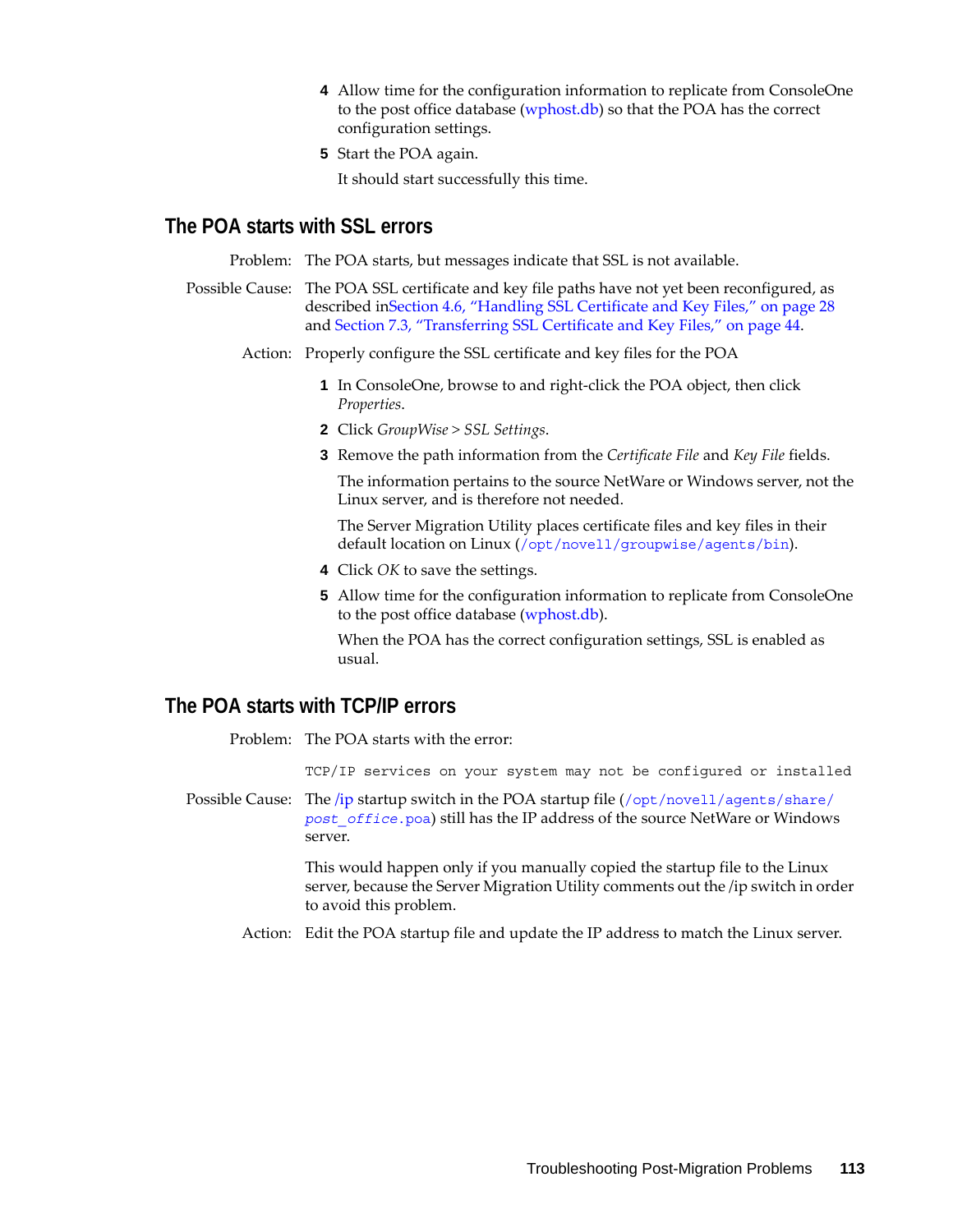- **4** Allow time for the configuration information to replicate from ConsoleOne to the post office database (wphost.db) so that the POA has the correct configuration settings.
- **5** Start the POA again.

It should start successfully this time.

#### <span id="page-112-0"></span>**The POA starts with SSL errors**

Problem: The POA starts, but messages indicate that SSL is not available.

- Possible Cause: The POA SSL certificate and key file paths have not yet been reconfigured, as described i[nSection 4.6, "Handling SSL Certificate and Key Files," on page 28](#page-27-0) and [Section 7.3, "Transferring SSL Certificate and Key Files," on page 44](#page-43-0).
	- Action: Properly configure the SSL certificate and key files for the POA
		- **1** In ConsoleOne, browse to and right-click the POA object, then click *Properties*.
		- **2** Click *GroupWise > SSL Settings*.
		- **3** Remove the path information from the *Certificate File* and *Key File* fields.

The information pertains to the source NetWare or Windows server, not the Linux server, and is therefore not needed.

The Server Migration Utility places certificate files and key files in their default location on Linux ([/opt/novell/groupwise/agents/bin](http://www.novell.com/documentation/gw7/pdfdoc/gw7_tsh3/gw7_tsh3.pdf#bs8xt4e)).

- **4** Click *OK* to save the settings.
- **5** Allow time for the configuration information to replicate from ConsoleOne to the post office database (wphost.db).

When the POA has the correct configuration settings, SSL is enabled as usual.

#### <span id="page-112-1"></span>**The POA starts with TCP/IP errors**

Problem: The POA starts with the error:

TCP/IP services on your system may not be configured or installed

Possible Cause: The [/ip](http://www.novell.com/documentation/gw7/pdfdoc/gw7_admin/gw7_admin.pdf#A91l7q7) startup switch in the POA startup file ([/opt/novell/agents/share/](http://www.novell.com/documentation/gw7/pdfdoc/gw7_tsh3/gw7_tsh3.pdf#bs8yiw0) *post\_office*[.poa](http://www.novell.com/documentation/gw7/pdfdoc/gw7_tsh3/gw7_tsh3.pdf#bs8yiw0)) still has the IP address of the source NetWare or Windows server.

> This would happen only if you manually copied the startup file to the Linux server, because the Server Migration Utility comments out the /ip switch in order to avoid this problem.

Action: Edit the POA startup file and update the IP address to match the Linux server.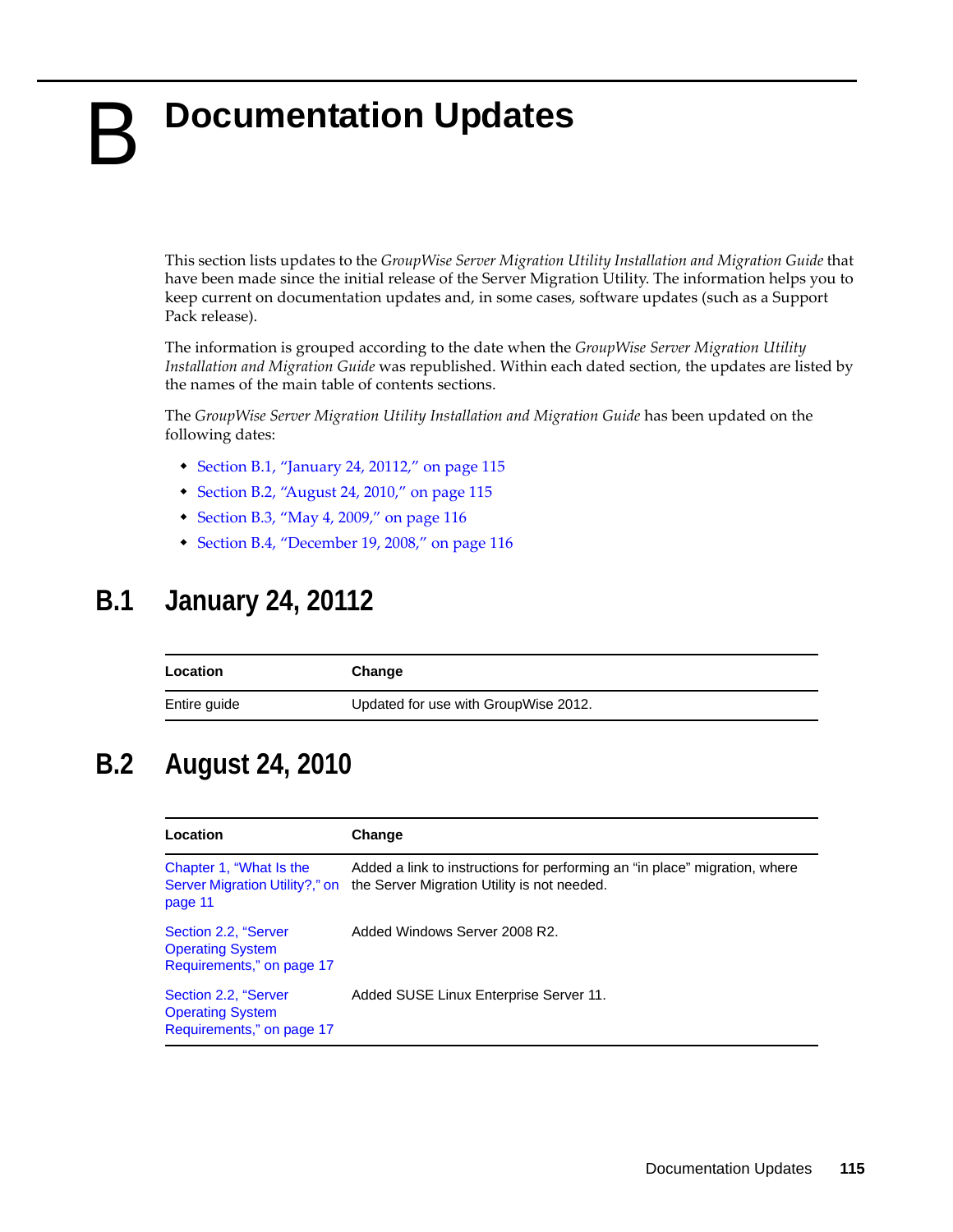B

## <span id="page-114-0"></span>**Documentation Updates**

This section lists updates to the *GroupWise Server Migration Utility Installation and Migration Guide* that have been made since the initial release of the Server Migration Utility. The information helps you to keep current on documentation updates and, in some cases, software updates (such as a Support Pack release).

The information is grouped according to the date when the *GroupWise Server Migration Utility Installation and Migration Guide* was republished. Within each dated section, the updates are listed by the names of the main table of contents sections.

The *GroupWise Server Migration Utility Installation and Migration Guide* has been updated on the following dates:

- $\bullet$  [Section B.1, "January 24, 20112," on page 115](#page-114-1)
- [Section B.2, "August 24, 2010," on page 115](#page-114-2)
- [Section B.3, "May 4, 2009," on page 116](#page-115-0)
- [Section B.4, "December 19, 2008," on page 116](#page-115-1)

### <span id="page-114-1"></span>**B.1 January 24, 20112**

| Location     | Change                               |
|--------------|--------------------------------------|
| Entire guide | Updated for use with GroupWise 2012. |

## <span id="page-114-2"></span>**B.2 August 24, 2010**

| Location                                                                     | Change                                                                                                                    |
|------------------------------------------------------------------------------|---------------------------------------------------------------------------------------------------------------------------|
| Chapter 1, "What Is the<br>Server Migration Utility?," on<br>page 11         | Added a link to instructions for performing an "in place" migration, where<br>the Server Migration Utility is not needed. |
| Section 2.2, "Server<br><b>Operating System</b><br>Requirements," on page 17 | Added Windows Server 2008 R2.                                                                                             |
| Section 2.2, "Server<br><b>Operating System</b><br>Requirements," on page 17 | Added SUSE Linux Enterprise Server 11.                                                                                    |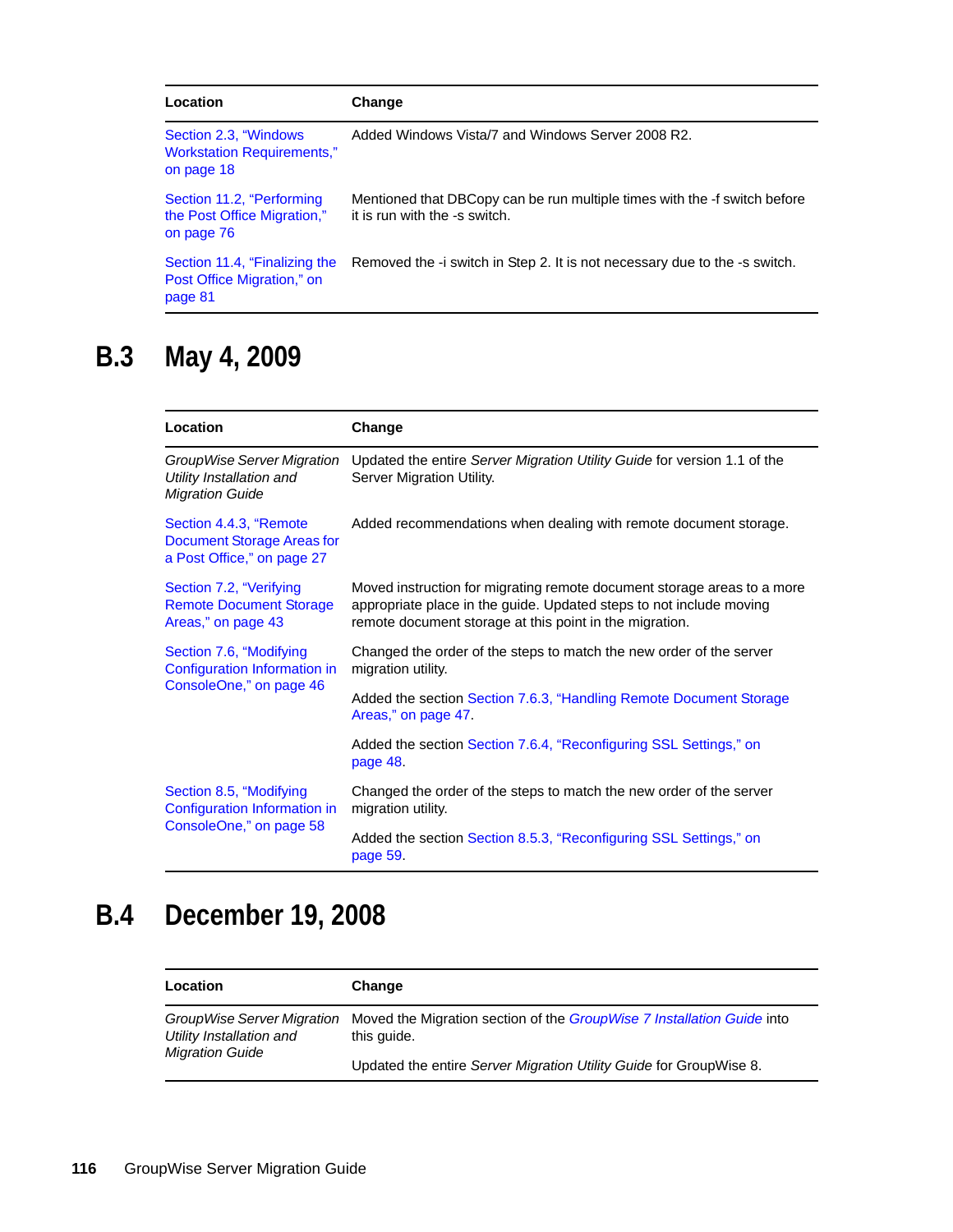| Location                                                                  | Change                                                                                                     |
|---------------------------------------------------------------------------|------------------------------------------------------------------------------------------------------------|
| Section 2.3, "Windows"<br><b>Workstation Requirements,"</b><br>on page 18 | Added Windows Vista/7 and Windows Server 2008 R2.                                                          |
| Section 11.2, "Performing<br>the Post Office Migration,"<br>on page 76    | Mentioned that DBCopy can be run multiple times with the -f switch before<br>it is run with the -s switch. |
| Section 11.4, "Finalizing the<br>Post Office Migration," on<br>page 81    | Removed the -i switch in Step 2. It is not necessary due to the -s switch.                                 |

## <span id="page-115-0"></span>**B.3 May 4, 2009**

| Location                                                                                  | Change                                                                                                                                                                                                    |
|-------------------------------------------------------------------------------------------|-----------------------------------------------------------------------------------------------------------------------------------------------------------------------------------------------------------|
| GroupWise Server Migration<br>Utility Installation and<br><b>Migration Guide</b>          | Updated the entire Server Migration Utility Guide for version 1.1 of the<br>Server Migration Utility.                                                                                                     |
| Section 4.4.3, "Remote<br><b>Document Storage Areas for</b><br>a Post Office," on page 27 | Added recommendations when dealing with remote document storage.                                                                                                                                          |
| Section 7.2, "Verifying<br><b>Remote Document Storage</b><br>Areas," on page 43           | Moved instruction for migrating remote document storage areas to a more<br>appropriate place in the guide. Updated steps to not include moving<br>remote document storage at this point in the migration. |
| Section 7.6, "Modifying<br>Configuration Information in<br>ConsoleOne," on page 46        | Changed the order of the steps to match the new order of the server<br>migration utility.                                                                                                                 |
|                                                                                           | Added the section Section 7.6.3, "Handling Remote Document Storage<br>Areas," on page 47.                                                                                                                 |
|                                                                                           | Added the section Section 7.6.4, "Reconfiguring SSL Settings," on<br>page 48.                                                                                                                             |
| Section 8.5, "Modifying<br>Configuration Information in<br>ConsoleOne," on page 58        | Changed the order of the steps to match the new order of the server<br>migration utility.                                                                                                                 |
|                                                                                           | Added the section Section 8.5.3, "Reconfiguring SSL Settings," on<br>page 59.                                                                                                                             |

## <span id="page-115-1"></span>**B.4 December 19, 2008**

| Location                                                                         | Change                                                                                       |
|----------------------------------------------------------------------------------|----------------------------------------------------------------------------------------------|
| GroupWise Server Migration<br>Utility Installation and<br><b>Migration Guide</b> | Moved the Migration section of the <i>GroupWise 7 Installation Guide</i> into<br>this quide. |
|                                                                                  | Updated the entire Server Migration Utility Guide for GroupWise 8.                           |